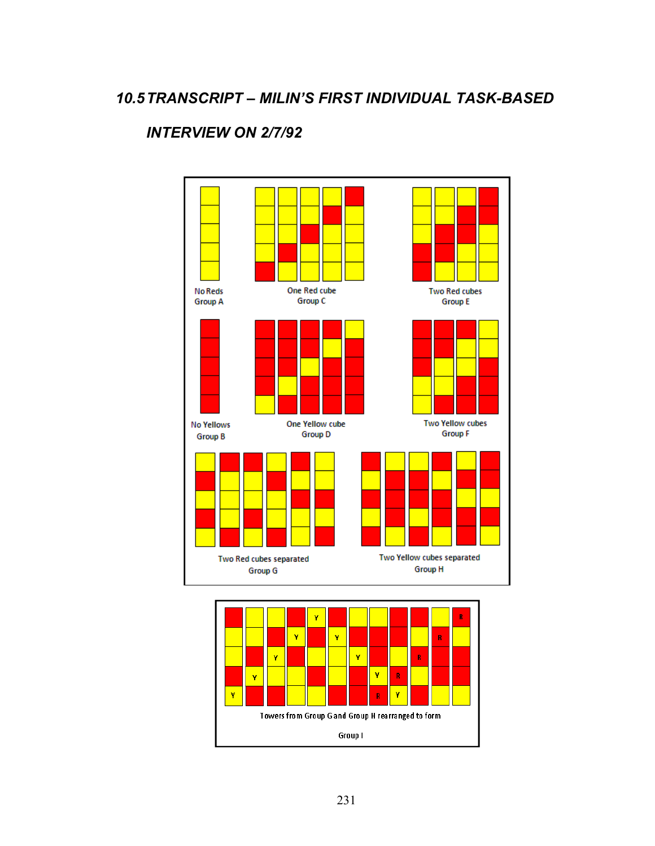## *INTERVIEW ON 2/7/92*



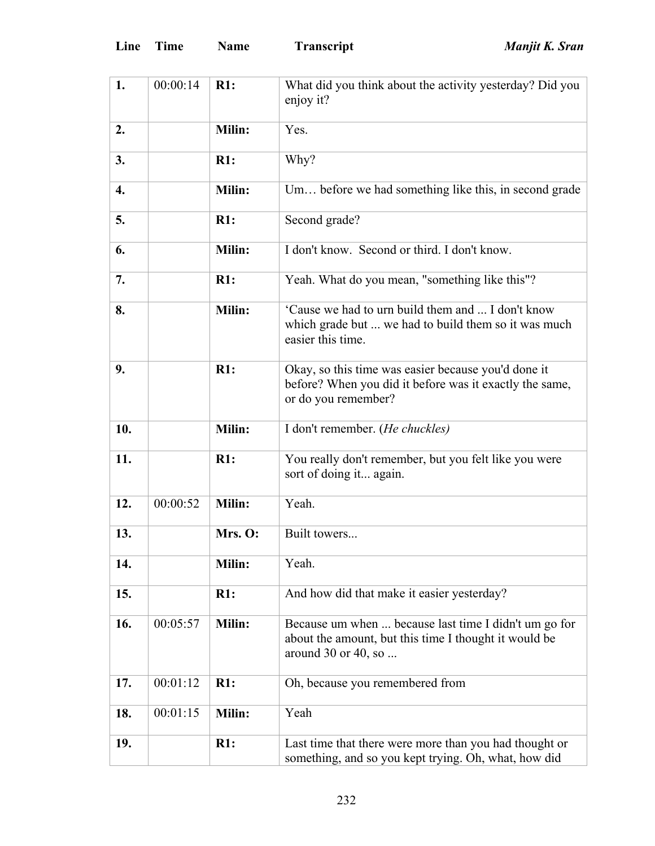| Line | Time | <b>Name</b> | Tra |
|------|------|-------------|-----|
|------|------|-------------|-----|

| 1.  | 00:00:14 | R1:           | What did you think about the activity yesterday? Did you<br>enjoy it?                                                                 |
|-----|----------|---------------|---------------------------------------------------------------------------------------------------------------------------------------|
| 2.  |          | Milin:        | Yes.                                                                                                                                  |
| 3.  |          | R1:           | Why?                                                                                                                                  |
| 4.  |          | Milin:        | Um before we had something like this, in second grade                                                                                 |
| 5.  |          | R1:           | Second grade?                                                                                                                         |
| 6.  |          | <b>Milin:</b> | I don't know. Second or third. I don't know.                                                                                          |
| 7.  |          | R1:           | Yeah. What do you mean, "something like this"?                                                                                        |
| 8.  |          | Milin:        | 'Cause we had to urn build them and  I don't know<br>which grade but  we had to build them so it was much<br>easier this time.        |
| 9.  |          | R1:           | Okay, so this time was easier because you'd done it<br>before? When you did it before was it exactly the same,<br>or do you remember? |
| 10. |          | Milin:        | I don't remember. (He chuckles)                                                                                                       |
| 11. |          | R1:           | You really don't remember, but you felt like you were<br>sort of doing it again.                                                      |
| 12. | 00:00:52 | Milin:        | Yeah.                                                                                                                                 |
| 13. |          | Mrs. O:       | Built towers                                                                                                                          |
| 14. |          | <b>Milin:</b> | Yeah.                                                                                                                                 |
| 15. |          | R1:           | And how did that make it easier yesterday?                                                                                            |
| 16. | 00:05:57 | Milin:        | Because um when  because last time I didn't um go for<br>about the amount, but this time I thought it would be<br>around 30 or 40, so |
| 17. | 00:01:12 | R1:           | Oh, because you remembered from                                                                                                       |
| 18. | 00:01:15 | <b>Milin:</b> | Yeah                                                                                                                                  |
| 19. |          | R1:           | Last time that there were more than you had thought or<br>something, and so you kept trying. Oh, what, how did                        |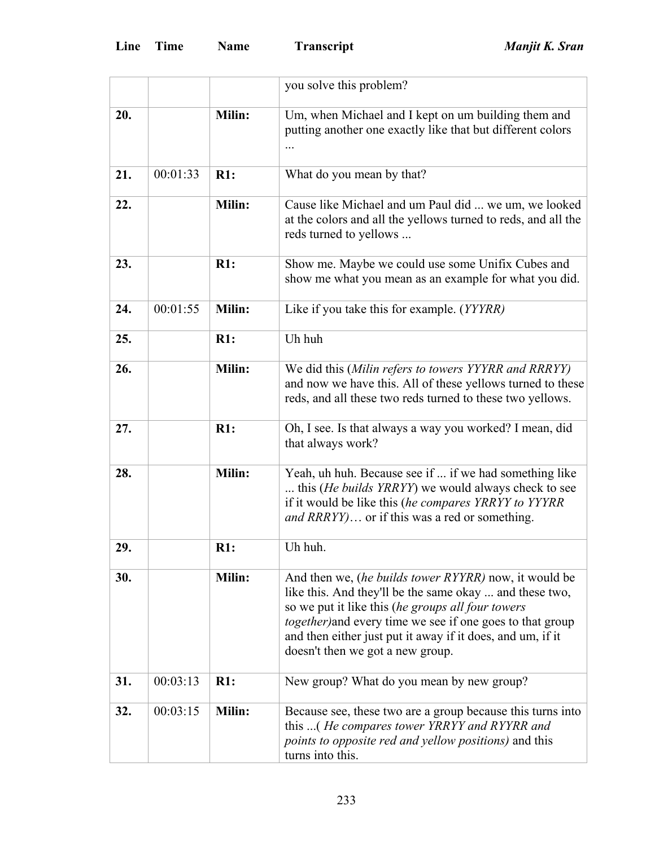|     |          |        | you solve this problem?                                                                                                                                                                                                                                                                                                                             |
|-----|----------|--------|-----------------------------------------------------------------------------------------------------------------------------------------------------------------------------------------------------------------------------------------------------------------------------------------------------------------------------------------------------|
| 20. |          | Milin: | Um, when Michael and I kept on um building them and<br>putting another one exactly like that but different colors                                                                                                                                                                                                                                   |
| 21. | 00:01:33 | R1:    | What do you mean by that?                                                                                                                                                                                                                                                                                                                           |
| 22. |          | Milin: | Cause like Michael and um Paul did  we um, we looked<br>at the colors and all the yellows turned to reds, and all the<br>reds turned to yellows                                                                                                                                                                                                     |
| 23. |          | R1:    | Show me. Maybe we could use some Unifix Cubes and<br>show me what you mean as an example for what you did.                                                                                                                                                                                                                                          |
| 24. | 00:01:55 | Milin: | Like if you take this for example. (YYYRR)                                                                                                                                                                                                                                                                                                          |
| 25. |          | R1:    | Uh huh                                                                                                                                                                                                                                                                                                                                              |
| 26. |          | Milin: | We did this (Milin refers to towers YYYRR and RRRYY)<br>and now we have this. All of these yellows turned to these<br>reds, and all these two reds turned to these two yellows.                                                                                                                                                                     |
| 27. |          | R1:    | Oh, I see. Is that always a way you worked? I mean, did<br>that always work?                                                                                                                                                                                                                                                                        |
| 28. |          | Milin: | Yeah, uh huh. Because see if  if we had something like<br>this ( <i>He builds YRRYY</i> ) we would always check to see<br>if it would be like this (he compares YRRYY to YYYRR<br>and RRRYY) or if this was a red or something.                                                                                                                     |
| 29. |          | R1:    | Uh huh.                                                                                                                                                                                                                                                                                                                                             |
| 30. |          | Milin: | And then we, <i>(he builds tower RYYRR)</i> now, it would be<br>like this. And they'll be the same okay  and these two,<br>so we put it like this (he groups all four towers<br><i>together</i> ) and every time we see if one goes to that group<br>and then either just put it away if it does, and um, if it<br>doesn't then we got a new group. |
| 31. | 00:03:13 | R1:    | New group? What do you mean by new group?                                                                                                                                                                                                                                                                                                           |
| 32. | 00:03:15 | Milin: | Because see, these two are a group because this turns into<br>this (He compares tower YRRYY and RYYRR and<br>points to opposite red and yellow positions) and this<br>turns into this.                                                                                                                                                              |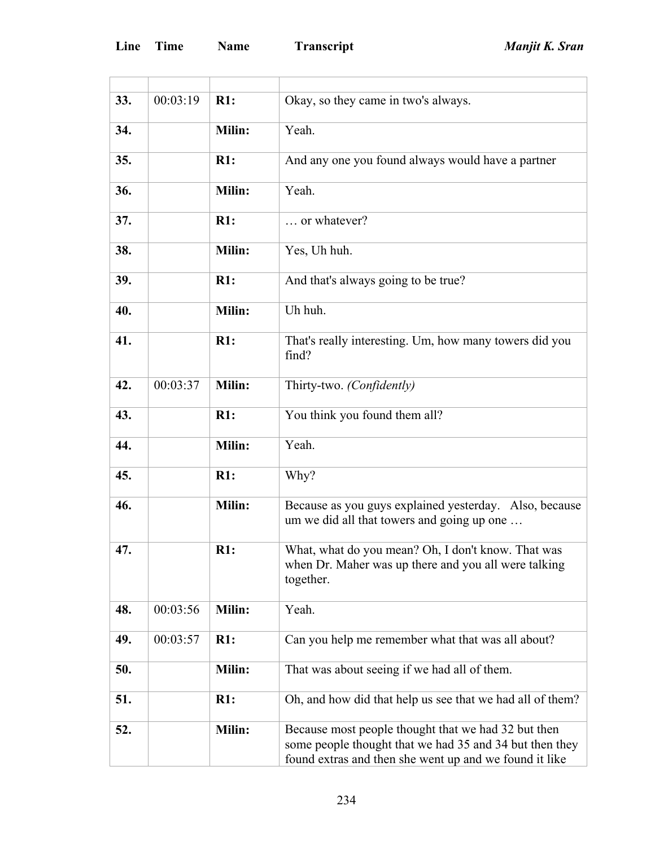| 33. | 00:03:19 | R1:    | Okay, so they came in two's always.                                                                                                                                      |
|-----|----------|--------|--------------------------------------------------------------------------------------------------------------------------------------------------------------------------|
| 34. |          | Milin: | Yeah.                                                                                                                                                                    |
| 35. |          | R1:    | And any one you found always would have a partner                                                                                                                        |
| 36. |          | Milin: | Yeah.                                                                                                                                                                    |
| 37. |          | R1:    | or whatever?                                                                                                                                                             |
| 38. |          | Milin: | Yes, Uh huh.                                                                                                                                                             |
| 39. |          | R1:    | And that's always going to be true?                                                                                                                                      |
| 40. |          | Milin: | Uh huh.                                                                                                                                                                  |
| 41. |          | R1:    | That's really interesting. Um, how many towers did you<br>find?                                                                                                          |
| 42. | 00:03:37 | Milin: | Thirty-two. (Confidently)                                                                                                                                                |
| 43. |          | R1:    | You think you found them all?                                                                                                                                            |
| 44. |          | Milin: | Yeah.                                                                                                                                                                    |
| 45. |          | R1:    | Why?                                                                                                                                                                     |
| 46. |          | Milin: | Because as you guys explained yesterday. Also, because<br>um we did all that towers and going up one                                                                     |
| 47. |          | R1:    | What, what do you mean? Oh, I don't know. That was<br>when Dr. Maher was up there and you all were talking<br>together.                                                  |
| 48. | 00:03:56 | Milin: | Yeah.                                                                                                                                                                    |
| 49. | 00:03:57 | R1:    | Can you help me remember what that was all about?                                                                                                                        |
| 50. |          | Milin: | That was about seeing if we had all of them.                                                                                                                             |
| 51. |          | R1:    | Oh, and how did that help us see that we had all of them?                                                                                                                |
| 52. |          | Milin: | Because most people thought that we had 32 but then<br>some people thought that we had 35 and 34 but then they<br>found extras and then she went up and we found it like |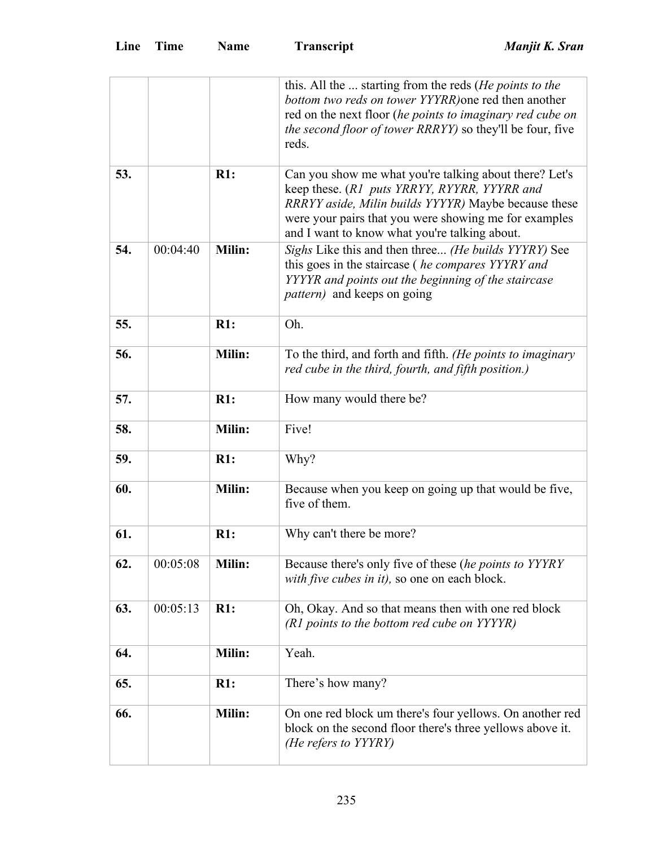|     |          |               | this. All the  starting from the reds ( <i>He points to the</i><br>bottom two reds on tower YYYRR) one red then another<br>red on the next floor (he points to imaginary red cube on                                                                                     |
|-----|----------|---------------|--------------------------------------------------------------------------------------------------------------------------------------------------------------------------------------------------------------------------------------------------------------------------|
|     |          |               | the second floor of tower RRRYY) so they'll be four, five<br>reds.                                                                                                                                                                                                       |
| 53. |          | R1:           | Can you show me what you're talking about there? Let's<br>keep these. (R1 puts YRRYY, RYYRR, YYYRR and<br>RRRYY aside, Milin builds YYYYR) Maybe because these<br>were your pairs that you were showing me for examples<br>and I want to know what you're talking about. |
| 54. | 00:04:40 | Milin:        | Sighs Like this and then three (He builds YYYRY) See<br>this goes in the staircase ( <i>he compares YYYRY and</i><br>YYYYR and points out the beginning of the staircase<br><i>pattern</i> ) and keeps on going                                                          |
| 55. |          | R1:           | Oh.                                                                                                                                                                                                                                                                      |
| 56. |          | Milin:        | To the third, and forth and fifth. (He points to imaginary<br>red cube in the third, fourth, and fifth position.)                                                                                                                                                        |
| 57. |          | R1:           | How many would there be?                                                                                                                                                                                                                                                 |
| 58. |          | Milin:        | Five!                                                                                                                                                                                                                                                                    |
| 59. |          | R1:           | Why?                                                                                                                                                                                                                                                                     |
| 60. |          | Milin:        | Because when you keep on going up that would be five,<br>five of them.                                                                                                                                                                                                   |
| 61. |          | R1:           | Why can't there be more?                                                                                                                                                                                                                                                 |
| 62. | 00:05:08 | Milin:        | Because there's only five of these (he points to YYYRY<br>with five cubes in it), so one on each block.                                                                                                                                                                  |
| 63. | 00:05:13 | R1:           | Oh, Okay. And so that means then with one red block<br>(R1 points to the bottom red cube on YYYYR)                                                                                                                                                                       |
| 64. |          | Milin:        | Yeah.                                                                                                                                                                                                                                                                    |
| 65. |          | R1:           | There's how many?                                                                                                                                                                                                                                                        |
| 66. |          | <b>Milin:</b> | On one red block um there's four yellows. On another red<br>block on the second floor there's three yellows above it.<br>(He refers to YYYRY)                                                                                                                            |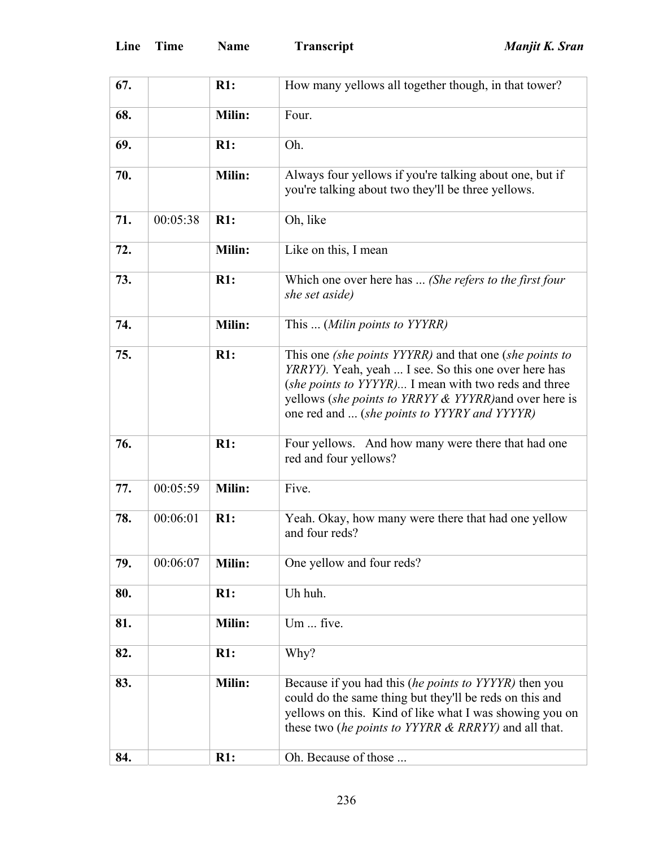| 67. |          | R1:           | How many yellows all together though, in that tower?                                                                                                                                                                                                                              |
|-----|----------|---------------|-----------------------------------------------------------------------------------------------------------------------------------------------------------------------------------------------------------------------------------------------------------------------------------|
| 68. |          | Milin:        | Four.                                                                                                                                                                                                                                                                             |
| 69. |          | R1:           | Oh.                                                                                                                                                                                                                                                                               |
| 70. |          | Milin:        | Always four yellows if you're talking about one, but if<br>you're talking about two they'll be three yellows.                                                                                                                                                                     |
| 71. | 00:05:38 | R1:           | Oh, like                                                                                                                                                                                                                                                                          |
| 72. |          | Milin:        | Like on this, I mean                                                                                                                                                                                                                                                              |
| 73. |          | R1:           | Which one over here has  (She refers to the first four<br>she set aside)                                                                                                                                                                                                          |
| 74. |          | Milin:        | This  (Milin points to YYYRR)                                                                                                                                                                                                                                                     |
| 75. |          | R1:           | This one (she points YYYRR) and that one (she points to<br>YRRYY). Yeah, yeah  I see. So this one over here has<br>(she points to YYYYR) I mean with two reds and three<br>yellows (she points to YRRYY & YYYRR) and over here is<br>one red and  (she points to YYYRY and YYYYR) |
| 76. |          | R1:           | Four yellows. And how many were there that had one<br>red and four yellows?                                                                                                                                                                                                       |
| 77. | 00:05:59 | Milin:        | Five.                                                                                                                                                                                                                                                                             |
| 78. | 00:06:01 | R1:           | Yeah. Okay, how many were there that had one yellow<br>and four reds?                                                                                                                                                                                                             |
| 79. | 00:06:07 | <b>Milin:</b> | One yellow and four reds?                                                                                                                                                                                                                                                         |
| 80. |          | R1:           | Uh huh.                                                                                                                                                                                                                                                                           |
| 81. |          | <b>Milin:</b> | Um  five.                                                                                                                                                                                                                                                                         |
| 82. |          | R1:           | Why?                                                                                                                                                                                                                                                                              |
| 83. |          | Milin:        | Because if you had this <i>(he points to YYYYR)</i> then you<br>could do the same thing but they'll be reds on this and<br>yellows on this. Kind of like what I was showing you on<br>these two <i>(he points to YYYRR &amp; RRRYY)</i> and all that.                             |
| 84. |          | R1:           | Oh. Because of those                                                                                                                                                                                                                                                              |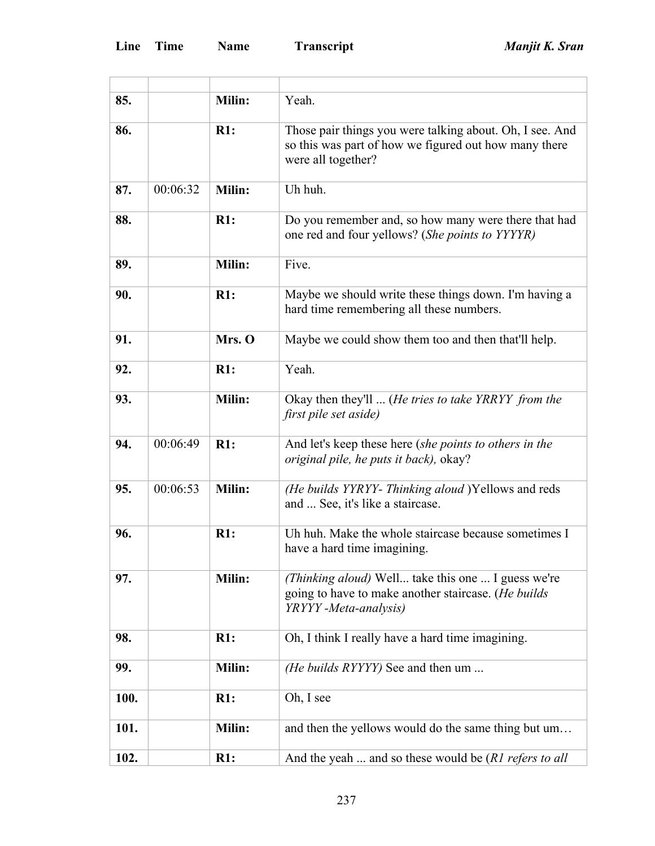'n

| 85.  |          | Milin: | Yeah.                                                                                                                                   |
|------|----------|--------|-----------------------------------------------------------------------------------------------------------------------------------------|
| 86.  |          | R1:    | Those pair things you were talking about. Oh, I see. And<br>so this was part of how we figured out how many there<br>were all together? |
| 87.  | 00:06:32 | Milin: | Uh huh.                                                                                                                                 |
| 88.  |          | R1:    | Do you remember and, so how many were there that had<br>one red and four yellows? (She points to YYYYR)                                 |
| 89.  |          | Milin: | Five.                                                                                                                                   |
| 90.  |          | R1:    | Maybe we should write these things down. I'm having a<br>hard time remembering all these numbers.                                       |
| 91.  |          | Mrs. O | Maybe we could show them too and then that'll help.                                                                                     |
| 92.  |          | R1:    | Yeah.                                                                                                                                   |
| 93.  |          | Milin: | Okay then they'll  ( <i>He tries to take YRRYY from the</i><br>first pile set aside)                                                    |
| 94.  | 00:06:49 | R1:    | And let's keep these here (she points to others in the<br><i>original pile, he puts it back), okay?</i>                                 |
| 95.  | 00:06:53 | Milin: | (He builds YYRYY- Thinking aloud )Yellows and reds<br>and  See, it's like a staircase.                                                  |
| 96.  |          | R1:    | Uh huh. Make the whole staircase because sometimes I<br>have a hard time imagining.                                                     |
| 97.  |          | Milin: | (Thinking aloud) Well take this one  I guess we're<br>going to have to make another staircase. (He builds<br>YRYYY -Meta-analysis)      |
| 98.  |          | R1:    | Oh, I think I really have a hard time imagining.                                                                                        |
| 99.  |          | Milin: | (He builds RYYYY) See and then um                                                                                                       |
| 100. |          | R1:    | Oh, I see                                                                                                                               |
| 101. |          | Milin: | and then the yellows would do the same thing but um                                                                                     |
| 102. |          | R1:    | And the yeah  and so these would be (R1 refers to all                                                                                   |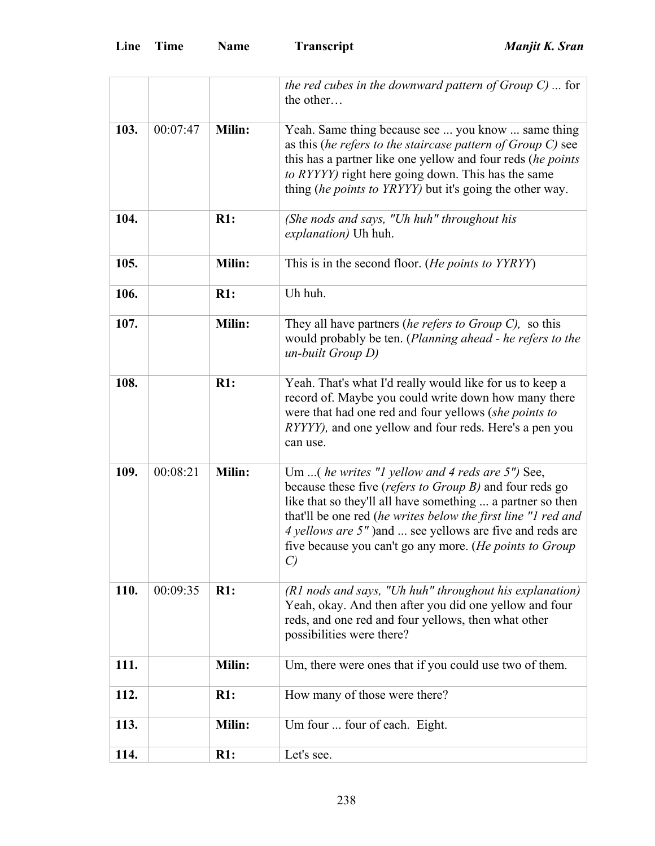|      |          |               | the red cubes in the downward pattern of Group $C$ )  for<br>the other                                                                                                                                                                                                                                                                                                   |
|------|----------|---------------|--------------------------------------------------------------------------------------------------------------------------------------------------------------------------------------------------------------------------------------------------------------------------------------------------------------------------------------------------------------------------|
| 103. | 00:07:47 | Milin:        | Yeah. Same thing because see  you know  same thing<br>as this (he refers to the staircase pattern of $Group C$ ) see<br>this has a partner like one yellow and four reds (he points<br>to RYYYY) right here going down. This has the same<br>thing <i>(he points to YRYYY)</i> but it's going the other way.                                                             |
| 104. |          | R1:           | (She nods and says, "Uh huh" throughout his<br><i>explanation</i> ) Uh huh.                                                                                                                                                                                                                                                                                              |
| 105. |          | Milin:        | This is in the second floor. (He points to YYRYY)                                                                                                                                                                                                                                                                                                                        |
| 106. |          | R1:           | Uh huh.                                                                                                                                                                                                                                                                                                                                                                  |
| 107. |          | Milin:        | They all have partners (he refers to Group $C$ ), so this<br>would probably be ten. (Planning ahead - he refers to the<br>$un$ -built Group $D$ )                                                                                                                                                                                                                        |
| 108. |          | R1:           | Yeah. That's what I'd really would like for us to keep a<br>record of. Maybe you could write down how many there<br>were that had one red and four yellows (she points to<br><i>RYYYY)</i> , and one yellow and four reds. Here's a pen you<br>can use.                                                                                                                  |
| 109. | 00:08:21 | Milin:        | Um  (he writes "1 yellow and 4 reds are 5") See,<br>because these five (refers to Group B) and four reds go<br>like that so they'll all have something  a partner so then<br>that'll be one red (he writes below the first line "1 red and<br>4 yellows are 5" ) and  see yellows are five and reds are<br>five because you can't go any more. (He points to Group<br>C) |
| 110. | 00:09:35 | R1:           | (R1 nods and says, "Uh huh" throughout his explanation)<br>Yeah, okay. And then after you did one yellow and four<br>reds, and one red and four yellows, then what other<br>possibilities were there?                                                                                                                                                                    |
| 111. |          | <b>Milin:</b> | Um, there were ones that if you could use two of them.                                                                                                                                                                                                                                                                                                                   |
| 112. |          | R1:           | How many of those were there?                                                                                                                                                                                                                                                                                                                                            |
| 113. |          | Milin:        | Um four  four of each. Eight.                                                                                                                                                                                                                                                                                                                                            |
| 114. |          | R1:           | Let's see.                                                                                                                                                                                                                                                                                                                                                               |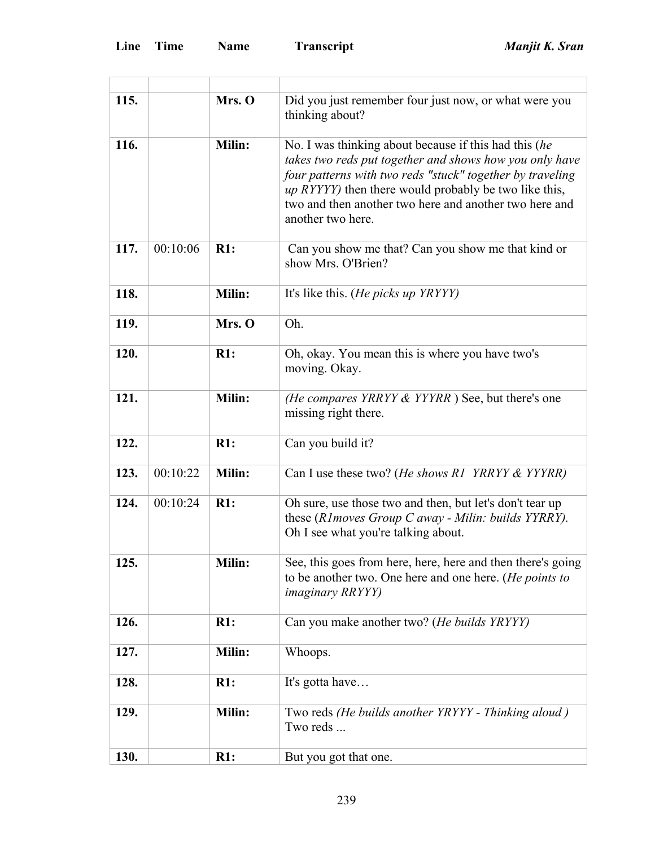| 115. |          | Mrs. O        | Did you just remember four just now, or what were you<br>thinking about?                                                                                                                                                                                                                                                      |
|------|----------|---------------|-------------------------------------------------------------------------------------------------------------------------------------------------------------------------------------------------------------------------------------------------------------------------------------------------------------------------------|
| 116. |          | Milin:        | No. I was thinking about because if this had this (he<br>takes two reds put together and shows how you only have<br>four patterns with two reds "stuck" together by traveling<br><i>up RYYYY</i> ) then there would probably be two like this,<br>two and then another two here and another two here and<br>another two here. |
| 117. | 00:10:06 | R1:           | Can you show me that? Can you show me that kind or<br>show Mrs. O'Brien?                                                                                                                                                                                                                                                      |
| 118. |          | Milin:        | It's like this. ( <i>He picks up YRYYY</i> )                                                                                                                                                                                                                                                                                  |
| 119. |          | Mrs. O        | Oh.                                                                                                                                                                                                                                                                                                                           |
| 120. |          | R1:           | Oh, okay. You mean this is where you have two's<br>moving. Okay.                                                                                                                                                                                                                                                              |
| 121. |          | Milin:        | (He compares YRRYY & YYYRR) See, but there's one<br>missing right there.                                                                                                                                                                                                                                                      |
| 122. |          | R1:           | Can you build it?                                                                                                                                                                                                                                                                                                             |
| 123. | 00:10:22 | Milin:        | Can I use these two? ( <i>He shows R1 YRRYY &amp; YYYRR</i> )                                                                                                                                                                                                                                                                 |
| 124. | 00:10:24 | R1:           | Oh sure, use those two and then, but let's don't tear up<br>these (R1 moves Group C away - Milin: builds YYRRY).<br>Oh I see what you're talking about.                                                                                                                                                                       |
| 125. |          | Milin:        | See, this goes from here, here, here and then there's going<br>to be another two. One here and one here. (He points to<br><i>imaginary RRYYY)</i>                                                                                                                                                                             |
| 126. |          | R1:           | Can you make another two? (He builds YRYYY)                                                                                                                                                                                                                                                                                   |
| 127. |          | Milin:        | Whoops.                                                                                                                                                                                                                                                                                                                       |
| 128. |          | R1:           | It's gotta have                                                                                                                                                                                                                                                                                                               |
| 129. |          | <b>Milin:</b> | Two reds (He builds another YRYYY - Thinking aloud)<br>Two reds                                                                                                                                                                                                                                                               |
| 130. |          | R1:           | But you got that one.                                                                                                                                                                                                                                                                                                         |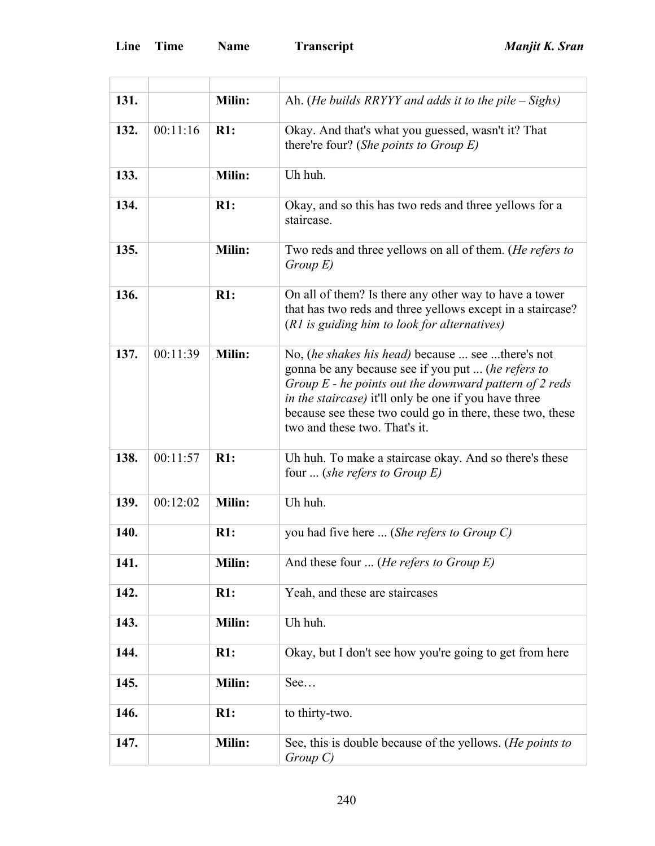÷.

| 131. |          | Milin: | Ah. ( <i>He builds RRYYY and adds it to the pile – Sighs</i> )                                                                                                                                                                                                                                                                            |
|------|----------|--------|-------------------------------------------------------------------------------------------------------------------------------------------------------------------------------------------------------------------------------------------------------------------------------------------------------------------------------------------|
| 132. | 00:11:16 | R1:    | Okay. And that's what you guessed, wasn't it? That<br>there're four? (She points to Group $E$ )                                                                                                                                                                                                                                           |
| 133. |          | Milin: | Uh huh.                                                                                                                                                                                                                                                                                                                                   |
| 134. |          | R1:    | Okay, and so this has two reds and three yellows for a<br>staircase.                                                                                                                                                                                                                                                                      |
| 135. |          | Milin: | Two reds and three yellows on all of them. ( <i>He refers to</i><br>$Group\ E)$                                                                                                                                                                                                                                                           |
| 136. |          | R1:    | On all of them? Is there any other way to have a tower<br>that has two reds and three yellows except in a staircase?<br>(R1 is guiding him to look for alternatives)                                                                                                                                                                      |
| 137. | 00:11:39 | Milin: | No, <i>(he shakes his head)</i> because  see there's not<br>gonna be any because see if you put  (he refers to<br>Group $E$ - he points out the downward pattern of 2 reds<br><i>in the staircase</i> ) it'll only be one if you have three<br>because see these two could go in there, these two, these<br>two and these two. That's it. |
| 138. | 00:11:57 | R1:    | Uh huh. To make a staircase okay. And so there's these<br>four  (she refers to Group $E$ )                                                                                                                                                                                                                                                |
| 139. | 00:12:02 | Milin: | Uh huh.                                                                                                                                                                                                                                                                                                                                   |
| 140. |          | R1:    | you had five here  (She refers to Group C)                                                                                                                                                                                                                                                                                                |
| 141. |          | Milin: | And these four  ( <i>He refers to Group E</i> )                                                                                                                                                                                                                                                                                           |
| 142. |          | R1:    | Yeah, and these are staircases                                                                                                                                                                                                                                                                                                            |
| 143. |          | Milin: | Uh huh.                                                                                                                                                                                                                                                                                                                                   |
| 144. |          | R1:    | Okay, but I don't see how you're going to get from here                                                                                                                                                                                                                                                                                   |
| 145. |          | Milin: | See                                                                                                                                                                                                                                                                                                                                       |
| 146. |          | R1:    | to thirty-two.                                                                                                                                                                                                                                                                                                                            |
| 147. |          | Milin: | See, this is double because of the yellows. (He points to<br>$Group\ C)$                                                                                                                                                                                                                                                                  |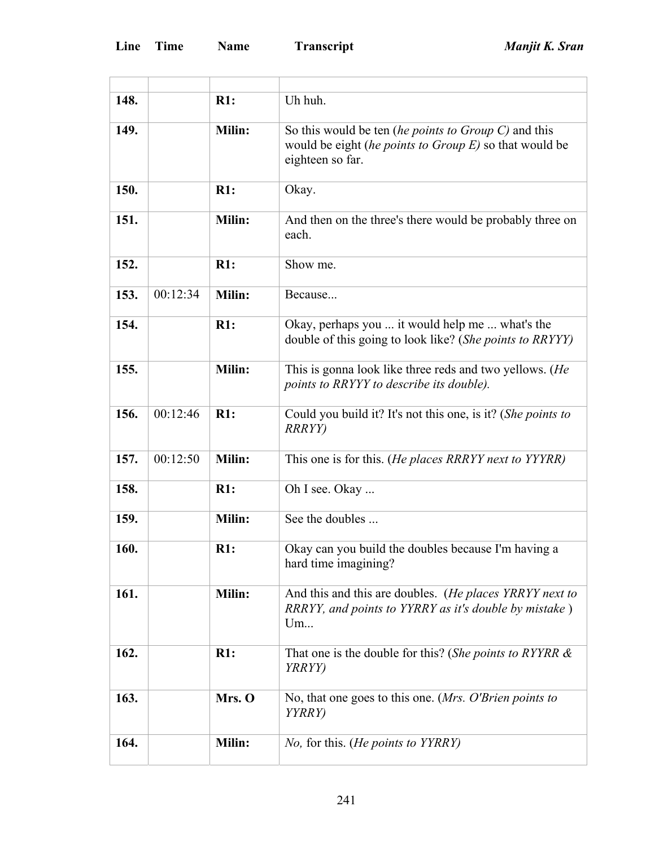'n

| 148. |          | R1:           | Uh huh.                                                                                                                               |
|------|----------|---------------|---------------------------------------------------------------------------------------------------------------------------------------|
| 149. |          | Milin:        | So this would be ten (he points to Group C) and this<br>would be eight (he points to Group $E$ ) so that would be<br>eighteen so far. |
| 150. |          | R1:           | Okay.                                                                                                                                 |
| 151. |          | Milin:        | And then on the three's there would be probably three on<br>each.                                                                     |
| 152. |          | R1:           | Show me.                                                                                                                              |
| 153. | 00:12:34 | <b>Milin:</b> | Because                                                                                                                               |
| 154. |          | R1:           | Okay, perhaps you  it would help me  what's the<br>double of this going to look like? (She points to RRYYY)                           |
| 155. |          | Milin:        | This is gonna look like three reds and two yellows. (He<br>points to RRYYY to describe its double).                                   |
| 156. | 00:12:46 | R1:           | Could you build it? It's not this one, is it? (She points to<br><b>RRRYY</b> )                                                        |
| 157. | 00:12:50 | Milin:        | This one is for this. (He places RRRYY next to YYYRR)                                                                                 |
| 158. |          | R1:           | Oh I see. Okay                                                                                                                        |
| 159. |          | Milin:        | See the doubles                                                                                                                       |
| 160. |          | R1:           | Okay can you build the doubles because I'm having a<br>hard time imagining?                                                           |
| 161. |          | Milin:        | And this and this are doubles. (He places YRRYY next to<br>RRRYY, and points to YYRRY as it's double by mistake)<br>Um                |
| 162. |          | R1:           | That one is the double for this? (She points to RYYRR $\&$<br><i>YRRYY</i> )                                                          |
| 163. |          | Mrs. O        | No, that one goes to this one. (Mrs. O'Brien points to<br><i>YYRRY</i> )                                                              |
| 164. |          | Milin:        | No, for this. (He points to YYRRY)                                                                                                    |
|      |          |               |                                                                                                                                       |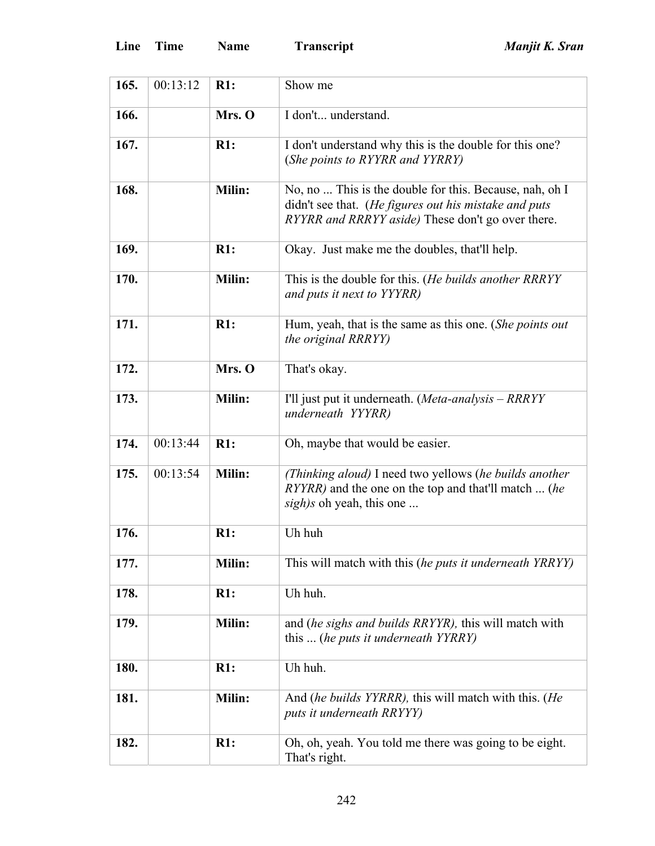| 165. | 00:13:12 | R1:           | Show me                                                                                                                                                               |
|------|----------|---------------|-----------------------------------------------------------------------------------------------------------------------------------------------------------------------|
| 166. |          | Mrs. O        | I don't understand.                                                                                                                                                   |
| 167. |          | R1:           | I don't understand why this is the double for this one?<br>(She points to RYYRR and YYRRY)                                                                            |
| 168. |          | Milin:        | No, no  This is the double for this. Because, nah, oh I<br>didn't see that. (He figures out his mistake and puts<br>RYYRR and RRRYY aside) These don't go over there. |
| 169. |          | R1:           | Okay. Just make me the doubles, that'll help.                                                                                                                         |
| 170. |          | Milin:        | This is the double for this. (He builds another RRRYY<br>and puts it next to YYYRR)                                                                                   |
| 171. |          | R1:           | Hum, yeah, that is the same as this one. (She points out<br>the original RRRYY)                                                                                       |
| 172. |          | Mrs. O        | That's okay.                                                                                                                                                          |
| 173. |          | <b>Milin:</b> | I'll just put it underneath. (Meta-analysis - RRRYY<br>underneath YYYRR)                                                                                              |
| 174. | 00:13:44 | R1:           | Oh, maybe that would be easier.                                                                                                                                       |
| 175. | 00:13:54 | Milin:        | (Thinking aloud) I need two yellows (he builds another<br><i>RYYRR</i> ) and the one on the top and that'll match  (he<br>sigh)s oh yeah, this one                    |
| 176. |          | R1:           | Uh huh                                                                                                                                                                |
| 177. |          | Milin:        | This will match with this (he puts it underneath YRRYY)                                                                                                               |
| 178. |          | R1:           | Uh huh.                                                                                                                                                               |
| 179. |          | <b>Milin:</b> | and (he sighs and builds RRYYR), this will match with<br>this  (he puts it underneath YYRRY)                                                                          |
| 180. |          | R1:           | Uh huh.                                                                                                                                                               |
| 181. |          | Milin:        | And (he builds YYRRR), this will match with this. (He<br>puts it underneath RRYYY)                                                                                    |
| 182. |          | R1:           | Oh, oh, yeah. You told me there was going to be eight.<br>That's right.                                                                                               |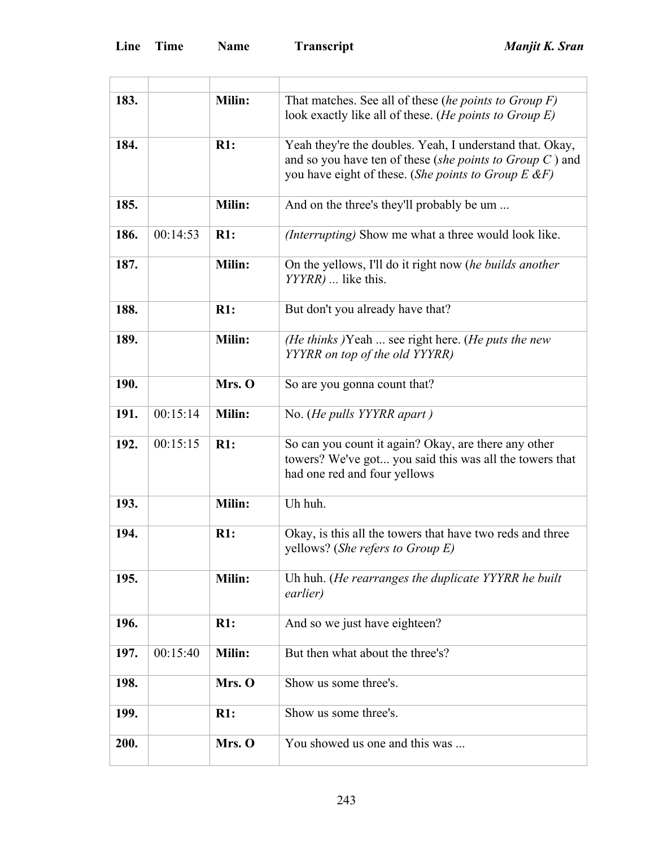| 183. |          | <b>Milin:</b> | That matches. See all of these (he points to Group $F$ )<br>look exactly like all of these. (He points to Group E)                                                                  |
|------|----------|---------------|-------------------------------------------------------------------------------------------------------------------------------------------------------------------------------------|
| 184. |          | R1:           | Yeah they're the doubles. Yeah, I understand that. Okay,<br>and so you have ten of these (she points to Group $C$ ) and<br>you have eight of these. (She points to Group $E \& F$ ) |
| 185. |          | Milin:        | And on the three's they'll probably be um                                                                                                                                           |
| 186. | 00:14:53 | R1:           | <i>(Interrupting)</i> Show me what a three would look like.                                                                                                                         |
| 187. |          | Milin:        | On the yellows, I'll do it right now (he builds another<br>YYYRR)  like this.                                                                                                       |
| 188. |          | R1:           | But don't you already have that?                                                                                                                                                    |
| 189. |          | Milin:        | (He thinks )Yeah  see right here. (He puts the new<br>YYYRR on top of the old YYYRR)                                                                                                |
| 190. |          | Mrs. O        | So are you gonna count that?                                                                                                                                                        |
| 191. | 00:15:14 | Milin:        | No. (He pulls YYYRR apart)                                                                                                                                                          |
| 192. | 00:15:15 | R1:           | So can you count it again? Okay, are there any other<br>towers? We've got you said this was all the towers that<br>had one red and four yellows                                     |
| 193. |          | Milin:        | Uh huh.                                                                                                                                                                             |
| 194. |          | R1:           | Okay, is this all the towers that have two reds and three<br>yellows? (She refers to Group $E$ )                                                                                    |
| 195. |          | Milin:        | Uh huh. (He rearranges the duplicate YYYRR he built<br>earlier)                                                                                                                     |
| 196. |          | R1:           | And so we just have eighteen?                                                                                                                                                       |
| 197. | 00:15:40 | Milin:        | But then what about the three's?                                                                                                                                                    |
| 198. |          | Mrs. O        | Show us some three's.                                                                                                                                                               |
| 199. |          | R1:           | Show us some three's.                                                                                                                                                               |
| 200. |          | Mrs. O        | You showed us one and this was                                                                                                                                                      |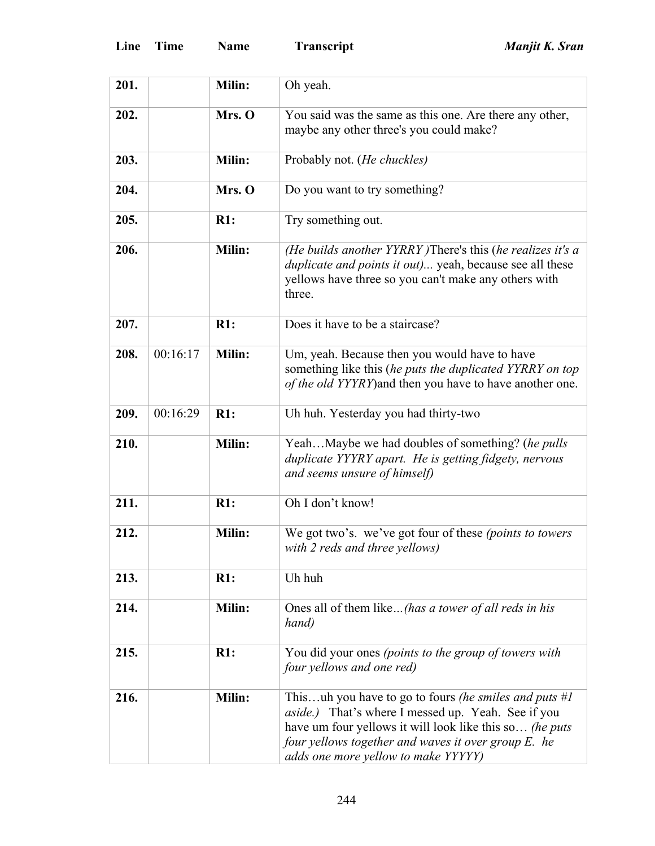| 201. |          | Milin: | Oh yeah.                                                                                                                                                                                                                                                                       |
|------|----------|--------|--------------------------------------------------------------------------------------------------------------------------------------------------------------------------------------------------------------------------------------------------------------------------------|
| 202. |          | Mrs. O | You said was the same as this one. Are there any other,<br>maybe any other three's you could make?                                                                                                                                                                             |
| 203. |          | Milin: | Probably not. (He chuckles)                                                                                                                                                                                                                                                    |
| 204. |          | Mrs. O | Do you want to try something?                                                                                                                                                                                                                                                  |
| 205. |          | R1:    | Try something out.                                                                                                                                                                                                                                                             |
| 206. |          | Milin: | (He builds another YYRRY) There's this (he realizes it's a<br>duplicate and points it out) yeah, because see all these<br>yellows have three so you can't make any others with<br>three.                                                                                       |
| 207. |          | R1:    | Does it have to be a staircase?                                                                                                                                                                                                                                                |
| 208. | 00:16:17 | Milin: | Um, yeah. Because then you would have to have<br>something like this (he puts the duplicated YYRRY on top<br>of the old YYYRY) and then you have to have another one.                                                                                                          |
| 209. | 00:16:29 | R1:    | Uh huh. Yesterday you had thirty-two                                                                                                                                                                                                                                           |
| 210. |          | Milin: | YeahMaybe we had doubles of something? (he pulls<br>duplicate YYYRY apart. He is getting fidgety, nervous<br>and seems unsure of himself)                                                                                                                                      |
| 211. |          | R1:    | Oh I don't know!                                                                                                                                                                                                                                                               |
| 212. |          | Milin: | We got two's. we've got four of these (points to towers<br>with 2 reds and three yellows)                                                                                                                                                                                      |
| 213. |          | R1:    | Uh huh                                                                                                                                                                                                                                                                         |
| 214. |          | Milin: | Ones all of them like(has a tower of all reds in his<br>hand)                                                                                                                                                                                                                  |
| 215. |          | R1:    | You did your ones (points to the group of towers with<br>four yellows and one red)                                                                                                                                                                                             |
| 216. |          | Milin: | Thisuh you have to go to fours (he smiles and puts $#I$<br><i>aside.</i> ) That's where I messed up. Yeah. See if you<br>have um four yellows it will look like this so (he puts<br>four yellows together and waves it over group E. he<br>adds one more yellow to make YYYYY) |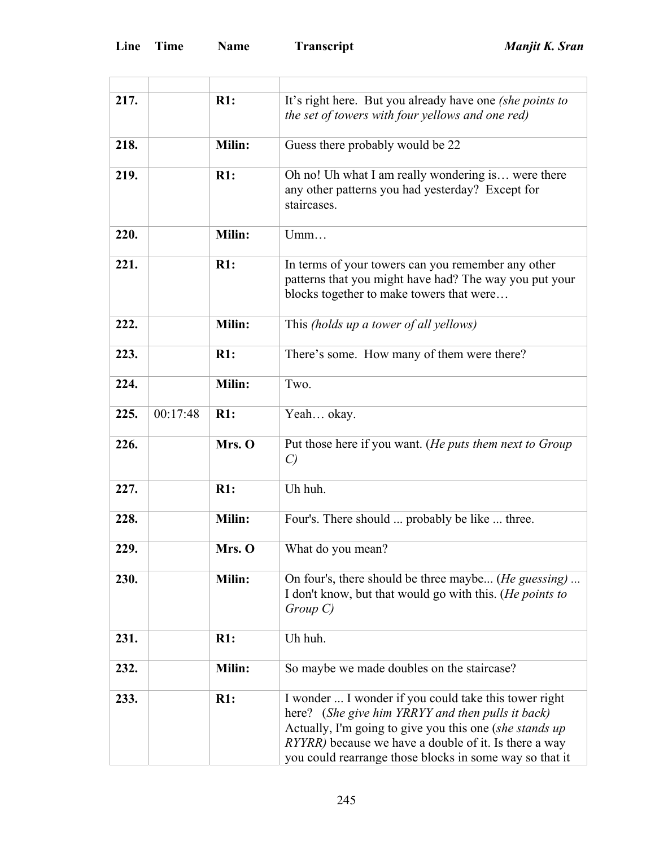| 217. |          | R1:           | It's right here. But you already have one (she points to<br>the set of towers with four yellows and one red)                                                                                                                                                                                      |
|------|----------|---------------|---------------------------------------------------------------------------------------------------------------------------------------------------------------------------------------------------------------------------------------------------------------------------------------------------|
| 218. |          | <b>Milin:</b> | Guess there probably would be 22                                                                                                                                                                                                                                                                  |
| 219. |          | R1:           | Oh no! Uh what I am really wondering is were there<br>any other patterns you had yesterday? Except for<br>staircases.                                                                                                                                                                             |
| 220. |          | <b>Milin:</b> | Umm                                                                                                                                                                                                                                                                                               |
| 221. |          | R1:           | In terms of your towers can you remember any other<br>patterns that you might have had? The way you put your<br>blocks together to make towers that were                                                                                                                                          |
| 222. |          | <b>Milin:</b> | This (holds up a tower of all yellows)                                                                                                                                                                                                                                                            |
| 223. |          | R1:           | There's some. How many of them were there?                                                                                                                                                                                                                                                        |
| 224. |          | Milin:        | Two.                                                                                                                                                                                                                                                                                              |
| 225. | 00:17:48 | R1:           | Yeah okay.                                                                                                                                                                                                                                                                                        |
| 226. |          | Mrs. O        | Put those here if you want. (He puts them next to Group<br>$\mathcal{C}$                                                                                                                                                                                                                          |
| 227. |          | R1:           | Uh huh.                                                                                                                                                                                                                                                                                           |
| 228. |          | Milin:        | Four's. There should  probably be like  three.                                                                                                                                                                                                                                                    |
| 229. |          | Mrs. O        | What do you mean?                                                                                                                                                                                                                                                                                 |
| 230. |          | Milin:        | On four's, there should be three maybe ( <i>He guessing</i> )<br>I don't know, but that would go with this. (He points to<br>$Group\ C)$                                                                                                                                                          |
| 231. |          | R1:           | Uh huh.                                                                                                                                                                                                                                                                                           |
| 232. |          | Milin:        | So maybe we made doubles on the staircase?                                                                                                                                                                                                                                                        |
| 233. |          | R1:           | I wonder  I wonder if you could take this tower right<br>here? (She give him YRRYY and then pulls it back)<br>Actually, I'm going to give you this one (she stands up<br><i>RYYRR</i> ) because we have a double of it. Is there a way<br>you could rearrange those blocks in some way so that it |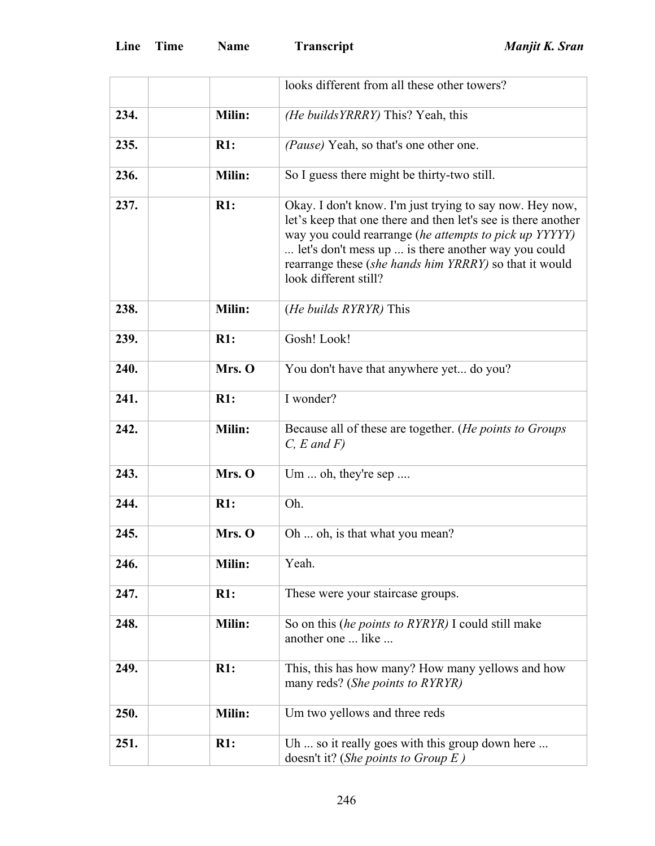|      |               | looks different from all these other towers?                                                                                                                                                                                                                                                                                  |
|------|---------------|-------------------------------------------------------------------------------------------------------------------------------------------------------------------------------------------------------------------------------------------------------------------------------------------------------------------------------|
| 234. | Milin:        | (He builds YRRRY) This? Yeah, this                                                                                                                                                                                                                                                                                            |
| 235. | R1:           | (Pause) Yeah, so that's one other one.                                                                                                                                                                                                                                                                                        |
| 236. | Milin:        | So I guess there might be thirty-two still.                                                                                                                                                                                                                                                                                   |
| 237. | R1:           | Okay. I don't know. I'm just trying to say now. Hey now,<br>let's keep that one there and then let's see is there another<br>way you could rearrange (he attempts to pick up YYYYY)<br>let's don't mess up  is there another way you could<br>rearrange these (she hands him YRRRY) so that it would<br>look different still? |
| 238. | Milin:        | ( <i>He builds RYRYR</i> ) This                                                                                                                                                                                                                                                                                               |
| 239. | R1:           | Gosh! Look!                                                                                                                                                                                                                                                                                                                   |
| 240. | Mrs. O        | You don't have that anywhere yet do you?                                                                                                                                                                                                                                                                                      |
| 241. | R1:           | I wonder?                                                                                                                                                                                                                                                                                                                     |
| 242. | Milin:        | Because all of these are together. (He points to Groups<br>$C, E$ and $F$ )                                                                                                                                                                                                                                                   |
| 243. | Mrs. O        | Um  oh, they're sep                                                                                                                                                                                                                                                                                                           |
| 244. | R1:           | Oh.                                                                                                                                                                                                                                                                                                                           |
| 245. | Mrs. O        | Oh  oh, is that what you mean?                                                                                                                                                                                                                                                                                                |
| 246. | Milin:        | Yeah.                                                                                                                                                                                                                                                                                                                         |
| 247. | R1:           | These were your staircase groups.                                                                                                                                                                                                                                                                                             |
| 248. | <b>Milin:</b> | So on this <i>(he points to RYRYR)</i> I could still make<br>another one  like                                                                                                                                                                                                                                                |
| 249. | R1:           | This, this has how many? How many yellows and how<br>many reds? (She points to RYRYR)                                                                                                                                                                                                                                         |
| 250. | <b>Milin:</b> | Um two yellows and three reds                                                                                                                                                                                                                                                                                                 |
| 251. | R1:           | Uh  so it really goes with this group down here<br>doesn't it? (She points to Group $E$ )                                                                                                                                                                                                                                     |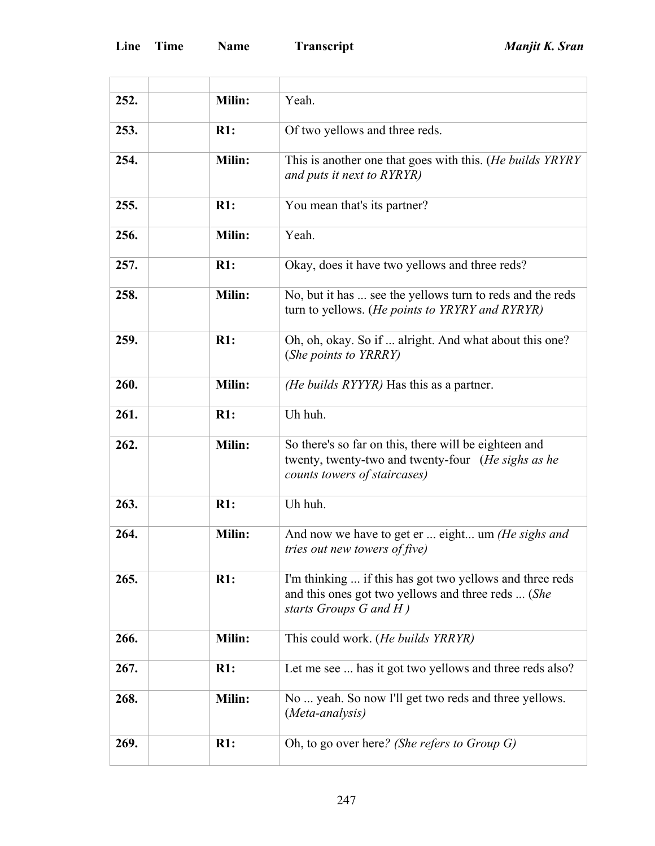| 252. | <b>Milin:</b> | Yeah.                                                                                                                                         |
|------|---------------|-----------------------------------------------------------------------------------------------------------------------------------------------|
| 253. | R1:           | Of two yellows and three reds.                                                                                                                |
| 254. | Milin:        | This is another one that goes with this. (He builds YRYRY<br>and puts it next to RYRYR)                                                       |
| 255. | R1:           | You mean that's its partner?                                                                                                                  |
| 256. | Milin:        | Yeah.                                                                                                                                         |
| 257. | R1:           | Okay, does it have two yellows and three reds?                                                                                                |
| 258. | Milin:        | No, but it has  see the yellows turn to reds and the reds<br>turn to yellows. (He points to YRYRY and RYRYR)                                  |
| 259. | R1:           | Oh, oh, okay. So if  alright. And what about this one?<br>(She points to YRRRY)                                                               |
| 260. | Milin:        | (He builds RYYYR) Has this as a partner.                                                                                                      |
| 261. | R1:           | Uh huh.                                                                                                                                       |
| 262. | Milin:        | So there's so far on this, there will be eighteen and<br>twenty, twenty-two and twenty-four (He sighs as he<br>counts towers of staircases)   |
| 263. | R1:           | Uh huh.                                                                                                                                       |
| 264. | Milin:        | And now we have to get er  eight um (He sighs and<br><i>tries out new towers of five)</i>                                                     |
| 265. | R1:           | I'm thinking  if this has got two yellows and three reds<br>and this ones got two yellows and three reds  (She<br>starts Groups $G$ and $H$ ) |
| 266. | <b>Milin:</b> | This could work. (He builds YRRYR)                                                                                                            |
| 267. | R1:           | Let me see  has it got two yellows and three reds also?                                                                                       |
| 268. | Milin:        | No  yeah. So now I'll get two reds and three yellows.<br>(Meta-analysis)                                                                      |
| 269. | R1:           | Oh, to go over here? (She refers to Group $G$ )                                                                                               |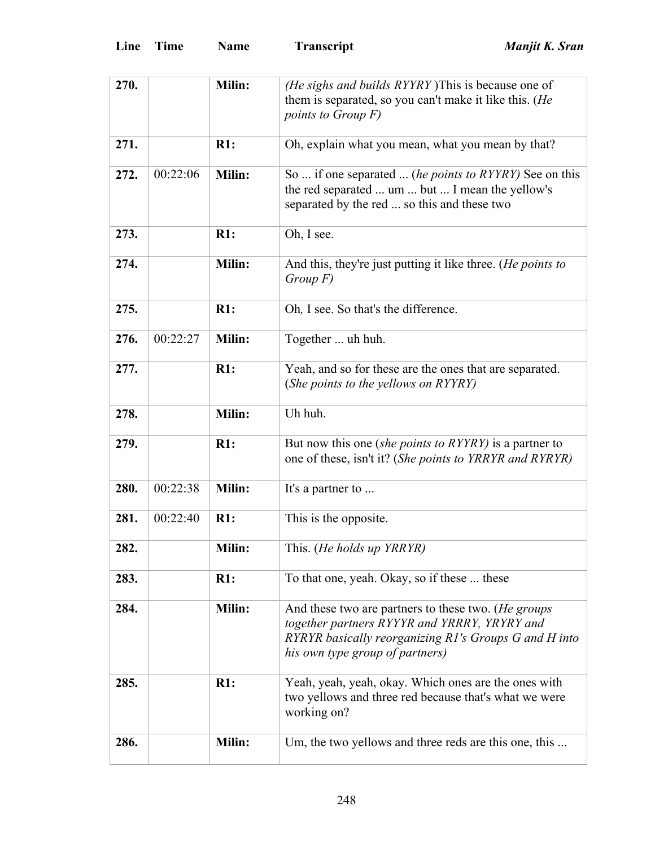| 270. |          | Milin:        | (He sighs and builds RYYRY) This is because one of<br>them is separated, so you can't make it like this. (He                                                                                    |
|------|----------|---------------|-------------------------------------------------------------------------------------------------------------------------------------------------------------------------------------------------|
|      |          |               | points to Group F)                                                                                                                                                                              |
| 271. |          | R1:           | Oh, explain what you mean, what you mean by that?                                                                                                                                               |
| 272. | 00:22:06 | Milin:        | So  if one separated  (he points to RYYRY) See on this<br>the red separated  um  but  I mean the yellow's<br>separated by the red  so this and these two                                        |
| 273. |          | R1:           | Oh, I see.                                                                                                                                                                                      |
| 274. |          | <b>Milin:</b> | And this, they're just putting it like three. ( <i>He points to</i><br>$Group\ F)$                                                                                                              |
| 275. |          | R1:           | Oh, I see. So that's the difference.                                                                                                                                                            |
| 276. | 00:22:27 | Milin:        | Together  uh huh.                                                                                                                                                                               |
| 277. |          | R1:           | Yeah, and so for these are the ones that are separated.<br>(She points to the yellows on RYYRY)                                                                                                 |
| 278. |          | Milin:        | Uh huh.                                                                                                                                                                                         |
| 279. |          | R1:           | But now this one (she points to RYYRY) is a partner to<br>one of these, isn't it? (She points to YRRYR and RYRYR)                                                                               |
| 280. | 00:22:38 | Milin:        | It's a partner to                                                                                                                                                                               |
| 281. | 00:22:40 | R1:           | This is the opposite.                                                                                                                                                                           |
| 282. |          | Milin:        | This. (He holds up YRRYR)                                                                                                                                                                       |
| 283. |          | R1:           | To that one, yeah. Okay, so if these  these                                                                                                                                                     |
| 284. |          | Milin:        | And these two are partners to these two. (He groups<br>together partners RYYYR and YRRRY, YRYRY and<br>RYRYR basically reorganizing R1's Groups G and H into<br>his own type group of partners) |
| 285. |          | R1:           | Yeah, yeah, yeah, okay. Which ones are the ones with<br>two yellows and three red because that's what we were<br>working on?                                                                    |
| 286. |          | <b>Milin:</b> | Um, the two yellows and three reds are this one, this                                                                                                                                           |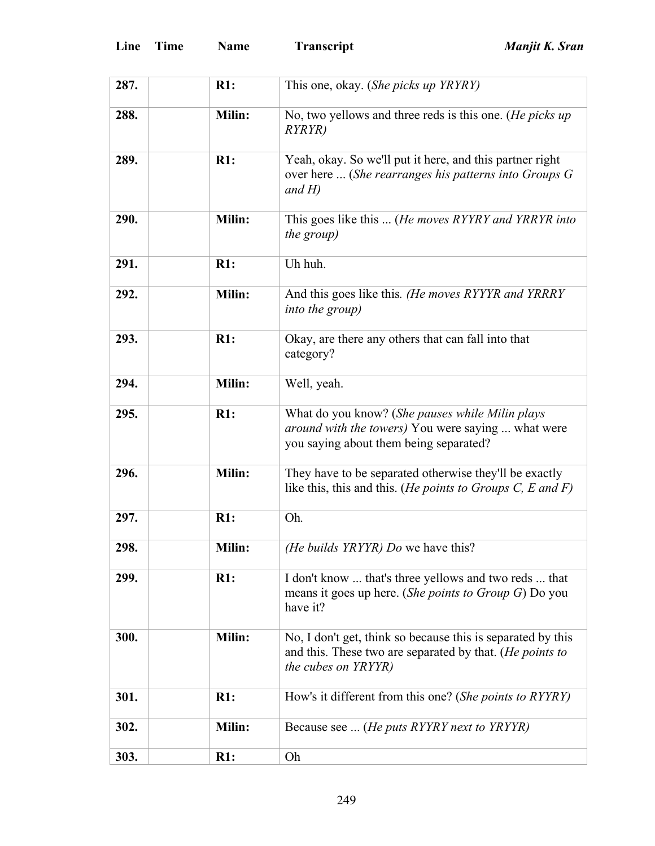| 287. | R1:           | This one, okay. (She picks up YRYRY)                                                                                                                    |
|------|---------------|---------------------------------------------------------------------------------------------------------------------------------------------------------|
| 288. | Milin:        | No, two yellows and three reds is this one. (He picks up<br><i>RYRYR</i> )                                                                              |
| 289. | R1:           | Yeah, okay. So we'll put it here, and this partner right<br>over here  (She rearranges his patterns into Groups G<br>and $H$ )                          |
| 290. | Milin:        | This goes like this  (He moves RYYRY and YRRYR into<br>the group)                                                                                       |
| 291. | R1:           | Uh huh.                                                                                                                                                 |
| 292. | Milin:        | And this goes like this. (He moves RYYYR and YRRRY<br><i>into the group)</i>                                                                            |
| 293. | R1:           | Okay, are there any others that can fall into that<br>category?                                                                                         |
| 294. | Milin:        | Well, yeah.                                                                                                                                             |
| 295. | R1:           | What do you know? (She pauses while Milin plays<br><i>around with the towers</i> ) You were saying  what were<br>you saying about them being separated? |
| 296. | Milin:        | They have to be separated otherwise they'll be exactly<br>like this, this and this. ( <i>He points to Groups C, E and F</i> )                           |
| 297. | R1:           | Oh.                                                                                                                                                     |
| 298. | Milin:        | (He builds YRYYR) Do we have this?                                                                                                                      |
| 299. | R1:           | I don't know  that's three yellows and two reds  that<br>means it goes up here. (She points to Group G) Do you<br>have it?                              |
| 300. | Milin:        | No, I don't get, think so because this is separated by this<br>and this. These two are separated by that. ( <i>He points to</i><br>the cubes on YRYYR)  |
| 301. | R1:           | How's it different from this one? (She points to RYYRY)                                                                                                 |
| 302. | <b>Milin:</b> | Because see  ( <i>He puts RYYRY next to YRYYR</i> )                                                                                                     |
| 303. | R1:           | Oh                                                                                                                                                      |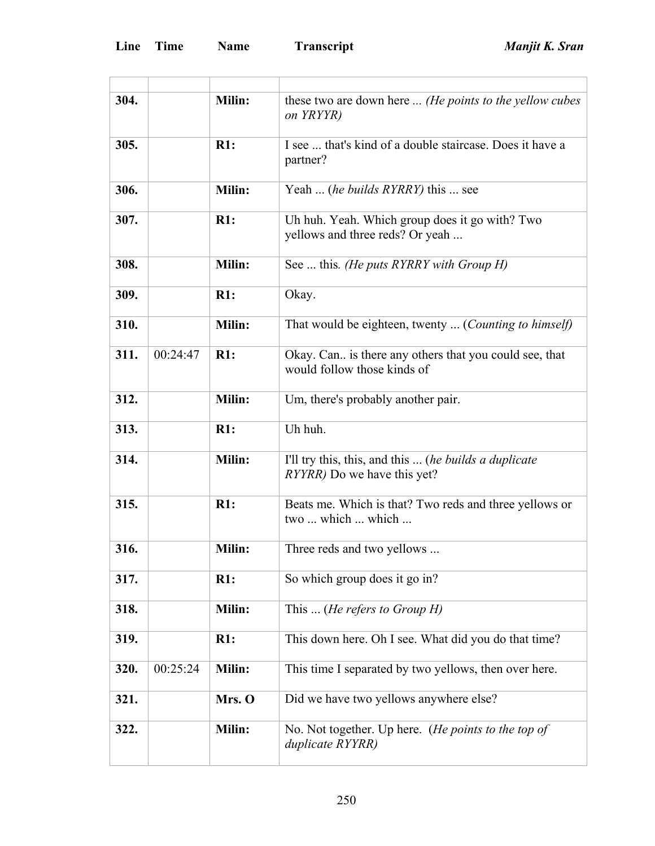| 304. |          | Milin:        | these two are down here  (He points to the yellow cubes<br>on YRYYR)                         |
|------|----------|---------------|----------------------------------------------------------------------------------------------|
| 305. |          | R1:           | I see  that's kind of a double staircase. Does it have a<br>partner?                         |
| 306. |          | Milin:        | Yeah  (he builds RYRRY) this  see                                                            |
| 307. |          | R1:           | Uh huh. Yeah. Which group does it go with? Two<br>yellows and three reds? Or yeah            |
| 308. |          | Milin:        | See  this. (He puts RYRRY with Group H)                                                      |
| 309. |          | R1:           | Okay.                                                                                        |
| 310. |          | Milin:        | That would be eighteen, twenty  (Counting to himself)                                        |
| 311. | 00:24:47 | R1:           | Okay. Can is there any others that you could see, that<br>would follow those kinds of        |
| 312. |          | Milin:        | Um, there's probably another pair.                                                           |
| 313. |          | R1:           | Uh huh.                                                                                      |
| 314. |          | Milin:        | I'll try this, this, and this  (he builds a duplicate<br><i>RYYRR</i> ) Do we have this yet? |
| 315. |          | R1:           | Beats me. Which is that? Two reds and three yellows or<br>two  which  which                  |
| 316. |          | <b>Milin:</b> | Three reds and two yellows                                                                   |
| 317. |          | R1:           | So which group does it go in?                                                                |
| 318. |          | Milin:        | This  ( <i>He refers to Group H</i> )                                                        |
| 319. |          | R1:           | This down here. Oh I see. What did you do that time?                                         |
| 320. | 00:25:24 | <b>Milin:</b> | This time I separated by two yellows, then over here.                                        |
| 321. |          | Mrs. O        | Did we have two yellows anywhere else?                                                       |
| 322. |          | Milin:        | No. Not together. Up here. (He points to the top of<br>duplicate RYYRR)                      |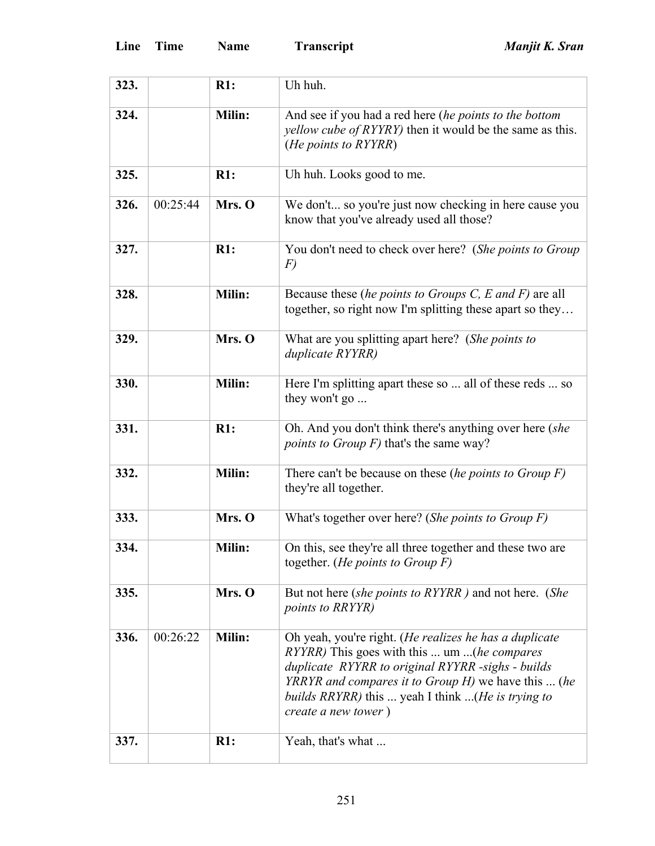| 323. |          | R1:    | Uh huh.                                                                                                                                                                                                                                                                                               |
|------|----------|--------|-------------------------------------------------------------------------------------------------------------------------------------------------------------------------------------------------------------------------------------------------------------------------------------------------------|
| 324. |          | Milin: | And see if you had a red here (he points to the bottom<br><i>yellow cube of RYYRY</i> ) then it would be the same as this.<br>(He points to RYYRR)                                                                                                                                                    |
| 325. |          | R1:    | Uh huh. Looks good to me.                                                                                                                                                                                                                                                                             |
| 326. | 00:25:44 | Mrs. O | We don't so you're just now checking in here cause you<br>know that you've already used all those?                                                                                                                                                                                                    |
| 327. |          | R1:    | You don't need to check over here? (She points to Group<br>$\left F\right\rangle$                                                                                                                                                                                                                     |
| 328. |          | Milin: | Because these (he points to Groups C, E and F) are all<br>together, so right now I'm splitting these apart so they                                                                                                                                                                                    |
| 329. |          | Mrs. O | What are you splitting apart here? (She points to<br>duplicate RYYRR)                                                                                                                                                                                                                                 |
| 330. |          | Milin: | Here I'm splitting apart these so  all of these reds  so<br>they won't go                                                                                                                                                                                                                             |
| 331. |          | R1:    | Oh. And you don't think there's anything over here (she<br><i>points to Group F)</i> that's the same way?                                                                                                                                                                                             |
| 332. |          | Milin: | There can't be because on these (he points to Group $F$ )<br>they're all together.                                                                                                                                                                                                                    |
| 333. |          | Mrs. O | What's together over here? (She points to Group $F$ )                                                                                                                                                                                                                                                 |
| 334. |          | Milin: | On this, see they're all three together and these two are<br>together. (He points to Group $F$ )                                                                                                                                                                                                      |
| 335. |          | Mrs. O | But not here (she points to RYYRR) and not here. (She<br>points to RRYYR)                                                                                                                                                                                                                             |
| 336. | 00:26:22 | Milin: | Oh yeah, you're right. (He realizes he has a duplicate<br>RYYRR) This goes with this  um  (he compares<br>duplicate RYYRR to original RYYRR -sighs - builds<br><i>YRRYR and compares it to Group H)</i> we have this  (he<br>builds RRYRR) this  yeah I think (He is trying to<br>create a new tower) |
| 337. |          | R1:    | Yeah, that's what                                                                                                                                                                                                                                                                                     |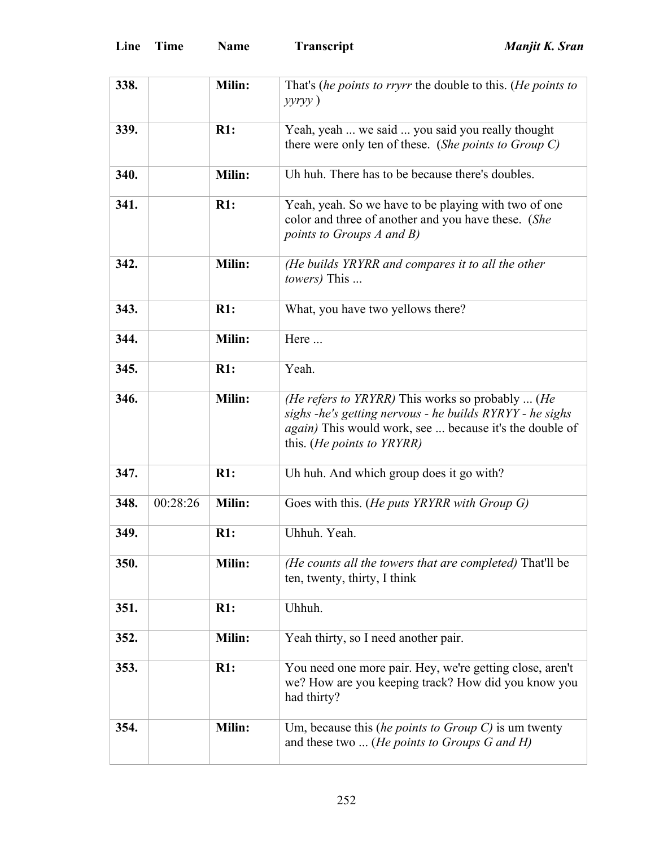| 338. |          | Milin: | That's (he points to rryrr the double to this. (He points to<br>$y y r y y$ )                                                                                                                                  |
|------|----------|--------|----------------------------------------------------------------------------------------------------------------------------------------------------------------------------------------------------------------|
| 339. |          | R1:    | Yeah, yeah  we said  you said you really thought<br>there were only ten of these. (She points to Group C)                                                                                                      |
| 340. |          | Milin: | Uh huh. There has to be because there's doubles.                                                                                                                                                               |
| 341. |          | R1:    | Yeah, yeah. So we have to be playing with two of one<br>color and three of another and you have these. (She<br>points to Groups A and B)                                                                       |
| 342. |          | Milin: | (He builds YRYRR and compares it to all the other<br><i>towers</i> ) This                                                                                                                                      |
| 343. |          | R1:    | What, you have two yellows there?                                                                                                                                                                              |
| 344. |          | Milin: | Here                                                                                                                                                                                                           |
| 345. |          | R1:    | Yeah.                                                                                                                                                                                                          |
| 346. |          | Milin: | (He refers to YRYRR) This works so probably  (He<br>sighs -he's getting nervous - he builds RYRYY - he sighs<br>again) This would work, see  because it's the double of<br>this. ( <i>He points to YRYRR</i> ) |
| 347. |          | R1:    | Uh huh. And which group does it go with?                                                                                                                                                                       |
| 348. | 00:28:26 | Milin: | Goes with this. (He puts YRYRR with Group G)                                                                                                                                                                   |
| 349. |          | R1:    | Uhhuh. Yeah.                                                                                                                                                                                                   |
| 350. |          | Milin: | (He counts all the towers that are completed) That'll be<br>ten, twenty, thirty, I think                                                                                                                       |
| 351. |          | R1:    | Uhhuh.                                                                                                                                                                                                         |
| 352. |          | Milin: | Yeah thirty, so I need another pair.                                                                                                                                                                           |
| 353. |          | R1:    | You need one more pair. Hey, we're getting close, aren't<br>we? How are you keeping track? How did you know you<br>had thirty?                                                                                 |
| 354. |          | Milin: | Um, because this (he points to Group $C$ ) is um twenty<br>and these two  ( <i>He points to Groups G and H</i> )                                                                                               |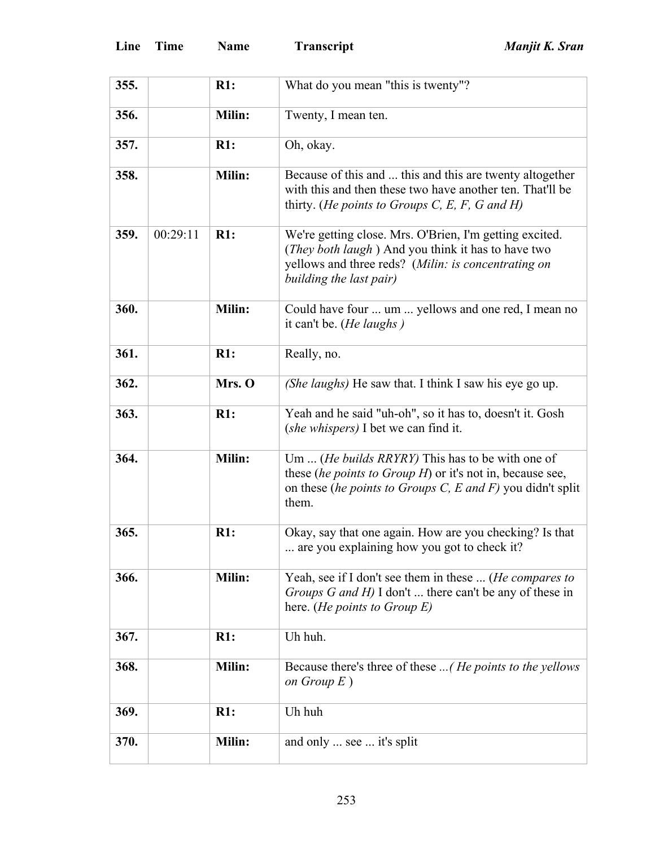| 355. |          | R1:           | What do you mean "this is twenty"?                                                                                                                                                                       |
|------|----------|---------------|----------------------------------------------------------------------------------------------------------------------------------------------------------------------------------------------------------|
| 356. |          | Milin:        | Twenty, I mean ten.                                                                                                                                                                                      |
| 357. |          | R1:           | Oh, okay.                                                                                                                                                                                                |
| 358. |          | <b>Milin:</b> | Because of this and  this and this are twenty altogether<br>with this and then these two have another ten. That'll be<br>thirty. (He points to Groups C, E, F, G and H)                                  |
| 359. | 00:29:11 | R1:           | We're getting close. Mrs. O'Brien, I'm getting excited.<br>( <i>They both laugh</i> ) And you think it has to have two<br>yellows and three reds? (Milin: is concentrating on<br>building the last pair) |
| 360. |          | Milin:        | Could have four  um  yellows and one red, I mean no<br>it can't be. ( <i>He laughs</i> )                                                                                                                 |
| 361. |          | R1:           | Really, no.                                                                                                                                                                                              |
| 362. |          | Mrs. O        | (She laughs) He saw that. I think I saw his eye go up.                                                                                                                                                   |
| 363. |          | R1:           | Yeah and he said "uh-oh", so it has to, doesn't it. Gosh<br>( <i>she whispers</i> ) I bet we can find it.                                                                                                |
| 364. |          | Milin:        | Um  (He builds RRYRY) This has to be with one of<br>these <i>(he points to Group H)</i> or it's not in, because see,<br>on these (he points to Groups C, E and F) you didn't split<br>them.              |
| 365. |          | R1:           | Okay, say that one again. How are you checking? Is that<br>are you explaining how you got to check it?                                                                                                   |
| 366. |          | Milin:        | Yeah, see if I don't see them in these  (He compares to<br>Groups G and H) I don't  there can't be any of these in<br>here. ( <i>He points to Group E</i> )                                              |
| 367. |          | R1:           | Uh huh.                                                                                                                                                                                                  |
| 368. |          | Milin:        | Because there's three of these  (He points to the yellows<br>on Group $E$ )                                                                                                                              |
| 369. |          | R1:           | Uh huh                                                                                                                                                                                                   |
| 370. |          | Milin:        | and only  see  it's split                                                                                                                                                                                |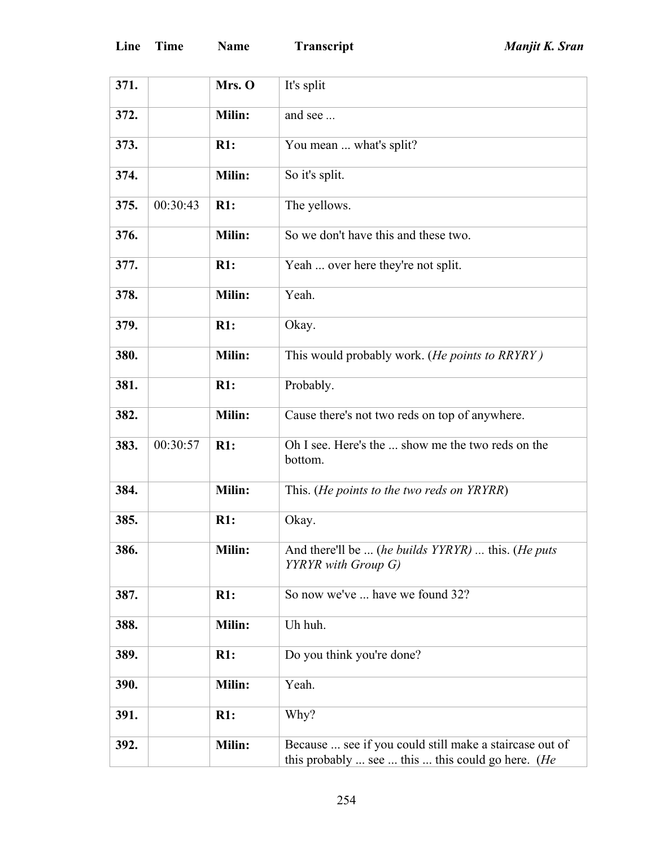| 371. |          | Mrs. O        | It's split                                                                                                           |
|------|----------|---------------|----------------------------------------------------------------------------------------------------------------------|
| 372. |          | Milin:        | and see                                                                                                              |
| 373. |          | R1:           | You mean  what's split?                                                                                              |
| 374. |          | <b>Milin:</b> | So it's split.                                                                                                       |
| 375. | 00:30:43 | R1:           | The yellows.                                                                                                         |
| 376. |          | <b>Milin:</b> | So we don't have this and these two.                                                                                 |
| 377. |          | R1:           | Yeah  over here they're not split.                                                                                   |
| 378. |          | Milin:        | Yeah.                                                                                                                |
| 379. |          | R1:           | Okay.                                                                                                                |
| 380. |          | <b>Milin:</b> | This would probably work. (He points to RRYRY)                                                                       |
| 381. |          | R1:           | Probably.                                                                                                            |
| 382. |          | Milin:        | Cause there's not two reds on top of anywhere.                                                                       |
| 383. | 00:30:57 | R1:           | Oh I see. Here's the  show me the two reds on the<br>bottom.                                                         |
| 384. |          | Milin:        | This. (He points to the two reds on YRYRR)                                                                           |
| 385. |          | R1:           | Okay.                                                                                                                |
| 386. |          | Milin:        | And there'll be  (he builds YYRYR)  this. (He puts<br>YYRYR with Group G)                                            |
| 387. |          | R1:           | So now we've  have we found 32?                                                                                      |
| 388. |          | Milin:        | Uh huh.                                                                                                              |
| 389. |          | R1:           | Do you think you're done?                                                                                            |
| 390. |          | Milin:        | Yeah.                                                                                                                |
| 391. |          | R1:           | Why?                                                                                                                 |
| 392. |          | Milin:        | Because  see if you could still make a staircase out of<br>this probably  see  this  this could go here. ( <i>He</i> |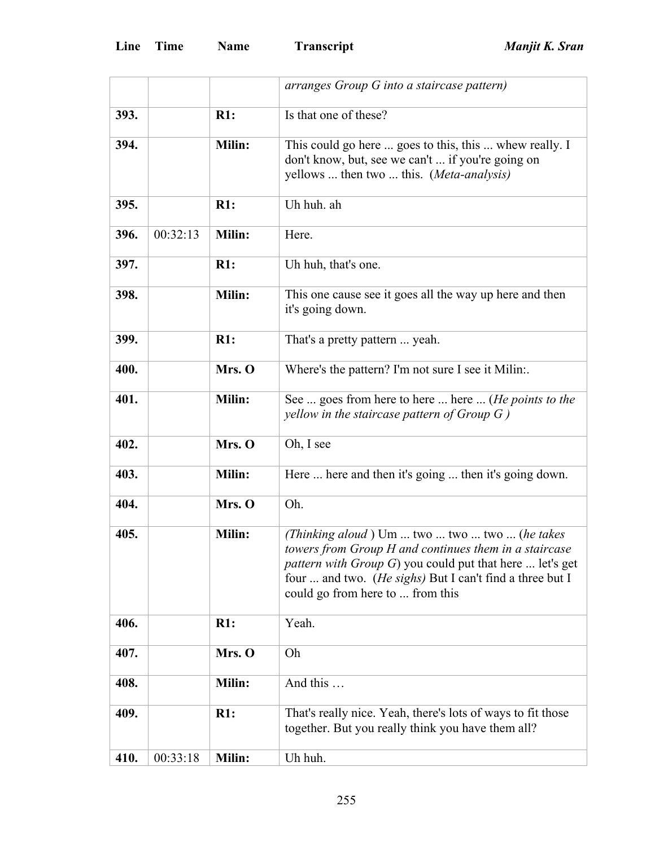|      |          |               | arranges Group G into a staircase pattern)                                                                                                                                                                                                                                 |
|------|----------|---------------|----------------------------------------------------------------------------------------------------------------------------------------------------------------------------------------------------------------------------------------------------------------------------|
| 393. |          | R1:           | Is that one of these?                                                                                                                                                                                                                                                      |
| 394. |          | Milin:        | This could go here  goes to this, this  whew really. I<br>don't know, but, see we can't  if you're going on<br>yellows  then two  this. (Meta-analysis)                                                                                                                    |
| 395. |          | R1:           | Uh huh. ah                                                                                                                                                                                                                                                                 |
| 396. | 00:32:13 | Milin:        | Here.                                                                                                                                                                                                                                                                      |
| 397. |          | R1:           | Uh huh, that's one.                                                                                                                                                                                                                                                        |
| 398. |          | Milin:        | This one cause see it goes all the way up here and then<br>it's going down.                                                                                                                                                                                                |
| 399. |          | R1:           | That's a pretty pattern  yeah.                                                                                                                                                                                                                                             |
| 400. |          | Mrs. O        | Where's the pattern? I'm not sure I see it Milin:.                                                                                                                                                                                                                         |
| 401. |          | <b>Milin:</b> | See  goes from here to here  here  ( <i>He points to the</i><br>yellow in the staircase pattern of Group $G$ )                                                                                                                                                             |
| 402. |          | Mrs. O        | Oh, I see                                                                                                                                                                                                                                                                  |
| 403. |          | Milin:        | Here  here and then it's going  then it's going down.                                                                                                                                                                                                                      |
| 404. |          | Mrs. O        | Oh.                                                                                                                                                                                                                                                                        |
| 405. |          | Milin:        | (Thinking aloud) Um  two  two  two  (he takes<br>towers from Group H and continues them in a staircase<br><i>pattern with Group G</i> ) you could put that here  let's get<br>four  and two. (He sighs) But I can't find a three but I<br>could go from here to  from this |
| 406. |          | R1:           | Yeah.                                                                                                                                                                                                                                                                      |
| 407. |          | Mrs. O        | Oh                                                                                                                                                                                                                                                                         |
| 408. |          | Milin:        | And this                                                                                                                                                                                                                                                                   |
| 409. |          | R1:           | That's really nice. Yeah, there's lots of ways to fit those<br>together. But you really think you have them all?                                                                                                                                                           |
| 410. | 00:33:18 | Milin:        | Uh huh.                                                                                                                                                                                                                                                                    |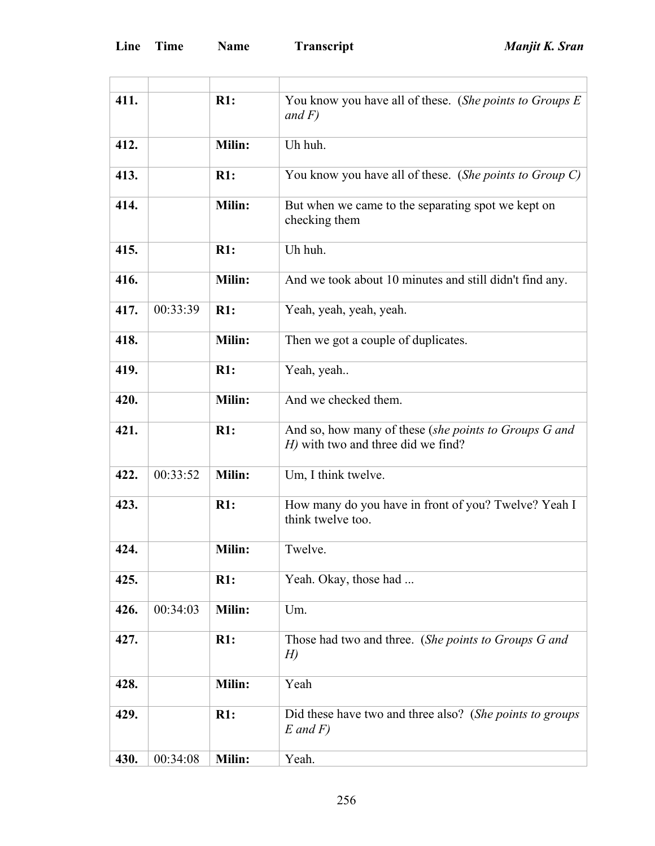| 411. |          | R1:           | You know you have all of these. (She points to Groups E                                     |
|------|----------|---------------|---------------------------------------------------------------------------------------------|
|      |          |               | and $F$ )                                                                                   |
| 412. |          | Milin:        | Uh huh.                                                                                     |
| 413. |          | R1:           | You know you have all of these. (She points to Group C)                                     |
| 414. |          | <b>Milin:</b> | But when we came to the separating spot we kept on<br>checking them                         |
| 415. |          | R1:           | Uh huh.                                                                                     |
| 416. |          | Milin:        | And we took about 10 minutes and still didn't find any.                                     |
| 417. | 00:33:39 | R1:           | Yeah, yeah, yeah, yeah.                                                                     |
| 418. |          | Milin:        | Then we got a couple of duplicates.                                                         |
| 419. |          | R1:           | Yeah, yeah                                                                                  |
| 420. |          | Milin:        | And we checked them.                                                                        |
| 421. |          | R1:           | And so, how many of these (she points to Groups G and<br>H) with two and three did we find? |
| 422. | 00:33:52 | Milin:        | Um, I think twelve.                                                                         |
| 423. |          | R1:           | How many do you have in front of you? Twelve? Yeah I<br>think twelve too.                   |
| 424. |          | Milin:        | Twelve.                                                                                     |
| 425. |          | R1:           | Yeah. Okay, those had                                                                       |
| 426. | 00:34:03 | <b>Milin:</b> | Um.                                                                                         |
| 427. |          | R1:           | Those had two and three. (She points to Groups G and<br>H                                   |
| 428. |          | Milin:        | Yeah                                                                                        |
| 429. |          | R1:           | Did these have two and three also? (She points to groups<br>$E$ and $F$ )                   |
| 430. | 00:34:08 | Milin:        | Yeah.                                                                                       |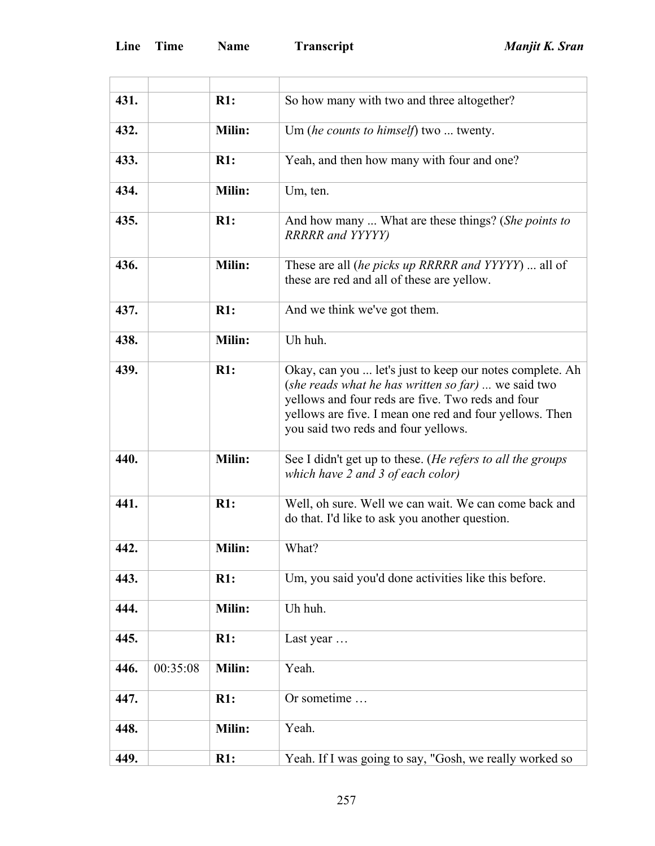'n

| 431. |          | R1:    | So how many with two and three altogether?                                                                                                                                                                                                                             |
|------|----------|--------|------------------------------------------------------------------------------------------------------------------------------------------------------------------------------------------------------------------------------------------------------------------------|
| 432. |          | Milin: | Um (he counts to himself) two  twenty.                                                                                                                                                                                                                                 |
| 433. |          | R1:    | Yeah, and then how many with four and one?                                                                                                                                                                                                                             |
| 434. |          | Milin: | Um, ten.                                                                                                                                                                                                                                                               |
| 435. |          | R1:    | And how many  What are these things? (She points to<br><b>RRRRR</b> and YYYYY)                                                                                                                                                                                         |
| 436. |          | Milin: | These are all <i>(he picks up RRRRR and YYYYY)</i> all of<br>these are red and all of these are yellow.                                                                                                                                                                |
| 437. |          | R1:    | And we think we've got them.                                                                                                                                                                                                                                           |
| 438. |          | Milin: | Uh huh.                                                                                                                                                                                                                                                                |
| 439. |          | R1:    | Okay, can you  let's just to keep our notes complete. Ah<br>(she reads what he has written so far)  we said two<br>yellows and four reds are five. Two reds and four<br>yellows are five. I mean one red and four yellows. Then<br>you said two reds and four yellows. |
| 440. |          | Milin: | See I didn't get up to these. (He refers to all the groups<br>which have 2 and 3 of each color)                                                                                                                                                                        |
| 441. |          | R1:    | Well, oh sure. Well we can wait. We can come back and<br>do that. I'd like to ask you another question.                                                                                                                                                                |
| 442. |          | Milin: | What?                                                                                                                                                                                                                                                                  |
| 443. |          | R1:    | Um, you said you'd done activities like this before.                                                                                                                                                                                                                   |
| 444. |          | Milin: | Uh huh.                                                                                                                                                                                                                                                                |
| 445. |          | R1:    | Last year                                                                                                                                                                                                                                                              |
| 446. | 00:35:08 | Milin: | Yeah.                                                                                                                                                                                                                                                                  |
| 447. |          | R1:    | Or sometime                                                                                                                                                                                                                                                            |
| 448. |          | Milin: | Yeah.                                                                                                                                                                                                                                                                  |
| 449. |          | R1:    | Yeah. If I was going to say, "Gosh, we really worked so                                                                                                                                                                                                                |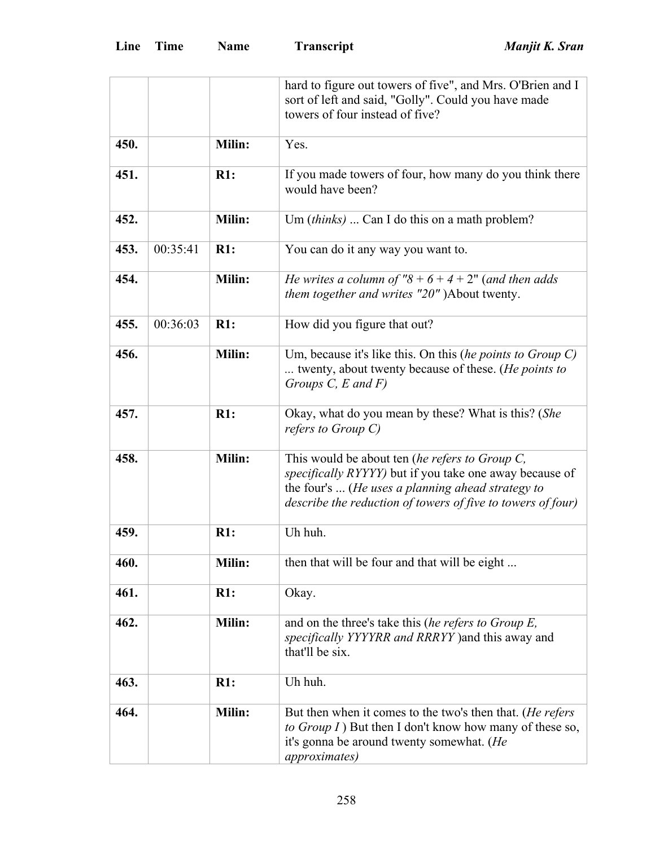|      |          |               | hard to figure out towers of five", and Mrs. O'Brien and I<br>sort of left and said, "Golly". Could you have made<br>towers of four instead of five?                                                                                 |
|------|----------|---------------|--------------------------------------------------------------------------------------------------------------------------------------------------------------------------------------------------------------------------------------|
| 450. |          | Milin:        | Yes.                                                                                                                                                                                                                                 |
| 451. |          | R1:           | If you made towers of four, how many do you think there<br>would have been?                                                                                                                                                          |
| 452. |          | <b>Milin:</b> | Um (thinks)  Can I do this on a math problem?                                                                                                                                                                                        |
| 453. | 00:35:41 | R1:           | You can do it any way you want to.                                                                                                                                                                                                   |
| 454. |          | Milin:        | He writes a column of $"8 + 6 + 4 + 2"$ (and then adds<br>them together and writes "20" )About twenty.                                                                                                                               |
| 455. | 00:36:03 | R1:           | How did you figure that out?                                                                                                                                                                                                         |
| 456. |          | <b>Milin:</b> | Um, because it's like this. On this (he points to Group $C$ )<br>twenty, about twenty because of these. (He points to<br>Groups $C$ , $E$ and $F$ )                                                                                  |
| 457. |          | R1:           | Okay, what do you mean by these? What is this? (She<br>refers to Group C)                                                                                                                                                            |
| 458. |          | Milin:        | This would be about ten (he refers to Group C,<br><i>specifically RYYYY)</i> but if you take one away because of<br>the four's  (He uses a planning ahead strategy to<br>describe the reduction of towers of five to towers of four) |
| 459. |          | R1:           | Uh huh.                                                                                                                                                                                                                              |
| 460. |          | <b>Milin:</b> | then that will be four and that will be eight                                                                                                                                                                                        |
| 461. |          | R1:           | Okay.                                                                                                                                                                                                                                |
| 462. |          | <b>Milin:</b> | and on the three's take this (he refers to Group E,<br>specifically YYYYRR and RRRYY) and this away and<br>that'll be six.                                                                                                           |
| 463. |          | R1:           | Uh huh.                                                                                                                                                                                                                              |
| 464. |          | <b>Milin:</b> | But then when it comes to the two's then that. (He refers<br>to Group I) But then I don't know how many of these so,<br>it's gonna be around twenty somewhat. (He<br><i>approximates</i> )                                           |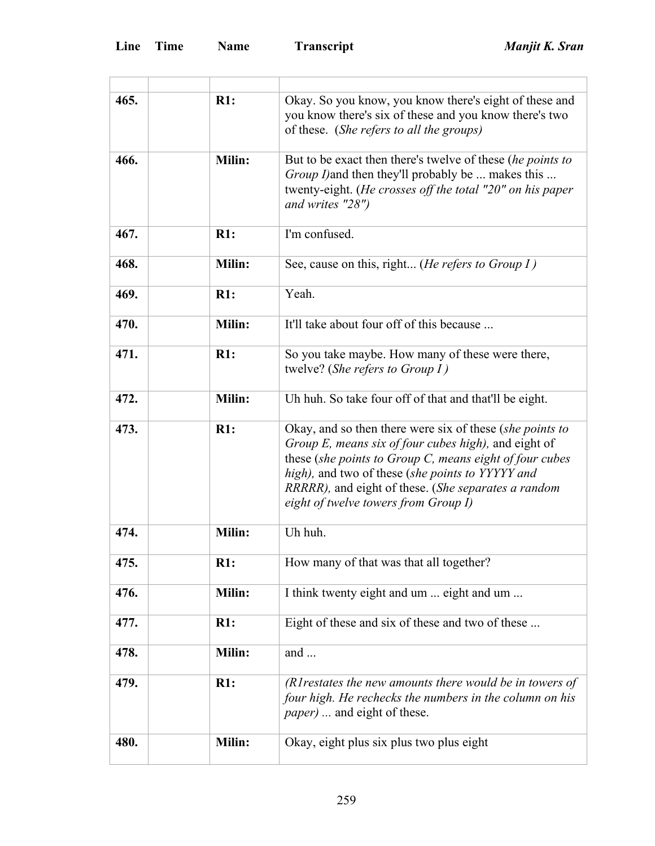ł.

| 465. | R1:           | Okay. So you know, you know there's eight of these and<br>you know there's six of these and you know there's two<br>of these. (She refers to all the groups)                                                                                                                                                                      |
|------|---------------|-----------------------------------------------------------------------------------------------------------------------------------------------------------------------------------------------------------------------------------------------------------------------------------------------------------------------------------|
| 466. | <b>Milin:</b> | But to be exact then there's twelve of these (he points to<br><i>Group I</i> ) and then they'll probably be  makes this<br>twenty-eight. (He crosses off the total "20" on his paper<br>and writes "28")                                                                                                                          |
| 467. | R1:           | I'm confused.                                                                                                                                                                                                                                                                                                                     |
| 468. | Milin:        | See, cause on this, right ( <i>He refers to Group I</i> )                                                                                                                                                                                                                                                                         |
| 469. | R1:           | Yeah.                                                                                                                                                                                                                                                                                                                             |
| 470. | Milin:        | It'll take about four off of this because                                                                                                                                                                                                                                                                                         |
| 471. | R1:           | So you take maybe. How many of these were there,<br>twelve? (She refers to Group $I$ )                                                                                                                                                                                                                                            |
| 472. | Milin:        | Uh huh. So take four off of that and that'll be eight.                                                                                                                                                                                                                                                                            |
| 473. | R1:           | Okay, and so then there were six of these (she points to<br>Group E, means six of four cubes high), and eight of<br>these (she points to Group $C$ , means eight of four cubes<br>high), and two of these (she points to YYYYY and<br>RRRRR), and eight of these. (She separates a random<br>eight of twelve towers from Group I) |
| 474. | <b>Milin:</b> | Uh huh.                                                                                                                                                                                                                                                                                                                           |
| 475. | R1:           | How many of that was that all together?                                                                                                                                                                                                                                                                                           |
| 476. | Milin:        | I think twenty eight and um  eight and um                                                                                                                                                                                                                                                                                         |
| 477. | R1:           | Eight of these and six of these and two of these                                                                                                                                                                                                                                                                                  |
| 478. | Milin:        | and $\ldots$                                                                                                                                                                                                                                                                                                                      |
| 479. | R1:           | (RI restates the new amounts there would be in towers of<br>four high. He rechecks the numbers in the column on his<br><i>paper</i> )  and eight of these.                                                                                                                                                                        |
| 480. | Milin:        | Okay, eight plus six plus two plus eight                                                                                                                                                                                                                                                                                          |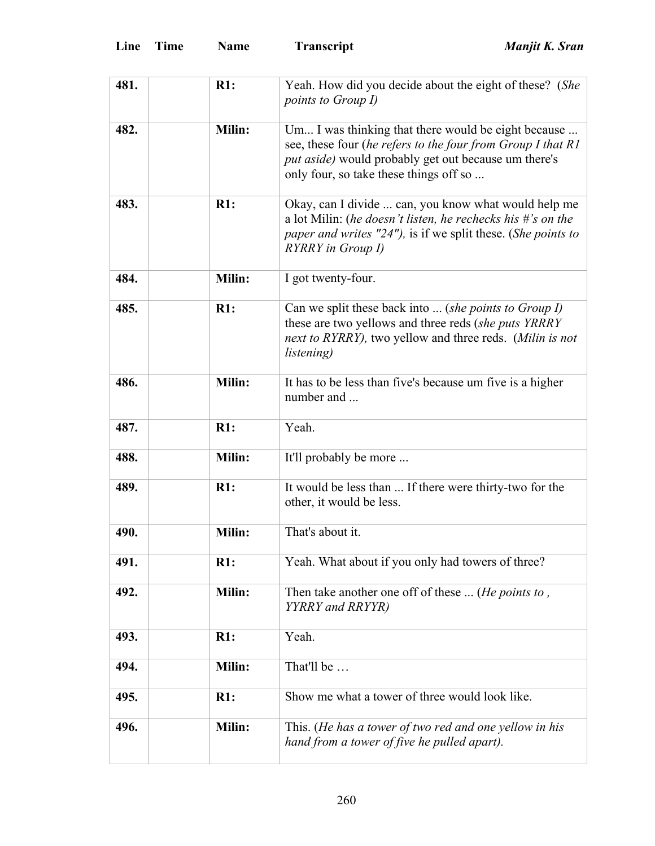| 481. | R1:    | Yeah. How did you decide about the eight of these? (She<br><i>points to Group I)</i>                                                                                                                                 |
|------|--------|----------------------------------------------------------------------------------------------------------------------------------------------------------------------------------------------------------------------|
| 482. | Milin: | Um I was thinking that there would be eight because<br>see, these four (he refers to the four from Group I that R1<br>put aside) would probably get out because um there's<br>only four, so take these things off so |
| 483. | R1:    | Okay, can I divide  can, you know what would help me<br>a lot Milin: (he doesn't listen, he rechecks his $\#$ 's on the<br>paper and writes "24"), is if we split these. (She points to<br>RYRRY in Group I)         |
| 484. | Milin: | I got twenty-four.                                                                                                                                                                                                   |
| 485. | R1:    | Can we split these back into  (she points to Group I)<br>these are two yellows and three reds (she puts YRRRY<br>next to RYRRY), two yellow and three reds. (Milin is not<br><i>listening</i> )                      |
| 486. | Milin: | It has to be less than five's because um five is a higher<br>number and                                                                                                                                              |
| 487. | R1:    | Yeah.                                                                                                                                                                                                                |
| 488. | Milin: | It'll probably be more                                                                                                                                                                                               |
| 489. | R1:    | It would be less than  If there were thirty-two for the<br>other, it would be less.                                                                                                                                  |
| 490. | Milin: | That's about it.                                                                                                                                                                                                     |
| 491. | R1:    | Yeah. What about if you only had towers of three?                                                                                                                                                                    |
| 492. | Milin: | Then take another one off of these  (He points to,<br>YYRRY and RRYYR)                                                                                                                                               |
| 493. | R1:    | Yeah.                                                                                                                                                                                                                |
| 494. | Milin: | That'll be                                                                                                                                                                                                           |
| 495. | R1:    | Show me what a tower of three would look like.                                                                                                                                                                       |
| 496. | Milin: | This. (He has a tower of two red and one yellow in his<br>hand from a tower of five he pulled apart).                                                                                                                |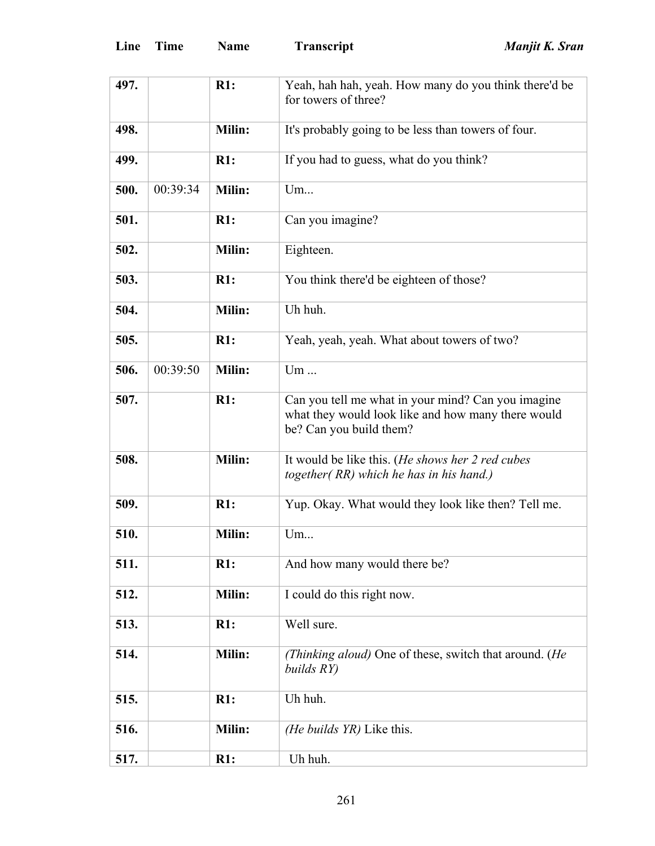| 497. |          | R1:           | Yeah, hah hah, yeah. How many do you think there'd be<br>for towers of three?                                                       |  |
|------|----------|---------------|-------------------------------------------------------------------------------------------------------------------------------------|--|
| 498. |          | <b>Milin:</b> | It's probably going to be less than towers of four.                                                                                 |  |
| 499. |          | R1:           | If you had to guess, what do you think?                                                                                             |  |
| 500. | 00:39:34 | Milin:        | Um                                                                                                                                  |  |
| 501. |          | R1:           | Can you imagine?                                                                                                                    |  |
| 502. |          | Milin:        | Eighteen.                                                                                                                           |  |
| 503. |          | R1:           | You think there'd be eighteen of those?                                                                                             |  |
| 504. |          | Milin:        | Uh huh.                                                                                                                             |  |
| 505. |          | R1:           | Yeah, yeah, yeah. What about towers of two?                                                                                         |  |
| 506. | 00:39:50 | Milin:        | Um                                                                                                                                  |  |
| 507. |          | R1:           | Can you tell me what in your mind? Can you imagine<br>what they would look like and how many there would<br>be? Can you build them? |  |
| 508. |          | Milin:        | It would be like this. (He shows her 2 red cubes<br>together (RR) which he has in his hand.)                                        |  |
| 509. |          | R1:           | Yup. Okay. What would they look like then? Tell me.                                                                                 |  |
| 510. |          | Milin:        | Um                                                                                                                                  |  |
| 511. |          | R1:           | And how many would there be?                                                                                                        |  |
| 512. |          | Milin:        | I could do this right now.                                                                                                          |  |
| 513. |          | R1:           | Well sure.                                                                                                                          |  |
| 514. |          | Milin:        | (Thinking aloud) One of these, switch that around. (He<br>builds RY)                                                                |  |
| 515. |          | R1:           | Uh huh.                                                                                                                             |  |
| 516. |          | Milin:        | (He builds YR) Like this.                                                                                                           |  |
| 517. |          | R1:           | Uh huh.                                                                                                                             |  |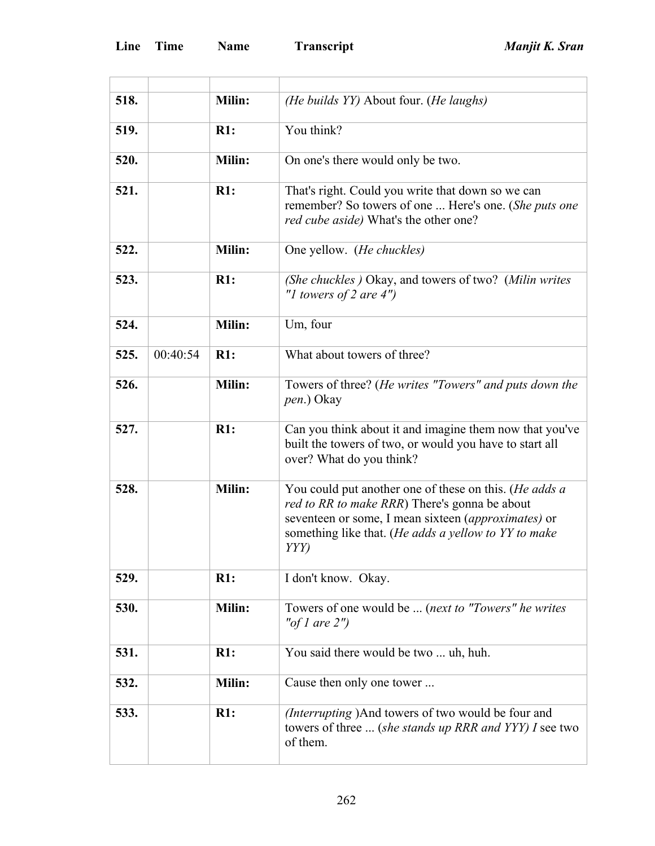| 518. |          | <b>Milin:</b> | (He builds YY) About four. (He laughs)                                                                                                                                                                                         |
|------|----------|---------------|--------------------------------------------------------------------------------------------------------------------------------------------------------------------------------------------------------------------------------|
| 519. |          | R1:           | You think?                                                                                                                                                                                                                     |
| 520. |          | Milin:        | On one's there would only be two.                                                                                                                                                                                              |
| 521. |          | R1:           | That's right. Could you write that down so we can<br>remember? So towers of one  Here's one. (She puts one<br>red cube aside) What's the other one?                                                                            |
| 522. |          | <b>Milin:</b> | One yellow. (He chuckles)                                                                                                                                                                                                      |
| 523. |          | R1:           | (She chuckles) Okay, and towers of two? (Milin writes<br>"I towers of 2 are $4$ ")                                                                                                                                             |
| 524. |          | Milin:        | Um, four                                                                                                                                                                                                                       |
| 525. | 00:40:54 | R1:           | What about towers of three?                                                                                                                                                                                                    |
| 526. |          | Milin:        | Towers of three? (He writes "Towers" and puts down the<br>pen.) Okay                                                                                                                                                           |
| 527. |          | R1:           | Can you think about it and imagine them now that you've<br>built the towers of two, or would you have to start all<br>over? What do you think?                                                                                 |
| 528. |          | Milin:        | You could put another one of these on this. (He adds a<br>red to RR to make RRR) There's gonna be about<br>seventeen or some, I mean sixteen (approximates) or<br>something like that. (He adds a yellow to YY to make<br>YYY) |
| 529. |          | R1:           | I don't know. Okay.                                                                                                                                                                                                            |
| 530. |          | <b>Milin:</b> | Towers of one would be  (next to "Towers" he writes<br>"of 1 are $2"$ )                                                                                                                                                        |
| 531. |          | R1:           | You said there would be two  uh, huh.                                                                                                                                                                                          |
| 532. |          | Milin:        | Cause then only one tower                                                                                                                                                                                                      |
| 533. |          | R1:           | (Interrupting) And towers of two would be four and<br>towers of three  (she stands up RRR and YYY) I see two<br>of them.                                                                                                       |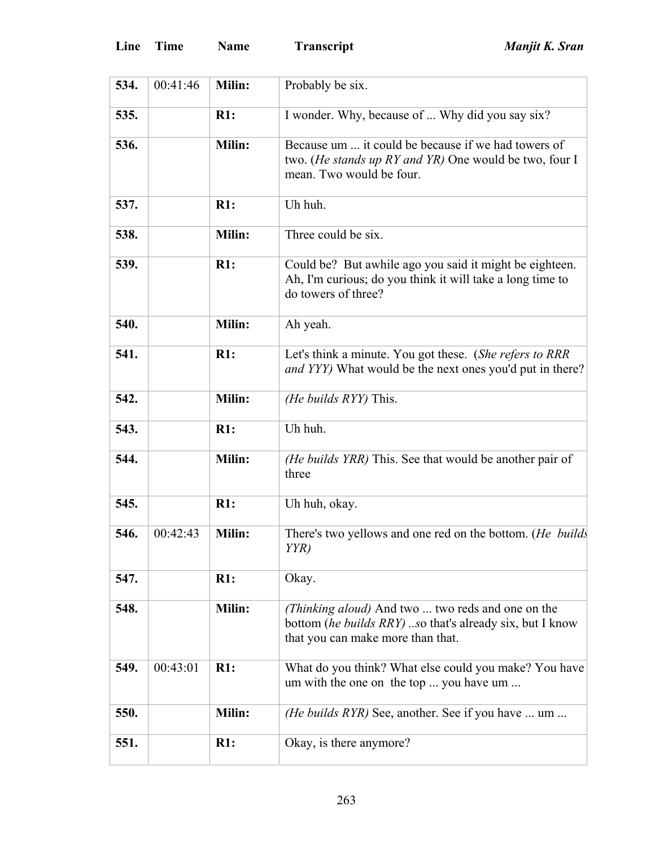| Line | Time | <b>Name</b> |
|------|------|-------------|
|------|------|-------------|

| 534. | 00:41:46 | Milin:        | Probably be six.                                                                                                                                   |
|------|----------|---------------|----------------------------------------------------------------------------------------------------------------------------------------------------|
| 535. |          | R1:           | I wonder. Why, because of  Why did you say six?                                                                                                    |
| 536. |          | Milin:        | Because um  it could be because if we had towers of<br>two. ( <i>He stands up RY and YR</i> ) One would be two, four I<br>mean. Two would be four. |
| 537. |          | R1:           | Uh huh.                                                                                                                                            |
| 538. |          | <b>Milin:</b> | Three could be six.                                                                                                                                |
| 539. |          | R1:           | Could be? But awhile ago you said it might be eighteen.<br>Ah, I'm curious; do you think it will take a long time to<br>do towers of three?        |
| 540. |          | <b>Milin:</b> | Ah yeah.                                                                                                                                           |
| 541. |          | R1:           | Let's think a minute. You got these. (She refers to RRR<br><i>and YYY</i> ) What would be the next ones you'd put in there?                        |
| 542. |          | Milin:        | (He builds RYY) This.                                                                                                                              |
| 543. |          | R1:           | Uh huh.                                                                                                                                            |
| 544. |          | <b>Milin:</b> | (He builds YRR) This. See that would be another pair of<br>three                                                                                   |
| 545. |          | R1:           | Uh huh, okay.                                                                                                                                      |
| 546. | 00:42:43 | Milin:        | There's two yellows and one red on the bottom. (He builds<br>YYR)                                                                                  |
| 547. |          | R1:           | Okay.                                                                                                                                              |
| 548. |          | <b>Milin:</b> | (Thinking aloud) And two  two reds and one on the<br>bottom (he builds RRY) so that's already six, but I know<br>that you can make more than that. |
| 549. | 00:43:01 | R1:           | What do you think? What else could you make? You have<br>um with the one on the top  you have um                                                   |
| 550. |          | Milin:        | <i>(He builds RYR)</i> See, another. See if you have  um                                                                                           |
| 551. |          | R1:           | Okay, is there anymore?                                                                                                                            |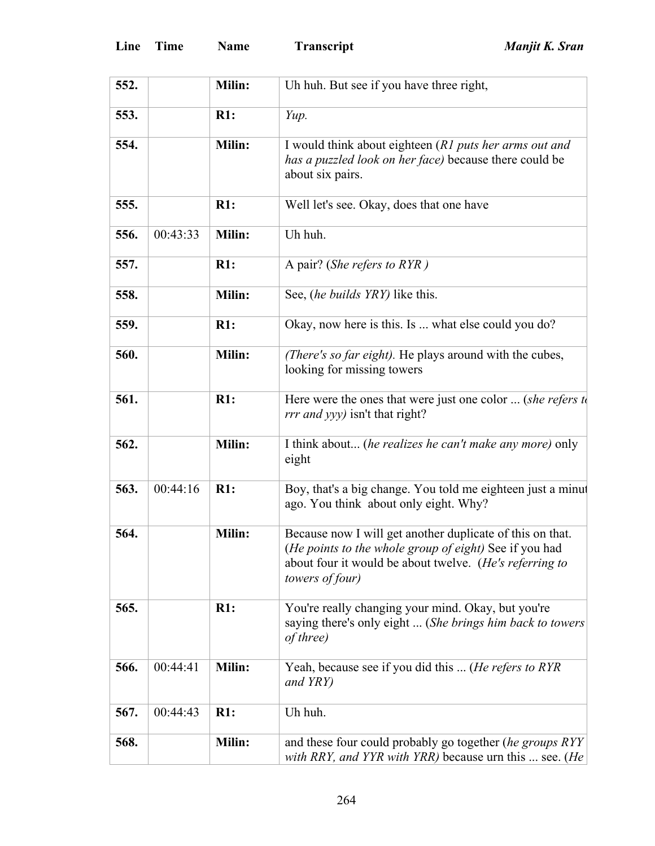| 552. |          | Milin: | Uh huh. But see if you have three right,                                                                                                                                                          |
|------|----------|--------|---------------------------------------------------------------------------------------------------------------------------------------------------------------------------------------------------|
| 553. |          | R1:    | Yup.                                                                                                                                                                                              |
| 554. |          | Milin: | I would think about eighteen (R1 puts her arms out and<br>has a puzzled look on her face) because there could be<br>about six pairs.                                                              |
| 555. |          | R1:    | Well let's see. Okay, does that one have                                                                                                                                                          |
| 556. | 00:43:33 | Milin: | Uh huh.                                                                                                                                                                                           |
| 557. |          | R1:    | A pair? (She refers to RYR)                                                                                                                                                                       |
| 558. |          | Milin: | See, <i>(he builds YRY)</i> like this.                                                                                                                                                            |
| 559. |          | R1:    | Okay, now here is this. Is  what else could you do?                                                                                                                                               |
| 560. |          | Milin: | (There's so far eight). He plays around with the cubes,<br>looking for missing towers                                                                                                             |
| 561. |          | R1:    | Here were the ones that were just one color  (she refers $t_0$<br><i>rrr and yyy)</i> isn't that right?                                                                                           |
| 562. |          | Milin: | I think about (he realizes he can't make any more) only<br>eight                                                                                                                                  |
| 563. | 00:44:16 | R1:    | Boy, that's a big change. You told me eighteen just a minut<br>ago. You think about only eight. Why?                                                                                              |
| 564. |          | Milin: | Because now I will get another duplicate of this on that.<br>(He points to the whole group of eight) See if you had<br>about four it would be about twelve. (He's referring to<br>towers of four) |
| 565. |          | R1:    | You're really changing your mind. Okay, but you're<br>saying there's only eight  (She brings him back to towers<br>of three)                                                                      |
| 566. | 00:44:41 | Milin: | Yeah, because see if you did this  (He refers to RYR<br>and YRY)                                                                                                                                  |
| 567. | 00:44:43 | R1:    | Uh huh.                                                                                                                                                                                           |
| 568. |          | Milin: | and these four could probably go together (he groups RYY<br>with RRY, and YYR with YRR) because urn this  see. (He                                                                                |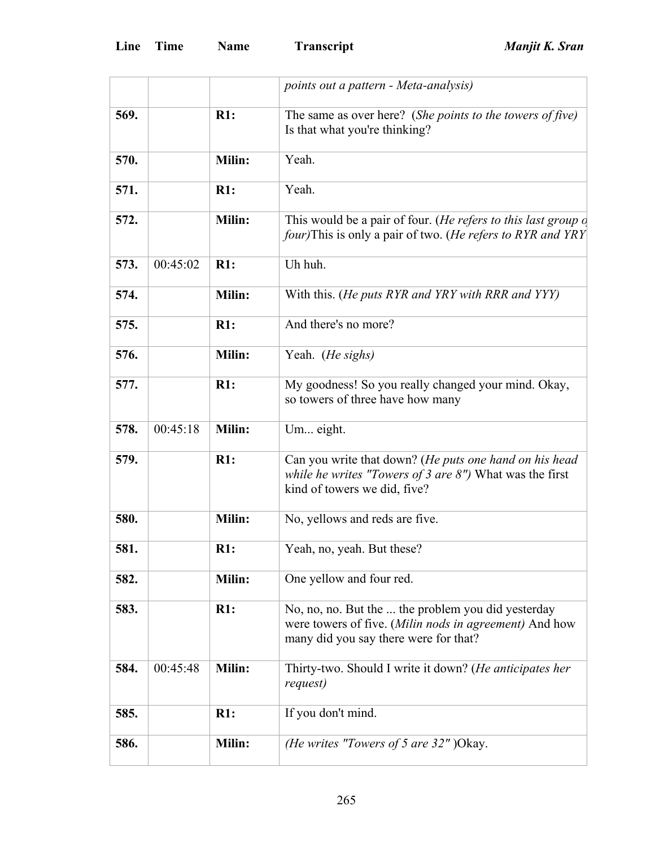|      |          |        | points out a pattern - Meta-analysis)                                                                                                                 |
|------|----------|--------|-------------------------------------------------------------------------------------------------------------------------------------------------------|
| 569. |          | R1:    | The same as over here? (She points to the towers of five)<br>Is that what you're thinking?                                                            |
| 570. |          | Milin: | Yeah.                                                                                                                                                 |
| 571. |          | R1:    | Yeah.                                                                                                                                                 |
| 572. |          | Milin: | This would be a pair of four. (He refers to this last group of<br><i>four</i> )This is only a pair of two. ( <i>He refers to RYR and YRY</i>          |
| 573. | 00:45:02 | R1:    | Uh huh.                                                                                                                                               |
| 574. |          | Milin: | With this. (He puts RYR and YRY with RRR and YYY)                                                                                                     |
| 575. |          | R1:    | And there's no more?                                                                                                                                  |
| 576. |          | Milin: | Yeah. (He sighs)                                                                                                                                      |
| 577. |          | R1:    | My goodness! So you really changed your mind. Okay,<br>so towers of three have how many                                                               |
| 578. | 00:45:18 | Milin: | Um eight.                                                                                                                                             |
| 579. |          | R1:    | Can you write that down? (He puts one hand on his head<br>while he writes "Towers of 3 are $8$ ") What was the first<br>kind of towers we did, five?  |
| 580. |          | Milin: | No, yellows and reds are five.                                                                                                                        |
| 581. |          | R1:    | Yeah, no, yeah. But these?                                                                                                                            |
| 582. |          | Milin: | One yellow and four red.                                                                                                                              |
| 583. |          | R1:    | No, no, no. But the  the problem you did yesterday<br>were towers of five. (Milin nods in agreement) And how<br>many did you say there were for that? |
| 584. | 00:45:48 | Milin: | Thirty-two. Should I write it down? (He anticipates her<br>request)                                                                                   |
| 585. |          | R1:    | If you don't mind.                                                                                                                                    |
| 586. |          | Milin: | (He writes "Towers of 5 are $32$ ") Okay.                                                                                                             |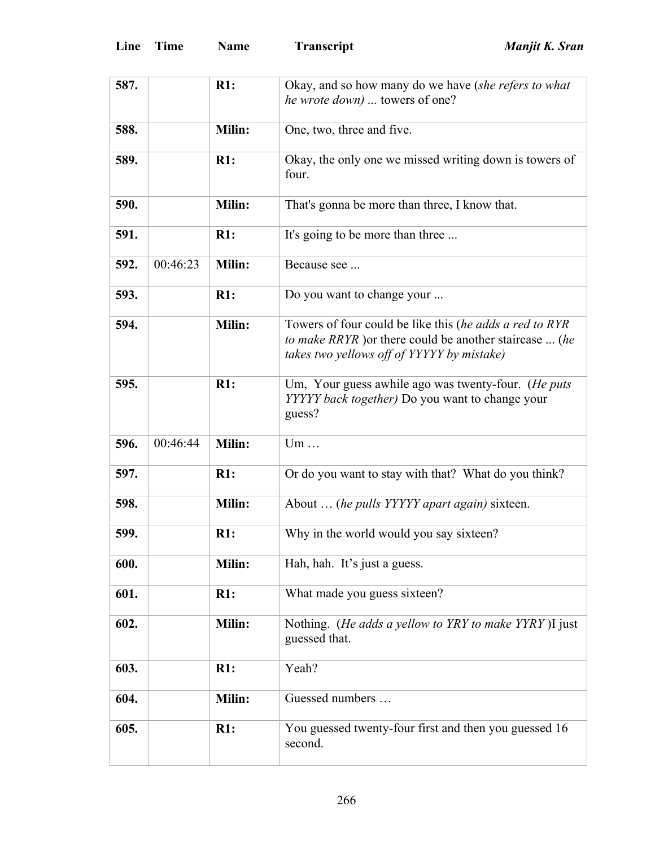| 587. |          | R1:    | Okay, and so how many do we have (she refers to what                                                  |
|------|----------|--------|-------------------------------------------------------------------------------------------------------|
|      |          |        | he wrote down)  towers of one?                                                                        |
|      |          |        |                                                                                                       |
| 588. |          | Milin: | One, two, three and five.                                                                             |
| 589. |          | R1:    | Okay, the only one we missed writing down is towers of                                                |
|      |          |        | four.                                                                                                 |
| 590. |          | Milin: | That's gonna be more than three, I know that.                                                         |
| 591. |          | R1:    | It's going to be more than three                                                                      |
| 592. | 00:46:23 | Milin: | Because see                                                                                           |
| 593. |          | R1:    | Do you want to change your                                                                            |
| 594. |          | Milin: | Towers of four could be like this (he adds a red to RYR                                               |
|      |          |        | to make RRYR ) or there could be another staircase  (he<br>takes two yellows off of YYYYY by mistake) |
|      |          |        |                                                                                                       |
| 595. |          | R1:    | Um, Your guess awhile ago was twenty-four. (He puts                                                   |
|      |          |        | YYYYY back together) Do you want to change your                                                       |
|      |          |        | guess?                                                                                                |
| 596. | 00:46:44 | Milin: | Um                                                                                                    |
|      |          |        |                                                                                                       |
| 597. |          | R1:    | Or do you want to stay with that? What do you think?                                                  |
| 598. |          | Milin: | About  (he pulls YYYYY apart again) sixteen.                                                          |
|      |          |        | Why in the world would you say sixteen?                                                               |
| 599. |          | R1:    |                                                                                                       |
| 600. |          | Milin: | Hah, hah. It's just a guess.                                                                          |
| 601. |          | R1:    | What made you guess sixteen?                                                                          |
| 602. |          | Milin: | Nothing. (He adds a yellow to YRY to make YYRY)I just<br>guessed that.                                |
|      |          |        |                                                                                                       |
| 603. |          | R1:    | Yeah?                                                                                                 |
| 604. |          | Milin: | Guessed numbers                                                                                       |
| 605. |          | R1:    | You guessed twenty-four first and then you guessed 16                                                 |
|      |          |        |                                                                                                       |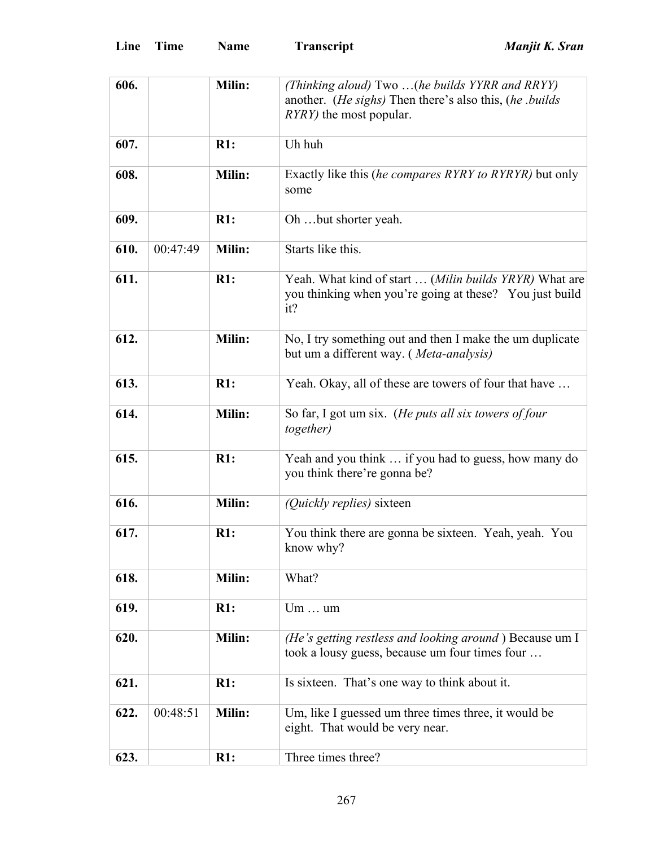| 606. |          | Milin:        | (Thinking aloud) Two (he builds YYRR and RRYY)<br>another. (He sighs) Then there's also this, (he .builds                |
|------|----------|---------------|--------------------------------------------------------------------------------------------------------------------------|
|      |          |               | <i>RYRY</i> ) the most popular.                                                                                          |
| 607. |          | R1:           | Uh huh                                                                                                                   |
| 608. |          | Milin:        | Exactly like this (he compares RYRY to RYRYR) but only<br>some                                                           |
| 609. |          | R1:           | Oh but shorter yeah.                                                                                                     |
| 610. | 00:47:49 | Milin:        | Starts like this.                                                                                                        |
| 611. |          | R1:           | Yeah. What kind of start  (Milin builds YRYR) What are<br>you thinking when you're going at these? You just build<br>it? |
| 612. |          | Milin:        | No, I try something out and then I make the um duplicate<br>but um a different way. (Meta-analysis)                      |
| 613. |          | R1:           | Yeah. Okay, all of these are towers of four that have                                                                    |
| 614. |          | Milin:        | So far, I got um six. (He puts all six towers of four<br>together)                                                       |
| 615. |          | R1:           | Yeah and you think  if you had to guess, how many do<br>you think there're gonna be?                                     |
| 616. |          | Milin:        | <i>(Quickly replies)</i> sixteen                                                                                         |
| 617. |          | R1:           | You think there are gonna be sixteen. Yeah, yeah. You<br>know why?                                                       |
| 618. |          | Milin:        | What?                                                                                                                    |
| 619. |          | R1:           | $Um \dots um$                                                                                                            |
| 620. |          | <b>Milin:</b> | (He's getting restless and looking around) Because um I<br>took a lousy guess, because um four times four                |
| 621. |          | R1:           | Is sixteen. That's one way to think about it.                                                                            |
| 622. | 00:48:51 | Milin:        | Um, like I guessed um three times three, it would be<br>eight. That would be very near.                                  |
| 623. |          | R1:           | Three times three?                                                                                                       |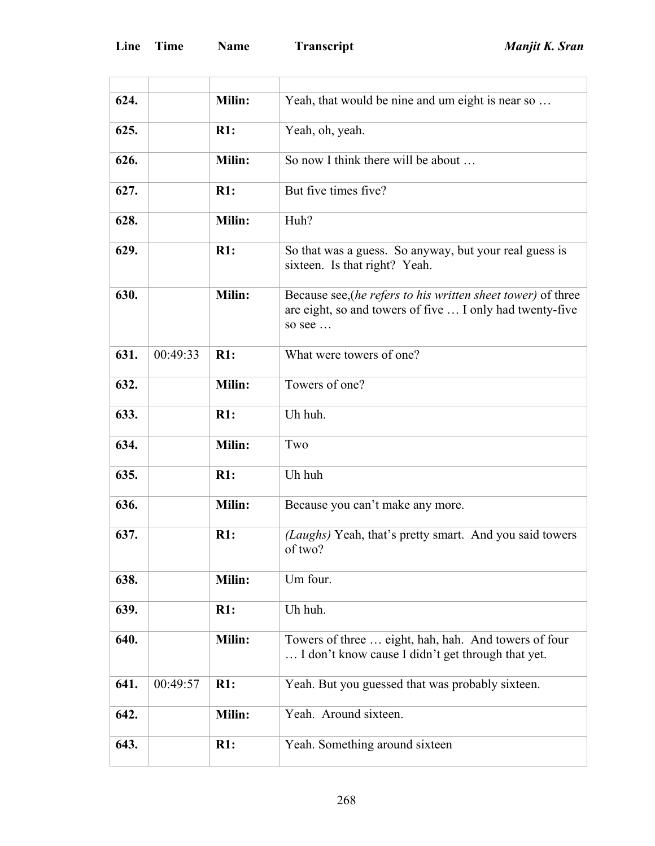| 624. |          | <b>Milin:</b> | Yeah, that would be nine and um eight is near so                                                                                   |
|------|----------|---------------|------------------------------------------------------------------------------------------------------------------------------------|
| 625. |          | R1:           | Yeah, oh, yeah.                                                                                                                    |
| 626. |          | Milin:        | So now I think there will be about                                                                                                 |
| 627. |          | R1:           | But five times five?                                                                                                               |
| 628. |          | Milin:        | Huh?                                                                                                                               |
| 629. |          | R1:           | So that was a guess. So anyway, but your real guess is<br>sixteen. Is that right? Yeah.                                            |
| 630. |          | Milin:        | Because see, (he refers to his written sheet tower) of three<br>are eight, so and towers of five  I only had twenty-five<br>so see |
| 631. | 00:49:33 | R1:           | What were towers of one?                                                                                                           |
| 632. |          | Milin:        | Towers of one?                                                                                                                     |
| 633. |          | R1:           | Uh huh.                                                                                                                            |
| 634. |          | Milin:        | Two                                                                                                                                |
| 635. |          | R1:           | Uh huh                                                                                                                             |
| 636. |          | <b>Milin:</b> | Because you can't make any more.                                                                                                   |
| 637. |          | R1:           | (Laughs) Yeah, that's pretty smart. And you said towers<br>of two?                                                                 |
| 638. |          | Milin:        | Um four.                                                                                                                           |
| 639. |          | R1:           | Uh huh.                                                                                                                            |
| 640. |          | Milin:        | Towers of three  eight, hah, hah. And towers of four<br>I don't know cause I didn't get through that yet.                          |
| 641. | 00:49:57 | R1:           | Yeah. But you guessed that was probably sixteen.                                                                                   |
| 642. |          | Milin:        | Yeah. Around sixteen.                                                                                                              |
| 643. |          | R1:           | Yeah. Something around sixteen                                                                                                     |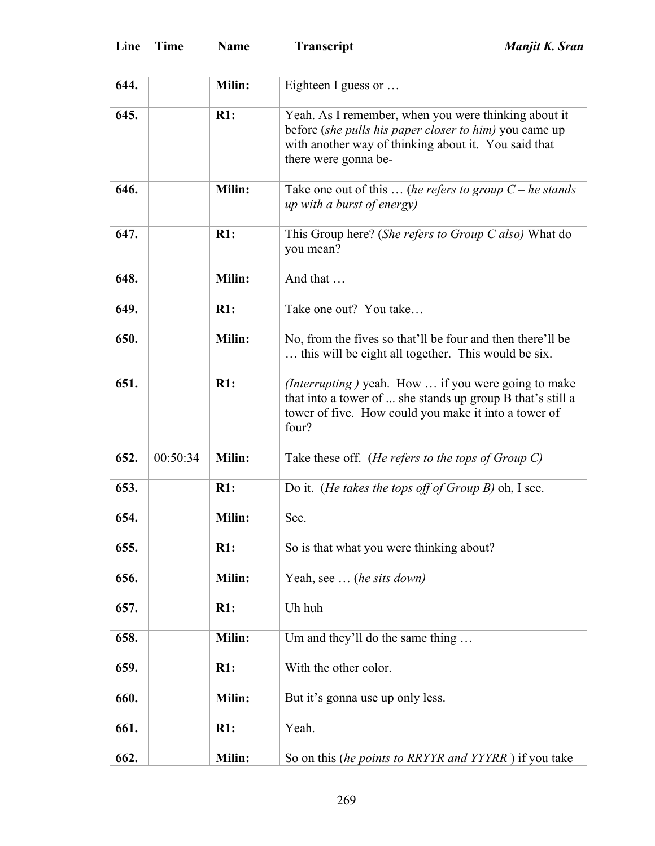| 644. |          | Milin: | Eighteen I guess or                                                                                                                                                                            |
|------|----------|--------|------------------------------------------------------------------------------------------------------------------------------------------------------------------------------------------------|
| 645. |          | R1:    | Yeah. As I remember, when you were thinking about it<br>before (she pulls his paper closer to him) you came up<br>with another way of thinking about it. You said that<br>there were gonna be- |
| 646. |          | Milin: | Take one out of this $\dots$ (he refers to group $C$ – he stands<br><i>up with a burst of energy</i> )                                                                                         |
| 647. |          | R1:    | This Group here? (She refers to Group C also) What do<br>you mean?                                                                                                                             |
| 648. |          | Milin: | And that                                                                                                                                                                                       |
| 649. |          | R1:    | Take one out? You take                                                                                                                                                                         |
| 650. |          | Milin: | No, from the fives so that'll be four and then there'll be<br>this will be eight all together. This would be six.                                                                              |
| 651. |          | R1:    | (Interrupting) yeah. How  if you were going to make<br>that into a tower of  she stands up group B that's still a<br>tower of five. How could you make it into a tower of<br>four?             |
| 652. | 00:50:34 | Milin: | Take these off. (He refers to the tops of Group $C$ )                                                                                                                                          |
| 653. |          | R1:    | Do it. ( <i>He takes the tops off of Group B</i> ) oh, I see.                                                                                                                                  |
| 654. |          | Milin: | See.                                                                                                                                                                                           |
| 655. |          | R1:    | So is that what you were thinking about?                                                                                                                                                       |
| 656. |          |        |                                                                                                                                                                                                |
|      |          | Milin: | Yeah, see  (he sits down)                                                                                                                                                                      |
| 657. |          | R1:    | Uh huh                                                                                                                                                                                         |
| 658. |          | Milin: | Um and they'll do the same thing                                                                                                                                                               |
| 659. |          | R1:    | With the other color.                                                                                                                                                                          |
| 660. |          | Milin: | But it's gonna use up only less.                                                                                                                                                               |
| 661. |          | R1:    | Yeah.                                                                                                                                                                                          |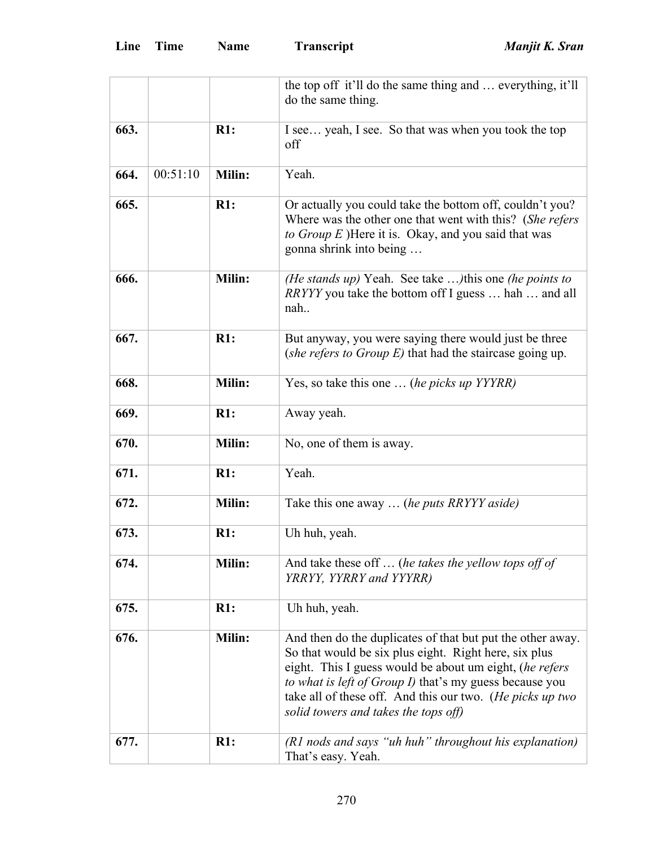|      |          |        | the top off it'll do the same thing and  everything, it'll<br>do the same thing.                                                                                                                                                                                                                                                               |
|------|----------|--------|------------------------------------------------------------------------------------------------------------------------------------------------------------------------------------------------------------------------------------------------------------------------------------------------------------------------------------------------|
|      |          |        |                                                                                                                                                                                                                                                                                                                                                |
| 663. |          | R1:    | I see yeah, I see. So that was when you took the top<br>off                                                                                                                                                                                                                                                                                    |
| 664. | 00:51:10 | Milin: | Yeah.                                                                                                                                                                                                                                                                                                                                          |
| 665. |          | R1:    | Or actually you could take the bottom off, couldn't you?<br>Where was the other one that went with this? (She refers<br>to Group $E$ )Here it is. Okay, and you said that was<br>gonna shrink into being                                                                                                                                       |
| 666. |          | Milin: | <i>(He stands up)</i> Yeah. See take <i>)</i> this one <i>(he points to</i><br><i>RRYYY</i> you take the bottom off I guess  hah  and all<br>nah                                                                                                                                                                                               |
| 667. |          | R1:    | But anyway, you were saying there would just be three<br>(she refers to Group $E$ ) that had the staircase going up.                                                                                                                                                                                                                           |
| 668. |          | Milin: | Yes, so take this one  (he picks up YYYRR)                                                                                                                                                                                                                                                                                                     |
| 669. |          | R1:    | Away yeah.                                                                                                                                                                                                                                                                                                                                     |
| 670. |          | Milin: | No, one of them is away.                                                                                                                                                                                                                                                                                                                       |
| 671. |          | R1:    | Yeah.                                                                                                                                                                                                                                                                                                                                          |
| 672. |          | Milin: | Take this one away  (he puts RRYYY aside)                                                                                                                                                                                                                                                                                                      |
| 673. |          | R1:    | Uh huh, yeah.                                                                                                                                                                                                                                                                                                                                  |
| 674. |          | Milin: | And take these off $\ldots$ (he takes the yellow tops off of<br>YRRYY, YYRRY and YYYRR)                                                                                                                                                                                                                                                        |
| 675. |          | R1:    | Uh huh, yeah.                                                                                                                                                                                                                                                                                                                                  |
| 676. |          | Milin: | And then do the duplicates of that but put the other away.<br>So that would be six plus eight. Right here, six plus<br>eight. This I guess would be about um eight, (he refers<br>to what is left of Group I) that's my guess because you<br>take all of these off. And this our two. (He picks up two<br>solid towers and takes the tops off) |
| 677. |          | R1:    | (R1 nods and says "uh huh" throughout his explanation)<br>That's easy. Yeah.                                                                                                                                                                                                                                                                   |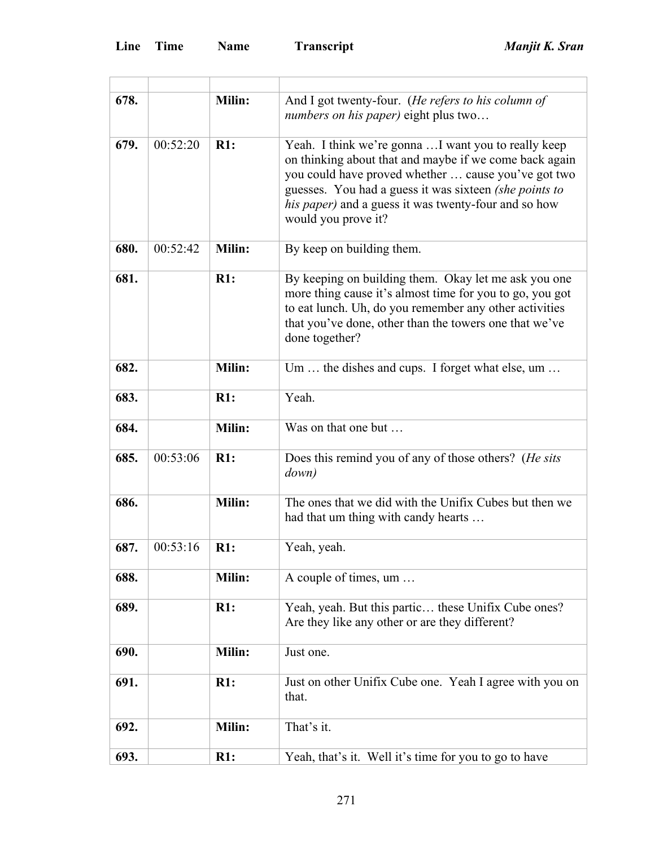L,

| 678. |          | Milin:        | And I got twenty-four. (He refers to his column of<br><i>numbers on his paper</i> ) eight plus two                                                                                                                                                                                                             |
|------|----------|---------------|----------------------------------------------------------------------------------------------------------------------------------------------------------------------------------------------------------------------------------------------------------------------------------------------------------------|
| 679. | 00:52:20 | R1:           | Yeah. I think we're gonna  I want you to really keep<br>on thinking about that and maybe if we come back again<br>you could have proved whether  cause you've got two<br>guesses. You had a guess it was sixteen (she points to<br>his paper) and a guess it was twenty-four and so how<br>would you prove it? |
| 680. | 00:52:42 | <b>Milin:</b> | By keep on building them.                                                                                                                                                                                                                                                                                      |
| 681. |          | R1:           | By keeping on building them. Okay let me ask you one<br>more thing cause it's almost time for you to go, you got<br>to eat lunch. Uh, do you remember any other activities<br>that you've done, other than the towers one that we've<br>done together?                                                         |
| 682. |          | Milin:        | Um  the dishes and cups. I forget what else, um                                                                                                                                                                                                                                                                |
| 683. |          | R1:           | Yeah.                                                                                                                                                                                                                                                                                                          |
| 684. |          | Milin:        | Was on that one but                                                                                                                                                                                                                                                                                            |
| 685. | 00:53:06 | R1:           | Does this remind you of any of those others? (He sits<br>down)                                                                                                                                                                                                                                                 |
| 686. |          | Milin:        | The ones that we did with the Unifix Cubes but then we<br>had that um thing with candy hearts                                                                                                                                                                                                                  |
| 687. | 00:53:16 | R1:           | Yeah, yeah.                                                                                                                                                                                                                                                                                                    |
| 688. |          | Milin:        | A couple of times, um                                                                                                                                                                                                                                                                                          |
| 689. |          | R1:           | Yeah, yeah. But this partic these Unifix Cube ones?<br>Are they like any other or are they different?                                                                                                                                                                                                          |
| 690. |          | Milin:        | Just one.                                                                                                                                                                                                                                                                                                      |
| 691. |          | R1:           | Just on other Unifix Cube one. Yeah I agree with you on<br>that.                                                                                                                                                                                                                                               |
| 692. |          | Milin:        | That's it.                                                                                                                                                                                                                                                                                                     |
| 693. |          | R1:           | Yeah, that's it. Well it's time for you to go to have                                                                                                                                                                                                                                                          |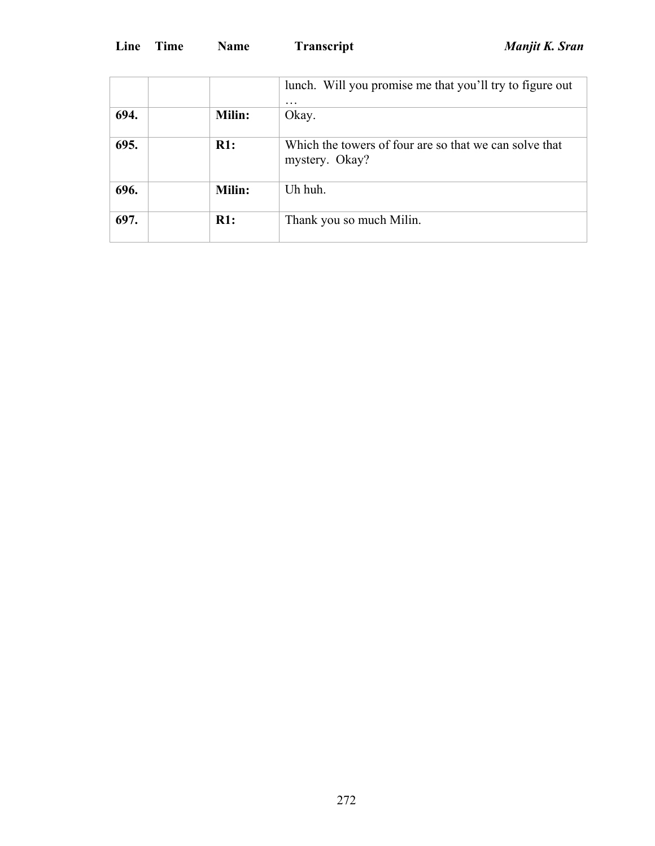|      |        | lunch. Will you promise me that you'll try to figure out<br>$\ddotsc$    |
|------|--------|--------------------------------------------------------------------------|
| 694. | Milin: | Okay.                                                                    |
| 695. | R1:    | Which the towers of four are so that we can solve that<br>mystery. Okay? |
| 696. | Milin: | Uh huh.                                                                  |
| 697. | R1:    | Thank you so much Milin.                                                 |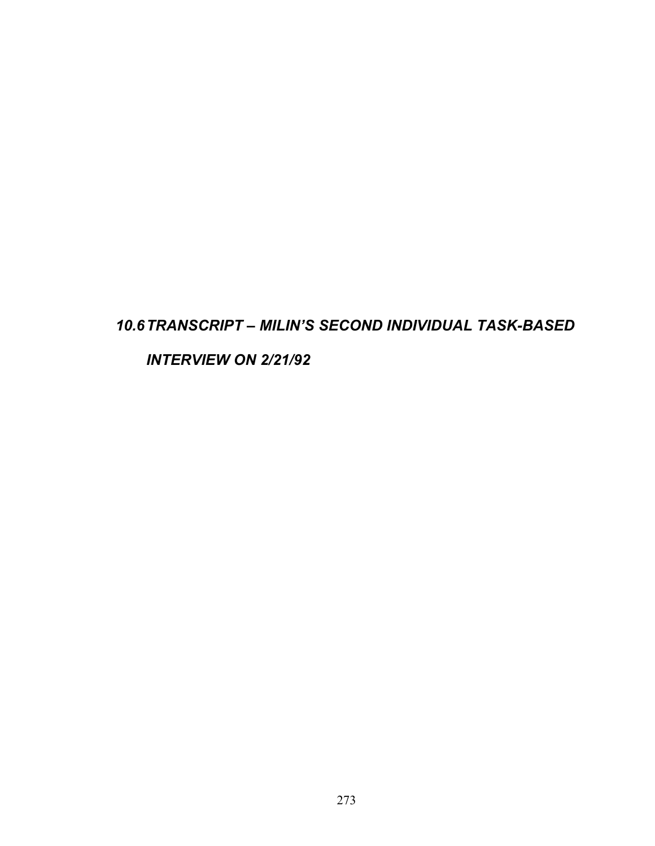## *10.6 TRANSCRIPT – MILIN'S SECOND INDIVIDUAL TASK-BASED*

*INTERVIEW ON 2/21/92*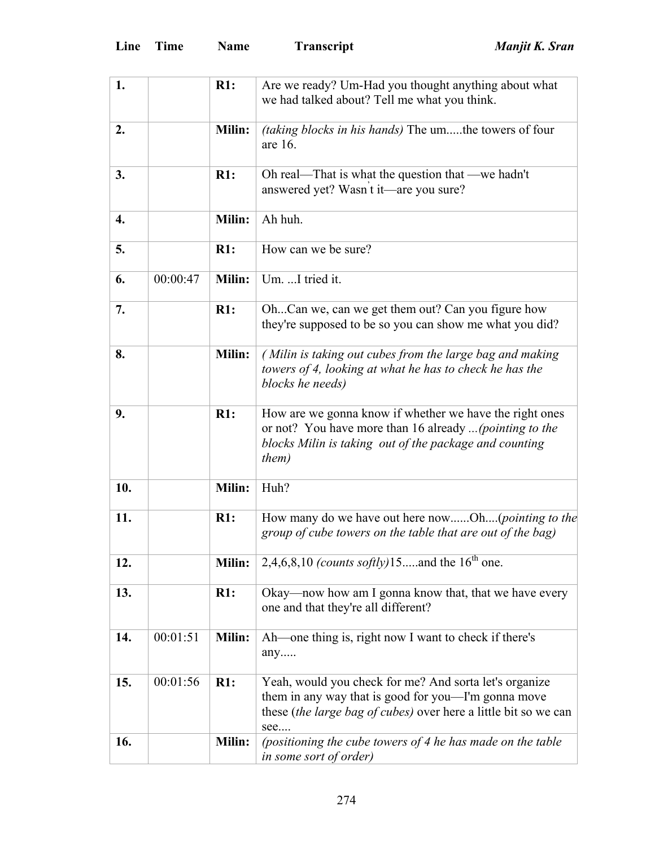| 1.  |          | R1:           | Are we ready? Um-Had you thought anything about what<br>we had talked about? Tell me what you think.                                                                                           |
|-----|----------|---------------|------------------------------------------------------------------------------------------------------------------------------------------------------------------------------------------------|
| 2.  |          | Milin:        | <i>(taking blocks in his hands)</i> The umthe towers of four<br>are 16.                                                                                                                        |
| 3.  |          | R1:           | Oh real—That is what the question that —we hadn't<br>answered yet? Wasn t it—are you sure?                                                                                                     |
| 4.  |          | Milin:        | Ah huh.                                                                                                                                                                                        |
| 5.  |          | R1:           | How can we be sure?                                                                                                                                                                            |
| 6.  | 00:00:47 | Milin:        | Um. I tried it.                                                                                                                                                                                |
| 7.  |          | R1:           | OhCan we, can we get them out? Can you figure how<br>they're supposed to be so you can show me what you did?                                                                                   |
| 8.  |          | <b>Milin:</b> | (Milin is taking out cubes from the large bag and making<br>towers of 4, looking at what he has to check he has the<br>blocks he needs)                                                        |
| 9.  |          | R1:           | How are we gonna know if whether we have the right ones<br>or not? You have more than 16 already  (pointing to the<br>blocks Milin is taking out of the package and counting<br><i>them</i> )  |
| 10. |          | Milin:        | Huh?                                                                                                                                                                                           |
| 11. |          | R1:           | How many do we have out here nowOh( <i>pointing to the</i><br>group of cube towers on the table that are out of the bag)                                                                       |
| 12. |          | Milin:        | 2,4,6,8,10 <i>(counts softly)</i> 15and the $16^{th}$ one.                                                                                                                                     |
| 13. |          | R1:           | Okay—now how am I gonna know that, that we have every<br>one and that they're all different?                                                                                                   |
| 14. | 00:01:51 | <b>Milin:</b> | Ah—one thing is, right now I want to check if there's<br>any                                                                                                                                   |
| 15. | 00:01:56 | R1:           | Yeah, would you check for me? And sorta let's organize<br>them in any way that is good for you—I'm gonna move<br>these <i>(the large bag of cubes)</i> over here a little bit so we can<br>see |
| 16. |          | Milin:        | (positioning the cube towers of 4 he has made on the table<br>in some sort of order)                                                                                                           |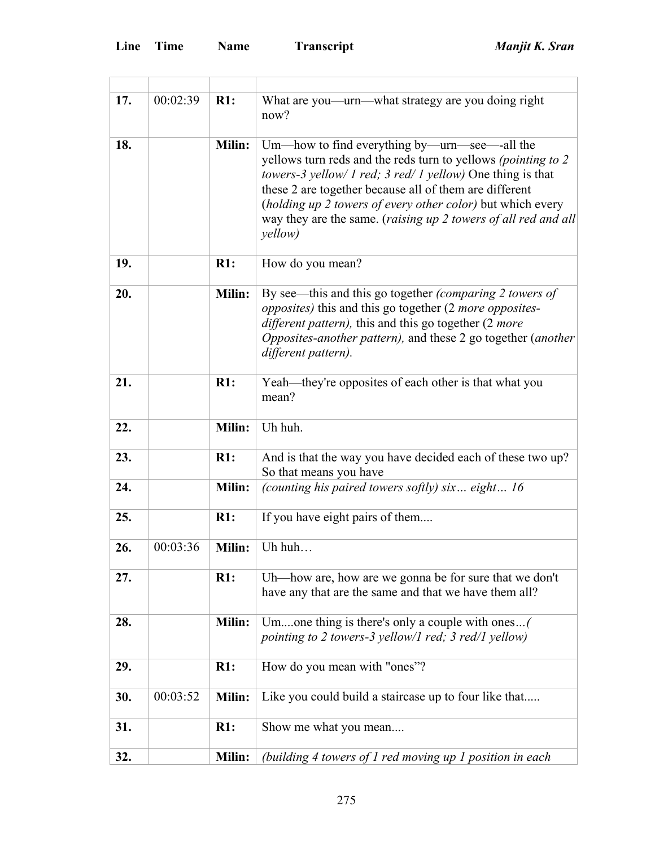| 17. | 00:02:39 | R1:           | What are you—urn—what strategy are you doing right<br>now?                                                                                                                                                                                                                                                                                                                                       |
|-----|----------|---------------|--------------------------------------------------------------------------------------------------------------------------------------------------------------------------------------------------------------------------------------------------------------------------------------------------------------------------------------------------------------------------------------------------|
| 18. |          | Milin:        | Um—how to find everything by—urn—see—all the<br>yellows turn reds and the reds turn to yellows <i>(pointing to 2)</i><br>towers-3 yellow/ 1 red; 3 red/ 1 yellow) One thing is that<br>these 2 are together because all of them are different<br>(holding up 2 towers of every other color) but which every<br>way they are the same. (raising up 2 towers of all red and all<br><i>yellow</i> ) |
| 19. |          | R1:           | How do you mean?                                                                                                                                                                                                                                                                                                                                                                                 |
| 20. |          | <b>Milin:</b> | By see—this and this go together <i>(comparing 2 towers of</i> )<br>opposites) this and this go together (2 more opposites-<br>different pattern), this and this go together (2 more<br>Opposites-another pattern), and these 2 go together (another<br>different pattern).                                                                                                                      |
| 21. |          | R1:           | Yeah—they're opposites of each other is that what you<br>mean?                                                                                                                                                                                                                                                                                                                                   |
| 22. |          | Milin:        | Uh huh.                                                                                                                                                                                                                                                                                                                                                                                          |
| 23. |          | R1:           | And is that the way you have decided each of these two up?<br>So that means you have                                                                                                                                                                                                                                                                                                             |
| 24. |          | <b>Milin:</b> | (counting his paired towers softly) six eight 16                                                                                                                                                                                                                                                                                                                                                 |
| 25. |          | R1:           | If you have eight pairs of them                                                                                                                                                                                                                                                                                                                                                                  |
| 26. | 00:03:36 | Milin:        | Uh huh                                                                                                                                                                                                                                                                                                                                                                                           |
| 27. |          | R1:           | Uh—how are, how are we gonna be for sure that we don't<br>have any that are the same and that we have them all?                                                                                                                                                                                                                                                                                  |
| 28. |          | <b>Milin:</b> | Umone thing is there's only a couple with ones(<br>pointing to 2 towers-3 yellow/1 red; 3 red/1 yellow)                                                                                                                                                                                                                                                                                          |
| 29. |          | R1:           | How do you mean with "ones"?                                                                                                                                                                                                                                                                                                                                                                     |
| 30. | 00:03:52 | Milin:        | Like you could build a staircase up to four like that                                                                                                                                                                                                                                                                                                                                            |
| 31. |          | R1:           | Show me what you mean                                                                                                                                                                                                                                                                                                                                                                            |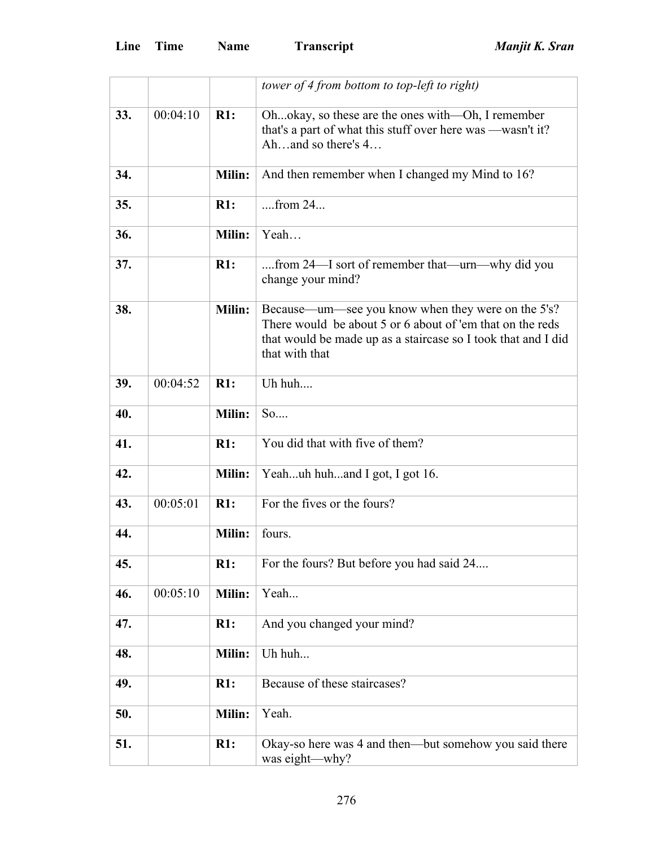|     |          |               | tower of 4 from bottom to top-left to right)                                                                                                                                                       |
|-----|----------|---------------|----------------------------------------------------------------------------------------------------------------------------------------------------------------------------------------------------|
| 33. | 00:04:10 | R1:           | Ohokay, so these are the ones with—Oh, I remember<br>that's a part of what this stuff over here was —wasn't it?<br>Ahand so there's 4                                                              |
| 34. |          | Milin:        | And then remember when I changed my Mind to 16?                                                                                                                                                    |
| 35. |          | R1:           | $from 24$                                                                                                                                                                                          |
| 36. |          | Milin:        | Yeah                                                                                                                                                                                               |
| 37. |          | R1:           | from 24—I sort of remember that—urn—why did you<br>change your mind?                                                                                                                               |
| 38. |          | Milin:        | Because—um—see you know when they were on the 5's?<br>There would be about 5 or 6 about of 'em that on the reds<br>that would be made up as a staircase so I took that and I did<br>that with that |
| 39. | 00:04:52 | R1:           | Uh huh                                                                                                                                                                                             |
| 40. |          | Milin:        | So                                                                                                                                                                                                 |
| 41. |          | R1:           | You did that with five of them?                                                                                                                                                                    |
| 42. |          | <b>Milin:</b> | Yeahuh huhand I got, I got 16.                                                                                                                                                                     |
| 43. | 00:05:01 | R1:           | For the fives or the fours?                                                                                                                                                                        |
| 44. |          | Milin:        | fours.                                                                                                                                                                                             |
| 45. |          | R1:           | For the fours? But before you had said 24                                                                                                                                                          |
| 46. | 00:05:10 | Milin:        | Yeah                                                                                                                                                                                               |
| 47. |          | R1:           | And you changed your mind?                                                                                                                                                                         |
| 48. |          | Milin:        | Uh huh                                                                                                                                                                                             |
| 49. |          | R1:           | Because of these staircases?                                                                                                                                                                       |
| 50. |          | <b>Milin:</b> | Yeah.                                                                                                                                                                                              |
| 51. |          | R1:           | Okay-so here was 4 and then—but somehow you said there<br>was eight-why?                                                                                                                           |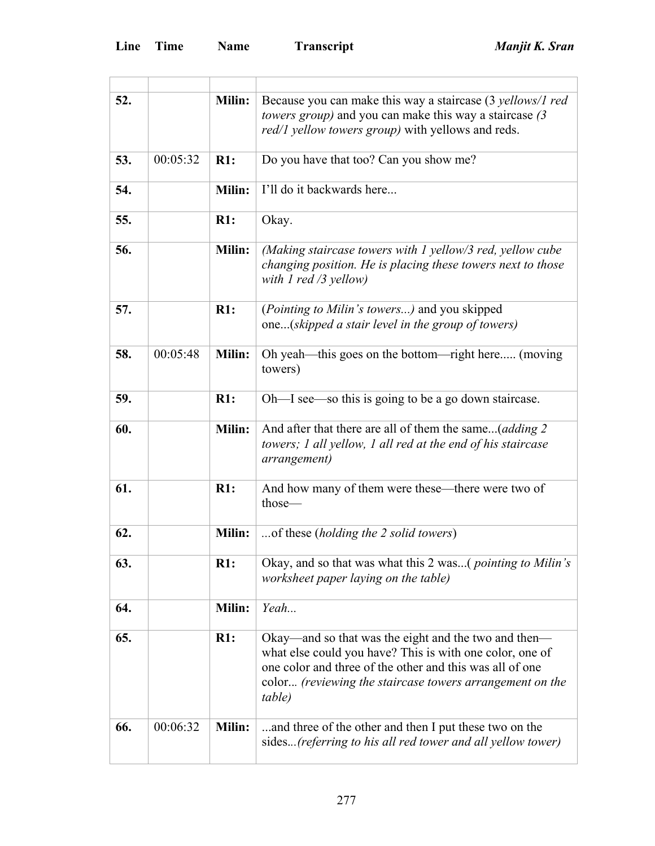$\overline{a}$ 

 $\overline{a}$ 

| 52. |          | Milin:        | Because you can make this way a staircase (3 yellows/1 red<br><i>towers group</i> ) and you can make this way a staircase (3)<br><i>red/1 yellow towers group</i> ) with yellows and reds.                                                         |
|-----|----------|---------------|----------------------------------------------------------------------------------------------------------------------------------------------------------------------------------------------------------------------------------------------------|
| 53. | 00:05:32 | R1:           | Do you have that too? Can you show me?                                                                                                                                                                                                             |
| 54. |          | Milin:        | I'll do it backwards here                                                                                                                                                                                                                          |
| 55. |          | R1:           | Okay.                                                                                                                                                                                                                                              |
| 56. |          | Milin:        | (Making staircase towers with 1 yellow/3 red, yellow cube<br>changing position. He is placing these towers next to those<br>with 1 red /3 yellow)                                                                                                  |
| 57. |          | R1:           | (Pointing to Milin's towers) and you skipped<br>one(skipped a stair level in the group of towers)                                                                                                                                                  |
| 58. | 00:05:48 | Milin:        | Oh yeah—this goes on the bottom—right here (moving<br>towers)                                                                                                                                                                                      |
| 59. |          | $R1$ :        | Oh—I see—so this is going to be a go down staircase.                                                                                                                                                                                               |
| 60. |          | Milin:        | And after that there are all of them the same( <i>adding 2</i><br>towers; 1 all yellow, 1 all red at the end of his staircase<br><i>arrangement</i> )                                                                                              |
| 61. |          | $R1$ :        | And how many of them were these—there were two of<br>those-                                                                                                                                                                                        |
| 62. |          | Milin:        | of these (holding the 2 solid towers)                                                                                                                                                                                                              |
| 63. |          | R1:           | Okay, and so that was what this 2 was( <i>pointing to Milin's</i><br>worksheet paper laying on the table)                                                                                                                                          |
| 64. |          | Milin:        | Yeah                                                                                                                                                                                                                                               |
| 65. |          | R1:           | Okay—and so that was the eight and the two and then—<br>what else could you have? This is with one color, one of<br>one color and three of the other and this was all of one<br>color (reviewing the staircase towers arrangement on the<br>table) |
| 66. | 00:06:32 | <b>Milin:</b> | and three of the other and then I put these two on the<br>sides (referring to his all red tower and all yellow tower)                                                                                                                              |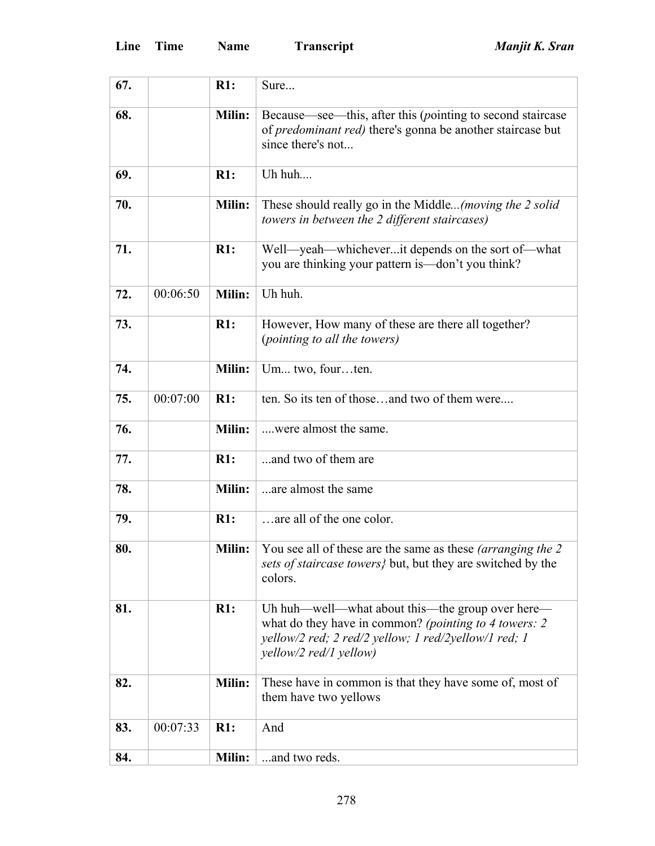| 67. |          | R1:           | Sure                                                                                                                                                                                        |
|-----|----------|---------------|---------------------------------------------------------------------------------------------------------------------------------------------------------------------------------------------|
| 68. |          | Milin:        | Because—see—this, after this (pointing to second staircase<br>of predominant red) there's gonna be another staircase but<br>since there's not                                               |
| 69. |          | R1:           | Uh huh                                                                                                                                                                                      |
| 70. |          | <b>Milin:</b> | These should really go in the Middle(moving the 2 solid<br>towers in between the 2 different staircases)                                                                                    |
| 71. |          | R1:           | Well-yeah-whicheverit depends on the sort of-what<br>you are thinking your pattern is —don't you think?                                                                                     |
| 72. | 00:06:50 | Milin:        | Uh huh.                                                                                                                                                                                     |
| 73. |          | R1:           | However, How many of these are there all together?<br>(pointing to all the towers)                                                                                                          |
| 74. |          | Milin:        | Um two, fourten.                                                                                                                                                                            |
| 75. | 00:07:00 | R1:           | ten. So its ten of thoseand two of them were                                                                                                                                                |
| 76. |          | Milin:        | were almost the same.                                                                                                                                                                       |
| 77. |          | R1:           | and two of them are                                                                                                                                                                         |
| 78. |          | Milin:        | are almost the same                                                                                                                                                                         |
| 79. |          | R1:           | are all of the one color.                                                                                                                                                                   |
| 80. |          | Milin:        | You see all of these are the same as these <i>(arranging the 2)</i><br>sets of staircase towers} but, but they are switched by the<br>colors.                                               |
| 81. |          | R1:           | Uh huh—well—what about this—the group over here—<br>what do they have in common? (pointing to 4 towers: 2<br>yellow/2 red; 2 red/2 yellow; 1 red/2yellow/1 red; 1<br>yellow/2 red/1 yellow) |
| 82. |          | <b>Milin:</b> | These have in common is that they have some of, most of<br>them have two yellows                                                                                                            |
| 83. | 00:07:33 | R1:           | And                                                                                                                                                                                         |
| 84. |          | Milin:        | and two reds.                                                                                                                                                                               |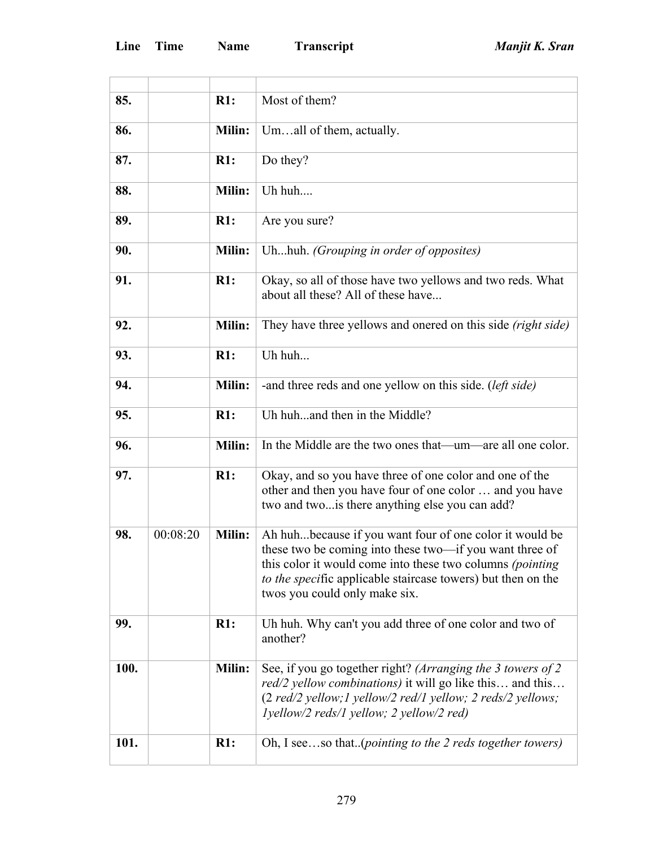|      |          | R1:           | Most of them?                                                                                                                                                                                                                                                                    |
|------|----------|---------------|----------------------------------------------------------------------------------------------------------------------------------------------------------------------------------------------------------------------------------------------------------------------------------|
| 85.  |          |               |                                                                                                                                                                                                                                                                                  |
| 86.  |          | Milin:        | Umall of them, actually.                                                                                                                                                                                                                                                         |
| 87.  |          | R1:           | Do they?                                                                                                                                                                                                                                                                         |
| 88.  |          | Milin:        | Uh huh                                                                                                                                                                                                                                                                           |
| 89.  |          | R1:           | Are you sure?                                                                                                                                                                                                                                                                    |
| 90.  |          | Milin:        | Uhhuh. (Grouping in order of opposites)                                                                                                                                                                                                                                          |
| 91.  |          | R1:           | Okay, so all of those have two yellows and two reds. What<br>about all these? All of these have                                                                                                                                                                                  |
| 92.  |          | <b>Milin:</b> | They have three yellows and onered on this side (right side)                                                                                                                                                                                                                     |
| 93.  |          | R1:           | Uh huh                                                                                                                                                                                                                                                                           |
| 94.  |          | <b>Milin:</b> | -and three reds and one yellow on this side. (left side)                                                                                                                                                                                                                         |
| 95.  |          | R1:           | Uh huhand then in the Middle?                                                                                                                                                                                                                                                    |
| 96.  |          | Milin:        | In the Middle are the two ones that—um—are all one color.                                                                                                                                                                                                                        |
| 97.  |          | R1:           | Okay, and so you have three of one color and one of the<br>other and then you have four of one color  and you have<br>two and two is there anything else you can add?                                                                                                            |
| 98.  | 00:08:20 | Milin:        | Ah huhbecause if you want four of one color it would be<br>these two be coming into these two-if you want three of<br>this color it would come into these two columns (pointing<br>to the specific applicable staircase towers) but then on the<br>twos you could only make six. |
| 99.  |          | R1:           | Uh huh. Why can't you add three of one color and two of<br>another?                                                                                                                                                                                                              |
| 100. |          | Milin:        | See, if you go together right? (Arranging the 3 towers of 2<br>red/2 yellow combinations) it will go like this and this<br>(2 red/2 yellow; 1 yellow/2 red/1 yellow; 2 reds/2 yellows;<br>lyellow/2 reds/1 yellow; 2 yellow/2 red)                                               |
| 101. |          | R1:           | Oh, I seeso that(pointing to the 2 reds together towers)                                                                                                                                                                                                                         |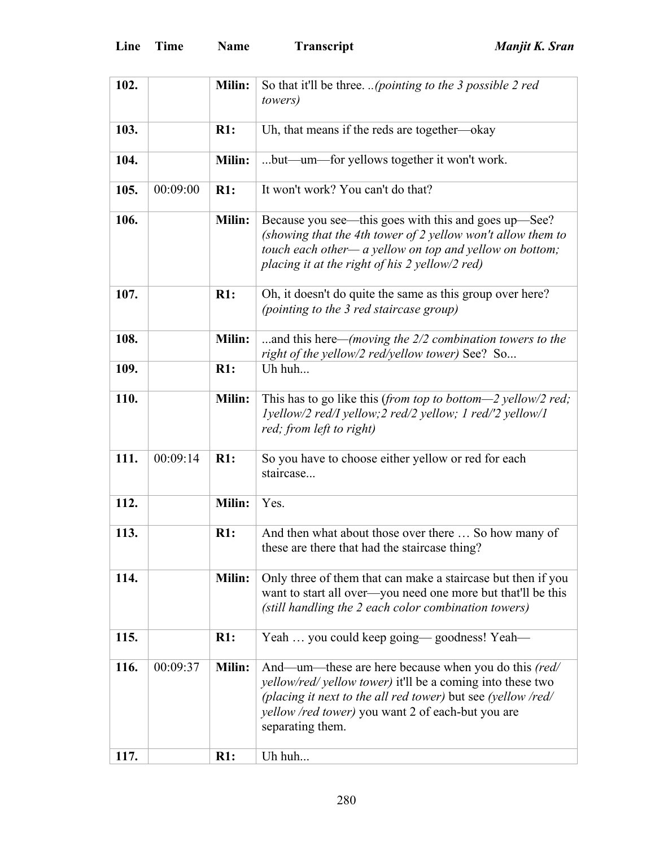| Line<br>Time<br><b>Name</b> | T |
|-----------------------------|---|
|-----------------------------|---|

| 102. |          | Milin:        | So that it'll be three. (pointing to the 3 possible 2 red                                                                                                                                                                                                          |
|------|----------|---------------|--------------------------------------------------------------------------------------------------------------------------------------------------------------------------------------------------------------------------------------------------------------------|
|      |          |               | <i>towers</i> )                                                                                                                                                                                                                                                    |
| 103. |          | R1:           | Uh, that means if the reds are together—okay                                                                                                                                                                                                                       |
| 104. |          | Milin:        | but—um—for yellows together it won't work.                                                                                                                                                                                                                         |
| 105. | 00:09:00 | R1:           | It won't work? You can't do that?                                                                                                                                                                                                                                  |
| 106. |          | Milin:        | Because you see—this goes with this and goes up—See?<br>(showing that the 4th tower of 2 yellow won't allow them to<br>touch each other— a yellow on top and yellow on bottom;<br>placing it at the right of his 2 yellow/2 red)                                   |
| 107. |          | R1:           | Oh, it doesn't do quite the same as this group over here?<br>(pointing to the 3 red staircase group)                                                                                                                                                               |
| 108. |          | <b>Milin:</b> | and this here—(moving the $2/2$ combination towers to the<br>right of the yellow/2 red/yellow tower) See? So                                                                                                                                                       |
| 109. |          | R1:           | Uh huh                                                                                                                                                                                                                                                             |
| 110. |          | <b>Milin:</b> | This has to go like this (from top to bottom—2 yellow/2 red;<br>lyellow/2 red/I yellow; 2 red/2 yellow; 1 red/'2 yellow/1<br>red; from left to right)                                                                                                              |
| 111. | 00:09:14 | R1:           | So you have to choose either yellow or red for each<br>staircase                                                                                                                                                                                                   |
| 112. |          | <b>Milin:</b> | Yes.                                                                                                                                                                                                                                                               |
| 113. |          | R1:           | And then what about those over there  So how many of<br>these are there that had the staircase thing?                                                                                                                                                              |
| 114. |          | Milin:        | Only three of them that can make a staircase but then if you<br>want to start all over—you need one more but that'll be this<br>(still handling the 2 each color combination towers)                                                                               |
| 115. |          | R1:           | Yeah  you could keep going—goodness! Yeah—                                                                                                                                                                                                                         |
| 116. | 00:09:37 | Milin:        | And—um—these are here because when you do this (red/<br><i>yellow/red/ yellow tower)</i> it'll be a coming into these two<br>(placing it next to the all red tower) but see (yellow /red/<br>yellow /red tower) you want 2 of each-but you are<br>separating them. |
| 117. |          | R1:           | Uh huh                                                                                                                                                                                                                                                             |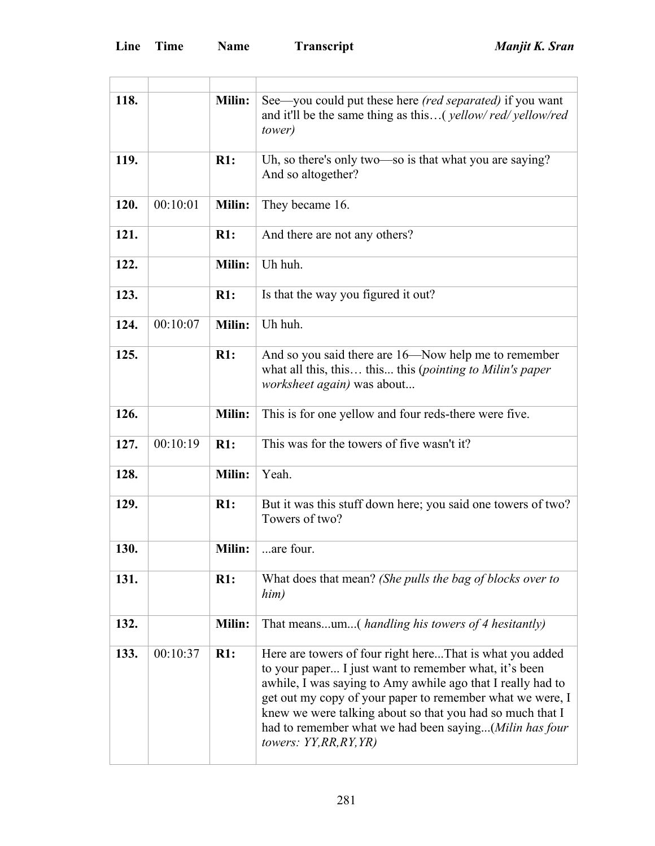| 118. |          | <b>Milin:</b> | See—you could put these here <i>(red separated)</i> if you want<br>and it'll be the same thing as this( <i>yellow/red/yellow/red</i><br>tower)                                                                                                                                                                                                                                                  |
|------|----------|---------------|-------------------------------------------------------------------------------------------------------------------------------------------------------------------------------------------------------------------------------------------------------------------------------------------------------------------------------------------------------------------------------------------------|
| 119. |          | R1:           | Uh, so there's only two—so is that what you are saying?<br>And so altogether?                                                                                                                                                                                                                                                                                                                   |
| 120. | 00:10:01 | <b>Milin:</b> | They became 16.                                                                                                                                                                                                                                                                                                                                                                                 |
| 121. |          | R1:           | And there are not any others?                                                                                                                                                                                                                                                                                                                                                                   |
| 122. |          | Milin:        | Uh huh.                                                                                                                                                                                                                                                                                                                                                                                         |
| 123. |          | $R1$ :        | Is that the way you figured it out?                                                                                                                                                                                                                                                                                                                                                             |
| 124. | 00:10:07 | <b>Milin:</b> | Uh huh.                                                                                                                                                                                                                                                                                                                                                                                         |
| 125. |          | R1:           | And so you said there are 16—Now help me to remember<br>what all this, this this this (pointing to Milin's paper<br><i>worksheet again</i> ) was about                                                                                                                                                                                                                                          |
| 126. |          | <b>Milin:</b> | This is for one yellow and four reds-there were five.                                                                                                                                                                                                                                                                                                                                           |
| 127. | 00:10:19 | R1:           | This was for the towers of five wasn't it?                                                                                                                                                                                                                                                                                                                                                      |
| 128. |          | <b>Milin:</b> | Yeah.                                                                                                                                                                                                                                                                                                                                                                                           |
| 129. |          | R1:           | But it was this stuff down here; you said one towers of two?<br>Towers of two?                                                                                                                                                                                                                                                                                                                  |
| 130. |          | Milin:        | are four.                                                                                                                                                                                                                                                                                                                                                                                       |
| 131. |          | R1:           | What does that mean? (She pulls the bag of blocks over to<br>him)                                                                                                                                                                                                                                                                                                                               |
| 132. |          | <b>Milin:</b> | That meansum( <i>handling his towers of 4 hesitantly</i> )                                                                                                                                                                                                                                                                                                                                      |
| 133. | 00:10:37 | R1:           | Here are towers of four right hereThat is what you added<br>to your paper I just want to remember what, it's been<br>awhile, I was saying to Amy awhile ago that I really had to<br>get out my copy of your paper to remember what we were, I<br>knew we were talking about so that you had so much that I<br>had to remember what we had been saying(Milin has four<br>towers: $YY,RR,RY, YR)$ |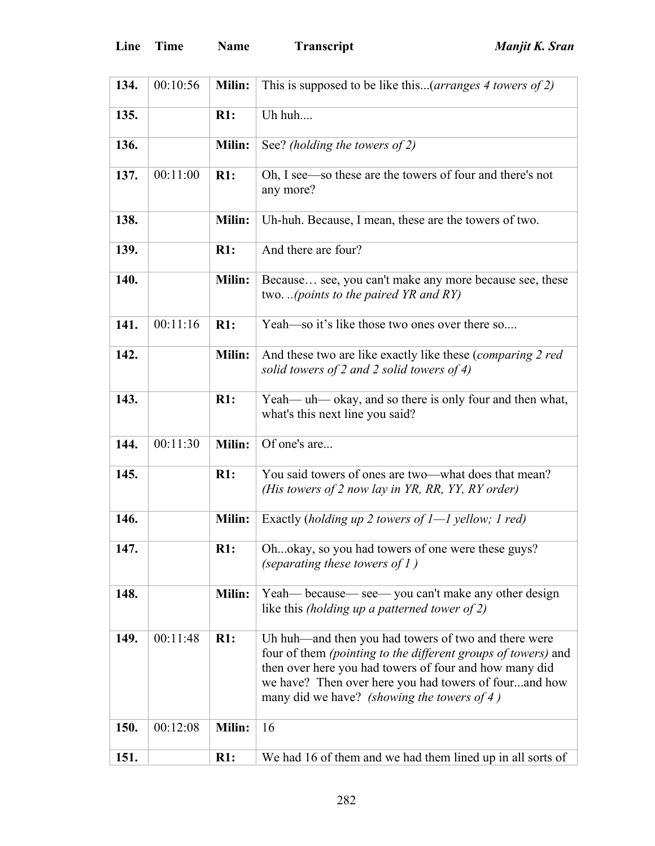| Line<br>Transcri<br><b>Time</b><br><b>Name</b> |
|------------------------------------------------|
|------------------------------------------------|

| 134. | 00:10:56 | <b>Milin:</b> | This is supposed to be like this( <i>arranges 4 towers of 2</i> )                                                                                                                                                                                                                       |
|------|----------|---------------|-----------------------------------------------------------------------------------------------------------------------------------------------------------------------------------------------------------------------------------------------------------------------------------------|
| 135. |          | R1:           | Uh huh                                                                                                                                                                                                                                                                                  |
| 136. |          | Milin:        | See? (holding the towers of 2)                                                                                                                                                                                                                                                          |
| 137. | 00:11:00 | R1:           | Oh, I see—so these are the towers of four and there's not<br>any more?                                                                                                                                                                                                                  |
| 138. |          | Milin:        | Uh-huh. Because, I mean, these are the towers of two.                                                                                                                                                                                                                                   |
| 139. |          | R1:           | And there are four?                                                                                                                                                                                                                                                                     |
| 140. |          | Milin:        | Because see, you can't make any more because see, these<br>two. (points to the paired YR and $RY$ )                                                                                                                                                                                     |
| 141. | 00:11:16 | R1:           | Yeah—so it's like those two ones over there so                                                                                                                                                                                                                                          |
| 142. |          | <b>Milin:</b> | And these two are like exactly like these (comparing 2 red<br>solid towers of 2 and 2 solid towers of 4)                                                                                                                                                                                |
| 143. |          | R1:           | Yeah— uh— okay, and so there is only four and then what,<br>what's this next line you said?                                                                                                                                                                                             |
| 144. | 00:11:30 | <b>Milin:</b> | Of one's are                                                                                                                                                                                                                                                                            |
| 145. |          | R1:           | You said towers of ones are two—what does that mean?<br>(His towers of 2 now lay in YR, RR, YY, RY order)                                                                                                                                                                               |
| 146. |          | Milin:        | Exactly (holding up 2 towers of $I-1$ yellow; 1 red)                                                                                                                                                                                                                                    |
| 147. |          | R1:           | Ohokay, so you had towers of one were these guys?<br>(separating these towers of $1$ )                                                                                                                                                                                                  |
| 148. |          | <b>Milin:</b> | Yeah— because— see— you can't make any other design<br>like this <i>(holding up a patterned tower of 2)</i>                                                                                                                                                                             |
| 149. | 00:11:48 | R1:           | Uh huh—and then you had towers of two and there were<br>four of them (pointing to the different groups of towers) and<br>then over here you had towers of four and how many did<br>we have? Then over here you had towers of fourand how<br>many did we have? (showing the towers of 4) |
| 150. | 00:12:08 | <b>Milin:</b> | 16                                                                                                                                                                                                                                                                                      |
| 151. |          | R1:           | We had 16 of them and we had them lined up in all sorts of                                                                                                                                                                                                                              |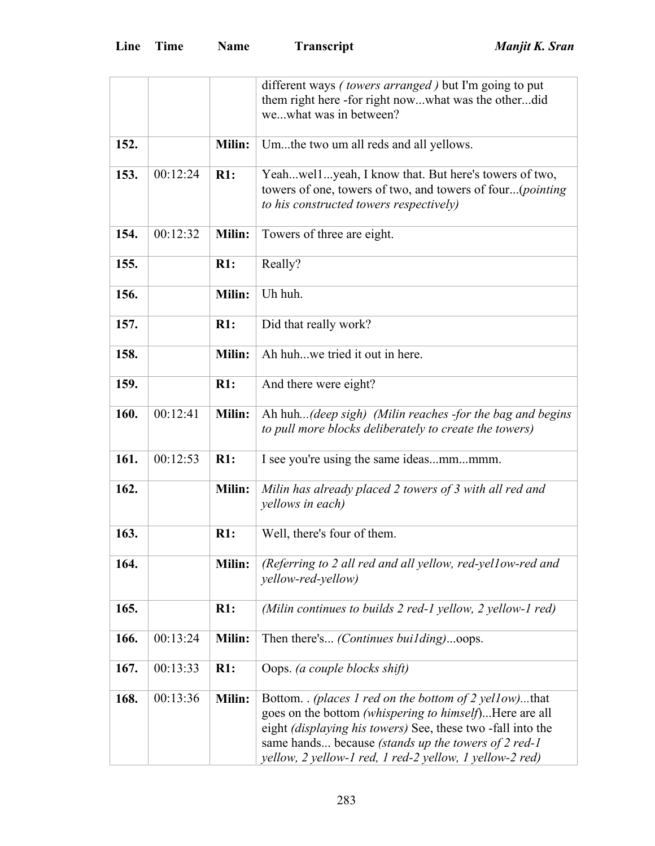|      |          |               | different ways ( <i>towers arranged</i> ) but I'm going to put                                                                                                                                                                                                                                                         |
|------|----------|---------------|------------------------------------------------------------------------------------------------------------------------------------------------------------------------------------------------------------------------------------------------------------------------------------------------------------------------|
|      |          |               | them right here -for right nowwhat was the otherdid<br>wewhat was in between?                                                                                                                                                                                                                                          |
|      |          |               |                                                                                                                                                                                                                                                                                                                        |
| 152. |          | Milin:        | Umthe two um all reds and all yellows.                                                                                                                                                                                                                                                                                 |
| 153. | 00:12:24 | R1:           | Yeahwellyeah, I know that. But here's towers of two,<br>towers of one, towers of two, and towers of four( <i>pointing</i><br>to his constructed towers respectively)                                                                                                                                                   |
| 154. | 00:12:32 | Milin:        | Towers of three are eight.                                                                                                                                                                                                                                                                                             |
| 155. |          | R1:           | Really?                                                                                                                                                                                                                                                                                                                |
| 156. |          | Milin:        | Uh huh.                                                                                                                                                                                                                                                                                                                |
| 157. |          | R1:           | Did that really work?                                                                                                                                                                                                                                                                                                  |
| 158. |          | Milin:        | Ah huhwe tried it out in here.                                                                                                                                                                                                                                                                                         |
| 159. |          | R1:           | And there were eight?                                                                                                                                                                                                                                                                                                  |
| 160. | 00:12:41 | <b>Milin:</b> | Ah huh(deep sigh) (Milin reaches -for the bag and begins<br>to pull more blocks deliberately to create the towers)                                                                                                                                                                                                     |
| 161. | 00:12:53 | R1:           | I see you're using the same ideasmmmmm.                                                                                                                                                                                                                                                                                |
| 162. |          | Milin:        | Milin has already placed 2 towers of 3 with all red and<br>yellows in each)                                                                                                                                                                                                                                            |
| 163. |          | R1:           | Well, there's four of them.                                                                                                                                                                                                                                                                                            |
| 164. |          | Milin:        | (Referring to 2 all red and all yellow, red-yellow-red and<br><i>yellow-red-yellow)</i>                                                                                                                                                                                                                                |
| 165. |          | R1:           | (Milin continues to builds 2 red-1 yellow, 2 yellow-1 red)                                                                                                                                                                                                                                                             |
| 166. | 00:13:24 | <b>Milin:</b> | Then there's <i>(Continues building)</i> oops.                                                                                                                                                                                                                                                                         |
| 167. | 00:13:33 | R1:           | Oops. (a couple blocks shift)                                                                                                                                                                                                                                                                                          |
| 168. | 00:13:36 | <b>Milin:</b> | Bottom. <i>(places 1 red on the bottom of 2 yellow)</i> that<br>goes on the bottom (whispering to himself)Here are all<br>eight <i>(displaying his towers)</i> See, these two -fall into the<br>same hands because <i>(stands up the towers of 2 red-1)</i><br>yellow, 2 yellow-1 red, 1 red-2 yellow, 1 yellow-2 red) |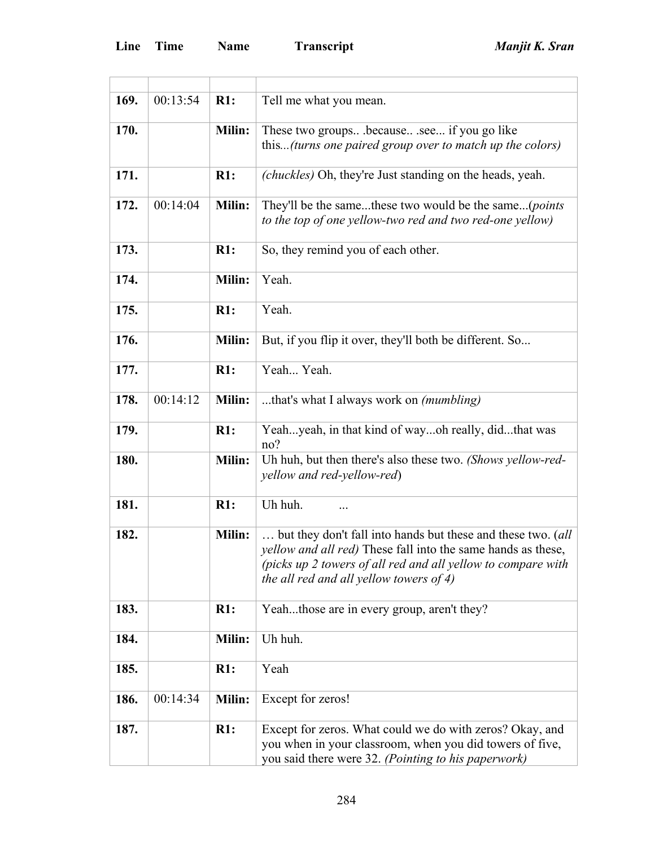ł.

| 169. | 00:13:54 | R1:           | Tell me what you mean.                                                                                                                                                                                                                          |
|------|----------|---------------|-------------------------------------------------------------------------------------------------------------------------------------------------------------------------------------------------------------------------------------------------|
| 170. |          | Milin:        | These two groupsbecausesee if you go like<br>this(turns one paired group over to match up the colors)                                                                                                                                           |
| 171. |          | R1:           | ( <i>chuckles</i> ) Oh, they're Just standing on the heads, yeah.                                                                                                                                                                               |
| 172. | 00:14:04 | <b>Milin:</b> | They'll be the samethese two would be the same( <i>points</i><br>to the top of one yellow-two red and two red-one yellow)                                                                                                                       |
| 173. |          | R1:           | So, they remind you of each other.                                                                                                                                                                                                              |
| 174. |          | <b>Milin:</b> | Yeah.                                                                                                                                                                                                                                           |
| 175. |          | R1:           | Yeah.                                                                                                                                                                                                                                           |
| 176. |          | <b>Milin:</b> | But, if you flip it over, they'll both be different. So                                                                                                                                                                                         |
| 177. |          | R1:           | Yeah Yeah.                                                                                                                                                                                                                                      |
| 178. | 00:14:12 | <b>Milin:</b> | that's what I always work on <i>(mumbling)</i>                                                                                                                                                                                                  |
| 179. |          | R1:           | Yeahyeah, in that kind of wayoh really, didthat was<br>no?                                                                                                                                                                                      |
| 180. |          | Milin:        | Uh huh, but then there's also these two. (Shows yellow-red-<br><i>yellow and red-yellow-red</i> )                                                                                                                                               |
| 181. |          | R1:           | Uh huh.<br>$\cdots$                                                                                                                                                                                                                             |
| 182. |          | <b>Milin:</b> | but they don't fall into hands but these and these two. (all<br><i>yellow and all red</i> ) These fall into the same hands as these,<br>(picks up 2 towers of all red and all yellow to compare with<br>the all red and all yellow towers of 4) |
| 183. |          | R1:           | Yeahthose are in every group, aren't they?                                                                                                                                                                                                      |
| 184. |          | Milin:        | Uh huh.                                                                                                                                                                                                                                         |
| 185. |          | R1:           | Yeah                                                                                                                                                                                                                                            |
| 186. | 00:14:34 | Milin:        | Except for zeros!                                                                                                                                                                                                                               |
| 187. |          | R1:           | Except for zeros. What could we do with zeros? Okay, and<br>you when in your classroom, when you did towers of five,<br>you said there were 32. (Pointing to his paperwork)                                                                     |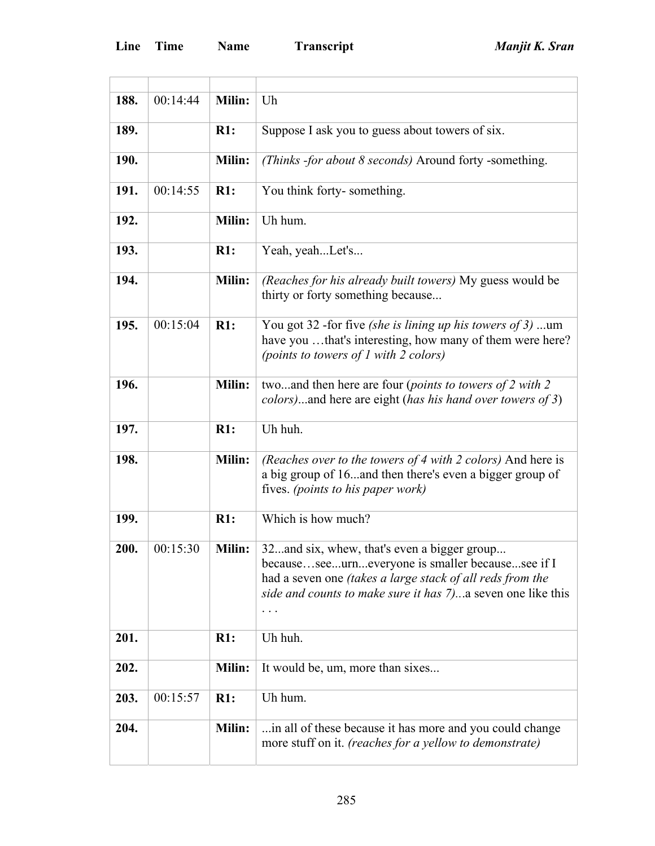| 188. | 00:14:44 | Milin:        | Uh                                                                                                                                                                                                                                    |
|------|----------|---------------|---------------------------------------------------------------------------------------------------------------------------------------------------------------------------------------------------------------------------------------|
| 189. |          | R1:           | Suppose I ask you to guess about towers of six.                                                                                                                                                                                       |
| 190. |          | Milin:        | (Thinks -for about 8 seconds) Around forty -something.                                                                                                                                                                                |
| 191. | 00:14:55 | R1:           | You think forty-something.                                                                                                                                                                                                            |
| 192. |          | Milin:        | Uh hum.                                                                                                                                                                                                                               |
| 193. |          | R1:           | Yeah, yeahLet's                                                                                                                                                                                                                       |
| 194. |          | <b>Milin:</b> | (Reaches for his already built towers) My guess would be<br>thirty or forty something because                                                                                                                                         |
| 195. | 00:15:04 | R1:           | You got 32 -for five (she is lining up his towers of 3) um<br>have you that's interesting, how many of them were here?<br>(points to towers of 1 with 2 colors)                                                                       |
| 196. |          | Milin:        | twoand then here are four (points to towers of 2 with 2)<br>colors)and here are eight (has his hand over towers of 3)                                                                                                                 |
| 197. |          | R1:           | Uh huh.                                                                                                                                                                                                                               |
| 198. |          | <b>Milin:</b> | (Reaches over to the towers of 4 with 2 colors) And here is<br>a big group of 16and then there's even a bigger group of<br>fives. (points to his paper work)                                                                          |
| 199. |          | R1:           | Which is how much?                                                                                                                                                                                                                    |
| 200. | 00:15:30 | <b>Milin:</b> | 32. and six, whew, that's even a bigger group<br>becauseseeurneveryone is smaller becausesee if I<br>had a seven one <i>(takes a large stack of all reds from the</i><br>side and counts to make sure it has 7) a seven one like this |
| 201. |          | R1:           | Uh huh.                                                                                                                                                                                                                               |
| 202. |          | Milin:        | It would be, um, more than sixes                                                                                                                                                                                                      |
| 203. | 00:15:57 | R1:           | Uh hum.                                                                                                                                                                                                                               |
| 204. |          | Milin:        | in all of these because it has more and you could change<br>more stuff on it. (reaches for a yellow to demonstrate)                                                                                                                   |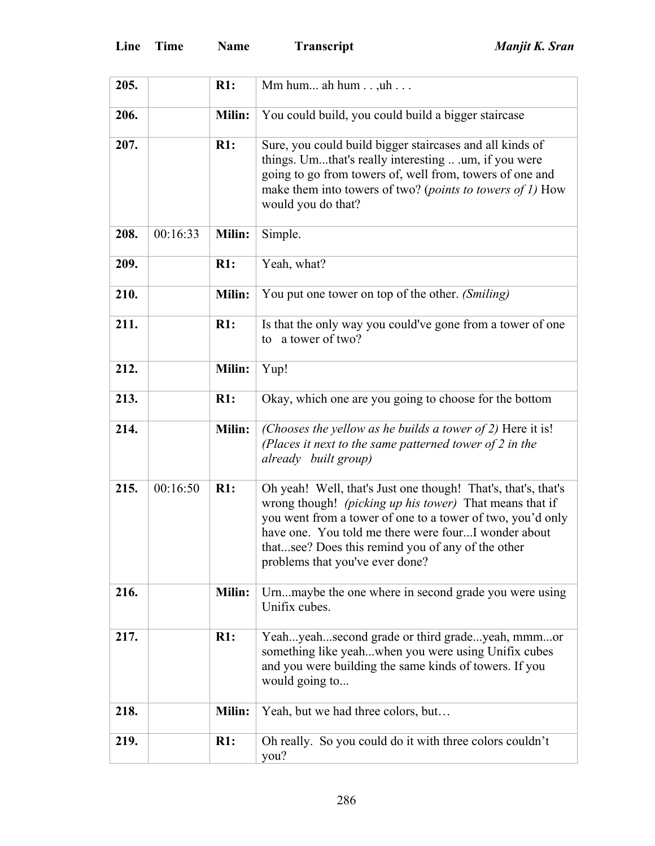| 205. |          | R1:           | Mm hum ah hum $\dots$ uh $\dots$                                                                                                                                                                                                                                                                                                      |
|------|----------|---------------|---------------------------------------------------------------------------------------------------------------------------------------------------------------------------------------------------------------------------------------------------------------------------------------------------------------------------------------|
| 206. |          | Milin:        | You could build, you could build a bigger staircase                                                                                                                                                                                                                                                                                   |
| 207. |          | R1:           | Sure, you could build bigger staircases and all kinds of<br>things. Umthat's really interesting  um, if you were<br>going to go from towers of, well from, towers of one and<br>make them into towers of two? (points to towers of 1) How<br>would you do that?                                                                       |
| 208. | 00:16:33 | Milin:        | Simple.                                                                                                                                                                                                                                                                                                                               |
| 209. |          | R1:           | Yeah, what?                                                                                                                                                                                                                                                                                                                           |
| 210. |          | <b>Milin:</b> | You put one tower on top of the other. (Smiling)                                                                                                                                                                                                                                                                                      |
| 211. |          | R1:           | Is that the only way you could've gone from a tower of one<br>to a tower of two?                                                                                                                                                                                                                                                      |
| 212. |          | Milin:        | Yup!                                                                                                                                                                                                                                                                                                                                  |
| 213. |          | R1:           | Okay, which one are you going to choose for the bottom                                                                                                                                                                                                                                                                                |
| 214. |          | Milin:        | (Chooses the yellow as he builds a tower of 2) Here it is!<br>(Places it next to the same patterned tower of 2 in the<br>already built group)                                                                                                                                                                                         |
| 215. | 00:16:50 | R1:           | Oh yeah! Well, that's Just one though! That's, that's, that's<br>wrong though! (picking up his tower) That means that if<br>you went from a tower of one to a tower of two, you'd only<br>have one. You told me there were fourI wonder about<br>thatsee? Does this remind you of any of the other<br>problems that you've ever done? |
| 216. |          | <b>Milin:</b> | Urnmaybe the one where in second grade you were using<br>Unifix cubes.                                                                                                                                                                                                                                                                |
| 217. |          | R1:           | Yeahyeahsecond grade or third gradeyeah, mmmor<br>something like yeahwhen you were using Unifix cubes<br>and you were building the same kinds of towers. If you<br>would going to                                                                                                                                                     |
| 218. |          | Milin:        | Yeah, but we had three colors, but                                                                                                                                                                                                                                                                                                    |
| 219. |          | R1:           | Oh really. So you could do it with three colors couldn't<br>you?                                                                                                                                                                                                                                                                      |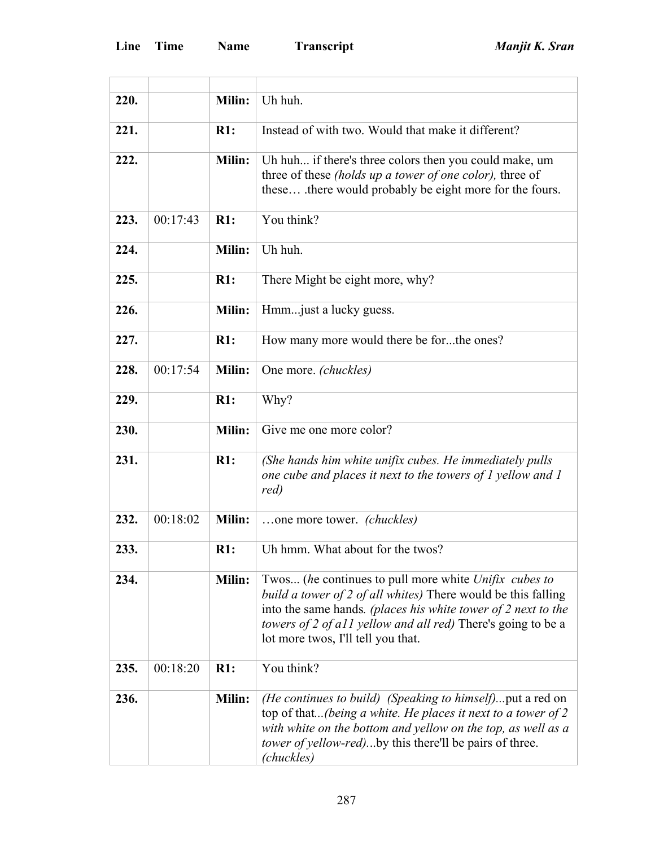| 220. |          | Milin:        | Uh huh.                                                                                                                                                                                                                                                                                       |
|------|----------|---------------|-----------------------------------------------------------------------------------------------------------------------------------------------------------------------------------------------------------------------------------------------------------------------------------------------|
| 221. |          | R1:           | Instead of with two. Would that make it different?                                                                                                                                                                                                                                            |
| 222. |          | Milin:        | Uh huh if there's three colors then you could make, um<br>three of these <i>(holds up a tower of one color)</i> , three of<br>these there would probably be eight more for the fours.                                                                                                         |
| 223. | 00:17:43 | R1:           | You think?                                                                                                                                                                                                                                                                                    |
| 224. |          | Milin:        | Uh huh.                                                                                                                                                                                                                                                                                       |
| 225. |          | R1:           | There Might be eight more, why?                                                                                                                                                                                                                                                               |
| 226. |          | Milin:        | Hmmjust a lucky guess.                                                                                                                                                                                                                                                                        |
| 227. |          | R1:           | How many more would there be forthe ones?                                                                                                                                                                                                                                                     |
| 228. | 00:17:54 | Milin:        | One more. (chuckles)                                                                                                                                                                                                                                                                          |
| 229. |          | R1:           | Why?                                                                                                                                                                                                                                                                                          |
| 230. |          | Milin:        | Give me one more color?                                                                                                                                                                                                                                                                       |
| 231. |          | R1:           | (She hands him white unifix cubes. He immediately pulls<br>one cube and places it next to the towers of 1 yellow and 1<br>red)                                                                                                                                                                |
| 232. | 00:18:02 | Milin:        | one more tower. <i>(chuckles)</i>                                                                                                                                                                                                                                                             |
| 233. |          | R1:           | Uh hmm. What about for the twos?                                                                                                                                                                                                                                                              |
| 234. |          | <b>Milin:</b> | Twos (he continues to pull more white Unifix cubes to<br>build a tower of 2 of all whites) There would be this falling<br>into the same hands. (places his white tower of 2 next to the<br>towers of 2 of all yellow and all red) There's going to be a<br>lot more twos, I'll tell you that. |
| 235. | 00:18:20 | R1:           | You think?                                                                                                                                                                                                                                                                                    |
| 236. |          | Milin:        | <i>(He continues to build) (Speaking to himself)</i> put a red on<br>top of that(being a white. He places it next to a tower of 2<br>with white on the bottom and yellow on the top, as well as a<br><i>tower of yellow-red</i> )by this there'll be pairs of three.<br>(chuckles)            |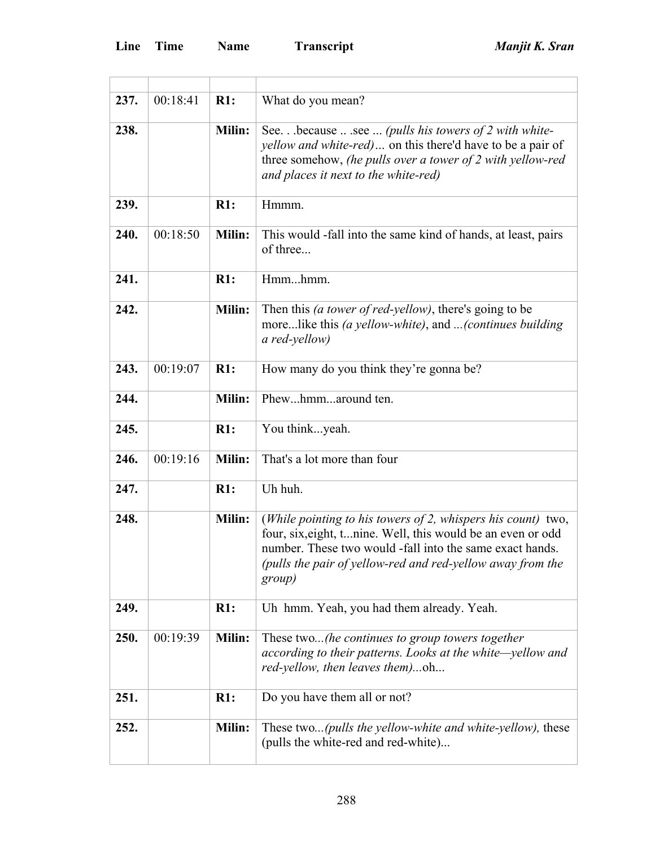| 237. | 00:18:41 | R1:           | What do you mean?                                                                                                                                                                                                                                                |
|------|----------|---------------|------------------------------------------------------------------------------------------------------------------------------------------------------------------------------------------------------------------------------------------------------------------|
| 238. |          | <b>Milin:</b> | See.because  .see  (pulls his towers of 2 with white-<br><i>yellow and white-red</i> ) on this there'd have to be a pair of<br>three somehow, (he pulls over a tower of $2$ with yellow-red<br>and places it next to the white-red)                              |
| 239. |          | R1:           | Hmmm.                                                                                                                                                                                                                                                            |
| 240. | 00:18:50 | Milin:        | This would -fall into the same kind of hands, at least, pairs<br>of three                                                                                                                                                                                        |
| 241. |          | R1:           | Hmmhmm.                                                                                                                                                                                                                                                          |
| 242. |          | Milin:        | Then this <i>(a tower of red-yellow)</i> , there's going to be<br>morelike this (a yellow-white), and (continues building<br>a red-yellow)                                                                                                                       |
| 243. | 00:19:07 | R1:           | How many do you think they're gonna be?                                                                                                                                                                                                                          |
| 244. |          | Milin:        | Phewhmmaround ten.                                                                                                                                                                                                                                               |
| 245. |          | R1:           | You thinkyeah.                                                                                                                                                                                                                                                   |
| 246. | 00:19:16 | <b>Milin:</b> | That's a lot more than four                                                                                                                                                                                                                                      |
| 247. |          | R1:           | Uh huh.                                                                                                                                                                                                                                                          |
| 248. |          | Milin:        | (While pointing to his towers of 2, whispers his count) two,<br>four, six, eight, t nine. Well, this would be an even or odd<br>number. These two would -fall into the same exact hands.<br>(pulls the pair of yellow-red and red-yellow away from the<br>group) |
| 249. |          | R1:           | Uh hmm. Yeah, you had them already. Yeah.                                                                                                                                                                                                                        |
| 250. | 00:19:39 | <b>Milin:</b> | These two(he continues to group towers together<br>according to their patterns. Looks at the white—yellow and<br>red-yellow, then leaves them)oh                                                                                                                 |
| 251. |          | R1:           | Do you have them all or not?                                                                                                                                                                                                                                     |
| 252. |          | Milin:        | These two( <i>pulls the yellow-white and white-yellow</i> ), these<br>(pulls the white-red and red-white)                                                                                                                                                        |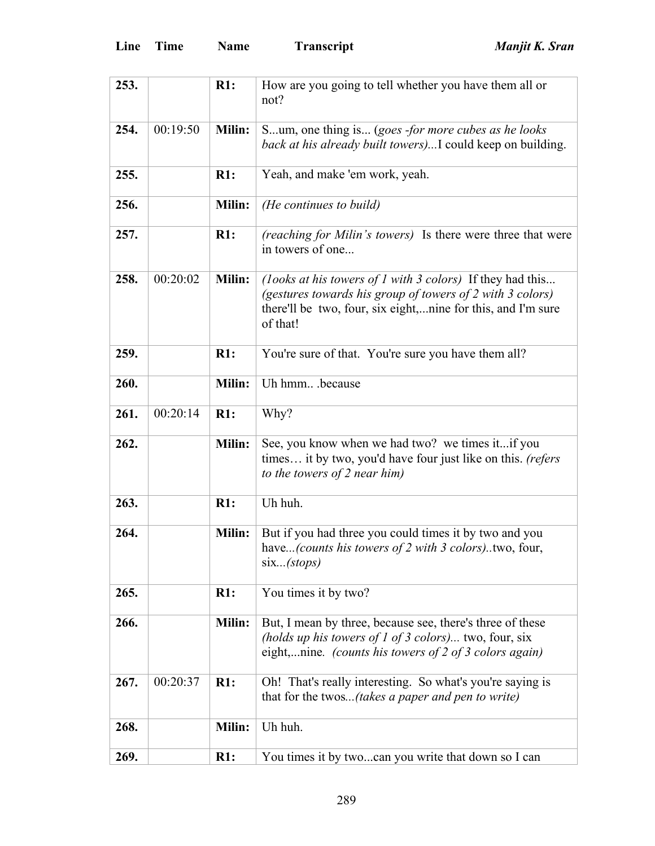| 253. |          | R1:    | How are you going to tell whether you have them all or<br>not?                                                                                                                                     |
|------|----------|--------|----------------------------------------------------------------------------------------------------------------------------------------------------------------------------------------------------|
| 254. | 00:19:50 | Milin: | Sum, one thing is (goes -for more cubes as he looks<br>back at his already built towers)I could keep on building.                                                                                  |
| 255. |          | R1:    | Yeah, and make 'em work, yeah.                                                                                                                                                                     |
| 256. |          | Milin: | (He continues to build)                                                                                                                                                                            |
| 257. |          | R1:    | (reaching for Milin's towers) Is there were three that were<br>in towers of one                                                                                                                    |
| 258. | 00:20:02 | Milin: | (looks at his towers of 1 with 3 colors) If they had this<br>(gestures towards his group of towers of 2 with 3 colors)<br>there'll be two, four, six eight,nine for this, and I'm sure<br>of that! |
| 259. |          | R1:    | You're sure of that. You're sure you have them all?                                                                                                                                                |
| 260. |          | Milin: | Uh hmmbecause                                                                                                                                                                                      |
| 261. | 00:20:14 | R1:    | Why?                                                                                                                                                                                               |
| 262. |          | Milin: | See, you know when we had two? we times it if you<br>times it by two, you'd have four just like on this. (refers<br>to the towers of 2 near him)                                                   |
| 263. |          | R1:    | Uh huh.                                                                                                                                                                                            |
| 264. |          | Milin: | But if you had three you could times it by two and you<br>have(counts his towers of 2 with 3 colors)two, four,<br>six (stops)                                                                      |
| 265. |          | R1:    | You times it by two?                                                                                                                                                                               |
| 266. |          | Milin: | But, I mean by three, because see, there's three of these<br>(holds up his towers of 1 of 3 colors) two, four, six<br>eight,nine. (counts his towers of 2 of 3 colors again)                       |
| 267. | 00:20:37 | R1:    | Oh! That's really interesting. So what's you're saying is<br>that for the twos(takes a paper and pen to write)                                                                                     |
| 268. |          | Milin: | Uh huh.                                                                                                                                                                                            |
| 269. |          | R1:    | You times it by twocan you write that down so I can                                                                                                                                                |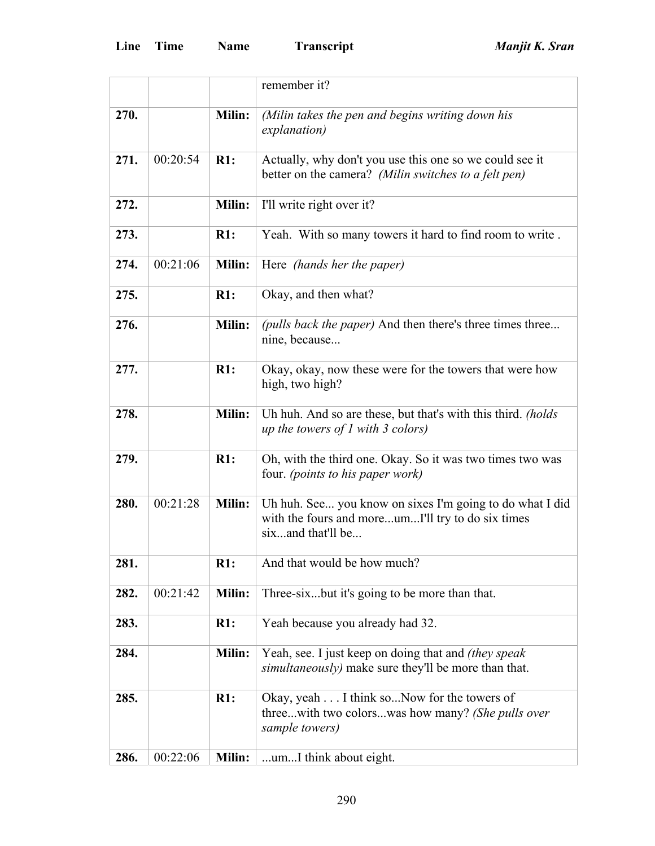|      |          |               | remember it?                                                                                                                       |
|------|----------|---------------|------------------------------------------------------------------------------------------------------------------------------------|
| 270. |          | <b>Milin:</b> | (Milin takes the pen and begins writing down his<br>explanation)                                                                   |
| 271. | 00:20:54 | R1:           | Actually, why don't you use this one so we could see it<br>better on the camera? (Milin switches to a felt pen)                    |
| 272. |          | Milin:        | I'll write right over it?                                                                                                          |
| 273. |          | R1:           | Yeah. With so many towers it hard to find room to write.                                                                           |
| 274. | 00:21:06 | Milin:        | Here <i>(hands her the paper)</i>                                                                                                  |
| 275. |          | R1:           | Okay, and then what?                                                                                                               |
| 276. |          | Milin:        | (pulls back the paper) And then there's three times three<br>nine, because                                                         |
| 277. |          | R1:           | Okay, okay, now these were for the towers that were how<br>high, two high?                                                         |
| 278. |          | Milin:        | Uh huh. And so are these, but that's with this third. (holds<br>up the towers of $I$ with 3 colors)                                |
| 279. |          | R1:           | Oh, with the third one. Okay. So it was two times two was<br>four. <i>(points to his paper work)</i>                               |
| 280. | 00:21:28 | Milin:        | Uh huh. See you know on sixes I'm going to do what I did<br>with the fours and moreumI'll try to do six times<br>sixand that'll be |
| 281. |          | R1:           | And that would be how much?                                                                                                        |
| 282. | 00:21:42 | Milin:        | Three-sixbut it's going to be more than that.                                                                                      |
| 283. |          | R1:           | Yeah because you already had 32.                                                                                                   |
| 284. |          | Milin:        | Yeah, see. I just keep on doing that and <i>(they speak</i> )<br>simultaneously) make sure they'll be more than that.              |
| 285. |          | R1:           | Okay, yeah I think so Now for the towers of<br>threewith two colorswas how many? (She pulls over<br>sample towers)                 |
| 286. | 00:22:06 | Milin:        | umI think about eight.                                                                                                             |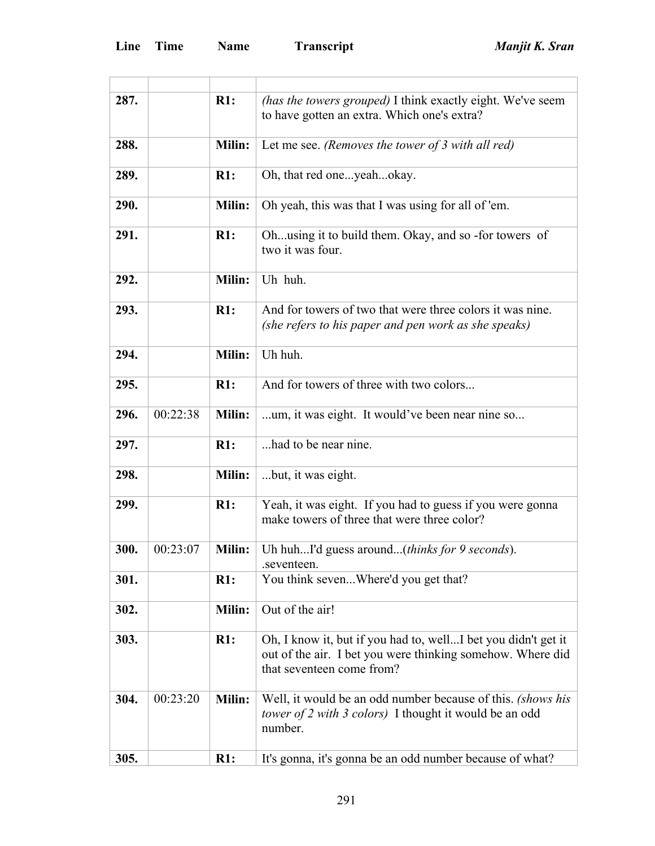| 287. |          | R1:           | (has the towers grouped) I think exactly eight. We've seem<br>to have gotten an extra. Which one's extra?                                                |
|------|----------|---------------|----------------------------------------------------------------------------------------------------------------------------------------------------------|
| 288. |          | <b>Milin:</b> | Let me see. (Removes the tower of 3 with all red)                                                                                                        |
| 289. |          | R1:           | Oh, that red oneyeahokay.                                                                                                                                |
| 290. |          | Milin:        | Oh yeah, this was that I was using for all of 'em.                                                                                                       |
| 291. |          | R1:           | Ohusing it to build them. Okay, and so -for towers of<br>two it was four.                                                                                |
| 292. |          | <b>Milin:</b> | Uh huh.                                                                                                                                                  |
| 293. |          | R1:           | And for towers of two that were three colors it was nine.<br>(she refers to his paper and pen work as she speaks)                                        |
| 294. |          | <b>Milin:</b> | Uh huh.                                                                                                                                                  |
| 295. |          | R1:           | And for towers of three with two colors                                                                                                                  |
| 296. | 00:22:38 | <b>Milin:</b> | um, it was eight. It would've been near nine so                                                                                                          |
| 297. |          | R1:           | had to be near nine.                                                                                                                                     |
| 298. |          | Milin:        | but, it was eight.                                                                                                                                       |
| 299. |          | R1:           | Yeah, it was eight. If you had to guess if you were gonna<br>make towers of three that were three color?                                                 |
| 300. | 00:23:07 |               | <b>Milin:</b> Uh huhI'd guess around( <i>thinks for 9 seconds</i> ).<br>.seventeen.                                                                      |
| 301. |          | R1:           | You think sevenWhere'd you get that?                                                                                                                     |
| 302. |          | Milin:        | Out of the air!                                                                                                                                          |
| 303. |          | R1:           | Oh, I know it, but if you had to, wellI bet you didn't get it<br>out of the air. I bet you were thinking somehow. Where did<br>that seventeen come from? |
| 304. | 00:23:20 | <b>Milin:</b> | Well, it would be an odd number because of this. (shows his<br>tower of 2 with 3 colors) I thought it would be an odd<br>number.                         |
| 305. |          | R1:           | It's gonna, it's gonna be an odd number because of what?                                                                                                 |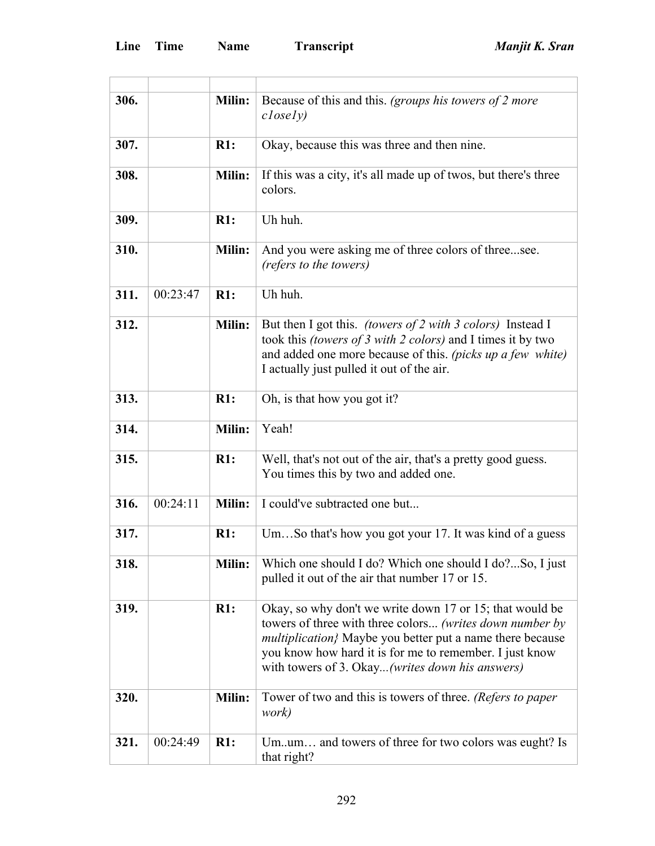| 306. |          | <b>Milin:</b> | Because of this and this. (groups his towers of 2 more<br>$\mathit{closely})$                                                                                                                                                                                                                    |
|------|----------|---------------|--------------------------------------------------------------------------------------------------------------------------------------------------------------------------------------------------------------------------------------------------------------------------------------------------|
| 307. |          | R1:           | Okay, because this was three and then nine.                                                                                                                                                                                                                                                      |
| 308. |          | Milin:        | If this was a city, it's all made up of twos, but there's three<br>colors.                                                                                                                                                                                                                       |
| 309. |          | R1:           | Uh huh.                                                                                                                                                                                                                                                                                          |
| 310. |          | Milin:        | And you were asking me of three colors of threesee.<br>(refers to the towers)                                                                                                                                                                                                                    |
| 311. | 00:23:47 | $R1$ :        | Uh huh.                                                                                                                                                                                                                                                                                          |
| 312. |          | <b>Milin:</b> | But then I got this. (towers of 2 with 3 colors) Instead I<br>took this <i>(towers of 3 with 2 colors)</i> and I times it by two<br>and added one more because of this. (picks up a few white)<br>I actually just pulled it out of the air.                                                      |
| 313. |          | R1:           | Oh, is that how you got it?                                                                                                                                                                                                                                                                      |
| 314. |          | Milin:        | Yeah!                                                                                                                                                                                                                                                                                            |
| 315. |          | R1:           | Well, that's not out of the air, that's a pretty good guess.<br>You times this by two and added one.                                                                                                                                                                                             |
| 316. | 00:24:11 | Milin:        | I could've subtracted one but                                                                                                                                                                                                                                                                    |
| 317. |          | R1:           | UmSo that's how you got your 17. It was kind of a guess                                                                                                                                                                                                                                          |
| 318. |          | Milin:        | Which one should I do? Which one should I do?So, I just<br>pulled it out of the air that number 17 or 15.                                                                                                                                                                                        |
| 319. |          | R1:           | Okay, so why don't we write down 17 or 15; that would be<br>towers of three with three colors (writes down number by<br>multiplication} Maybe you better put a name there because<br>you know how hard it is for me to remember. I just know<br>with towers of 3. Okay (writes down his answers) |
| 320. |          | <b>Milin:</b> | Tower of two and this is towers of three. (Refers to paper<br>work)                                                                                                                                                                                                                              |
| 321. | 00:24:49 | R1:           | Umum and towers of three for two colors was eught? Is<br>that right?                                                                                                                                                                                                                             |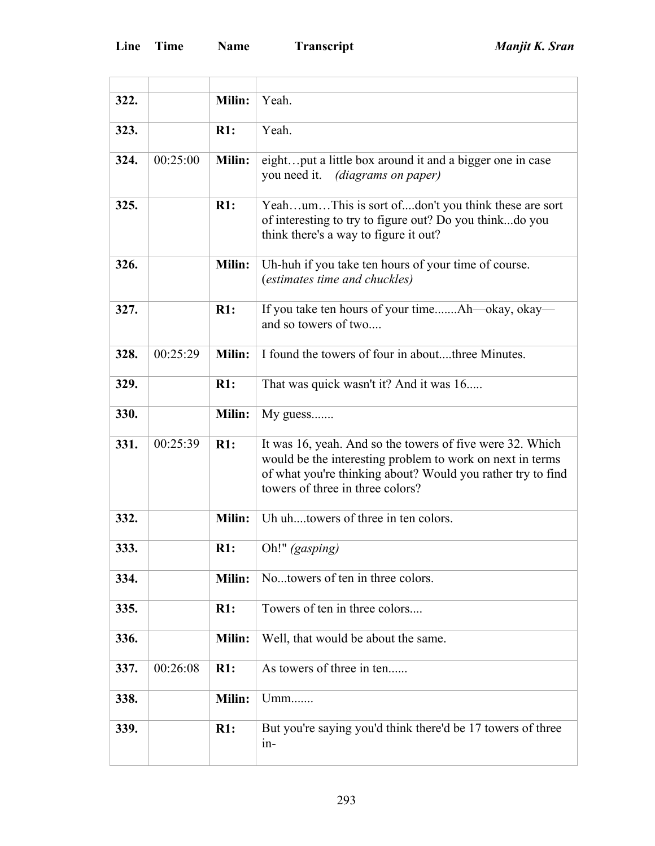| 322. |          | Milin:        | Yeah.                                                                                                                                                                                                                     |
|------|----------|---------------|---------------------------------------------------------------------------------------------------------------------------------------------------------------------------------------------------------------------------|
| 323. |          | R1:           | Yeah.                                                                                                                                                                                                                     |
| 324. | 00:25:00 | Milin:        | eightput a little box around it and a bigger one in case<br>you need it. <i>(diagrams on paper)</i>                                                                                                                       |
| 325. |          | R1:           | YeahumThis is sort ofdon't you think these are sort<br>of interesting to try to figure out? Do you thinkdo you<br>think there's a way to figure it out?                                                                   |
| 326. |          | <b>Milin:</b> | Uh-huh if you take ten hours of your time of course.<br>(estimates time and chuckles)                                                                                                                                     |
| 327. |          | R1:           | If you take ten hours of your timeAh—okay, okay—<br>and so towers of two                                                                                                                                                  |
| 328. | 00:25:29 | Milin:        | I found the towers of four in aboutthree Minutes.                                                                                                                                                                         |
| 329. |          | R1:           | That was quick wasn't it? And it was 16                                                                                                                                                                                   |
| 330. |          | Milin:        | $My$ guess                                                                                                                                                                                                                |
| 331. | 00:25:39 | R1:           | It was 16, yeah. And so the towers of five were 32. Which<br>would be the interesting problem to work on next in terms<br>of what you're thinking about? Would you rather try to find<br>towers of three in three colors? |
| 332. |          | Milin:        | Uh uhtowers of three in ten colors.                                                                                                                                                                                       |
| 333. |          | R1:           | Oh!" (gasping)                                                                                                                                                                                                            |
| 334. |          | Milin:        | Notowers of ten in three colors.                                                                                                                                                                                          |
| 335. |          | R1:           | Towers of ten in three colors                                                                                                                                                                                             |
| 336. |          | Milin:        | Well, that would be about the same.                                                                                                                                                                                       |
| 337. | 00:26:08 | R1:           | As towers of three in ten                                                                                                                                                                                                 |
| 338. |          | Milin:        | Umm                                                                                                                                                                                                                       |
| 339. |          | R1:           | But you're saying you'd think there'd be 17 towers of three<br>$in-$                                                                                                                                                      |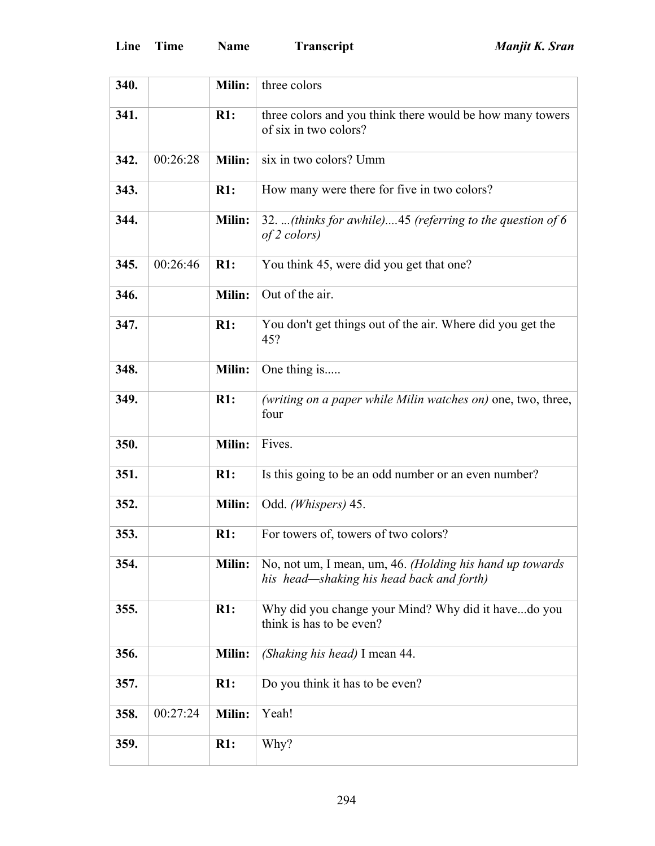| 340. |          | Milin:        | three colors                                                                                          |
|------|----------|---------------|-------------------------------------------------------------------------------------------------------|
| 341. |          | R1:           | three colors and you think there would be how many towers<br>of six in two colors?                    |
| 342. | 00:26:28 | Milin:        | six in two colors? Umm                                                                                |
| 343. |          | R1:           | How many were there for five in two colors?                                                           |
| 344. |          | Milin:        | 32. (thinks for awhile)45 (referring to the question of 6<br>of 2 colors)                             |
| 345. | 00:26:46 | R1:           | You think 45, were did you get that one?                                                              |
| 346. |          | Milin:        | Out of the air.                                                                                       |
| 347. |          | R1:           | You don't get things out of the air. Where did you get the<br>45?                                     |
| 348. |          | Milin:        | One thing is                                                                                          |
| 349. |          | R1:           | (writing on a paper while Milin watches on) one, two, three,<br>four                                  |
| 350. |          | Milin:        | Fives.                                                                                                |
| 351. |          | R1:           | Is this going to be an odd number or an even number?                                                  |
| 352. |          | Milin:        | Odd. (Whispers) 45.                                                                                   |
| 353. |          | R1:           | For towers of, towers of two colors?                                                                  |
| 354. |          | Milin:        | No, not um, I mean, um, 46. (Holding his hand up towards<br>his head—shaking his head back and forth) |
| 355. |          | R1:           | Why did you change your Mind? Why did it havedo you<br>think is has to be even?                       |
| 356. |          | Milin:        | (Shaking his head) I mean 44.                                                                         |
| 357. |          | R1:           | Do you think it has to be even?                                                                       |
| 358. | 00:27:24 | <b>Milin:</b> | Yeah!                                                                                                 |
| 359. |          | R1:           | Why?                                                                                                  |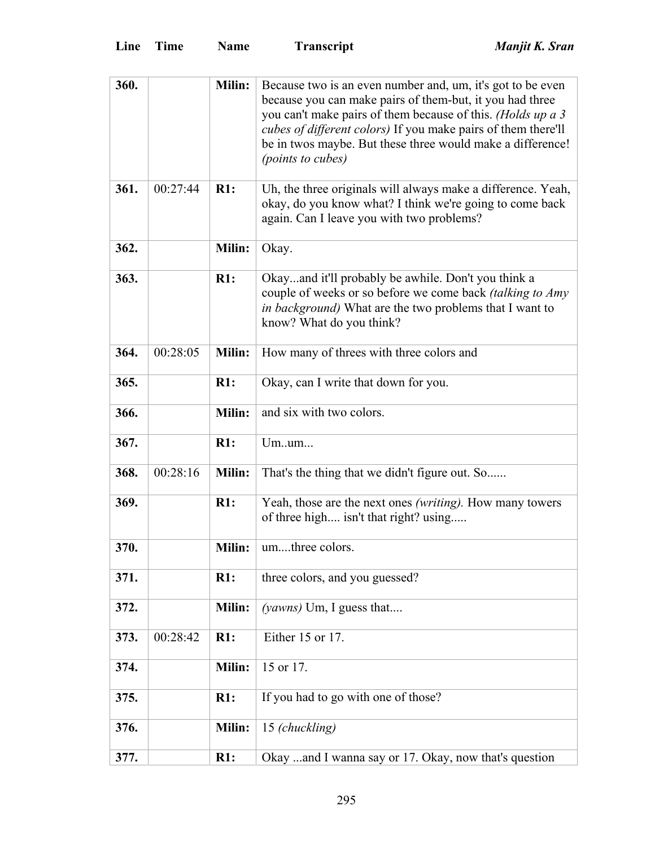| 360. |          | Milin:        | Because two is an even number and, um, it's got to be even<br>because you can make pairs of them-but, it you had three<br>you can't make pairs of them because of this. (Holds up a 3<br>cubes of different colors) If you make pairs of them there'll<br>be in twos maybe. But these three would make a difference!<br>(points to cubes) |
|------|----------|---------------|-------------------------------------------------------------------------------------------------------------------------------------------------------------------------------------------------------------------------------------------------------------------------------------------------------------------------------------------|
| 361. | 00:27:44 | $R1$ :        | Uh, the three originals will always make a difference. Yeah,<br>okay, do you know what? I think we're going to come back<br>again. Can I leave you with two problems?                                                                                                                                                                     |
| 362. |          | Milin:        | Okay.                                                                                                                                                                                                                                                                                                                                     |
| 363. |          | R1:           | Okayand it'll probably be awhile. Don't you think a<br>couple of weeks or so before we come back <i>(talking to Amy</i><br>in background) What are the two problems that I want to<br>know? What do you think?                                                                                                                            |
| 364. | 00:28:05 | Milin:        | How many of threes with three colors and                                                                                                                                                                                                                                                                                                  |
| 365. |          | R1:           | Okay, can I write that down for you.                                                                                                                                                                                                                                                                                                      |
| 366. |          | Milin:        | and six with two colors.                                                                                                                                                                                                                                                                                                                  |
| 367. |          | R1:           | Umum                                                                                                                                                                                                                                                                                                                                      |
| 368. | 00:28:16 | <b>Milin:</b> | That's the thing that we didn't figure out. So                                                                                                                                                                                                                                                                                            |
| 369. |          | R1:           | Yeah, those are the next ones <i>(writing)</i> . How many towers<br>of three high isn't that right? using                                                                                                                                                                                                                                 |
| 370. |          | Milin:        | umthree colors.                                                                                                                                                                                                                                                                                                                           |
| 371. |          | R1:           | three colors, and you guessed?                                                                                                                                                                                                                                                                                                            |
| 372. |          | Milin:        | ( <i>yawns</i> ) Um, I guess that                                                                                                                                                                                                                                                                                                         |
| 373. | 00:28:42 | R1:           | Either 15 or 17.                                                                                                                                                                                                                                                                                                                          |
| 374. |          | Milin:        | 15 or 17.                                                                                                                                                                                                                                                                                                                                 |
| 375. |          | R1:           | If you had to go with one of those?                                                                                                                                                                                                                                                                                                       |
| 376. |          | Milin:        | 15 (chuckling)                                                                                                                                                                                                                                                                                                                            |
| 377. |          | R1:           | Okay  and I wanna say or 17. Okay, now that's question                                                                                                                                                                                                                                                                                    |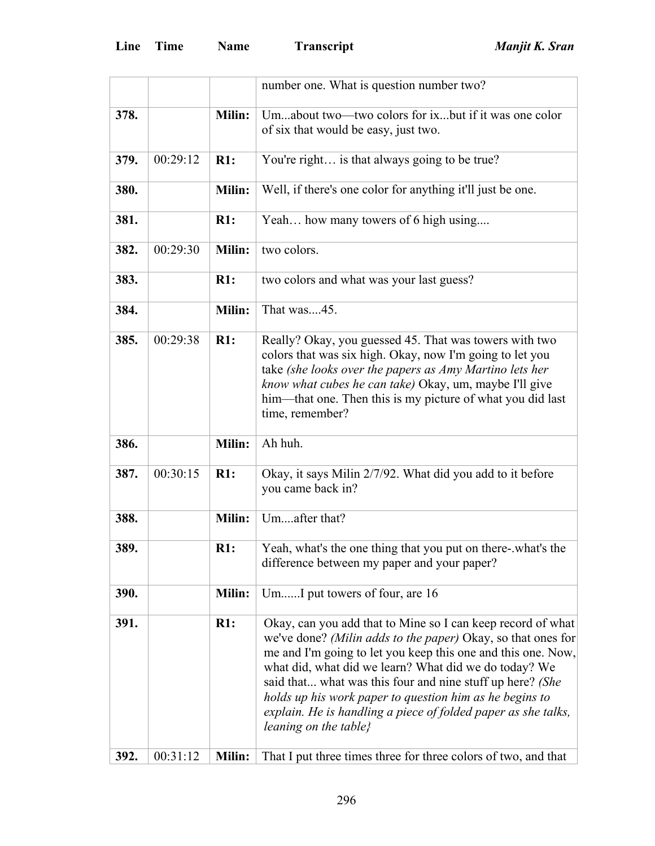|      |          |        | number one. What is question number two?                                                                                                                                                                                                                                                                                                                                                                                                                               |
|------|----------|--------|------------------------------------------------------------------------------------------------------------------------------------------------------------------------------------------------------------------------------------------------------------------------------------------------------------------------------------------------------------------------------------------------------------------------------------------------------------------------|
| 378. |          | Milin: | Umabout two—two colors for ixbut if it was one color<br>of six that would be easy, just two.                                                                                                                                                                                                                                                                                                                                                                           |
| 379. | 00:29:12 | R1:    | You're right is that always going to be true?                                                                                                                                                                                                                                                                                                                                                                                                                          |
| 380. |          | Milin: | Well, if there's one color for anything it'll just be one.                                                                                                                                                                                                                                                                                                                                                                                                             |
| 381. |          | R1:    | Yeah how many towers of 6 high using                                                                                                                                                                                                                                                                                                                                                                                                                                   |
| 382. | 00:29:30 | Milin: | two colors.                                                                                                                                                                                                                                                                                                                                                                                                                                                            |
| 383. |          | R1:    | two colors and what was your last guess?                                                                                                                                                                                                                                                                                                                                                                                                                               |
| 384. |          | Milin: | That was45.                                                                                                                                                                                                                                                                                                                                                                                                                                                            |
| 385. | 00:29:38 | R1:    | Really? Okay, you guessed 45. That was towers with two<br>colors that was six high. Okay, now I'm going to let you<br>take (she looks over the papers as Amy Martino lets her<br>know what cubes he can take) Okay, um, maybe I'll give<br>him—that one. Then this is my picture of what you did last<br>time, remember?                                                                                                                                               |
| 386. |          | Milin: | Ah huh.                                                                                                                                                                                                                                                                                                                                                                                                                                                                |
| 387. | 00:30:15 | R1:    | Okay, it says Milin 2/7/92. What did you add to it before<br>you came back in?                                                                                                                                                                                                                                                                                                                                                                                         |
| 388. |          | Milin: | Umafter that?                                                                                                                                                                                                                                                                                                                                                                                                                                                          |
| 389. |          | R1:    | Yeah, what's the one thing that you put on there-what's the<br>difference between my paper and your paper?                                                                                                                                                                                                                                                                                                                                                             |
| 390. |          | Milin: | UmI put towers of four, are 16                                                                                                                                                                                                                                                                                                                                                                                                                                         |
| 391. |          | R1:    | Okay, can you add that to Mine so I can keep record of what<br>we've done? (Milin adds to the paper) Okay, so that ones for<br>me and I'm going to let you keep this one and this one. Now,<br>what did, what did we learn? What did we do today? We<br>said that what was this four and nine stuff up here? (She<br>holds up his work paper to question him as he begins to<br>explain. He is handling a piece of folded paper as she talks,<br>leaning on the table} |
| 392. | 00:31:12 | Milin: | That I put three times three for three colors of two, and that                                                                                                                                                                                                                                                                                                                                                                                                         |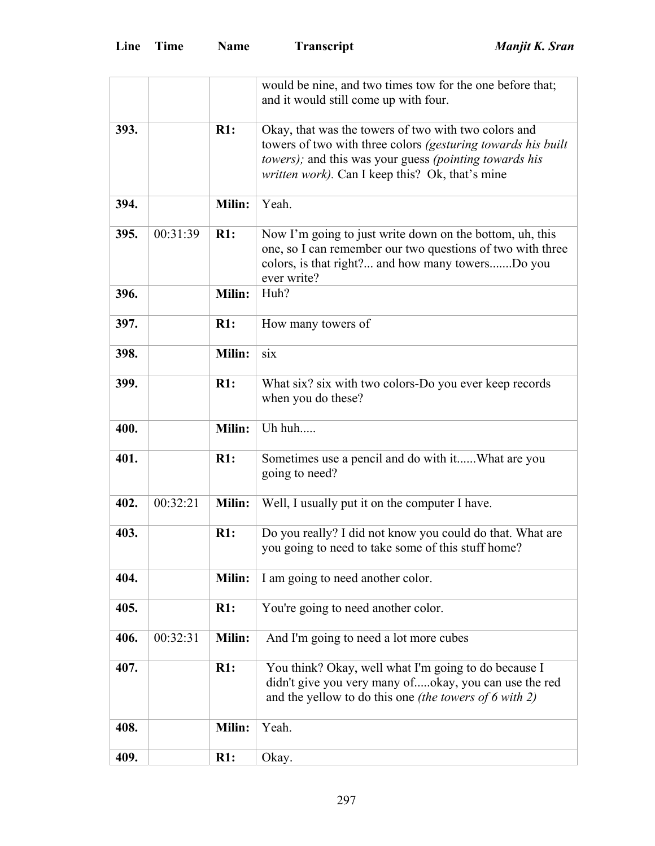|      |          |               | would be nine, and two times tow for the one before that;<br>and it would still come up with four.                                                                                                                                        |
|------|----------|---------------|-------------------------------------------------------------------------------------------------------------------------------------------------------------------------------------------------------------------------------------------|
| 393. |          | R1:           | Okay, that was the towers of two with two colors and<br>towers of two with three colors (gesturing towards his built<br>towers); and this was your guess (pointing towards his<br><i>written work</i> ). Can I keep this? Ok, that's mine |
| 394. |          | Milin:        | Yeah.                                                                                                                                                                                                                                     |
| 395. | 00:31:39 | R1:           | Now I'm going to just write down on the bottom, uh, this<br>one, so I can remember our two questions of two with three<br>colors, is that right? and how many towersDo you<br>ever write?                                                 |
| 396. |          | Milin:        | Huh?                                                                                                                                                                                                                                      |
| 397. |          | R1:           | How many towers of                                                                                                                                                                                                                        |
| 398. |          | Milin:        | six                                                                                                                                                                                                                                       |
| 399. |          | R1:           | What six? six with two colors-Do you ever keep records<br>when you do these?                                                                                                                                                              |
| 400. |          | Milin:        | Uh huh                                                                                                                                                                                                                                    |
| 401. |          | R1:           | Sometimes use a pencil and do with itWhat are you<br>going to need?                                                                                                                                                                       |
| 402. | 00:32:21 | Milin:        | Well, I usually put it on the computer I have.                                                                                                                                                                                            |
| 403. |          | R1:           | Do you really? I did not know you could do that. What are<br>you going to need to take some of this stuff home?                                                                                                                           |
| 404. |          | <b>Milin:</b> | I am going to need another color.                                                                                                                                                                                                         |
| 405. |          | R1:           | You're going to need another color.                                                                                                                                                                                                       |
| 406. | 00:32:31 | Milin:        | And I'm going to need a lot more cubes                                                                                                                                                                                                    |
| 407. |          | R1:           | You think? Okay, well what I'm going to do because I<br>didn't give you very many ofokay, you can use the red<br>and the yellow to do this one (the towers of $6$ with 2)                                                                 |
| 408. |          | Milin:        | Yeah.                                                                                                                                                                                                                                     |
| 409. |          | R1:           | Okay.                                                                                                                                                                                                                                     |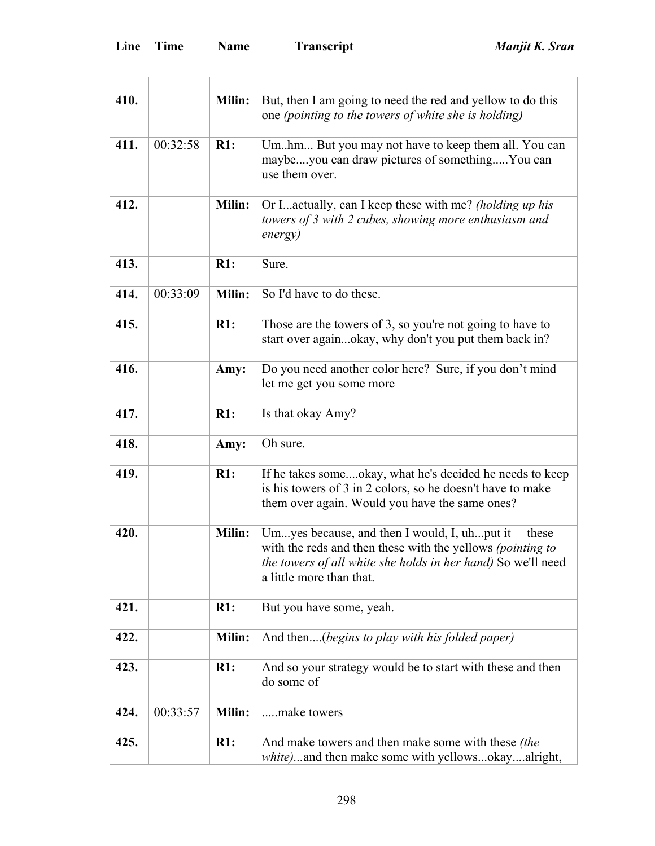$\overline{a}$ 

÷,

| 410. |          | Milin:        | But, then I am going to need the red and yellow to do this<br>one (pointing to the towers of white she is holding)                                                                                                    |
|------|----------|---------------|-----------------------------------------------------------------------------------------------------------------------------------------------------------------------------------------------------------------------|
| 411. | 00:32:58 | R1:           | Umhm But you may not have to keep them all. You can<br>maybeyou can draw pictures of somethingYou can<br>use them over.                                                                                               |
| 412. |          | Milin:        | Or Iactually, can I keep these with me? (holding up his<br>towers of 3 with 2 cubes, showing more enthusiasm and<br>energy)                                                                                           |
| 413. |          | R1:           | Sure.                                                                                                                                                                                                                 |
| 414. | 00:33:09 | Milin:        | So I'd have to do these.                                                                                                                                                                                              |
| 415. |          | R1:           | Those are the towers of 3, so you're not going to have to<br>start over againokay, why don't you put them back in?                                                                                                    |
| 416. |          | Amy:          | Do you need another color here? Sure, if you don't mind<br>let me get you some more                                                                                                                                   |
| 417. |          | R1:           | Is that okay Amy?                                                                                                                                                                                                     |
| 418. |          | Amy:          | Oh sure.                                                                                                                                                                                                              |
| 419. |          | R1:           | If he takes someokay, what he's decided he needs to keep<br>is his towers of 3 in 2 colors, so he doesn't have to make<br>them over again. Would you have the same ones?                                              |
| 420. |          | <b>Milin:</b> | Umyes because, and then I would, I, uhput it—these<br>with the reds and then these with the yellows <i>(pointing to</i> )<br>the towers of all white she holds in her hand) So we'll need<br>a little more than that. |
| 421. |          | R1:           | But you have some, yeah.                                                                                                                                                                                              |
| 422. |          | Milin:        | And then(begins to play with his folded paper)                                                                                                                                                                        |
| 423. |          | R1:           | And so your strategy would be to start with these and then<br>do some of                                                                                                                                              |
| 424. | 00:33:57 | <b>Milin:</b> | make towers                                                                                                                                                                                                           |
| 425. |          | R1:           | And make towers and then make some with these <i>(the</i> )<br>white)and then make some with yellowsokayalright,                                                                                                      |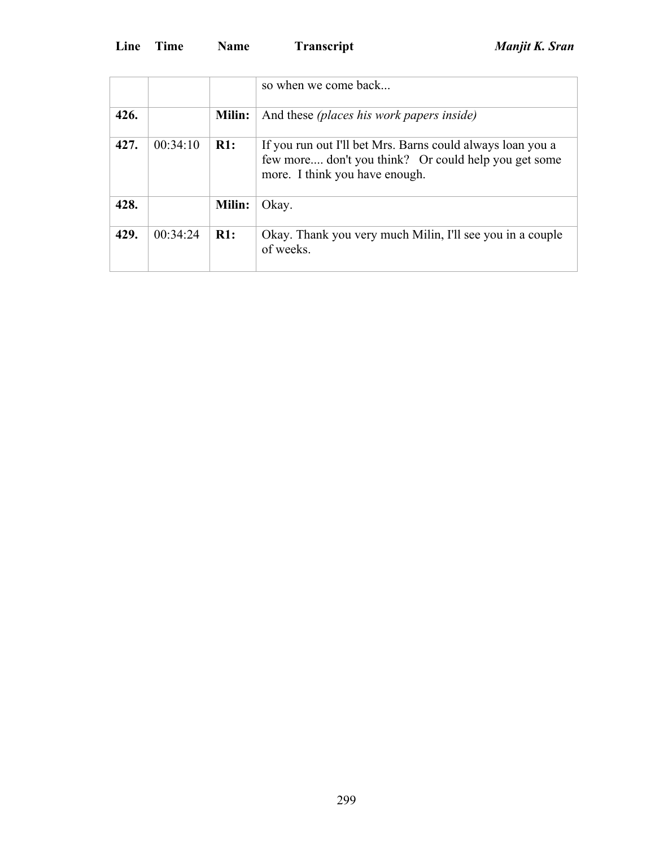|      |          |        | so when we come back                                                                                                                                 |
|------|----------|--------|------------------------------------------------------------------------------------------------------------------------------------------------------|
| 426. |          | Milin: | And these <i>(places his work papers inside)</i>                                                                                                     |
| 427. | 00:34:10 | R1:    | If you run out I'll bet Mrs. Barns could always loan you a<br>few more don't you think? Or could help you get some<br>more. I think you have enough. |
| 428. |          | Milin: | Okay.                                                                                                                                                |
| 429. | 00:34:24 | R1:    | Okay. Thank you very much Milin, I'll see you in a couple<br>of weeks.                                                                               |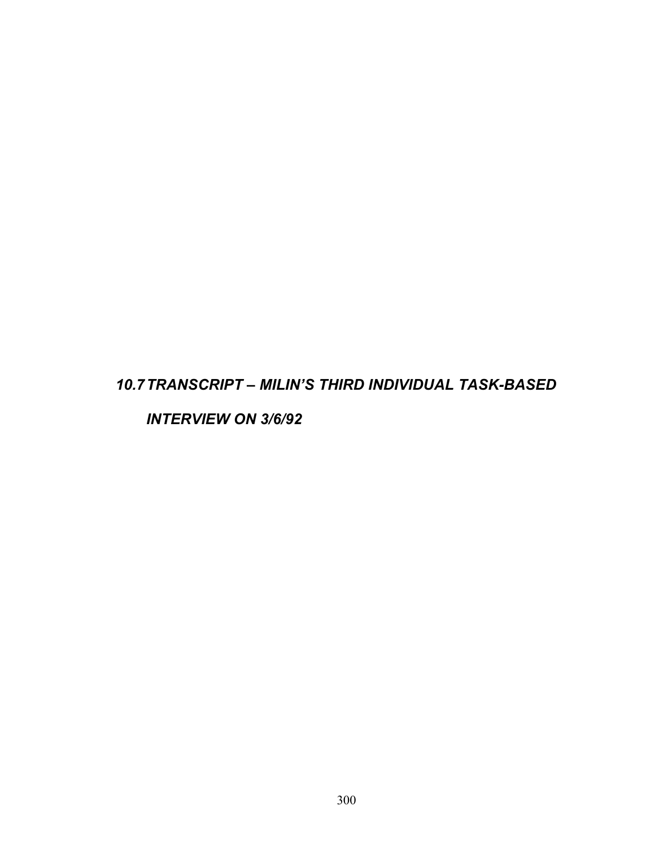## *10.7 TRANSCRIPT – MILIN'S THIRD INDIVIDUAL TASK-BASED*

*INTERVIEW ON 3/6/92*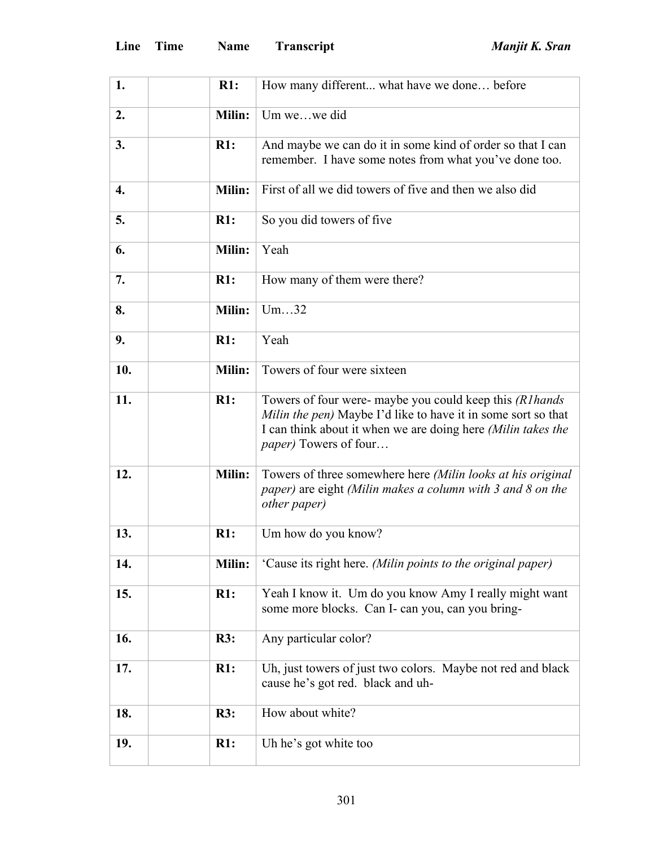| 1.  | R1:           | How many different what have we done before                                                                                                                                                                                |
|-----|---------------|----------------------------------------------------------------------------------------------------------------------------------------------------------------------------------------------------------------------------|
| 2.  | Milin:        | Um wewe did                                                                                                                                                                                                                |
| 3.  | R1:           | And maybe we can do it in some kind of order so that I can<br>remember. I have some notes from what you've done too.                                                                                                       |
| 4.  | Milin:        | First of all we did towers of five and then we also did                                                                                                                                                                    |
| 5.  | R1:           | So you did towers of five                                                                                                                                                                                                  |
| 6.  | <b>Milin:</b> | Yeah                                                                                                                                                                                                                       |
| 7.  | R1:           | How many of them were there?                                                                                                                                                                                               |
| 8.  | <b>Milin:</b> | Um32                                                                                                                                                                                                                       |
| 9.  | R1:           | Yeah                                                                                                                                                                                                                       |
| 10. | Milin:        | Towers of four were sixteen                                                                                                                                                                                                |
| 11. | R1:           | Towers of four were- maybe you could keep this (R1hands)<br>Milin the pen) Maybe I'd like to have it in some sort so that<br>I can think about it when we are doing here (Milin takes the<br><i>paper</i> ) Towers of four |
| 12. | Milin:        | Towers of three somewhere here (Milin looks at his original<br>paper) are eight (Milin makes a column with 3 and 8 on the<br><i>other paper</i> )                                                                          |
| 13. | R1:           | Um how do you know?                                                                                                                                                                                                        |
| 14. | <b>Milin:</b> | 'Cause its right here. (Milin points to the original paper)                                                                                                                                                                |
| 15. | R1:           | Yeah I know it. Um do you know Amy I really might want<br>some more blocks. Can I- can you, can you bring-                                                                                                                 |
| 16. | R3:           | Any particular color?                                                                                                                                                                                                      |
| 17. | R1:           | Uh, just towers of just two colors. Maybe not red and black<br>cause he's got red. black and uh-                                                                                                                           |
| 18. | R3:           | How about white?                                                                                                                                                                                                           |
| 19. | R1:           | Uh he's got white too                                                                                                                                                                                                      |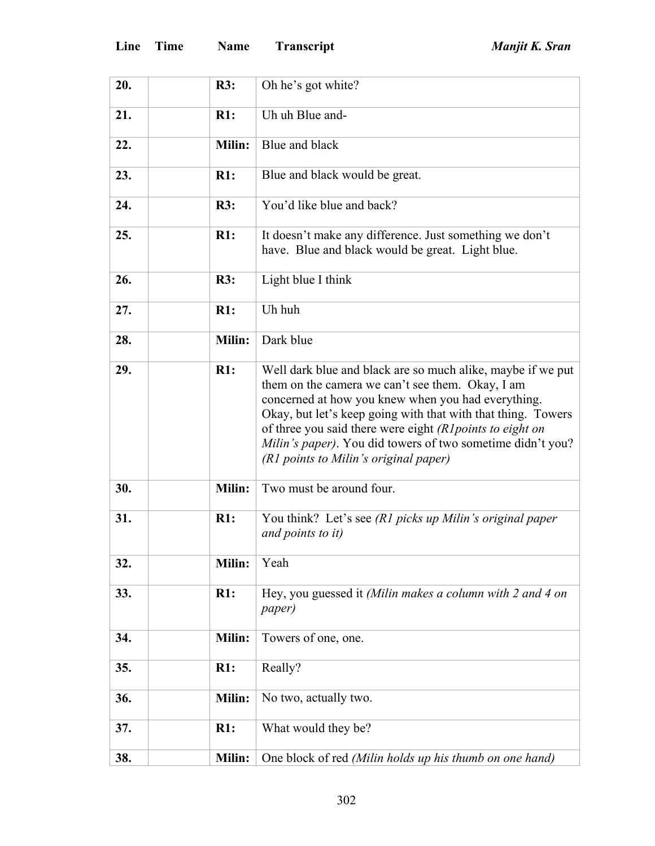| 20. | R3:           | Oh he's got white?                                                                                                                                                                                                                                                                                                                                                                                        |
|-----|---------------|-----------------------------------------------------------------------------------------------------------------------------------------------------------------------------------------------------------------------------------------------------------------------------------------------------------------------------------------------------------------------------------------------------------|
| 21. | R1:           | Uh uh Blue and-                                                                                                                                                                                                                                                                                                                                                                                           |
| 22. | Milin:        | Blue and black                                                                                                                                                                                                                                                                                                                                                                                            |
| 23. | R1:           | Blue and black would be great.                                                                                                                                                                                                                                                                                                                                                                            |
| 24. | R3:           | You'd like blue and back?                                                                                                                                                                                                                                                                                                                                                                                 |
| 25. | R1:           | It doesn't make any difference. Just something we don't<br>have. Blue and black would be great. Light blue.                                                                                                                                                                                                                                                                                               |
| 26. | R3:           | Light blue I think                                                                                                                                                                                                                                                                                                                                                                                        |
| 27. | R1:           | Uh huh                                                                                                                                                                                                                                                                                                                                                                                                    |
| 28. | Milin:        | Dark blue                                                                                                                                                                                                                                                                                                                                                                                                 |
| 29. | R1:           | Well dark blue and black are so much alike, maybe if we put<br>them on the camera we can't see them. Okay, I am<br>concerned at how you knew when you had everything.<br>Okay, but let's keep going with that with that thing. Towers<br>of three you said there were eight (R1 points to eight on<br>Milin's paper). You did towers of two sometime didn't you?<br>(R1 points to Milin's original paper) |
| 30. | Milin:        | Two must be around four.                                                                                                                                                                                                                                                                                                                                                                                  |
| 31. | R1:           | You think? Let's see (R1 picks up Milin's original paper<br>and points to it)                                                                                                                                                                                                                                                                                                                             |
| 32. | <b>Milin:</b> | Yeah                                                                                                                                                                                                                                                                                                                                                                                                      |
| 33. | R1:           | Hey, you guessed it (Milin makes a column with 2 and 4 on<br><i>paper</i> )                                                                                                                                                                                                                                                                                                                               |
| 34. | <b>Milin:</b> | Towers of one, one.                                                                                                                                                                                                                                                                                                                                                                                       |
| 35. | R1:           | Really?                                                                                                                                                                                                                                                                                                                                                                                                   |
| 36. | Milin:        | No two, actually two.                                                                                                                                                                                                                                                                                                                                                                                     |
| 37. | R1:           | What would they be?                                                                                                                                                                                                                                                                                                                                                                                       |
| 38. | Milin:        | One block of red (Milin holds up his thumb on one hand)                                                                                                                                                                                                                                                                                                                                                   |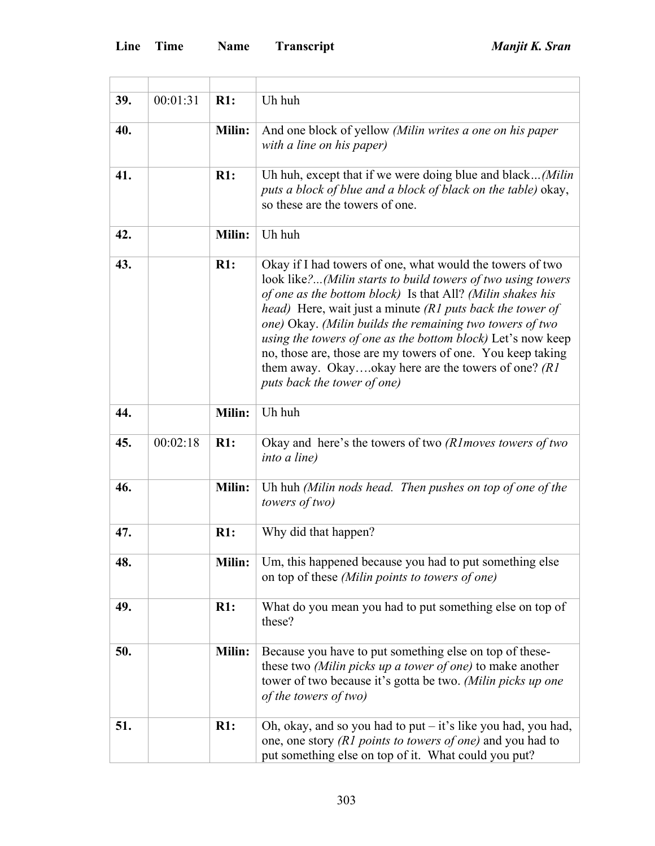H

 $\overline{\phantom{a}}$ 

| 39. | 00:01:31 | R1:           | Uh huh                                                                                                                                                                                                                                                                                                                                                                                                                                                                                                                                |
|-----|----------|---------------|---------------------------------------------------------------------------------------------------------------------------------------------------------------------------------------------------------------------------------------------------------------------------------------------------------------------------------------------------------------------------------------------------------------------------------------------------------------------------------------------------------------------------------------|
| 40. |          | Milin:        | And one block of yellow (Milin writes a one on his paper<br>with a line on his paper)                                                                                                                                                                                                                                                                                                                                                                                                                                                 |
| 41. |          | R1:           | Uh huh, except that if we were doing blue and black(Milin<br>puts a block of blue and a block of black on the table) okay,<br>so these are the towers of one.                                                                                                                                                                                                                                                                                                                                                                         |
| 42. |          | <b>Milin:</b> | Uh huh                                                                                                                                                                                                                                                                                                                                                                                                                                                                                                                                |
| 43. |          | R1:           | Okay if I had towers of one, what would the towers of two<br>look like?(Milin starts to build towers of two using towers<br>of one as the bottom block) Is that All? (Milin shakes his<br>head) Here, wait just a minute (R1 puts back the tower of<br>one) Okay. (Milin builds the remaining two towers of two<br>using the towers of one as the bottom block) Let's now keep<br>no, those are, those are my towers of one. You keep taking<br>them away. Okayokay here are the towers of one? $(RI)$<br>puts back the tower of one) |
| 44. |          | Milin:        | Uh huh                                                                                                                                                                                                                                                                                                                                                                                                                                                                                                                                |
| 45. | 00:02:18 | R1:           | Okay and here's the towers of two (R1moves towers of two<br>into a line)                                                                                                                                                                                                                                                                                                                                                                                                                                                              |
| 46. |          | Milin:        | Uh huh (Milin nods head. Then pushes on top of one of the<br>towers of two)                                                                                                                                                                                                                                                                                                                                                                                                                                                           |
| 47. |          | R1:           | Why did that happen?                                                                                                                                                                                                                                                                                                                                                                                                                                                                                                                  |
| 48. |          | <b>Milin:</b> | Um, this happened because you had to put something else<br>on top of these (Milin points to towers of one)                                                                                                                                                                                                                                                                                                                                                                                                                            |
| 49. |          | R1:           | What do you mean you had to put something else on top of<br>these?                                                                                                                                                                                                                                                                                                                                                                                                                                                                    |
| 50. |          | Milin:        | Because you have to put something else on top of these-<br>these two (Milin picks up a tower of one) to make another<br>tower of two because it's gotta be two. (Milin picks up one<br>of the towers of two)                                                                                                                                                                                                                                                                                                                          |
| 51. |          | R1:           | Oh, okay, and so you had to put $-$ it's like you had, you had,<br>one, one story (R1 points to towers of one) and you had to<br>put something else on top of it. What could you put?                                                                                                                                                                                                                                                                                                                                                 |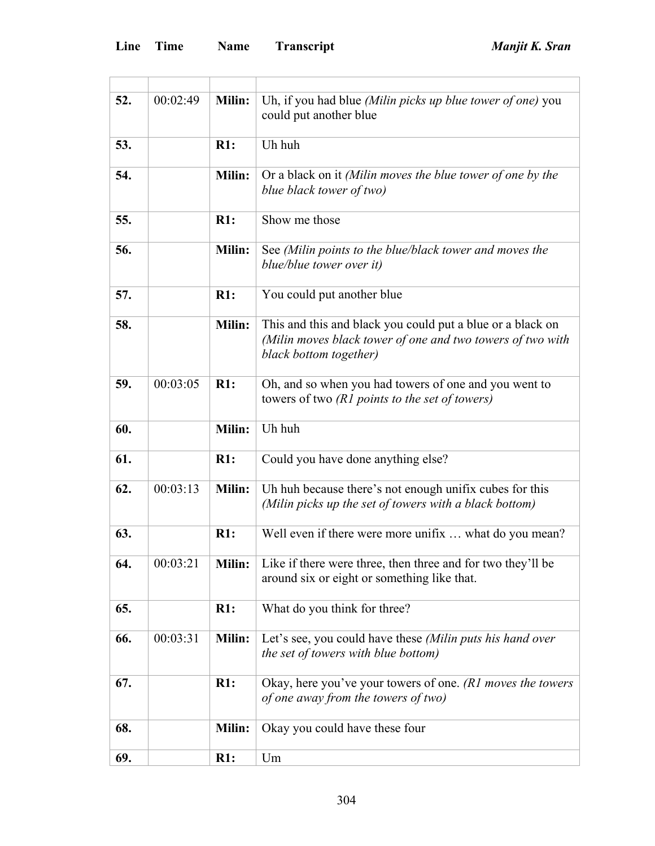| 52. | 00:02:49 | <b>Milin:</b> | Uh, if you had blue (Milin picks up blue tower of one) you<br>could put another blue                                                               |
|-----|----------|---------------|----------------------------------------------------------------------------------------------------------------------------------------------------|
| 53. |          | R1:           | Uh huh                                                                                                                                             |
| 54. |          | <b>Milin:</b> | Or a black on it (Milin moves the blue tower of one by the<br>blue black tower of two)                                                             |
| 55. |          | R1:           | Show me those                                                                                                                                      |
| 56. |          | <b>Milin:</b> | See (Milin points to the blue/black tower and moves the<br>blue/blue tower over it)                                                                |
| 57. |          | R1:           | You could put another blue                                                                                                                         |
| 58. |          | Milin:        | This and this and black you could put a blue or a black on<br>(Milin moves black tower of one and two towers of two with<br>black bottom together) |
| 59. | 00:03:05 | R1:           | Oh, and so when you had towers of one and you went to<br>towers of two (R1 points to the set of towers)                                            |
| 60. |          | Milin:        | Uh huh                                                                                                                                             |
| 61. |          | R1:           | Could you have done anything else?                                                                                                                 |
| 62. | 00:03:13 | <b>Milin:</b> | Uh huh because there's not enough unifix cubes for this<br>(Milin picks up the set of towers with a black bottom)                                  |
| 63. |          | R1:           | Well even if there were more unifix  what do you mean?                                                                                             |
| 64. | 00:03:21 | <b>Milin:</b> | Like if there were three, then three and for two they'll be<br>around six or eight or something like that.                                         |
| 65. |          | R1:           | What do you think for three?                                                                                                                       |
| 66. | 00:03:31 | <b>Milin:</b> | Let's see, you could have these (Milin puts his hand over<br>the set of towers with blue bottom)                                                   |
| 67. |          | R1:           | Okay, here you've your towers of one. (R1 moves the towers<br>of one away from the towers of two)                                                  |
| 68. |          | Milin:        | Okay you could have these four                                                                                                                     |
| 69. |          | R1:           | Um                                                                                                                                                 |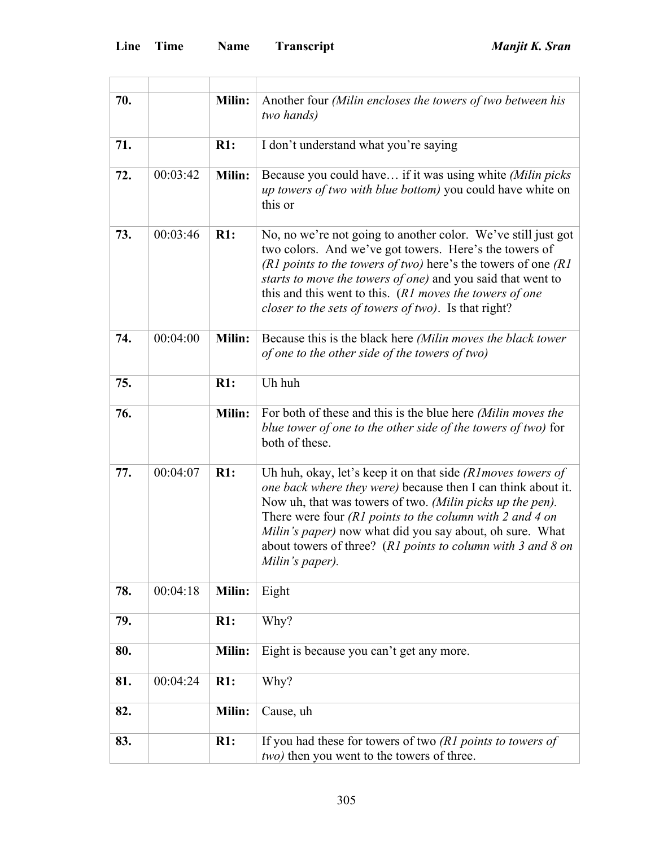| 70. |          | <b>Milin:</b> | Another four (Milin encloses the towers of two between his<br>two hands)                                                                                                                                                                                                                                                                                                                                                                     |
|-----|----------|---------------|----------------------------------------------------------------------------------------------------------------------------------------------------------------------------------------------------------------------------------------------------------------------------------------------------------------------------------------------------------------------------------------------------------------------------------------------|
| 71. |          | R1:           | I don't understand what you're saying                                                                                                                                                                                                                                                                                                                                                                                                        |
| 72. | 00:03:42 | <b>Milin:</b> | Because you could have if it was using white (Milin picks<br><i>up towers of two with blue bottom</i> ) you could have white on<br>this or                                                                                                                                                                                                                                                                                                   |
| 73. | 00:03:46 | R1:           | No, no we're not going to another color. We've still just got<br>two colors. And we've got towers. Here's the towers of<br>(R1 points to the towers of two) here's the towers of one $(R1)$<br>starts to move the towers of one) and you said that went to<br>this and this went to this. (R1 moves the towers of one<br>closer to the sets of towers of two). Is that right?                                                                |
| 74. | 00:04:00 | <b>Milin:</b> | Because this is the black here (Milin moves the black tower<br>of one to the other side of the towers of two)                                                                                                                                                                                                                                                                                                                                |
| 75. |          | R1:           | Uh huh                                                                                                                                                                                                                                                                                                                                                                                                                                       |
| 76. |          | Milin:        | For both of these and this is the blue here (Milin moves the<br>blue tower of one to the other side of the towers of two) for<br>both of these.                                                                                                                                                                                                                                                                                              |
| 77. | 00:04:07 | R1:           | Uh huh, okay, let's keep it on that side $(R \text{ } I \text{ } moves \text{ } towers \text{ } of$<br>one back where they were) because then I can think about it.<br>Now uh, that was towers of two. (Milin picks up the pen).<br>There were four $(R1$ points to the column with 2 and 4 on<br>Milin's paper) now what did you say about, oh sure. What<br>about towers of three? (R1 points to column with 3 and 8 on<br>Milin's paper). |
| 78. | 00:04:18 | Milin:        | Eight                                                                                                                                                                                                                                                                                                                                                                                                                                        |
| 79. |          | R1:           | Why?                                                                                                                                                                                                                                                                                                                                                                                                                                         |
| 80. |          | Milin:        | Eight is because you can't get any more.                                                                                                                                                                                                                                                                                                                                                                                                     |
| 81. | 00:04:24 | R1:           | Why?                                                                                                                                                                                                                                                                                                                                                                                                                                         |
| 82. |          | Milin:        | Cause, uh                                                                                                                                                                                                                                                                                                                                                                                                                                    |
| 83. |          | R1:           | If you had these for towers of two $(R1$ points to towers of<br><i>two</i> ) then you went to the towers of three.                                                                                                                                                                                                                                                                                                                           |

<u> 1980 - Johann Barbara, martxa alemaniar a</u>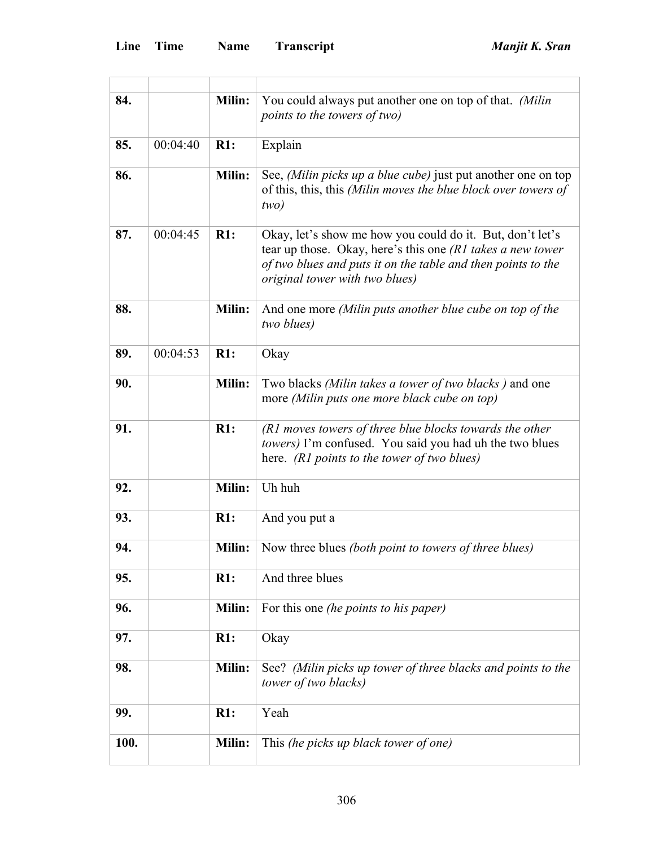| 84.  |          | <b>Milin:</b> | You could always put another one on top of that. (Milin<br>points to the towers of two)                                                                                                                                   |
|------|----------|---------------|---------------------------------------------------------------------------------------------------------------------------------------------------------------------------------------------------------------------------|
| 85.  | 00:04:40 | R1:           | Explain                                                                                                                                                                                                                   |
| 86.  |          | Milin:        | See, (Milin picks up a blue cube) just put another one on top<br>of this, this, this (Milin moves the blue block over towers of<br>two)                                                                                   |
| 87.  | 00:04:45 | R1:           | Okay, let's show me how you could do it. But, don't let's<br>tear up those. Okay, here's this one (R1 takes a new tower<br>of two blues and puts it on the table and then points to the<br>original tower with two blues) |
| 88.  |          | Milin:        | And one more (Milin puts another blue cube on top of the<br>two blues)                                                                                                                                                    |
| 89.  | 00:04:53 | R1:           | Okay                                                                                                                                                                                                                      |
| 90.  |          | Milin:        | Two blacks (Milin takes a tower of two blacks) and one<br>more (Milin puts one more black cube on top)                                                                                                                    |
| 91.  |          | R1:           | (R1 moves towers of three blue blocks towards the other<br>towers) I'm confused. You said you had uh the two blues<br>here. (R1 points to the tower of two blues)                                                         |
| 92.  |          | <b>Milin:</b> | Uh huh                                                                                                                                                                                                                    |
| 93.  |          | R1:           | And you put a                                                                                                                                                                                                             |
| 94.  |          | <b>Milin:</b> | Now three blues (both point to towers of three blues)                                                                                                                                                                     |
| 95.  |          | R1:           | And three blues                                                                                                                                                                                                           |
| 96.  |          | Milin:        | For this one <i>(he points to his paper)</i>                                                                                                                                                                              |
| 97.  |          | R1:           | Okay                                                                                                                                                                                                                      |
| 98.  |          | Milin:        | See? (Milin picks up tower of three blacks and points to the<br>tower of two blacks)                                                                                                                                      |
| 99.  |          | R1:           | Yeah                                                                                                                                                                                                                      |
| 100. |          | <b>Milin:</b> | This (he picks up black tower of one)                                                                                                                                                                                     |
|      |          |               |                                                                                                                                                                                                                           |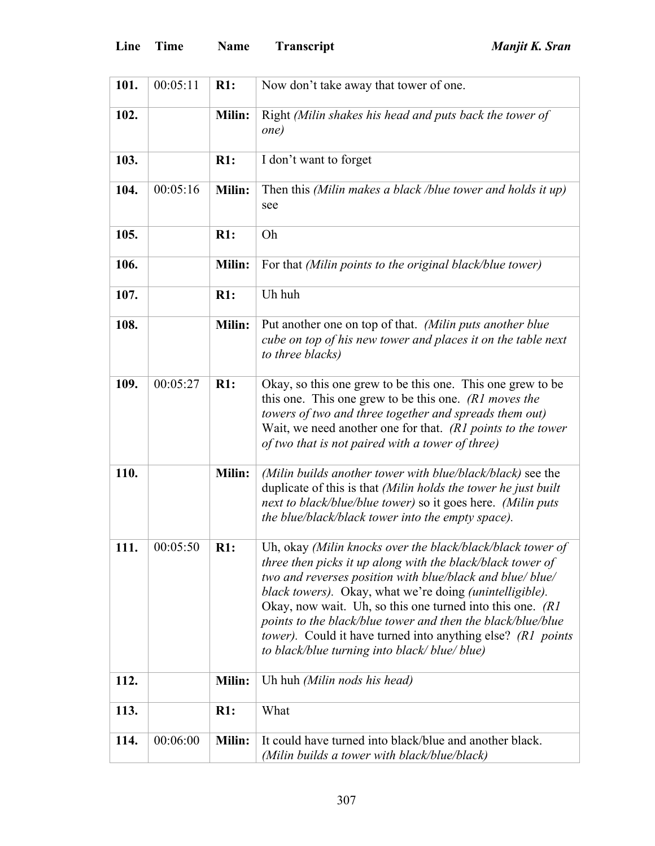| 101. | 00:05:11 | R1:           | Now don't take away that tower of one.                                                                                                                                                                                                                                                                                                                                                                                                                                                               |
|------|----------|---------------|------------------------------------------------------------------------------------------------------------------------------------------------------------------------------------------------------------------------------------------------------------------------------------------------------------------------------------------------------------------------------------------------------------------------------------------------------------------------------------------------------|
| 102. |          | Milin:        | Right (Milin shakes his head and puts back the tower of<br>one)                                                                                                                                                                                                                                                                                                                                                                                                                                      |
| 103. |          | R1:           | I don't want to forget                                                                                                                                                                                                                                                                                                                                                                                                                                                                               |
| 104. | 00:05:16 | <b>Milin:</b> | Then this (Milin makes a black /blue tower and holds it up)<br>see                                                                                                                                                                                                                                                                                                                                                                                                                                   |
| 105. |          | R1:           | Oh                                                                                                                                                                                                                                                                                                                                                                                                                                                                                                   |
| 106. |          | <b>Milin:</b> | For that (Milin points to the original black/blue tower)                                                                                                                                                                                                                                                                                                                                                                                                                                             |
| 107. |          | R1:           | Uh huh                                                                                                                                                                                                                                                                                                                                                                                                                                                                                               |
| 108. |          | Milin:        | Put another one on top of that. (Milin puts another blue<br>cube on top of his new tower and places it on the table next<br>to three blacks)                                                                                                                                                                                                                                                                                                                                                         |
| 109. | 00:05:27 | R1:           | Okay, so this one grew to be this one. This one grew to be<br>this one. This one grew to be this one. (R1 moves the<br>towers of two and three together and spreads them out)<br>Wait, we need another one for that. $(R1$ points to the tower<br>of two that is not paired with a tower of three)                                                                                                                                                                                                   |
| 110. |          | Milin:        | (Milin builds another tower with blue/black/black) see the<br>duplicate of this is that (Milin holds the tower he just built<br>next to black/blue/blue tower) so it goes here. (Milin puts<br>the blue/black/black tower into the empty space).                                                                                                                                                                                                                                                     |
| 111. | 00:05:50 | R1:           | Uh, okay (Milin knocks over the black/black/black tower of<br>three then picks it up along with the black/black tower of<br>two and reverses position with blue/black and blue/blue/<br>black towers). Okay, what we're doing (unintelligible).<br>Okay, now wait. Uh, so this one turned into this one. $(RI)$<br>points to the black/blue tower and then the black/blue/blue<br><i>tower</i> ). Could it have turned into anything else? (R1 points<br>to black/blue turning into black/blue/blue) |
| 112. |          | Milin:        | Uh huh (Milin nods his head)                                                                                                                                                                                                                                                                                                                                                                                                                                                                         |
| 113. |          | R1:           | What                                                                                                                                                                                                                                                                                                                                                                                                                                                                                                 |
| 114. | 00:06:00 | Milin:        | It could have turned into black/blue and another black.<br>(Milin builds a tower with black/blue/black)                                                                                                                                                                                                                                                                                                                                                                                              |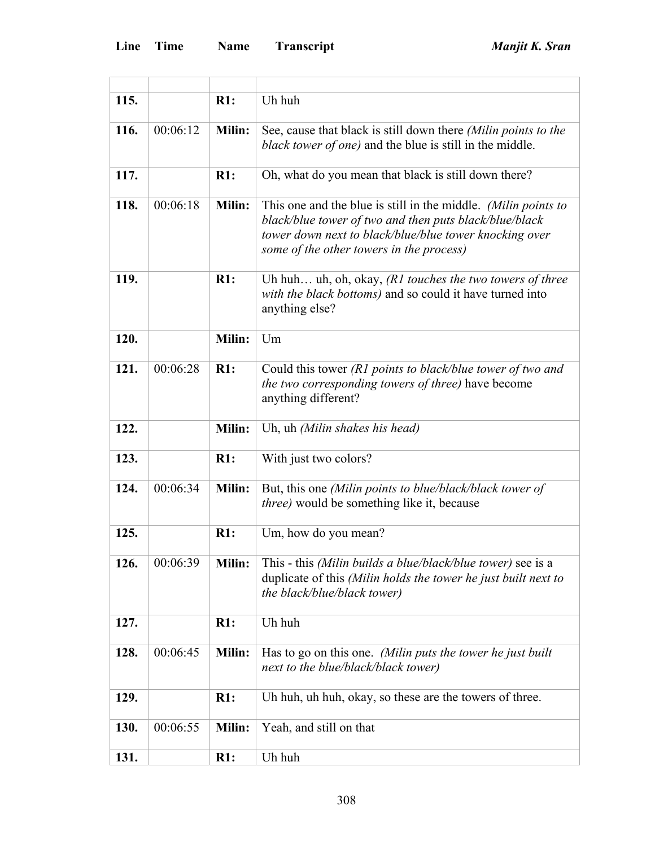| 115. |          | R1:           | Uh huh                                                                                                                                                                                                                         |
|------|----------|---------------|--------------------------------------------------------------------------------------------------------------------------------------------------------------------------------------------------------------------------------|
| 116. | 00:06:12 | Milin:        | See, cause that black is still down there (Milin points to the<br>black tower of one) and the blue is still in the middle.                                                                                                     |
| 117. |          | R1:           | Oh, what do you mean that black is still down there?                                                                                                                                                                           |
| 118. | 00:06:18 | Milin:        | This one and the blue is still in the middle. (Milin points to<br>black/blue tower of two and then puts black/blue/black<br>tower down next to black/blue/blue tower knocking over<br>some of the other towers in the process) |
| 119. |          | R1:           | Uh huh uh, oh, okay, $(R1$ touches the two towers of three<br>with the black bottoms) and so could it have turned into<br>anything else?                                                                                       |
| 120. |          | Milin:        | Um                                                                                                                                                                                                                             |
| 121. | 00:06:28 | R1:           | Could this tower (R1 points to black/blue tower of two and<br>the two corresponding towers of three) have become<br>anything different?                                                                                        |
| 122. |          | Milin:        | Uh, uh (Milin shakes his head)                                                                                                                                                                                                 |
| 123. |          | R1:           | With just two colors?                                                                                                                                                                                                          |
| 124. | 00:06:34 | <b>Milin:</b> | But, this one (Milin points to blue/black/black tower of<br>three) would be something like it, because                                                                                                                         |
| 125. |          | R1:           | Um, how do you mean?                                                                                                                                                                                                           |
| 126. | 00:06:39 | Milin:        | This - this <i>(Milin builds a blue/black/blue tower)</i> see is a<br>duplicate of this (Milin holds the tower he just built next to<br>the black/blue/black tower)                                                            |
| 127. |          | R1:           | Uh huh                                                                                                                                                                                                                         |
| 128. | 00:06:45 | Milin:        | Has to go on this one. (Milin puts the tower he just built<br>next to the blue/black/black tower)                                                                                                                              |
| 129. |          | R1:           | Uh huh, uh huh, okay, so these are the towers of three.                                                                                                                                                                        |
| 130. | 00:06:55 | Milin:        | Yeah, and still on that                                                                                                                                                                                                        |
| 131. |          | R1:           | Uh huh                                                                                                                                                                                                                         |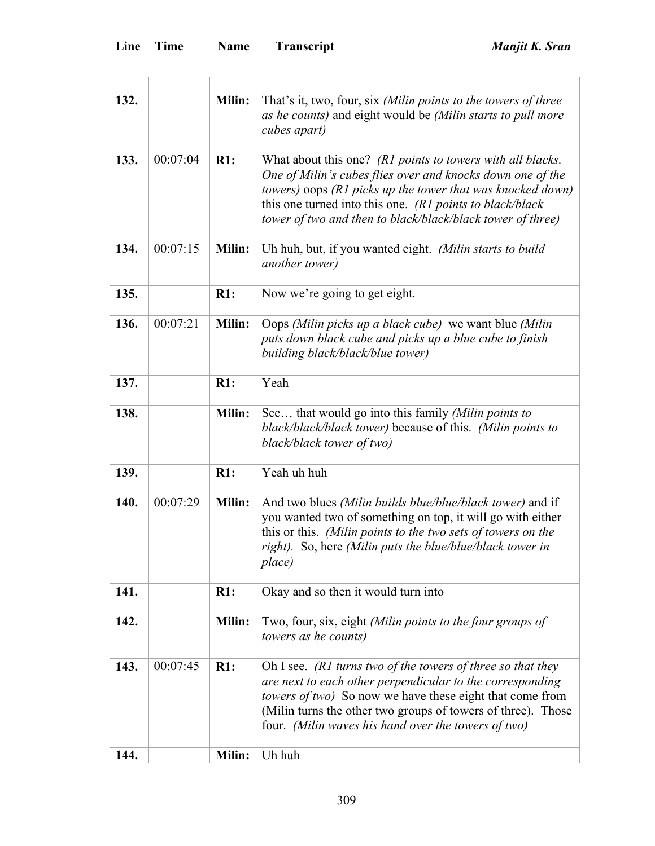| 132. |          | Milin:        | That's it, two, four, six (Milin points to the towers of three<br>as he counts) and eight would be (Milin starts to pull more<br>cubes apart)                                                                                                                                                                       |
|------|----------|---------------|---------------------------------------------------------------------------------------------------------------------------------------------------------------------------------------------------------------------------------------------------------------------------------------------------------------------|
| 133. | 00:07:04 | $R1$ :        | What about this one? (R1 points to towers with all blacks.<br>One of Milin's cubes flies over and knocks down one of the<br>towers) oops (R1 picks up the tower that was knocked down)<br>this one turned into this one. (R1 points to black/black<br>tower of two and then to black/black/black tower of three)    |
| 134. | 00:07:15 | <b>Milin:</b> | Uh huh, but, if you wanted eight. (Milin starts to build<br><i>another tower</i> )                                                                                                                                                                                                                                  |
| 135. |          | R1:           | Now we're going to get eight.                                                                                                                                                                                                                                                                                       |
| 136. | 00:07:21 | <b>Milin:</b> | Oops (Milin picks up a black cube) we want blue (Milin<br>puts down black cube and picks up a blue cube to finish<br>building black/black/blue tower)                                                                                                                                                               |
| 137. |          | R1:           | Yeah                                                                                                                                                                                                                                                                                                                |
| 138. |          | Milin:        | See that would go into this family (Milin points to<br>black/black/black tower) because of this. (Milin points to<br>black/black tower of two)                                                                                                                                                                      |
| 139. |          | R1:           | Yeah uh huh                                                                                                                                                                                                                                                                                                         |
| 140. | 00:07:29 | <b>Milin:</b> | And two blues (Milin builds blue/blue/black tower) and if<br>you wanted two of something on top, it will go with either<br>this or this. (Milin points to the two sets of towers on the<br>right). So, here (Milin puts the blue/blue/black tower in<br>place)                                                      |
| 141. |          | R1:           | Okay and so then it would turn into                                                                                                                                                                                                                                                                                 |
| 142. |          | Milin:        | Two, four, six, eight (Milin points to the four groups of<br>towers as he counts)                                                                                                                                                                                                                                   |
| 143. | 00:07:45 | $R1$ :        | Oh I see. (R1 turns two of the towers of three so that they<br>are next to each other perpendicular to the corresponding<br><i>towers of two</i> ) So now we have these eight that come from<br>(Milin turns the other two groups of towers of three). Those<br>four. (Milin waves his hand over the towers of two) |
| 144. |          | Milin:        | Uh huh                                                                                                                                                                                                                                                                                                              |

<u> 1980 - Johann Barn, mars ann an t-Amhain Aonaich an t-Aonaich an t-Aonaich ann an t-Aonaich ann an t-Aonaich</u>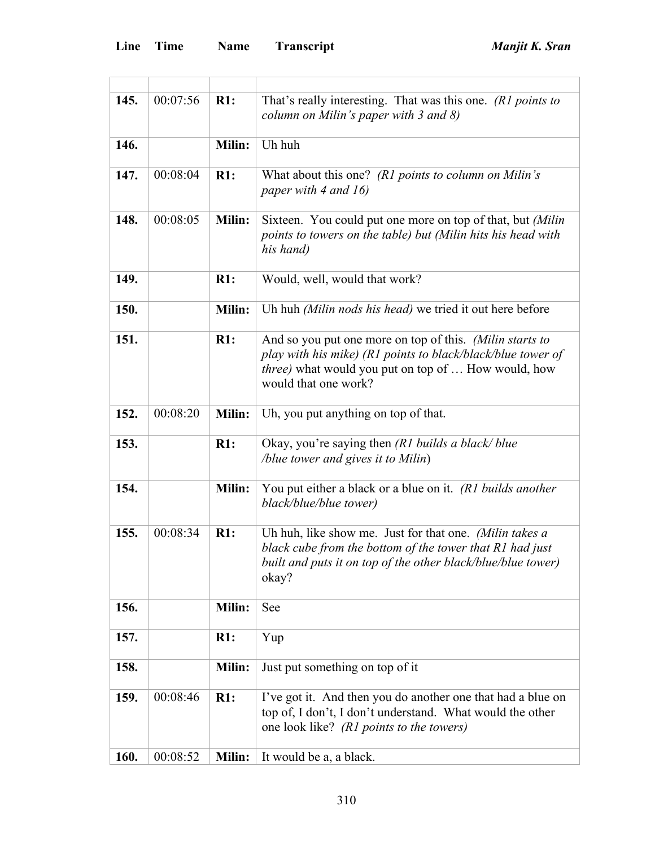| 145. | 00:07:56 | R1:           | That's really interesting. That was this one. (R1 points to<br>column on Milin's paper with $3$ and $8$ )                                                                                              |
|------|----------|---------------|--------------------------------------------------------------------------------------------------------------------------------------------------------------------------------------------------------|
| 146. |          | <b>Milin:</b> | Uh huh                                                                                                                                                                                                 |
| 147. | 00:08:04 | R1:           | What about this one? (R1 points to column on Milin's<br>paper with 4 and 16)                                                                                                                           |
| 148. | 00:08:05 | <b>Milin:</b> | Sixteen. You could put one more on top of that, but (Milin<br>points to towers on the table) but (Milin hits his head with<br>his hand)                                                                |
| 149. |          | R1:           | Would, well, would that work?                                                                                                                                                                          |
| 150. |          | Milin:        | Uh huh (Milin nods his head) we tried it out here before                                                                                                                                               |
| 151. |          | R1:           | And so you put one more on top of this. (Milin starts to<br>play with his mike) (R1 points to black/black/blue tower of<br>three) what would you put on top of  How would, how<br>would that one work? |
| 152. | 00:08:20 | Milin:        | Uh, you put anything on top of that.                                                                                                                                                                   |
| 153. |          | R1:           | Okay, you're saying then (R1 builds a black/ blue<br>/blue tower and gives it to Milin)                                                                                                                |
| 154. |          | Milin:        | You put either a black or a blue on it. (R1 builds another<br>black/blue/blue tower)                                                                                                                   |
| 155. | 00:08:34 | R1:           | Uh huh, like show me. Just for that one. (Milin takes a<br>black cube from the bottom of the tower that R1 had just<br>built and puts it on top of the other black/blue/blue tower)<br>okay?           |
| 156. |          | <b>Milin:</b> | See                                                                                                                                                                                                    |
| 157. |          | R1:           | Yup                                                                                                                                                                                                    |
| 158. |          | Milin:        | Just put something on top of it                                                                                                                                                                        |
| 159. | 00:08:46 | R1:           | I've got it. And then you do another one that had a blue on<br>top of, I don't, I don't understand. What would the other<br>one look like? (R1 points to the towers)                                   |
| 160. | 00:08:52 | Milin:        | It would be a, a black.                                                                                                                                                                                |

<u> 1980 - Johann Barbara, martxa a</u>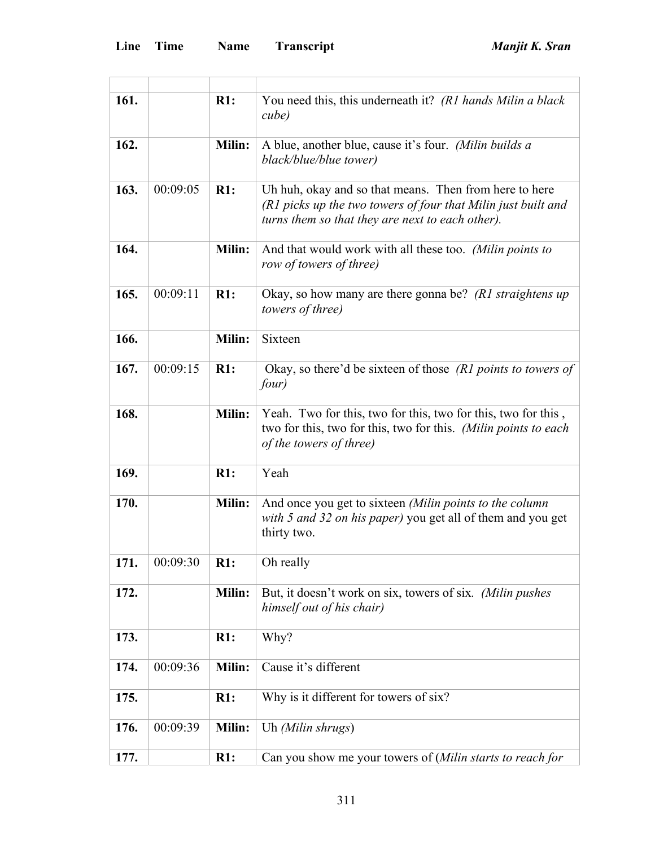| 161. |          | $R1$ :        | You need this, this underneath it? (R1 hands Milin a black<br>cube)                                                                                                         |
|------|----------|---------------|-----------------------------------------------------------------------------------------------------------------------------------------------------------------------------|
| 162. |          | Milin:        | A blue, another blue, cause it's four. (Milin builds a<br>black/blue/blue tower)                                                                                            |
| 163. | 00:09:05 | $R1$ :        | Uh huh, okay and so that means. Then from here to here<br>(R1 picks up the two towers of four that Milin just built and<br>turns them so that they are next to each other). |
| 164. |          | Milin:        | And that would work with all these too. (Milin points to<br>row of towers of three)                                                                                         |
| 165. | 00:09:11 | R1:           | Okay, so how many are there gonna be? (R1 straightens up<br>towers of three)                                                                                                |
| 166. |          | Milin:        | Sixteen                                                                                                                                                                     |
| 167. | 00:09:15 | R1:           | Okay, so there'd be sixteen of those (R1 points to towers of<br>four)                                                                                                       |
| 168. |          | Milin:        | Yeah. Two for this, two for this, two for this, two for this,<br>two for this, two for this, two for this. (Milin points to each<br>of the towers of three)                 |
| 169. |          | R1:           | Yeah                                                                                                                                                                        |
| 170. |          | <b>Milin:</b> | And once you get to sixteen (Milin points to the column<br>with 5 and 32 on his paper) you get all of them and you get<br>thirty two.                                       |
| 171. | 00:09:30 | R1:           | Oh really                                                                                                                                                                   |
| 172. |          | Milin:        | But, it doesn't work on six, towers of six. (Milin pushes<br>himself out of his chair)                                                                                      |
| 173. |          | R1:           | Why?                                                                                                                                                                        |
| 174. | 00:09:36 | Milin:        | Cause it's different                                                                                                                                                        |
| 175. |          | R1:           | Why is it different for towers of six?                                                                                                                                      |
| 176. | 00:09:39 | Milin:        | Uh (Milin shrugs)                                                                                                                                                           |
| 177. |          | R1:           | Can you show me your towers of (Milin starts to reach for                                                                                                                   |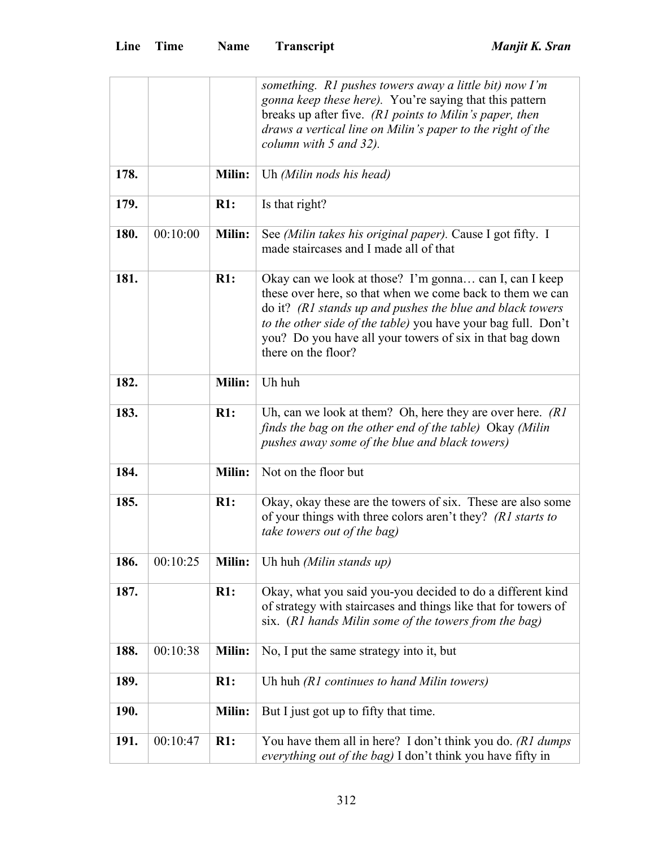|      |          |               | something. R1 pushes towers away a little bit) now I'm                                                                                                                                                                                                                                                                               |
|------|----------|---------------|--------------------------------------------------------------------------------------------------------------------------------------------------------------------------------------------------------------------------------------------------------------------------------------------------------------------------------------|
|      |          |               | <i>gonna keep these here)</i> . You're saying that this pattern                                                                                                                                                                                                                                                                      |
|      |          |               | breaks up after five. (R1 points to Milin's paper, then                                                                                                                                                                                                                                                                              |
|      |          |               | draws a vertical line on Milin's paper to the right of the                                                                                                                                                                                                                                                                           |
|      |          |               | column with 5 and 32).                                                                                                                                                                                                                                                                                                               |
| 178. |          | <b>Milin:</b> | Uh (Milin nods his head)                                                                                                                                                                                                                                                                                                             |
| 179. |          | R1:           | Is that right?                                                                                                                                                                                                                                                                                                                       |
| 180. | 00:10:00 | <b>Milin:</b> | See (Milin takes his original paper). Cause I got fifty. I<br>made staircases and I made all of that                                                                                                                                                                                                                                 |
| 181. |          | R1:           | Okay can we look at those? I'm gonna can I, can I keep<br>these over here, so that when we come back to them we can<br>do it? (R1 stands up and pushes the blue and black towers<br>to the other side of the table) you have your bag full. Don't<br>you? Do you have all your towers of six in that bag down<br>there on the floor? |
| 182. |          | Milin:        | Uh huh                                                                                                                                                                                                                                                                                                                               |
| 183. |          | R1:           | Uh, can we look at them? Oh, here they are over here. $(RI)$<br>finds the bag on the other end of the table) Okay (Milin<br>pushes away some of the blue and black towers)                                                                                                                                                           |
| 184. |          | Milin:        | Not on the floor but                                                                                                                                                                                                                                                                                                                 |
| 185. |          | R1:           | Okay, okay these are the towers of six. These are also some<br>of your things with three colors aren't they? (R1 starts to<br>take towers out of the bag)                                                                                                                                                                            |
| 186. | 00:10:25 | Milin:        | Uh huh (Milin stands up)                                                                                                                                                                                                                                                                                                             |
| 187. |          | R1:           | Okay, what you said you-you decided to do a different kind<br>of strategy with staircases and things like that for towers of<br>six. (R1 hands Milin some of the towers from the bag)                                                                                                                                                |
| 188. | 00:10:38 | <b>Milin:</b> | No, I put the same strategy into it, but                                                                                                                                                                                                                                                                                             |
| 189. |          | R1:           | Uh huh (R1 continues to hand Milin towers)                                                                                                                                                                                                                                                                                           |
| 190. |          | Milin:        | But I just got up to fifty that time.                                                                                                                                                                                                                                                                                                |
| 191. | 00:10:47 | R1:           | You have them all in here? I don't think you do. (R1 dumps<br>everything out of the bag) I don't think you have fifty in                                                                                                                                                                                                             |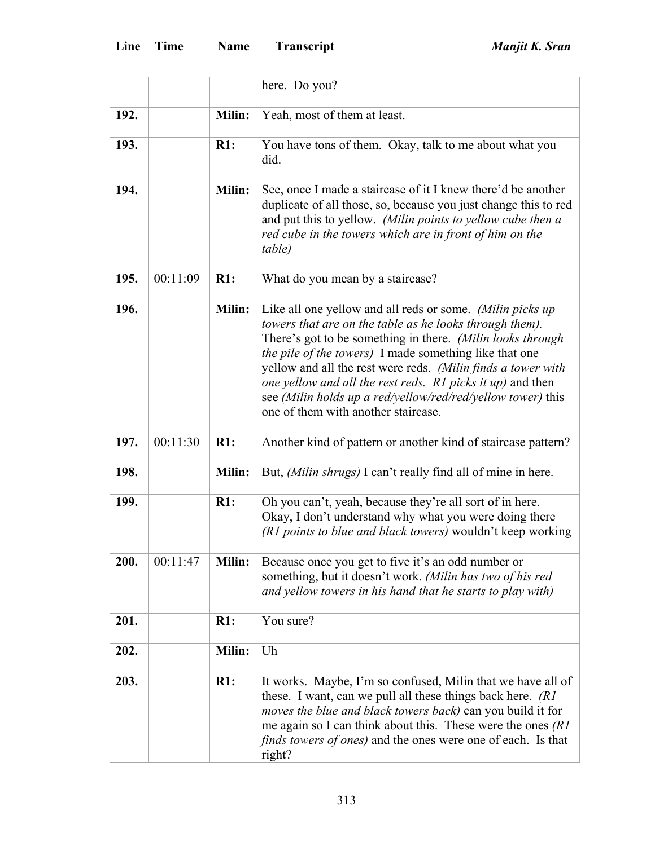|      |          |               | here. Do you?                                                                                                                                                                                                                                                                                                                                                                                                                                                                            |
|------|----------|---------------|------------------------------------------------------------------------------------------------------------------------------------------------------------------------------------------------------------------------------------------------------------------------------------------------------------------------------------------------------------------------------------------------------------------------------------------------------------------------------------------|
| 192. |          | Milin:        | Yeah, most of them at least.                                                                                                                                                                                                                                                                                                                                                                                                                                                             |
| 193. |          | R1:           | You have tons of them. Okay, talk to me about what you<br>did.                                                                                                                                                                                                                                                                                                                                                                                                                           |
| 194. |          | Milin:        | See, once I made a staircase of it I knew there'd be another<br>duplicate of all those, so, because you just change this to red<br>and put this to yellow. (Milin points to yellow cube then a<br>red cube in the towers which are in front of him on the<br>table)                                                                                                                                                                                                                      |
| 195. | 00:11:09 | R1:           | What do you mean by a staircase?                                                                                                                                                                                                                                                                                                                                                                                                                                                         |
| 196. |          | <b>Milin:</b> | Like all one yellow and all reds or some. (Milin picks up<br>towers that are on the table as he looks through them).<br>There's got to be something in there. (Milin looks through<br><i>the pile of the towers</i> ) I made something like that one<br>yellow and all the rest were reds. (Milin finds a tower with<br>one yellow and all the rest reds. R1 picks it up) and then<br>see (Milin holds up a red/yellow/red/red/yellow tower) this<br>one of them with another staircase. |
| 197. | 00:11:30 | R1:           | Another kind of pattern or another kind of staircase pattern?                                                                                                                                                                                                                                                                                                                                                                                                                            |
| 198. |          | Milin:        | But, (Milin shrugs) I can't really find all of mine in here.                                                                                                                                                                                                                                                                                                                                                                                                                             |
| 199. |          | R1:           | Oh you can't, yeah, because they're all sort of in here.<br>Okay, I don't understand why what you were doing there<br>(R1 points to blue and black towers) wouldn't keep working                                                                                                                                                                                                                                                                                                         |
| 200. | 00:11:47 | Milin:        | Because once you get to five it's an odd number or<br>something, but it doesn't work. (Milin has two of his red<br>and yellow towers in his hand that he starts to play with)                                                                                                                                                                                                                                                                                                            |
| 201. |          | R1:           | You sure?                                                                                                                                                                                                                                                                                                                                                                                                                                                                                |
| 202. |          | Milin:        | Uh                                                                                                                                                                                                                                                                                                                                                                                                                                                                                       |
| 203. |          | R1:           | It works. Maybe, I'm so confused, Milin that we have all of<br>these. I want, can we pull all these things back here. (R1)<br><i>moves the blue and black towers back)</i> can you build it for<br>me again so I can think about this. These were the ones $(RI)$<br><i>finds towers of ones</i> ) and the ones were one of each. Is that<br>right?                                                                                                                                      |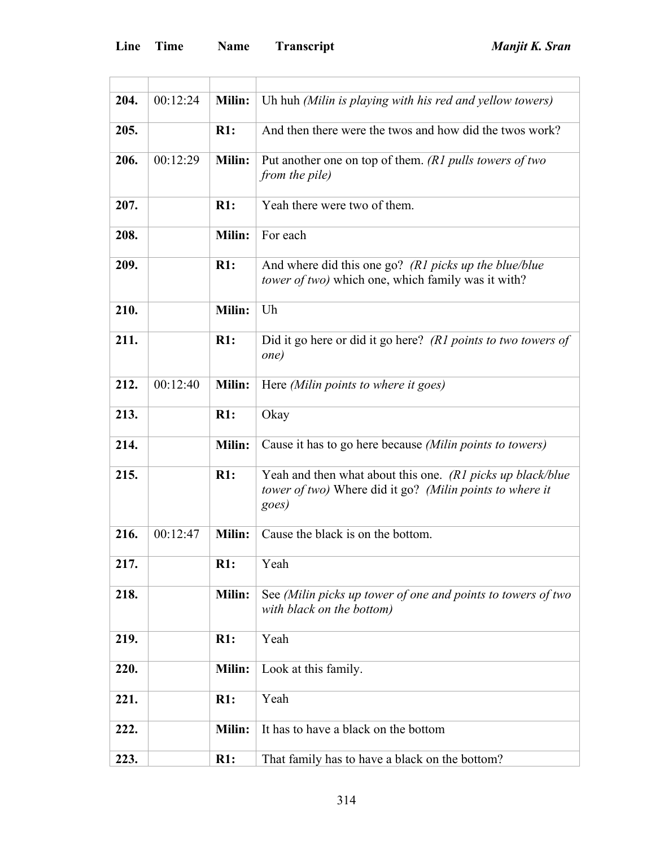| 204. | 00:12:24 | <b>Milin:</b> | Uh huh (Milin is playing with his red and yellow towers)                                                                        |
|------|----------|---------------|---------------------------------------------------------------------------------------------------------------------------------|
| 205. |          | R1:           | And then there were the twos and how did the twos work?                                                                         |
| 206. | 00:12:29 | <b>Milin:</b> | Put another one on top of them. ( $R1$ pulls towers of two<br>from the pile)                                                    |
| 207. |          | R1:           | Yeah there were two of them.                                                                                                    |
| 208. |          | Milin:        | For each                                                                                                                        |
| 209. |          | $R1$ :        | And where did this one go? (R1 picks up the blue/blue<br><i>tower of two)</i> which one, which family was it with?              |
| 210. |          | Milin:        | Uh                                                                                                                              |
| 211. |          | R1:           | Did it go here or did it go here? (R1 points to two towers of<br>one)                                                           |
| 212. | 00:12:40 | <b>Milin:</b> | Here (Milin points to where it goes)                                                                                            |
| 213. |          | R1:           | Okay                                                                                                                            |
| 214. |          | Milin:        | Cause it has to go here because (Milin points to towers)                                                                        |
| 215. |          | R1:           | Yeah and then what about this one. (R1 picks up black/blue<br>tower of two) Where did it go? (Milin points to where it<br>goes) |
| 216. | 00:12:47 | Milin:        | Cause the black is on the bottom.                                                                                               |
| 217. |          | R1:           | Yeah                                                                                                                            |
| 218. |          | Milin:        | See (Milin picks up tower of one and points to towers of two<br>with black on the bottom)                                       |
| 219. |          | R1:           | Yeah                                                                                                                            |
| 220. |          | Milin:        | Look at this family.                                                                                                            |
| 221. |          | R1:           | Yeah                                                                                                                            |
| 222. |          | Milin:        | It has to have a black on the bottom                                                                                            |
| 223. |          | R1:           | That family has to have a black on the bottom?                                                                                  |

the control of the control of the control of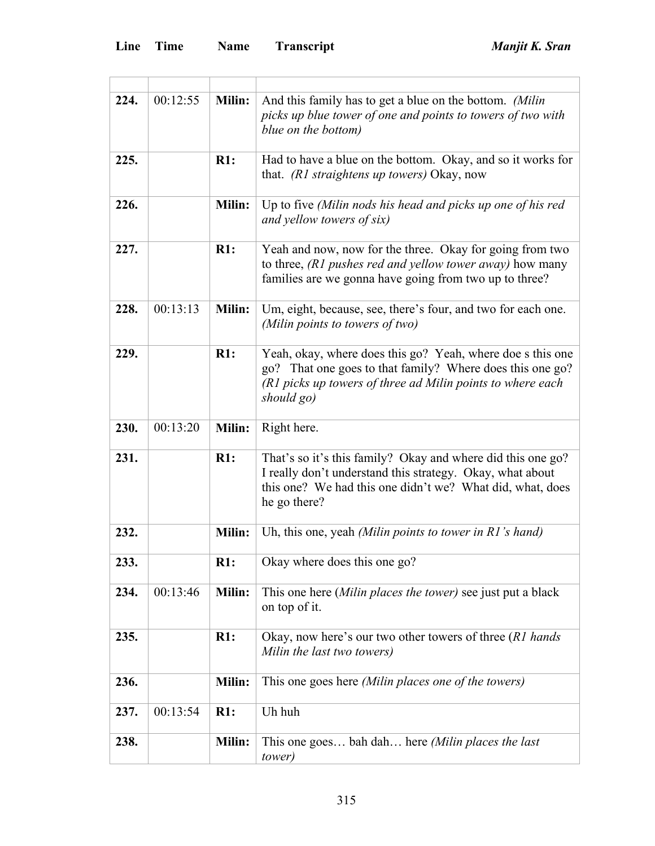| 224. | 00:12:55 | <b>Milin:</b> | And this family has to get a blue on the bottom. (Milin<br>picks up blue tower of one and points to towers of two with<br>blue on the bottom)                                                         |
|------|----------|---------------|-------------------------------------------------------------------------------------------------------------------------------------------------------------------------------------------------------|
| 225. |          | R1:           | Had to have a blue on the bottom. Okay, and so it works for<br>that. (R1 straightens up towers) Okay, now                                                                                             |
| 226. |          | <b>Milin:</b> | Up to five (Milin nods his head and picks up one of his red<br>and yellow towers of six)                                                                                                              |
| 227. |          | R1:           | Yeah and now, now for the three. Okay for going from two<br>to three, (R1 pushes red and yellow tower away) how many<br>families are we gonna have going from two up to three?                        |
| 228. | 00:13:13 | Milin:        | Um, eight, because, see, there's four, and two for each one.<br>(Milin points to towers of two)                                                                                                       |
| 229. |          | R1:           | Yeah, okay, where does this go? Yeah, where doe s this one<br>go? That one goes to that family? Where does this one go?<br>(R1 picks up towers of three ad Milin points to where each<br>should go)   |
| 230. | 00:13:20 | Milin:        | Right here.                                                                                                                                                                                           |
| 231. |          | R1:           | That's so it's this family? Okay and where did this one go?<br>I really don't understand this strategy. Okay, what about<br>this one? We had this one didn't we? What did, what, does<br>he go there? |
| 232. |          | Milin:        | Uh, this one, yeah (Milin points to tower in R1's hand)                                                                                                                                               |
| 233. |          | R1:           | Okay where does this one go?                                                                                                                                                                          |
| 234. | 00:13:46 | Milin:        | This one here (Milin places the tower) see just put a black<br>on top of it.                                                                                                                          |
| 235. |          | R1:           | Okay, now here's our two other towers of three (R1 hands)<br>Milin the last two towers)                                                                                                               |
| 236. |          | Milin:        | This one goes here (Milin places one of the towers)                                                                                                                                                   |
| 237. | 00:13:54 | R1:           | Uh huh                                                                                                                                                                                                |
| 238. |          | <b>Milin:</b> | This one goes bah dah here (Milin places the last<br>tower)                                                                                                                                           |

<u> 1980 - Johann Barbara, martxa alemaniar a</u>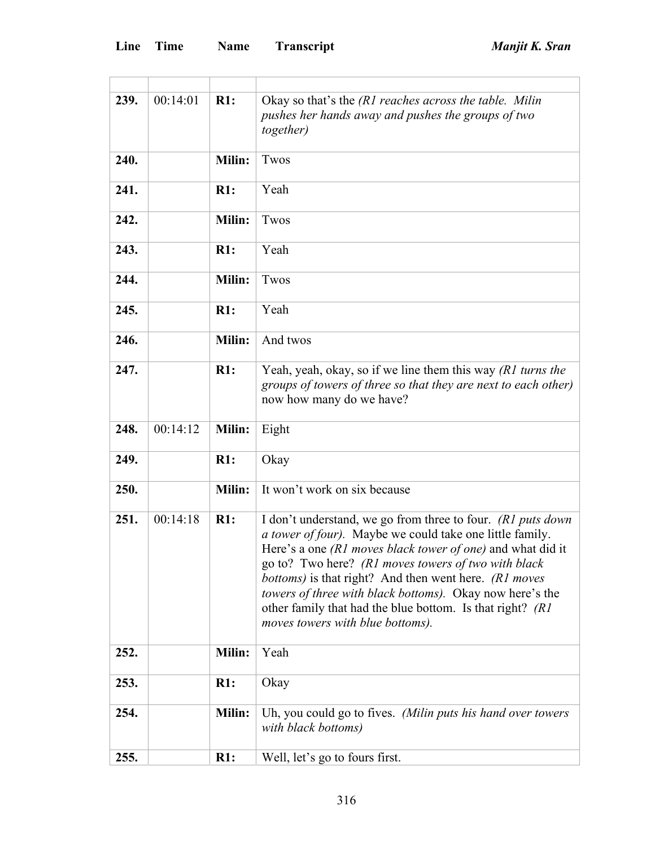| 239. | 00:14:01 | R1:           | Okay so that's the (R1 reaches across the table. Milin<br>pushes her hands away and pushes the groups of two<br>together)                                                                                                                                                                                                                                                                                                                                                                     |
|------|----------|---------------|-----------------------------------------------------------------------------------------------------------------------------------------------------------------------------------------------------------------------------------------------------------------------------------------------------------------------------------------------------------------------------------------------------------------------------------------------------------------------------------------------|
| 240. |          | <b>Milin:</b> | Twos                                                                                                                                                                                                                                                                                                                                                                                                                                                                                          |
| 241. |          | R1:           | Yeah                                                                                                                                                                                                                                                                                                                                                                                                                                                                                          |
| 242. |          | <b>Milin:</b> | Twos                                                                                                                                                                                                                                                                                                                                                                                                                                                                                          |
| 243. |          | R1:           | Yeah                                                                                                                                                                                                                                                                                                                                                                                                                                                                                          |
| 244. |          | <b>Milin:</b> | Twos                                                                                                                                                                                                                                                                                                                                                                                                                                                                                          |
| 245. |          | R1:           | Yeah                                                                                                                                                                                                                                                                                                                                                                                                                                                                                          |
| 246. |          | <b>Milin:</b> | And twos                                                                                                                                                                                                                                                                                                                                                                                                                                                                                      |
| 247. |          | $R1$ :        | Yeah, yeah, okay, so if we line them this way $(R1$ turns the<br>groups of towers of three so that they are next to each other)<br>now how many do we have?                                                                                                                                                                                                                                                                                                                                   |
| 248. | 00:14:12 | Milin:        | Eight                                                                                                                                                                                                                                                                                                                                                                                                                                                                                         |
| 249. |          | R1:           | Okay                                                                                                                                                                                                                                                                                                                                                                                                                                                                                          |
| 250. |          | Milin:        | It won't work on six because                                                                                                                                                                                                                                                                                                                                                                                                                                                                  |
| 251. | 00:14:18 | R1:           | I don't understand, we go from three to four. ( $R1$ puts down<br><i>a tower of four</i> ). Maybe we could take one little family.<br>Here's a one <i>(R1 moves black tower of one)</i> and what did it<br>go to? Two here? (R1 moves towers of two with black<br><i>bottoms</i> ) is that right? And then went here. (R1 moves<br>towers of three with black bottoms). Okay now here's the<br>other family that had the blue bottom. Is that right? (R1)<br>moves towers with blue bottoms). |
| 252. |          | Milin:        | Yeah                                                                                                                                                                                                                                                                                                                                                                                                                                                                                          |
| 253. |          | R1:           | Okay                                                                                                                                                                                                                                                                                                                                                                                                                                                                                          |
| 254. |          | Milin:        | Uh, you could go to fives. (Milin puts his hand over towers<br>with black bottoms)                                                                                                                                                                                                                                                                                                                                                                                                            |
| 255. |          | R1:           | Well, let's go to fours first.                                                                                                                                                                                                                                                                                                                                                                                                                                                                |

<u> 1989 - Johann Barbara, martin d</u>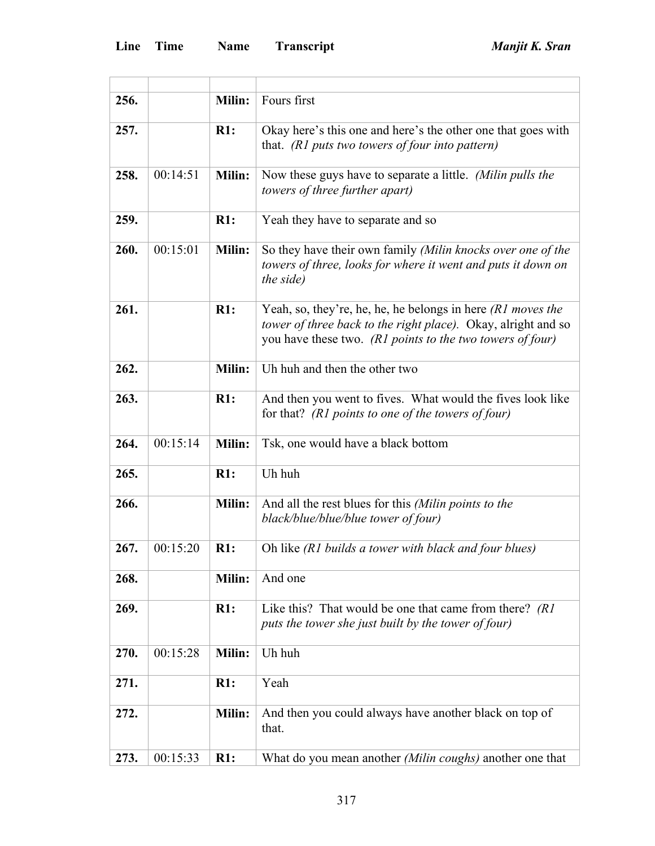ł.

L

| 256. |          | Milin:        | Fours first                                                                                                                                                                                 |
|------|----------|---------------|---------------------------------------------------------------------------------------------------------------------------------------------------------------------------------------------|
| 257. |          | R1:           | Okay here's this one and here's the other one that goes with<br>that. ( $R1$ puts two towers of four into pattern)                                                                          |
| 258. | 00:14:51 | Milin:        | Now these guys have to separate a little. (Milin pulls the<br><i>towers of three further apart)</i>                                                                                         |
| 259. |          | R1:           | Yeah they have to separate and so                                                                                                                                                           |
| 260. | 00:15:01 | Milin:        | So they have their own family (Milin knocks over one of the<br>towers of three, looks for where it went and puts it down on<br>the side)                                                    |
| 261. |          | R1:           | Yeah, so, they're, he, he, he belongs in here $(RI$ moves the<br>tower of three back to the right place). Okay, alright and so<br>you have these two. (R1 points to the two towers of four) |
| 262. |          | Milin:        | Uh huh and then the other two                                                                                                                                                               |
| 263. |          | R1:           | And then you went to fives. What would the fives look like<br>for that? (R1 points to one of the towers of four)                                                                            |
| 264. | 00:15:14 | <b>Milin:</b> | Tsk, one would have a black bottom                                                                                                                                                          |
| 265. |          | R1:           | Uh huh                                                                                                                                                                                      |
| 266. |          | <b>Milin:</b> | And all the rest blues for this (Milin points to the<br>black/blue/blue/blue tower of four)                                                                                                 |
| 267. | 00:15:20 | R1:           | Oh like (R1 builds a tower with black and four blues)                                                                                                                                       |
| 268. |          | <b>Milin:</b> | And one                                                                                                                                                                                     |
| 269. |          | R1:           | Like this? That would be one that came from there? (R1)<br>puts the tower she just built by the tower of four)                                                                              |
| 270. | 00:15:28 | <b>Milin:</b> | Uh huh                                                                                                                                                                                      |
| 271. |          | R1:           | Yeah                                                                                                                                                                                        |
| 272. |          | <b>Milin:</b> | And then you could always have another black on top of<br>that.                                                                                                                             |
| 273. | 00:15:33 | R1:           | What do you mean another (Milin coughs) another one that                                                                                                                                    |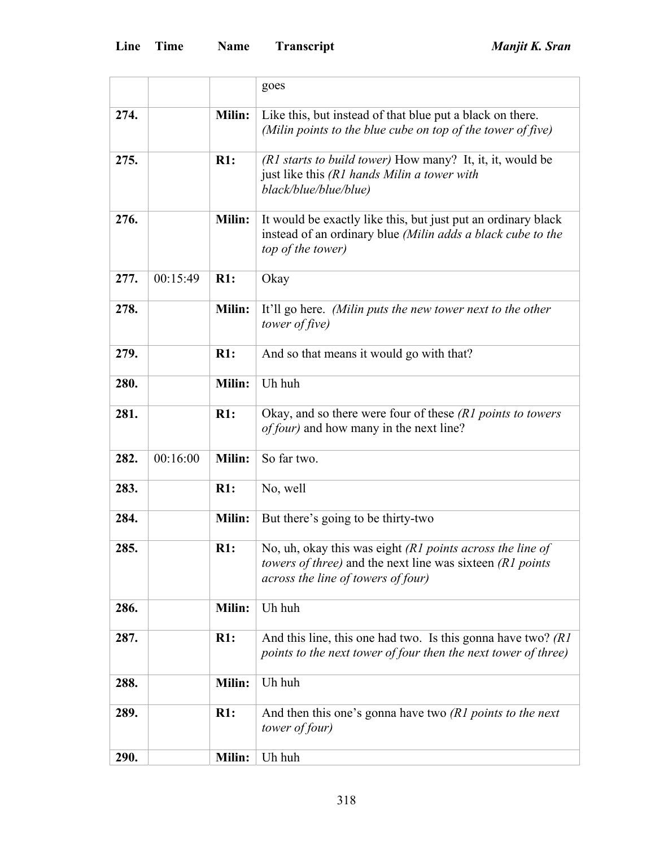|      |          |               | goes                                                                                                                                                         |
|------|----------|---------------|--------------------------------------------------------------------------------------------------------------------------------------------------------------|
| 274. |          | Milin:        | Like this, but instead of that blue put a black on there.<br>(Milin points to the blue cube on top of the tower of five)                                     |
| 275. |          | R1:           | (R1 starts to build tower) How many? It, it, it, would be<br>just like this (R1 hands Milin a tower with<br>black/blue/blue/blue)                            |
| 276. |          | Milin:        | It would be exactly like this, but just put an ordinary black<br>instead of an ordinary blue (Milin adds a black cube to the<br>top of the tower)            |
| 277. | 00:15:49 | R1:           | Okay                                                                                                                                                         |
| 278. |          | <b>Milin:</b> | It'll go here. (Milin puts the new tower next to the other<br>tower of five)                                                                                 |
| 279. |          | R1:           | And so that means it would go with that?                                                                                                                     |
| 280. |          | Milin:        | Uh huh                                                                                                                                                       |
| 281. |          | R1:           | Okay, and so there were four of these $(R1$ points to towers<br><i>of four</i> ) and how many in the next line?                                              |
| 282. | 00:16:00 | Milin:        | So far two.                                                                                                                                                  |
| 283. |          | R1:           | No, well                                                                                                                                                     |
| 284. |          | <b>Milin:</b> | But there's going to be thirty-two                                                                                                                           |
| 285. |          | R1:           | No, uh, okay this was eight (R1 points across the line of<br>towers of three) and the next line was sixteen (R1 points<br>across the line of towers of four) |
| 286. |          | Milin:        | Uh huh                                                                                                                                                       |
| 287. |          | R1:           | And this line, this one had two. Is this gonna have two? $(RI)$<br>points to the next tower of four then the next tower of three)                            |
| 288. |          | Milin:        | Uh huh                                                                                                                                                       |
| 289. |          | R1:           | And then this one's gonna have two $(R1$ points to the next<br>tower of four)                                                                                |
| 290. |          | Milin:        | Uh huh                                                                                                                                                       |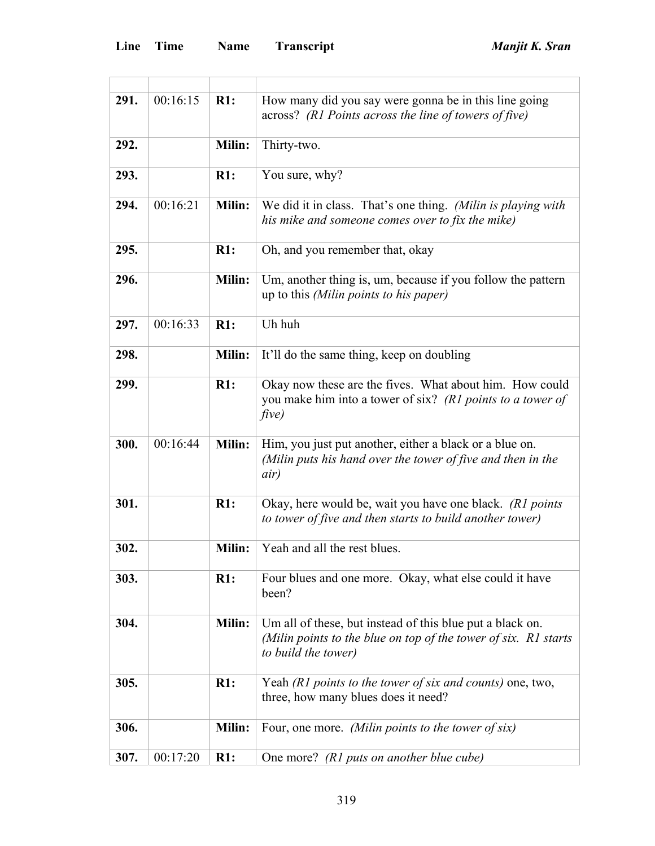| 291. | 00:16:15 | $R1$ :        | How many did you say were gonna be in this line going<br>across? (R1 Points across the line of towers of five)                                      |
|------|----------|---------------|-----------------------------------------------------------------------------------------------------------------------------------------------------|
| 292. |          | Milin:        | Thirty-two.                                                                                                                                         |
| 293. |          | R1:           | You sure, why?                                                                                                                                      |
| 294. | 00:16:21 | Milin:        | We did it in class. That's one thing. (Milin is playing with<br>his mike and someone comes over to fix the mike)                                    |
| 295. |          | R1:           | Oh, and you remember that, okay                                                                                                                     |
| 296. |          | <b>Milin:</b> | Um, another thing is, um, because if you follow the pattern<br>up to this (Milin points to his paper)                                               |
| 297. | 00:16:33 | R1:           | Uh huh                                                                                                                                              |
| 298. |          | Milin:        | It'll do the same thing, keep on doubling                                                                                                           |
| 299. |          | R1:           | Okay now these are the fives. What about him. How could<br>you make him into a tower of six? (R1 points to a tower of<br>five)                      |
| 300. | 00:16:44 | <b>Milin:</b> | Him, you just put another, either a black or a blue on.<br>(Milin puts his hand over the tower of five and then in the<br>air)                      |
| 301. |          | R1:           | Okay, here would be, wait you have one black. (R1 points<br>to tower of five and then starts to build another tower)                                |
| 302. |          | Milin:        | Yeah and all the rest blues.                                                                                                                        |
| 303. |          | R1:           | Four blues and one more. Okay, what else could it have<br>been?                                                                                     |
| 304. |          | <b>Milin:</b> | Um all of these, but instead of this blue put a black on.<br>(Milin points to the blue on top of the tower of six. R1 starts<br>to build the tower) |
| 305. |          | R1:           | Yeah (R1 points to the tower of six and counts) one, two,<br>three, how many blues does it need?                                                    |
| 306. |          | <b>Milin:</b> | Four, one more. (Milin points to the tower of six)                                                                                                  |
| 307. | 00:17:20 | R1:           | One more? (R1 puts on another blue cube)                                                                                                            |

<u> 1980 - Johann Barbara, martxa alemaniar a</u>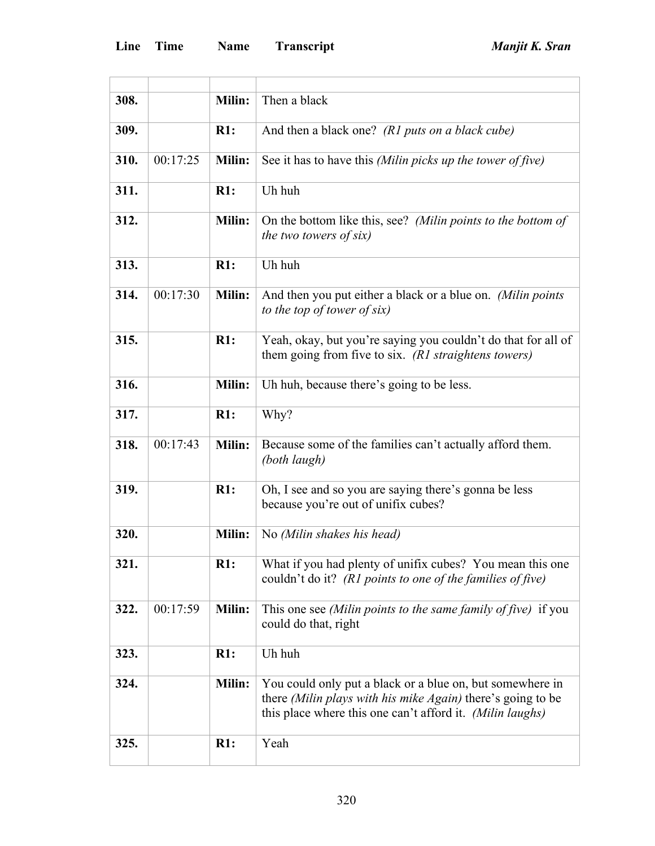| 308. |          | Milin:        | Then a black                                                                                                                                                                          |
|------|----------|---------------|---------------------------------------------------------------------------------------------------------------------------------------------------------------------------------------|
| 309. |          | R1:           | And then a black one? (R1 puts on a black cube)                                                                                                                                       |
| 310. | 00:17:25 | <b>Milin:</b> | See it has to have this (Milin picks up the tower of five)                                                                                                                            |
| 311. |          | R1:           | Uh huh                                                                                                                                                                                |
| 312. |          | <b>Milin:</b> | On the bottom like this, see? (Milin points to the bottom of<br>the two towers of six)                                                                                                |
| 313. |          | $R1$ :        | Uh huh                                                                                                                                                                                |
| 314. | 00:17:30 | <b>Milin:</b> | And then you put either a black or a blue on. (Milin points<br>to the top of tower of six)                                                                                            |
| 315. |          | R1:           | Yeah, okay, but you're saying you couldn't do that for all of<br>them going from five to six. (R1 straightens towers)                                                                 |
| 316. |          | Milin:        | Uh huh, because there's going to be less.                                                                                                                                             |
| 317. |          | R1:           | Why?                                                                                                                                                                                  |
| 318. | 00:17:43 | <b>Milin:</b> | Because some of the families can't actually afford them.<br>(both laugh)                                                                                                              |
| 319. |          | R1:           | Oh, I see and so you are saying there's gonna be less<br>because you're out of unifix cubes?                                                                                          |
| 320. |          | Milin:        | No (Milin shakes his head)                                                                                                                                                            |
| 321. |          | R1:           | What if you had plenty of unifix cubes? You mean this one<br>couldn't do it? ( $R1$ points to one of the families of five)                                                            |
| 322. | 00:17:59 | Milin:        | This one see (Milin points to the same family of five) if you<br>could do that, right                                                                                                 |
| 323. |          | R1:           | Uh huh                                                                                                                                                                                |
| 324. |          | Milin:        | You could only put a black or a blue on, but somewhere in<br>there (Milin plays with his mike Again) there's going to be<br>this place where this one can't afford it. (Milin laughs) |
| 325. |          | R1:           | Yeah                                                                                                                                                                                  |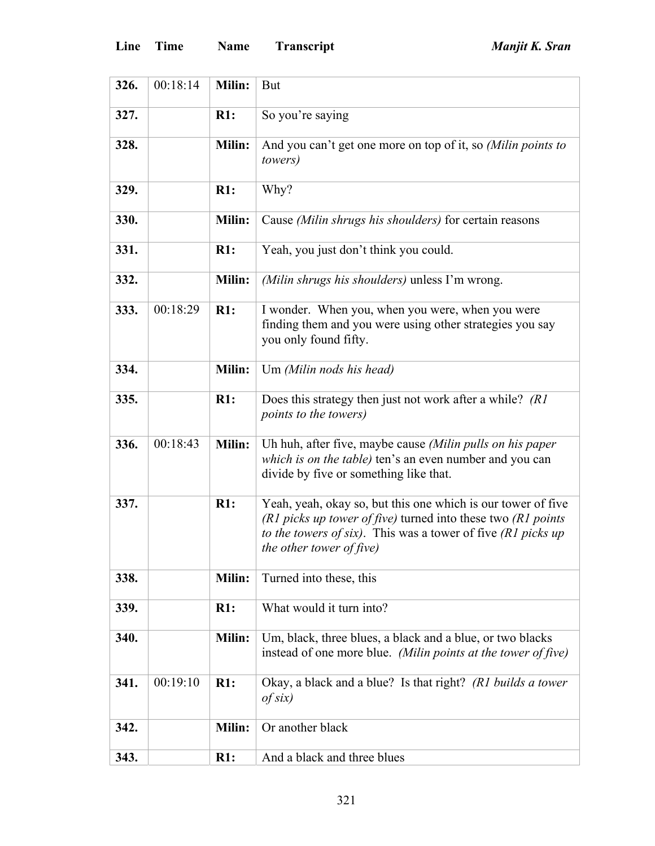ł.

L

| 326. | 00:18:14 | <b>Milin:</b> | But                                                                                                                                                                                                                        |
|------|----------|---------------|----------------------------------------------------------------------------------------------------------------------------------------------------------------------------------------------------------------------------|
| 327. |          | R1:           | So you're saying                                                                                                                                                                                                           |
| 328. |          | Milin:        | And you can't get one more on top of it, so (Milin points to<br><i>towers</i> )                                                                                                                                            |
| 329. |          | R1:           | Why?                                                                                                                                                                                                                       |
| 330. |          | Milin:        | Cause (Milin shrugs his shoulders) for certain reasons                                                                                                                                                                     |
| 331. |          | R1:           | Yeah, you just don't think you could.                                                                                                                                                                                      |
| 332. |          | Milin:        | (Milin shrugs his shoulders) unless I'm wrong.                                                                                                                                                                             |
| 333. | 00:18:29 | R1:           | I wonder. When you, when you were, when you were<br>finding them and you were using other strategies you say<br>you only found fifty.                                                                                      |
| 334. |          | Milin:        | Um (Milin nods his head)                                                                                                                                                                                                   |
| 335. |          | R1:           | Does this strategy then just not work after a while? (R1)<br><i>points to the towers)</i>                                                                                                                                  |
| 336. | 00:18:43 | <b>Milin:</b> | Uh huh, after five, maybe cause (Milin pulls on his paper<br>which is on the table) ten's an even number and you can<br>divide by five or something like that.                                                             |
| 337. |          | R1:           | Yeah, yeah, okay so, but this one which is our tower of five<br>(R1 picks up tower of five) turned into these two (R1 points<br>to the towers of six). This was a tower of five $(R1$ picks up<br>the other tower of five) |
| 338. |          | <b>Milin:</b> | Turned into these, this                                                                                                                                                                                                    |
| 339. |          | R1:           | What would it turn into?                                                                                                                                                                                                   |
| 340. |          | Milin:        | Um, black, three blues, a black and a blue, or two blacks<br>instead of one more blue. (Milin points at the tower of five)                                                                                                 |
| 341. | 00:19:10 | R1:           | Okay, a black and a blue? Is that right? (R1 builds a tower<br>$of$ six)                                                                                                                                                   |
| 342. |          | Milin:        | Or another black                                                                                                                                                                                                           |
| 343. |          | R1:           | And a black and three blues                                                                                                                                                                                                |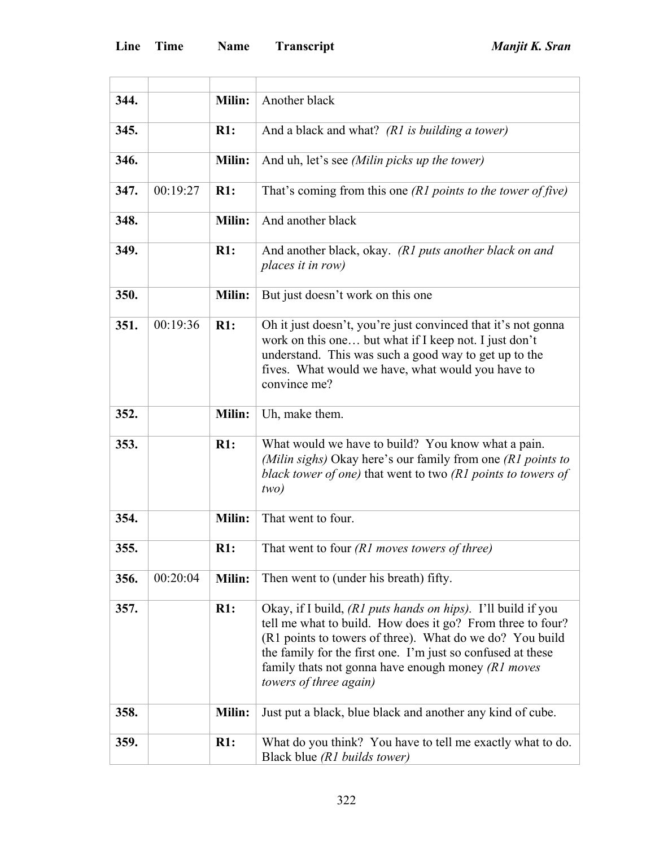| 344. |          | Milin: | Another black                                                                                                                                                                                                                                                                                                                           |
|------|----------|--------|-----------------------------------------------------------------------------------------------------------------------------------------------------------------------------------------------------------------------------------------------------------------------------------------------------------------------------------------|
| 345. |          | R1:    | And a black and what? (R1 is building a tower)                                                                                                                                                                                                                                                                                          |
| 346. |          | Milin: | And uh, let's see (Milin picks up the tower)                                                                                                                                                                                                                                                                                            |
| 347. | 00:19:27 | R1:    | That's coming from this one $(R1$ points to the tower of five)                                                                                                                                                                                                                                                                          |
| 348. |          | Milin: | And another black                                                                                                                                                                                                                                                                                                                       |
| 349. |          | R1:    | And another black, okay. (R1 puts another black on and<br>places it in row)                                                                                                                                                                                                                                                             |
| 350. |          | Milin: | But just doesn't work on this one                                                                                                                                                                                                                                                                                                       |
| 351. | 00:19:36 | R1:    | Oh it just doesn't, you're just convinced that it's not gonna<br>work on this one but what if I keep not. I just don't<br>understand. This was such a good way to get up to the<br>fives. What would we have, what would you have to<br>convince me?                                                                                    |
| 352. |          | Milin: | Uh, make them.                                                                                                                                                                                                                                                                                                                          |
| 353. |          | R1:    | What would we have to build? You know what a pain.<br>(Milin sighs) Okay here's our family from one $(R1$ points to<br>black tower of one) that went to two (R1 points to towers of<br>two)                                                                                                                                             |
| 354. |          | Milin: | That went to four.                                                                                                                                                                                                                                                                                                                      |
| 355. |          | R1:    | That went to four $(R1$ moves towers of three)                                                                                                                                                                                                                                                                                          |
| 356. | 00:20:04 | Milin: | Then went to (under his breath) fifty.                                                                                                                                                                                                                                                                                                  |
| 357. |          | R1:    | Okay, if I build, (R1 puts hands on hips). I'll build if you<br>tell me what to build. How does it go? From three to four?<br>(R1 points to towers of three). What do we do? You build<br>the family for the first one. I'm just so confused at these<br>family thats not gonna have enough money $(R1$ moves<br>towers of three again) |
| 358. |          | Milin: | Just put a black, blue black and another any kind of cube.                                                                                                                                                                                                                                                                              |
| 359. |          | R1:    | What do you think? You have to tell me exactly what to do.<br>Black blue (R1 builds tower)                                                                                                                                                                                                                                              |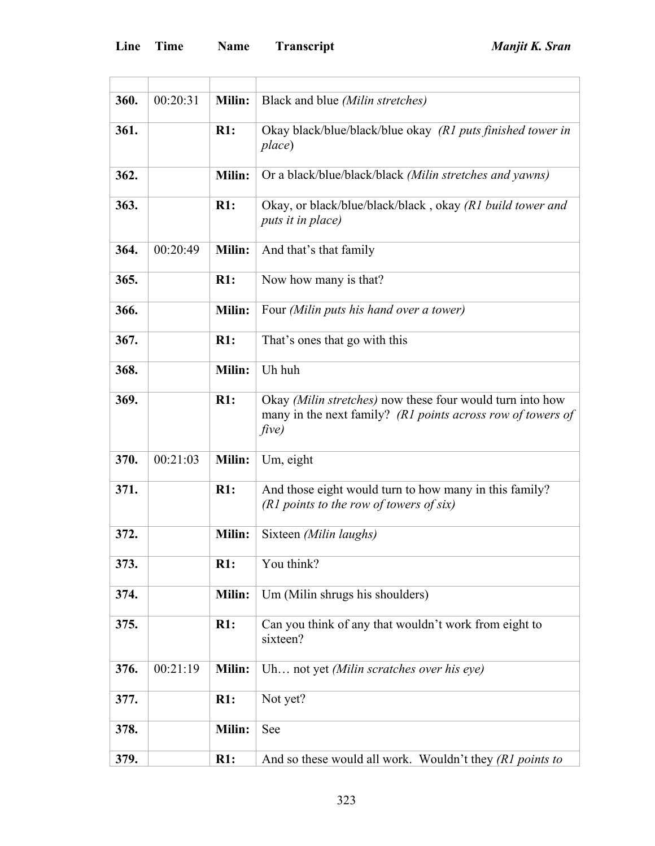$\overline{a}$ 

| 360. | 00:20:31 | Milin:        | Black and blue <i>(Milin stretches)</i>                                                                                           |
|------|----------|---------------|-----------------------------------------------------------------------------------------------------------------------------------|
| 361. |          | R1:           | Okay black/blue/black/blue okay (R1 puts finished tower in<br>place)                                                              |
| 362. |          | Milin:        | Or a black/blue/black/black (Milin stretches and yawns)                                                                           |
| 363. |          | R1:           | Okay, or black/blue/black/black, okay (R1 build tower and<br>puts it in place)                                                    |
| 364. | 00:20:49 | Milin:        | And that's that family                                                                                                            |
| 365. |          | R1:           | Now how many is that?                                                                                                             |
| 366. |          | Milin:        | Four (Milin puts his hand over a tower)                                                                                           |
| 367. |          | R1:           | That's ones that go with this                                                                                                     |
| 368. |          | Milin:        | Uh huh                                                                                                                            |
| 369. |          | R1:           | Okay (Milin stretches) now these four would turn into how<br>many in the next family? (R1 points across row of towers of<br>five) |
| 370. | 00:21:03 | Milin:        | Um, eight                                                                                                                         |
| 371. |          | R1:           | And those eight would turn to how many in this family?<br>$(R1$ points to the row of towers of six)                               |
| 372. |          | <b>Milin:</b> | Sixteen (Milin laughs)                                                                                                            |
| 373. |          | R1:           | You think?                                                                                                                        |
| 374. |          | Milin:        | Um (Milin shrugs his shoulders)                                                                                                   |
| 375. |          | R1:           | Can you think of any that wouldn't work from eight to<br>sixteen?                                                                 |
| 376. | 00:21:19 | Milin:        | Uh not yet (Milin scratches over his eye)                                                                                         |
| 377. |          | R1:           | Not yet?                                                                                                                          |
| 378. |          | Milin:        | See                                                                                                                               |
| 379. |          | R1:           | And so these would all work. Wouldn't they (R1 points to                                                                          |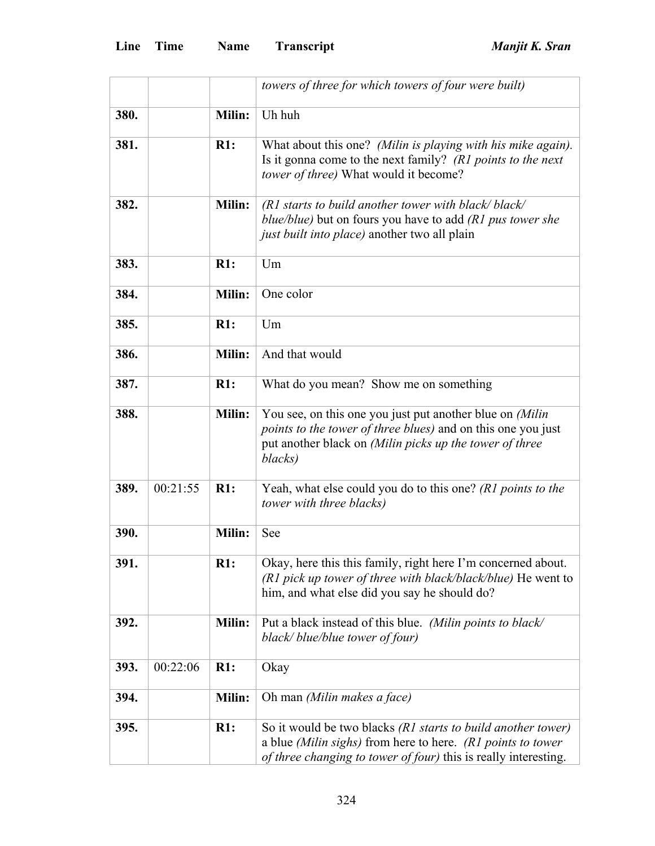|      |          |        | towers of three for which towers of four were built)                                                                                                                                                  |
|------|----------|--------|-------------------------------------------------------------------------------------------------------------------------------------------------------------------------------------------------------|
| 380. |          | Milin: | Uh huh                                                                                                                                                                                                |
| 381. |          | R1:    | What about this one? (Milin is playing with his mike again).<br>Is it gonna come to the next family? (R1 points to the next<br>tower of three) What would it become?                                  |
| 382. |          | Milin: | $(RI$ starts to build another tower with black/black/<br>blue/blue) but on fours you have to add $(R1$ pus tower she<br>just built into place) another two all plain                                  |
| 383. |          | R1:    | Um                                                                                                                                                                                                    |
| 384. |          | Milin: | One color                                                                                                                                                                                             |
| 385. |          | R1:    | Um                                                                                                                                                                                                    |
| 386. |          | Milin: | And that would                                                                                                                                                                                        |
| 387. |          | R1:    | What do you mean? Show me on something                                                                                                                                                                |
| 388. |          | Milin: | You see, on this one you just put another blue on (Milin<br><i>points to the tower of three blues)</i> and on this one you just<br>put another black on (Milin picks up the tower of three<br>blacks) |
| 389. | 00:21:55 | R1:    | Yeah, what else could you do to this one? (R1 points to the<br>tower with three blacks)                                                                                                               |
| 390. |          | Milin: | See                                                                                                                                                                                                   |
| 391. |          | R1:    | Okay, here this this family, right here I'm concerned about.<br>$(R1$ pick up tower of three with black/black/blue) He went to<br>him, and what else did you say he should do?                        |
| 392. |          | Milin: | Put a black instead of this blue. (Milin points to black/<br>black/blue/blue tower of four)                                                                                                           |
| 393. | 00:22:06 | R1:    | Okay                                                                                                                                                                                                  |
| 394. |          | Milin: | Oh man (Milin makes a face)                                                                                                                                                                           |
| 395. |          | R1:    | So it would be two blacks (R1 starts to build another tower)<br>a blue (Milin sighs) from here to here. (R1 points to tower<br>of three changing to tower of four) this is really interesting.        |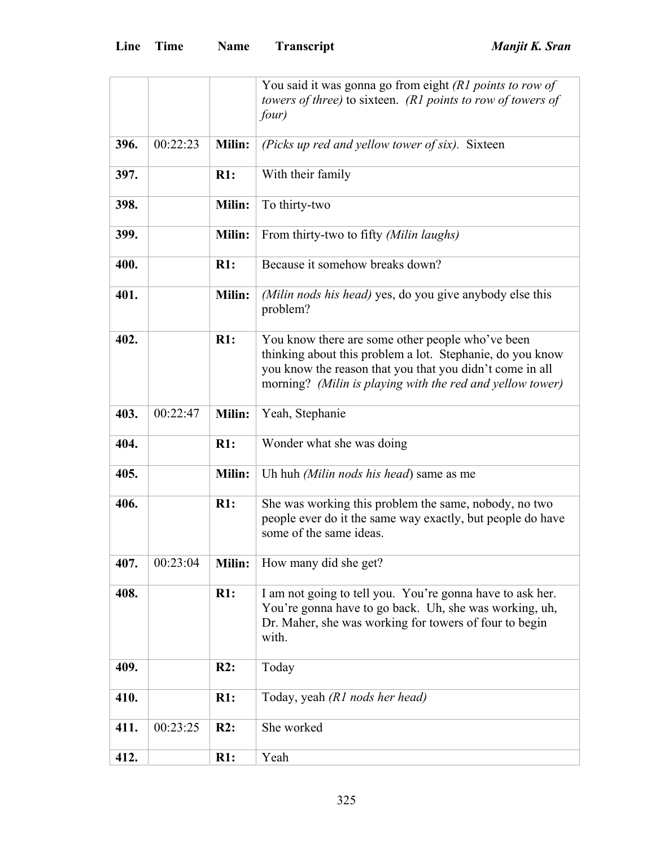|      |          |               | You said it was gonna go from eight (R1 points to row of                                                                                                                                                                               |
|------|----------|---------------|----------------------------------------------------------------------------------------------------------------------------------------------------------------------------------------------------------------------------------------|
|      |          |               | towers of three) to sixteen. (R1 points to row of towers of                                                                                                                                                                            |
|      |          |               | four)                                                                                                                                                                                                                                  |
|      |          |               |                                                                                                                                                                                                                                        |
| 396. | 00:22:23 | Milin:        | (Picks up red and yellow tower of six). Sixteen                                                                                                                                                                                        |
| 397. |          | R1:           | With their family                                                                                                                                                                                                                      |
| 398. |          | <b>Milin:</b> | To thirty-two                                                                                                                                                                                                                          |
| 399. |          | <b>Milin:</b> | From thirty-two to fifty (Milin laughs)                                                                                                                                                                                                |
| 400. |          | R1:           | Because it somehow breaks down?                                                                                                                                                                                                        |
| 401. |          | <b>Milin:</b> | (Milin nods his head) yes, do you give anybody else this<br>problem?                                                                                                                                                                   |
| 402. |          | R1:           | You know there are some other people who've been<br>thinking about this problem a lot. Stephanie, do you know<br>you know the reason that you that you didn't come in all<br>morning? (Milin is playing with the red and yellow tower) |
| 403. | 00:22:47 | <b>Milin:</b> | Yeah, Stephanie                                                                                                                                                                                                                        |
| 404. |          | R1:           | Wonder what she was doing                                                                                                                                                                                                              |
| 405. |          | <b>Milin:</b> | Uh huh <i>(Milin nods his head)</i> same as me                                                                                                                                                                                         |
| 406. |          | $R1$ :        | She was working this problem the same, nobody, no two<br>people ever do it the same way exactly, but people do have<br>some of the same ideas.                                                                                         |
| 407. | 00:23:04 | <b>Milin:</b> | How many did she get?                                                                                                                                                                                                                  |
| 408. |          | R1:           | I am not going to tell you. You're gonna have to ask her.<br>You're gonna have to go back. Uh, she was working, uh,<br>Dr. Maher, she was working for towers of four to begin<br>with.                                                 |
| 409. |          | R2:           | Today                                                                                                                                                                                                                                  |
| 410. |          | R1:           | Today, yeah (R1 nods her head)                                                                                                                                                                                                         |
| 411. | 00:23:25 | R2:           | She worked                                                                                                                                                                                                                             |
| 412. |          | R1:           | Yeah                                                                                                                                                                                                                                   |
|      |          |               |                                                                                                                                                                                                                                        |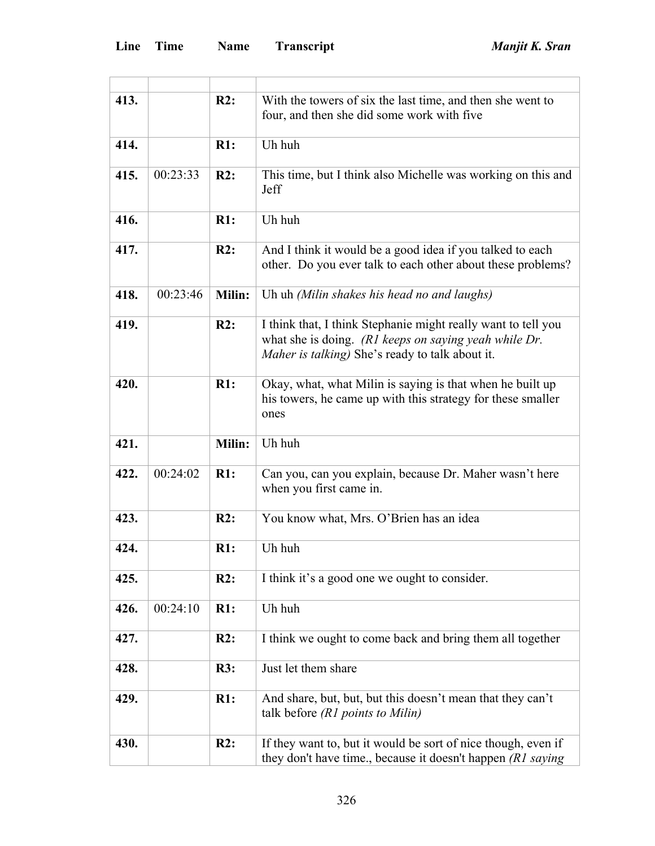| 413. |          | R2:           | With the towers of six the last time, and then she went to<br>four, and then she did some work with five                                                                  |
|------|----------|---------------|---------------------------------------------------------------------------------------------------------------------------------------------------------------------------|
| 414. |          | R1:           | Uh huh                                                                                                                                                                    |
| 415. | 00:23:33 | R2:           | This time, but I think also Michelle was working on this and<br>Jeff                                                                                                      |
| 416. |          | R1:           | Uh huh                                                                                                                                                                    |
| 417. |          | R2:           | And I think it would be a good idea if you talked to each<br>other. Do you ever talk to each other about these problems?                                                  |
| 418. | 00:23:46 | <b>Milin:</b> | Uh uh (Milin shakes his head no and laughs)                                                                                                                               |
| 419. |          | R2:           | I think that, I think Stephanie might really want to tell you<br>what she is doing. (R1 keeps on saying yeah while Dr.<br>Maher is talking) She's ready to talk about it. |
| 420. |          | R1:           | Okay, what, what Milin is saying is that when he built up<br>his towers, he came up with this strategy for these smaller<br>ones                                          |
| 421. |          | Milin:        | Uh huh                                                                                                                                                                    |
| 422. | 00:24:02 | R1:           | Can you, can you explain, because Dr. Maher wasn't here<br>when you first came in.                                                                                        |
| 423. |          | R2:           | You know what, Mrs. O'Brien has an idea                                                                                                                                   |
| 424. |          | R1:           | Uh huh                                                                                                                                                                    |
| 425. |          | R2:           | I think it's a good one we ought to consider.                                                                                                                             |
| 426. | 00:24:10 | R1:           | Uh huh                                                                                                                                                                    |
| 427. |          | R2:           | I think we ought to come back and bring them all together                                                                                                                 |
| 428. |          | R3:           | Just let them share                                                                                                                                                       |
| 429. |          | R1:           | And share, but, but, but this doesn't mean that they can't<br>talk before $(R1$ points to Milin)                                                                          |
| 430. |          | R2:           | If they want to, but it would be sort of nice though, even if<br>they don't have time., because it doesn't happen (R1 saying                                              |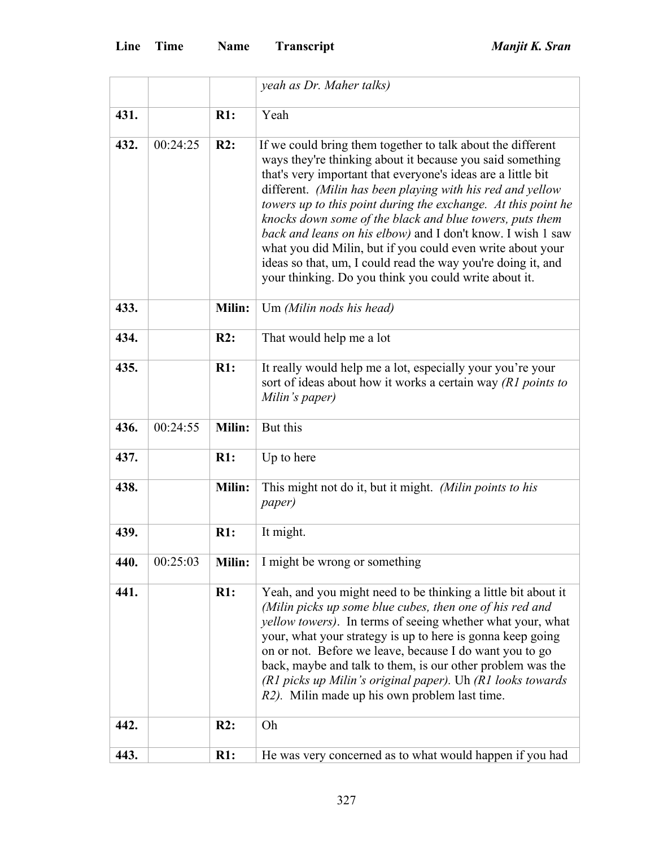|      |          |               | yeah as Dr. Maher talks)                                                                                                                                                                                                                                                                                                                                                                                                                                                                                                                                                                                                                  |
|------|----------|---------------|-------------------------------------------------------------------------------------------------------------------------------------------------------------------------------------------------------------------------------------------------------------------------------------------------------------------------------------------------------------------------------------------------------------------------------------------------------------------------------------------------------------------------------------------------------------------------------------------------------------------------------------------|
| 431. |          | R1:           | Yeah                                                                                                                                                                                                                                                                                                                                                                                                                                                                                                                                                                                                                                      |
| 432. | 00:24:25 | R2:           | If we could bring them together to talk about the different<br>ways they're thinking about it because you said something<br>that's very important that everyone's ideas are a little bit<br>different. (Milin has been playing with his red and yellow<br>towers up to this point during the exchange. At this point he<br>knocks down some of the black and blue towers, puts them<br>back and leans on his elbow) and I don't know. I wish 1 saw<br>what you did Milin, but if you could even write about your<br>ideas so that, um, I could read the way you're doing it, and<br>your thinking. Do you think you could write about it. |
| 433. |          | Milin:        | Um (Milin nods his head)                                                                                                                                                                                                                                                                                                                                                                                                                                                                                                                                                                                                                  |
| 434. |          | R2:           | That would help me a lot                                                                                                                                                                                                                                                                                                                                                                                                                                                                                                                                                                                                                  |
| 435. |          | R1:           | It really would help me a lot, especially your you're your<br>sort of ideas about how it works a certain way (R1 points to<br>Milin's paper)                                                                                                                                                                                                                                                                                                                                                                                                                                                                                              |
| 436. | 00:24:55 | Milin:        | But this                                                                                                                                                                                                                                                                                                                                                                                                                                                                                                                                                                                                                                  |
| 437. |          | R1:           | Up to here                                                                                                                                                                                                                                                                                                                                                                                                                                                                                                                                                                                                                                |
| 438. |          | <b>Milin:</b> | This might not do it, but it might. (Milin points to his<br><i>paper</i> )                                                                                                                                                                                                                                                                                                                                                                                                                                                                                                                                                                |
| 439. |          | R1:           | It might.                                                                                                                                                                                                                                                                                                                                                                                                                                                                                                                                                                                                                                 |
| 440. | 00:25:03 | Milin:        | I might be wrong or something                                                                                                                                                                                                                                                                                                                                                                                                                                                                                                                                                                                                             |
| 441. |          | R1:           | Yeah, and you might need to be thinking a little bit about it<br>(Milin picks up some blue cubes, then one of his red and<br><i>yellow towers</i> ). In terms of seeing whether what your, what<br>your, what your strategy is up to here is gonna keep going<br>on or not. Before we leave, because I do want you to go<br>back, maybe and talk to them, is our other problem was the<br>(R1 picks up Milin's original paper). Uh (R1 looks towards<br>R2). Milin made up his own problem last time.                                                                                                                                     |
| 442. |          | R2:           | Oh                                                                                                                                                                                                                                                                                                                                                                                                                                                                                                                                                                                                                                        |
| 443. |          | R1:           | He was very concerned as to what would happen if you had                                                                                                                                                                                                                                                                                                                                                                                                                                                                                                                                                                                  |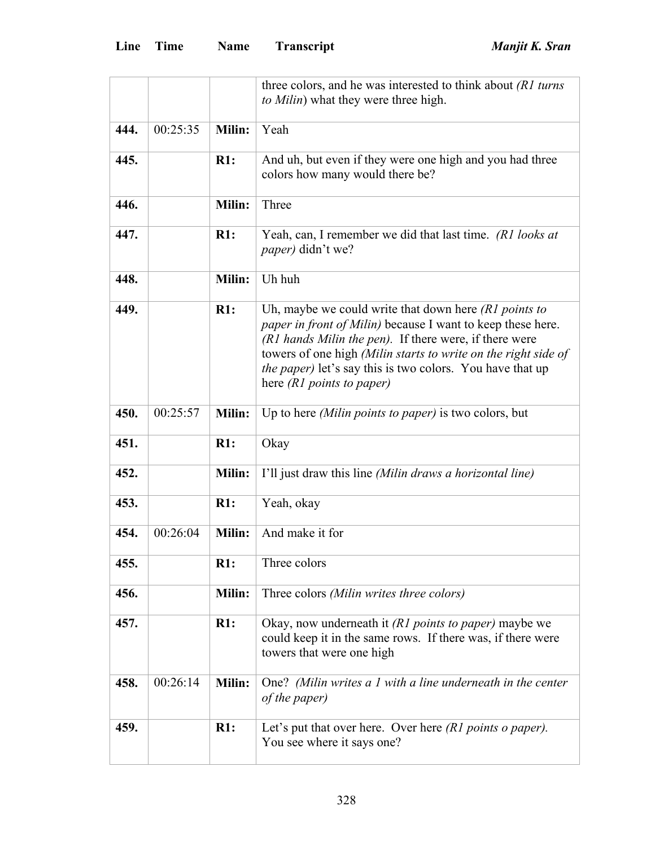|      |          |               | three colors, and he was interested to think about (R1 turns)<br>to Milin) what they were three high.                                                                                                                                                                                                                                                          |
|------|----------|---------------|----------------------------------------------------------------------------------------------------------------------------------------------------------------------------------------------------------------------------------------------------------------------------------------------------------------------------------------------------------------|
| 444. | 00:25:35 | Milin:        | Yeah                                                                                                                                                                                                                                                                                                                                                           |
| 445. |          | R1:           | And uh, but even if they were one high and you had three<br>colors how many would there be?                                                                                                                                                                                                                                                                    |
| 446. |          | Milin:        | Three                                                                                                                                                                                                                                                                                                                                                          |
| 447. |          | R1:           | Yeah, can, I remember we did that last time. (R1 looks at<br><i>paper</i> ) didn't we?                                                                                                                                                                                                                                                                         |
| 448. |          | Milin:        | Uh huh                                                                                                                                                                                                                                                                                                                                                         |
| 449. |          | R1:           | Uh, maybe we could write that down here $(R1$ points to<br><i>paper in front of Milin</i> ) because I want to keep these here.<br>(R1 hands Milin the pen). If there were, if there were<br>towers of one high (Milin starts to write on the right side of<br><i>the paper</i> ) let's say this is two colors. You have that up<br>here $(R1$ points to paper) |
| 450. | 00:25:57 | <b>Milin:</b> | Up to here <i>(Milin points to paper)</i> is two colors, but                                                                                                                                                                                                                                                                                                   |
| 451. |          | R1:           | Okay                                                                                                                                                                                                                                                                                                                                                           |
| 452. |          | Milin:        | I'll just draw this line (Milin draws a horizontal line)                                                                                                                                                                                                                                                                                                       |
| 453. |          | R1:           | Yeah, okay                                                                                                                                                                                                                                                                                                                                                     |
| 454. | 00:26:04 | Milin:        | And make it for                                                                                                                                                                                                                                                                                                                                                |
| 455. |          | R1:           | Three colors                                                                                                                                                                                                                                                                                                                                                   |
| 456. |          | Milin:        | Three colors (Milin writes three colors)                                                                                                                                                                                                                                                                                                                       |
| 457. |          | R1:           | Okay, now underneath it (R1 points to paper) maybe we<br>could keep it in the same rows. If there was, if there were<br>towers that were one high                                                                                                                                                                                                              |
| 458. | 00:26:14 | <b>Milin:</b> | One? (Milin writes a 1 with a line underneath in the center<br><i>of the paper</i> )                                                                                                                                                                                                                                                                           |
| 459. |          | R1:           | Let's put that over here. Over here $(R1$ points o paper).<br>You see where it says one?                                                                                                                                                                                                                                                                       |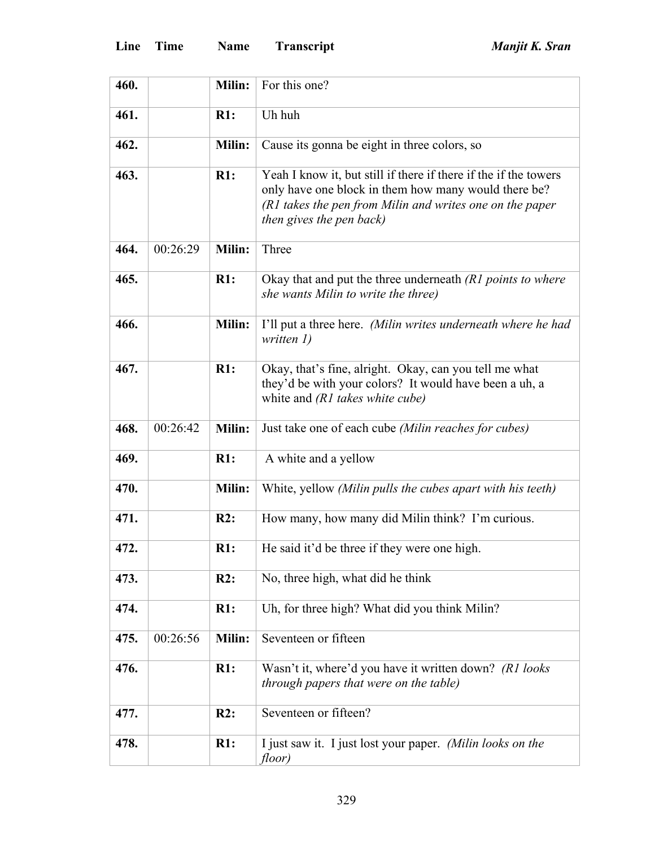| 460. |          | Milin:        | For this one?                                                                                                                                                                                                    |
|------|----------|---------------|------------------------------------------------------------------------------------------------------------------------------------------------------------------------------------------------------------------|
| 461. |          | R1:           | Uh huh                                                                                                                                                                                                           |
| 462. |          | <b>Milin:</b> | Cause its gonna be eight in three colors, so                                                                                                                                                                     |
| 463. |          | R1:           | Yeah I know it, but still if there if there if the if the towers<br>only have one block in them how many would there be?<br>(R1 takes the pen from Milin and writes one on the paper<br>then gives the pen back) |
| 464. | 00:26:29 | Milin:        | Three                                                                                                                                                                                                            |
| 465. |          | R1:           | Okay that and put the three underneath (R1 points to where<br>she wants Milin to write the three)                                                                                                                |
| 466. |          | Milin:        | I'll put a three here. (Milin writes underneath where he had<br>written $I$ )                                                                                                                                    |
| 467. |          | R1:           | Okay, that's fine, alright. Okay, can you tell me what<br>they'd be with your colors? It would have been a uh, a<br>white and $(R1$ takes white cube)                                                            |
| 468. | 00:26:42 | Milin:        | Just take one of each cube (Milin reaches for cubes)                                                                                                                                                             |
| 469. |          | R1:           | A white and a yellow                                                                                                                                                                                             |
| 470. |          | Milin:        | White, yellow (Milin pulls the cubes apart with his teeth)                                                                                                                                                       |
| 471. |          | R2:           | How many, how many did Milin think? I'm curious.                                                                                                                                                                 |
| 472. |          | R1:           | He said it'd be three if they were one high.                                                                                                                                                                     |
| 473. |          | R2:           | No, three high, what did he think                                                                                                                                                                                |
| 474. |          | R1:           | Uh, for three high? What did you think Milin?                                                                                                                                                                    |
| 475. | 00:26:56 | <b>Milin:</b> | Seventeen or fifteen                                                                                                                                                                                             |
| 476. |          | R1:           | Wasn't it, where'd you have it written down? (R1 looks)<br>through papers that were on the table)                                                                                                                |
| 477. |          | R2:           | Seventeen or fifteen?                                                                                                                                                                                            |
| 478. |          | R1:           | I just saw it. I just lost your paper. (Milin looks on the<br>floor)                                                                                                                                             |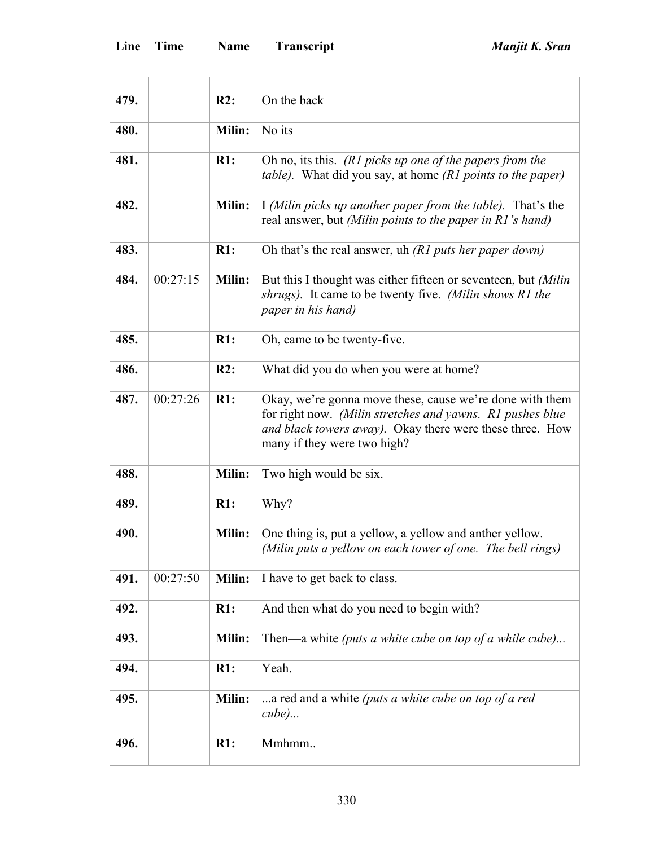'n

L,

| 479. |          | R2:           |                                                                                                                                                                                                                  |
|------|----------|---------------|------------------------------------------------------------------------------------------------------------------------------------------------------------------------------------------------------------------|
|      |          |               | On the back                                                                                                                                                                                                      |
| 480. |          | Milin:        | No its                                                                                                                                                                                                           |
| 481. |          | R1:           | Oh no, its this. (R1 picks up one of the papers from the<br><i>table</i> ). What did you say, at home <i>(R1 points to the paper)</i>                                                                            |
| 482. |          | <b>Milin:</b> | I (Milin picks up another paper from the table). That's the<br>real answer, but (Milin points to the paper in R1's hand)                                                                                         |
| 483. |          | R1:           | Oh that's the real answer, uh $(R1$ puts her paper down)                                                                                                                                                         |
| 484. | 00:27:15 | <b>Milin:</b> | But this I thought was either fifteen or seventeen, but (Milin<br>shrugs). It came to be twenty five. (Milin shows R1 the<br>paper in his hand)                                                                  |
| 485. |          | R1:           | Oh, came to be twenty-five.                                                                                                                                                                                      |
| 486. |          | R2:           | What did you do when you were at home?                                                                                                                                                                           |
| 487. | 00:27:26 | R1:           | Okay, we're gonna move these, cause we're done with them<br>for right now. (Milin stretches and yawns. R1 pushes blue<br>and black towers away). Okay there were these three. How<br>many if they were two high? |
| 488. |          | Milin:        | Two high would be six.                                                                                                                                                                                           |
| 489. |          | R1:           | Why?                                                                                                                                                                                                             |
| 490. |          | <b>Milin:</b> | One thing is, put a yellow, a yellow and anther yellow.<br>(Milin puts a yellow on each tower of one. The bell rings)                                                                                            |
| 491. | 00:27:50 | Milin:        | I have to get back to class.                                                                                                                                                                                     |
| 492. |          | R1:           | And then what do you need to begin with?                                                                                                                                                                         |
| 493. |          | Milin:        | Then—a white (puts a white cube on top of a while cube)                                                                                                                                                          |
| 494. |          | R1:           | Yeah.                                                                                                                                                                                                            |
| 495. |          | Milin:        | a red and a white (puts a white cube on top of a red<br>$cube)$                                                                                                                                                  |
| 496. |          | R1:           | Mmhmm                                                                                                                                                                                                            |
|      |          |               |                                                                                                                                                                                                                  |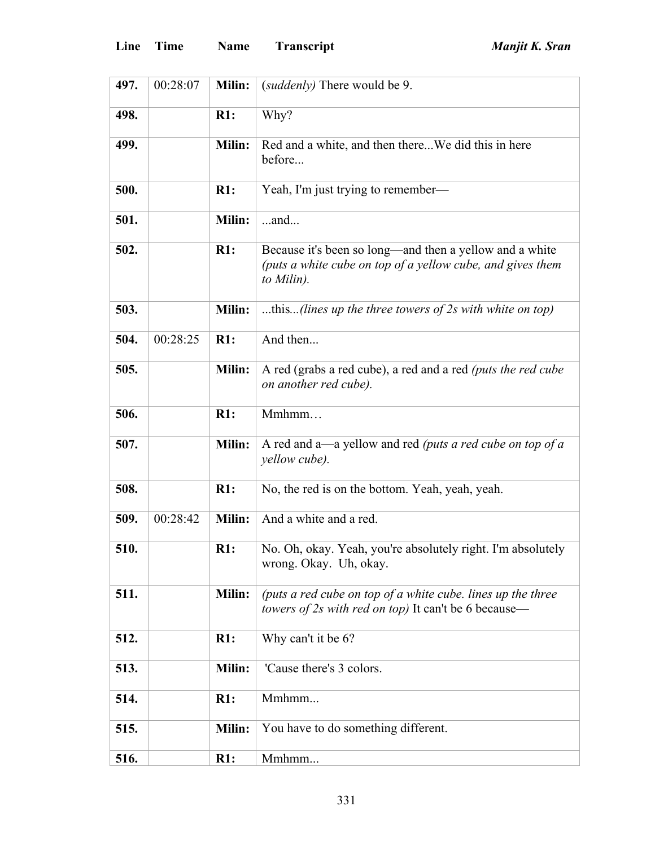| 497. | 00:28:07 | <b>Milin:</b> | (suddenly) There would be 9.                                                                                                        |
|------|----------|---------------|-------------------------------------------------------------------------------------------------------------------------------------|
| 498. |          | R1:           | Why?                                                                                                                                |
| 499. |          | Milin:        | Red and a white, and then thereWe did this in here<br>before                                                                        |
| 500. |          | R1:           | Yeah, I'm just trying to remember—                                                                                                  |
| 501. |          | Milin:        | $$ and                                                                                                                              |
| 502. |          | R1:           | Because it's been so long—and then a yellow and a white<br>(puts a white cube on top of a yellow cube, and gives them<br>to Milin). |
| 503. |          | Milin:        | this(lines up the three towers of $2s$ with white on top)                                                                           |
| 504. | 00:28:25 | R1:           | And then                                                                                                                            |
| 505. |          | Milin:        | A red (grabs a red cube), a red and a red (puts the red cube<br>on another red cube).                                               |
| 506. |          | R1:           | Mmhmm                                                                                                                               |
| 507. |          | Milin:        | A red and a—a yellow and red (puts a red cube on top of a<br>yellow cube).                                                          |
| 508. |          | R1:           | No, the red is on the bottom. Yeah, yeah, yeah.                                                                                     |
| 509. | 00:28:42 | Milin:        | And a white and a red.                                                                                                              |
| 510. |          | R1:           | No. Oh, okay. Yeah, you're absolutely right. I'm absolutely<br>wrong. Okay. Uh, okay.                                               |
| 511. |          | Milin:        | (puts a red cube on top of a white cube. lines up the three<br>towers of 2s with red on top) It can't be 6 because—                 |
| 512. |          | R1:           | Why can't it be 6?                                                                                                                  |
| 513. |          | <b>Milin:</b> | 'Cause there's 3 colors.                                                                                                            |
| 514. |          | R1:           | Mmhmm                                                                                                                               |
| 515. |          | <b>Milin:</b> | You have to do something different.                                                                                                 |
| 516. |          | R1:           | Mmhmm                                                                                                                               |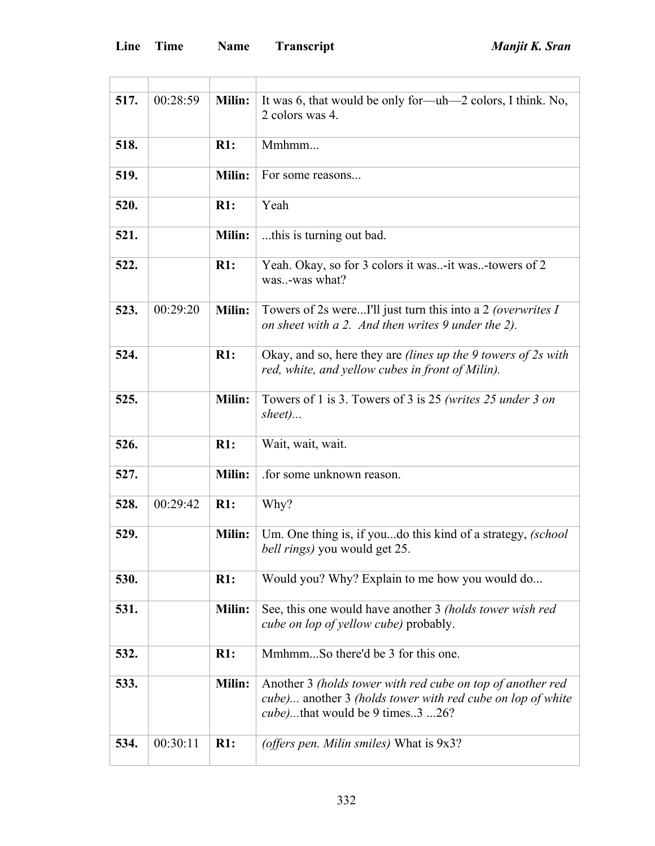| 517. | 00:28:59 | <b>Milin:</b> | It was 6, that would be only for—uh—2 colors, I think. No,<br>2 colors was 4.                                                                                       |
|------|----------|---------------|---------------------------------------------------------------------------------------------------------------------------------------------------------------------|
| 518. |          | R1:           | Mmhmm                                                                                                                                                               |
| 519. |          | Milin:        | For some reasons                                                                                                                                                    |
| 520. |          | R1:           | Yeah                                                                                                                                                                |
| 521. |          | Milin:        | this is turning out bad.                                                                                                                                            |
| 522. |          | R1:           | Yeah. Okay, so for 3 colors it was-it was-towers of 2<br>was-was what?                                                                                              |
| 523. | 00:29:20 | Milin:        | Towers of 2s wereI'll just turn this into a 2 (overwrites I<br>on sheet with a 2. And then writes 9 under the 2).                                                   |
| 524. |          | R1:           | Okay, and so, here they are <i>(lines up the 9 towers of 2s with</i> )<br>red, white, and yellow cubes in front of Milin).                                          |
| 525. |          | Milin:        | Towers of 1 is 3. Towers of 3 is 25 (writes 25 under 3 on<br>sheet)                                                                                                 |
| 526. |          | R1:           | Wait, wait, wait.                                                                                                                                                   |
| 527. |          | Milin:        | .for some unknown reason.                                                                                                                                           |
| 528. | 00:29:42 | R1:           | Why?                                                                                                                                                                |
| 529. |          | <b>Milin:</b> | Um. One thing is, if youdo this kind of a strategy, (school<br><i>bell rings</i> ) you would get 25.                                                                |
| 530. |          | R1:           | Would you? Why? Explain to me how you would do                                                                                                                      |
| 531. |          | Milin:        | See, this one would have another 3 (holds tower wish red<br>cube on lop of yellow cube) probably.                                                                   |
| 532. |          | R1:           | MmhmmSo there'd be 3 for this one.                                                                                                                                  |
| 533. |          | Milin:        | Another 3 (holds tower with red cube on top of another red<br>cube) another 3 (holds tower with red cube on lop of white<br><i>cube</i> )that would be 9 times3 26? |
| 534. | 00:30:11 | R1:           | (offers pen. Milin smiles) What is 9x3?                                                                                                                             |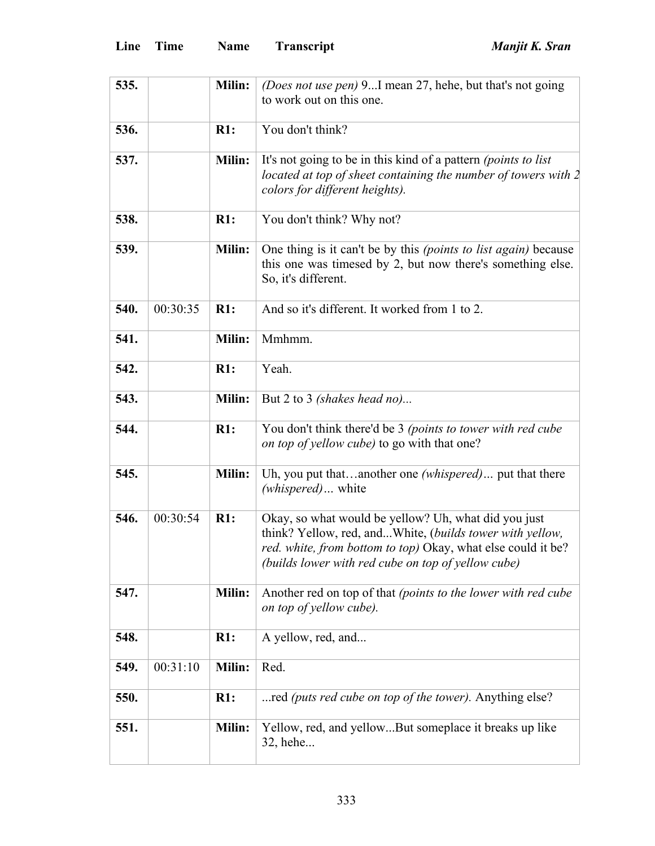| 535. |          | Milin:        | (Does not use pen) 9I mean 27, hehe, but that's not going              |
|------|----------|---------------|------------------------------------------------------------------------|
|      |          |               | to work out on this one.                                               |
|      |          |               |                                                                        |
| 536. |          | R1:           | You don't think?                                                       |
| 537. |          | <b>Milin:</b> | It's not going to be in this kind of a pattern (points to list         |
|      |          |               | located at top of sheet containing the number of towers with $2$       |
|      |          |               | colors for different heights).                                         |
| 538. |          | R1:           | You don't think? Why not?                                              |
| 539. |          | <b>Milin:</b> | One thing is it can't be by this <i>(points to list again)</i> because |
|      |          |               | this one was timesed by 2, but now there's something else.             |
|      |          |               | So, it's different.                                                    |
|      |          |               |                                                                        |
| 540. | 00:30:35 | R1:           | And so it's different. It worked from 1 to 2.                          |
|      |          |               |                                                                        |
| 541. |          | <b>Milin:</b> | Mmhmm.                                                                 |
|      |          |               |                                                                        |
| 542. |          | R1:           | Yeah.                                                                  |
| 543. |          | <b>Milin:</b> | But 2 to 3 <i>(shakes head no)</i>                                     |
|      |          |               |                                                                        |
| 544. |          | R1:           | You don't think there'd be 3 (points to tower with red cube            |
|      |          |               | on top of yellow cube) to go with that one?                            |
|      |          |               |                                                                        |
| 545. |          | Milin:        | Uh, you put thatanother one (whispered) put that there                 |
|      |          |               | (whispered) white                                                      |
| 546. | 00:30:54 | R1:           | Okay, so what would be yellow? Uh, what did you just                   |
|      |          |               | think? Yellow, red, andWhite, (builds tower with yellow,               |
|      |          |               | red. white, from bottom to top) Okay, what else could it be?           |
|      |          |               | (builds lower with red cube on top of yellow cube)                     |
|      |          |               |                                                                        |
| 547. |          | <b>Milin:</b> | Another red on top of that (points to the lower with red cube          |
|      |          |               | on top of yellow cube).                                                |
|      |          |               |                                                                        |
| 548. |          | R1:           | A yellow, red, and                                                     |
| 549. | 00:31:10 | <b>Milin:</b> | Red.                                                                   |
|      |          |               |                                                                        |
| 550. |          | R1:           | red (puts red cube on top of the tower). Anything else?                |
|      |          |               |                                                                        |
|      |          |               |                                                                        |
| 551. |          | Milin:        | Yellow, red, and yellowBut someplace it breaks up like<br>32, hehe     |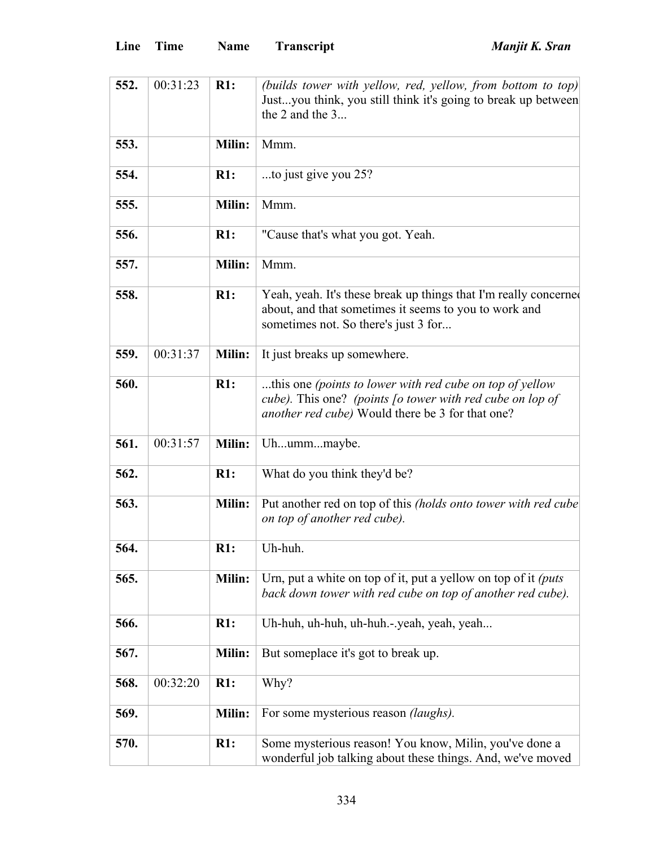| 552. | 00:31:23 | R1:           | (builds tower with yellow, red, yellow, from bottom to top)      |
|------|----------|---------------|------------------------------------------------------------------|
|      |          |               | Justyou think, you still think it's going to break up between    |
|      |          |               | the 2 and the $3$                                                |
|      |          |               |                                                                  |
| 553. |          | <b>Milin:</b> | Mmm.                                                             |
|      |          |               |                                                                  |
| 554. |          | R1:           | to just give you 25?                                             |
|      |          | Milin:        |                                                                  |
| 555. |          |               | Mmm.                                                             |
| 556. |          | R1:           | "Cause that's what you got. Yeah.                                |
|      |          |               |                                                                  |
| 557. |          | Milin:        | Mmm.                                                             |
| 558. |          | R1:           |                                                                  |
|      |          |               | Yeah, yeah. It's these break up things that I'm really concerned |
|      |          |               | about, and that sometimes it seems to you to work and            |
|      |          |               | sometimes not. So there's just 3 for                             |
|      |          |               |                                                                  |
| 559. | 00:31:37 | Milin:        | It just breaks up somewhere.                                     |
|      |          |               |                                                                  |
| 560. |          | R1:           | this one (points to lower with red cube on top of yellow         |
|      |          |               | cube). This one? (points [o tower with red cube on lop of        |
|      |          |               | <i>another red cube</i> ) Would there be 3 for that one?         |
|      |          |               |                                                                  |
| 561. | 00:31:57 | <b>Milin:</b> | Uhummmaybe.                                                      |
| 562. |          | R1:           | What do you think they'd be?                                     |
|      |          |               |                                                                  |
| 563. |          | Milin:        | Put another red on top of this (holds onto tower with red cube)  |
|      |          |               | on top of another red cube).                                     |
|      |          |               |                                                                  |
| 564. |          | R1:           | Uh-huh.                                                          |
|      |          |               |                                                                  |
| 565. |          | <b>Milin:</b> | Urn, put a white on top of it, put a yellow on top of it (puts   |
|      |          |               | back down tower with red cube on top of another red cube).       |
|      |          |               |                                                                  |
| 566. |          | R1:           | Uh-huh, uh-huh, uh-huh.-.yeah, yeah, yeah                        |
|      |          |               |                                                                  |
| 567. |          | <b>Milin:</b> | But someplace it's got to break up.                              |
|      |          |               |                                                                  |
| 568. | 00:32:20 | R1:           | Why?                                                             |
|      |          |               |                                                                  |
| 569. |          | Milin:        |                                                                  |
|      |          |               | For some mysterious reason <i>(laughs)</i> .                     |
| 570. |          | R1:           |                                                                  |
|      |          |               | Some mysterious reason! You know, Milin, you've done a           |
|      |          |               | wonderful job talking about these things. And, we've moved       |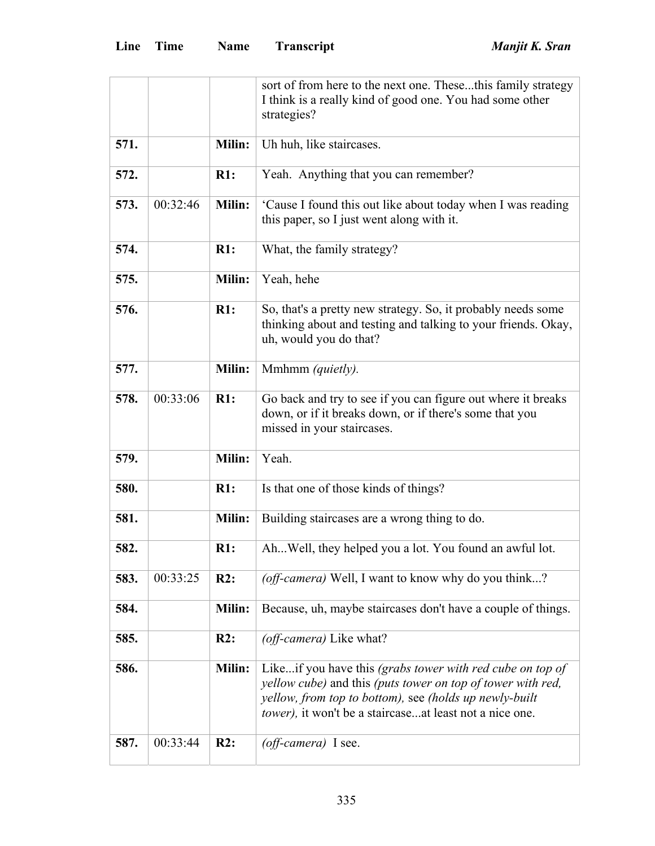|      |          |        | sort of from here to the next one. Thesethis family strategy                                                                                                                                                                                  |
|------|----------|--------|-----------------------------------------------------------------------------------------------------------------------------------------------------------------------------------------------------------------------------------------------|
|      |          |        | I think is a really kind of good one. You had some other                                                                                                                                                                                      |
|      |          |        | strategies?                                                                                                                                                                                                                                   |
| 571. |          | Milin: | Uh huh, like staircases.                                                                                                                                                                                                                      |
|      |          |        |                                                                                                                                                                                                                                               |
| 572. |          | R1:    | Yeah. Anything that you can remember?                                                                                                                                                                                                         |
| 573. | 00:32:46 | Milin: | 'Cause I found this out like about today when I was reading<br>this paper, so I just went along with it.                                                                                                                                      |
| 574. |          | R1:    | What, the family strategy?                                                                                                                                                                                                                    |
| 575. |          | Milin: | Yeah, hehe                                                                                                                                                                                                                                    |
| 576. |          | R1:    | So, that's a pretty new strategy. So, it probably needs some<br>thinking about and testing and talking to your friends. Okay,<br>uh, would you do that?                                                                                       |
| 577. |          | Milin: | Mmhmm (quietly).                                                                                                                                                                                                                              |
| 578. | 00:33:06 | R1:    | Go back and try to see if you can figure out where it breaks<br>down, or if it breaks down, or if there's some that you<br>missed in your staircases.                                                                                         |
| 579. |          | Milin: | Yeah.                                                                                                                                                                                                                                         |
| 580. |          | R1:    | Is that one of those kinds of things?                                                                                                                                                                                                         |
| 581. |          | Milin: | Building staircases are a wrong thing to do.                                                                                                                                                                                                  |
| 582. |          | R1:    | Ah Well, they helped you a lot. You found an awful lot.                                                                                                                                                                                       |
| 583. | 00:33:25 | R2:    | (off-camera) Well, I want to know why do you think?                                                                                                                                                                                           |
| 584. |          | Milin: | Because, uh, maybe staircases don't have a couple of things.                                                                                                                                                                                  |
| 585. |          | R2:    | (off-camera) Like what?                                                                                                                                                                                                                       |
| 586. |          | Milin: | Likeif you have this (grabs tower with red cube on top of<br>yellow cube) and this (puts tower on top of tower with red,<br>yellow, from top to bottom), see (holds up newly-built<br>tower), it won't be a staircaseat least not a nice one. |
| 587. | 00:33:44 | R2:    | (off-camera) I see.                                                                                                                                                                                                                           |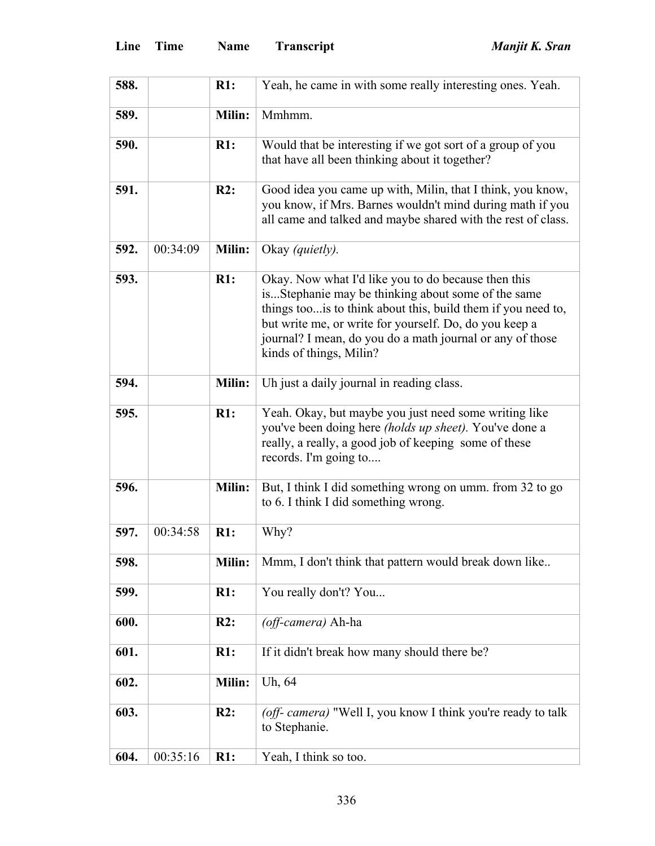| 588. |          | R1:    | Yeah, he came in with some really interesting ones. Yeah.                                                                                                                                                                                                                                                                    |
|------|----------|--------|------------------------------------------------------------------------------------------------------------------------------------------------------------------------------------------------------------------------------------------------------------------------------------------------------------------------------|
| 589. |          | Milin: | Mmhmm.                                                                                                                                                                                                                                                                                                                       |
| 590. |          | R1:    | Would that be interesting if we got sort of a group of you<br>that have all been thinking about it together?                                                                                                                                                                                                                 |
| 591. |          | R2:    | Good idea you came up with, Milin, that I think, you know,<br>you know, if Mrs. Barnes wouldn't mind during math if you<br>all came and talked and maybe shared with the rest of class.                                                                                                                                      |
| 592. | 00:34:09 | Milin: | Okay (quietly).                                                                                                                                                                                                                                                                                                              |
| 593. |          | R1:    | Okay. Now what I'd like you to do because then this<br>isStephanie may be thinking about some of the same<br>things too is to think about this, build them if you need to,<br>but write me, or write for yourself. Do, do you keep a<br>journal? I mean, do you do a math journal or any of those<br>kinds of things, Milin? |
| 594. |          | Milin: | Uh just a daily journal in reading class.                                                                                                                                                                                                                                                                                    |
| 595. |          | R1:    | Yeah. Okay, but maybe you just need some writing like<br>you've been doing here (holds up sheet). You've done a<br>really, a really, a good job of keeping some of these<br>records. I'm going to                                                                                                                            |
| 596. |          | Milin: | But, I think I did something wrong on umm. from 32 to go<br>to 6. I think I did something wrong.                                                                                                                                                                                                                             |
| 597. | 00:34:58 | R1:    | Why?                                                                                                                                                                                                                                                                                                                         |
| 598. |          | Milin: | Mmm, I don't think that pattern would break down like                                                                                                                                                                                                                                                                        |
| 599. |          | R1:    | You really don't? You                                                                                                                                                                                                                                                                                                        |
| 600. |          | R2:    | (off-camera) Ah-ha                                                                                                                                                                                                                                                                                                           |
| 601. |          | R1:    | If it didn't break how many should there be?                                                                                                                                                                                                                                                                                 |
| 602. |          | Milin: | Uh, 64                                                                                                                                                                                                                                                                                                                       |
| 603. |          | R2:    | (off- camera) "Well I, you know I think you're ready to talk<br>to Stephanie.                                                                                                                                                                                                                                                |
| 604. | 00:35:16 | R1:    | Yeah, I think so too.                                                                                                                                                                                                                                                                                                        |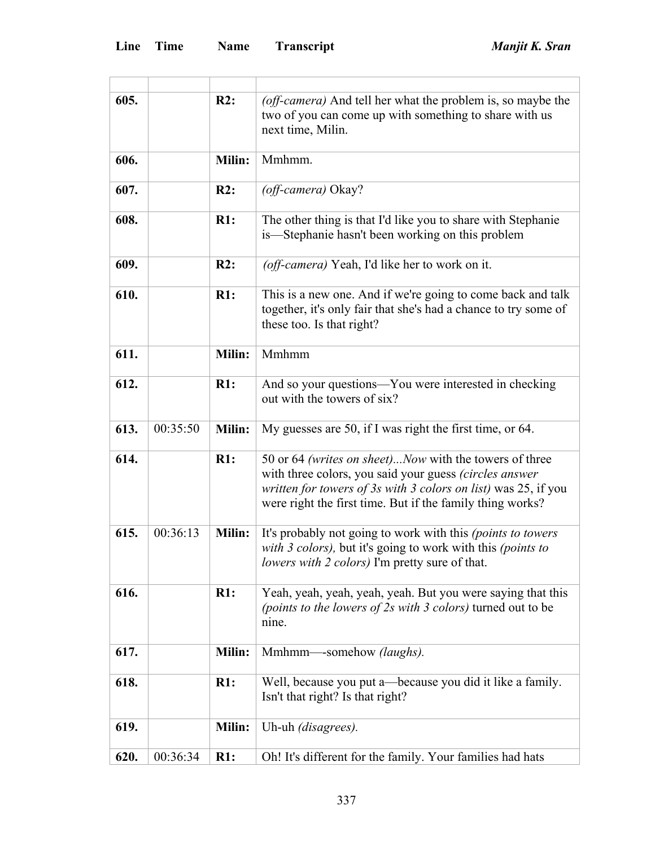| 605. |          | R2:    | (off-camera) And tell her what the problem is, so maybe the                                                                                                                                                                                     |
|------|----------|--------|-------------------------------------------------------------------------------------------------------------------------------------------------------------------------------------------------------------------------------------------------|
|      |          |        | two of you can come up with something to share with us<br>next time, Milin.                                                                                                                                                                     |
| 606. |          | Milin: | Mmhmm.                                                                                                                                                                                                                                          |
| 607. |          | R2:    | (off-camera) Okay?                                                                                                                                                                                                                              |
| 608. |          | R1:    | The other thing is that I'd like you to share with Stephanie<br>is-Stephanie hasn't been working on this problem                                                                                                                                |
| 609. |          | R2:    | (off-camera) Yeah, I'd like her to work on it.                                                                                                                                                                                                  |
| 610. |          | R1:    | This is a new one. And if we're going to come back and talk<br>together, it's only fair that she's had a chance to try some of<br>these too. Is that right?                                                                                     |
| 611. |          | Milin: | Mmhmm                                                                                                                                                                                                                                           |
| 612. |          | R1:    | And so your questions—You were interested in checking<br>out with the towers of six?                                                                                                                                                            |
| 613. | 00:35:50 | Milin: | My guesses are 50, if I was right the first time, or 64.                                                                                                                                                                                        |
| 614. |          | R1:    | 50 or 64 (writes on sheet)Now with the towers of three<br>with three colors, you said your guess (circles answer<br>written for towers of 3s with 3 colors on list) was 25, if you<br>were right the first time. But if the family thing works? |
| 615. | 00:36:13 | Milin: | It's probably not going to work with this (points to towers<br>with 3 colors), but it's going to work with this (points to<br>lowers with 2 colors) I'm pretty sure of that.                                                                    |
| 616. |          | R1:    | Yeah, yeah, yeah, yeah, yeah. But you were saying that this<br>(points to the lowers of 2s with 3 colors) turned out to be<br>nine.                                                                                                             |
| 617. |          | Milin: | Mmhmm—-somehow (laughs).                                                                                                                                                                                                                        |
| 618. |          | R1:    | Well, because you put a—because you did it like a family.<br>Isn't that right? Is that right?                                                                                                                                                   |
| 619. |          | Milin: | Uh-uh (disagrees).                                                                                                                                                                                                                              |
| 620. | 00:36:34 | R1:    | Oh! It's different for the family. Your families had hats                                                                                                                                                                                       |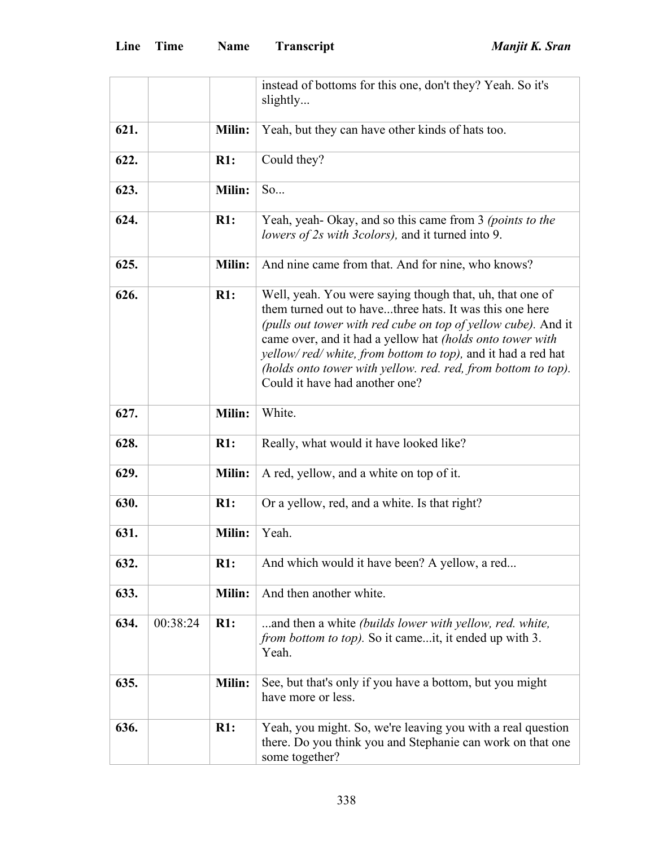|      |          |        | instead of bottoms for this one, don't they? Yeah. So it's<br>slightly                                                                                                                                                                                                                                                                                                                                                     |
|------|----------|--------|----------------------------------------------------------------------------------------------------------------------------------------------------------------------------------------------------------------------------------------------------------------------------------------------------------------------------------------------------------------------------------------------------------------------------|
| 621. |          | Milin: | Yeah, but they can have other kinds of hats too.                                                                                                                                                                                                                                                                                                                                                                           |
| 622. |          | R1:    | Could they?                                                                                                                                                                                                                                                                                                                                                                                                                |
| 623. |          | Milin: | So                                                                                                                                                                                                                                                                                                                                                                                                                         |
| 624. |          | R1:    | Yeah, yeah-Okay, and so this came from 3 (points to the<br>lowers of 2s with 3colors), and it turned into 9.                                                                                                                                                                                                                                                                                                               |
| 625. |          | Milin: | And nine came from that. And for nine, who knows?                                                                                                                                                                                                                                                                                                                                                                          |
| 626. |          | R1:    | Well, yeah. You were saying though that, uh, that one of<br>them turned out to havethree hats. It was this one here<br>(pulls out tower with red cube on top of yellow cube). And it<br>came over, and it had a yellow hat <i>(holds onto tower with</i><br>yellow/red/white, from bottom to top), and it had a red hat<br>(holds onto tower with yellow. red. red, from bottom to top).<br>Could it have had another one? |
| 627. |          | Milin: | White.                                                                                                                                                                                                                                                                                                                                                                                                                     |
| 628. |          | R1:    | Really, what would it have looked like?                                                                                                                                                                                                                                                                                                                                                                                    |
| 629. |          | Milin: | A red, yellow, and a white on top of it.                                                                                                                                                                                                                                                                                                                                                                                   |
| 630. |          | R1:    | Or a yellow, red, and a white. Is that right?                                                                                                                                                                                                                                                                                                                                                                              |
| 631. |          | Milin: | Yeah.                                                                                                                                                                                                                                                                                                                                                                                                                      |
| 632. |          | R1:    | And which would it have been? A yellow, a red                                                                                                                                                                                                                                                                                                                                                                              |
| 633. |          | Milin: | And then another white.                                                                                                                                                                                                                                                                                                                                                                                                    |
| 634. | 00:38:24 | R1:    | and then a white (builds lower with yellow, red. white,<br><i>from bottom to top</i> ). So it cameit, it ended up with 3.<br>Yeah.                                                                                                                                                                                                                                                                                         |
| 635. |          | Milin: | See, but that's only if you have a bottom, but you might<br>have more or less.                                                                                                                                                                                                                                                                                                                                             |
| 636. |          | R1:    | Yeah, you might. So, we're leaving you with a real question<br>there. Do you think you and Stephanie can work on that one<br>some together?                                                                                                                                                                                                                                                                                |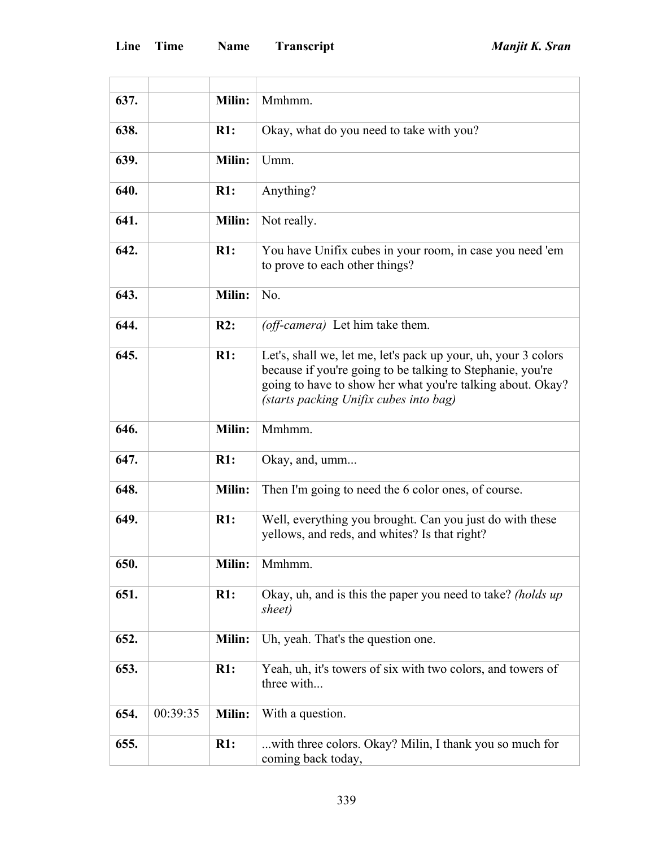F

 $\overline{\phantom{a}}$ 

| 637. |          | Milin: | Mmhmm.                                                                                                                                                                                                                               |
|------|----------|--------|--------------------------------------------------------------------------------------------------------------------------------------------------------------------------------------------------------------------------------------|
| 638. |          | R1:    | Okay, what do you need to take with you?                                                                                                                                                                                             |
| 639. |          | Milin: | Umm.                                                                                                                                                                                                                                 |
| 640. |          | R1:    | Anything?                                                                                                                                                                                                                            |
| 641. |          | Milin: | Not really.                                                                                                                                                                                                                          |
| 642. |          | R1:    | You have Unifix cubes in your room, in case you need 'em<br>to prove to each other things?                                                                                                                                           |
| 643. |          | Milin: | No.                                                                                                                                                                                                                                  |
| 644. |          | R2:    | (off-camera) Let him take them.                                                                                                                                                                                                      |
| 645. |          | R1:    | Let's, shall we, let me, let's pack up your, uh, your 3 colors<br>because if you're going to be talking to Stephanie, you're<br>going to have to show her what you're talking about. Okay?<br>(starts packing Unifix cubes into bag) |
| 646. |          | Milin: | Mmhmm.                                                                                                                                                                                                                               |
| 647. |          | R1:    | Okay, and, umm                                                                                                                                                                                                                       |
| 648. |          | Milin: | Then I'm going to need the 6 color ones, of course.                                                                                                                                                                                  |
| 649. |          | R1:    | Well, everything you brought. Can you just do with these<br>yellows, and reds, and whites? Is that right?                                                                                                                            |
| 650. |          | Milin: | Mmhmm.                                                                                                                                                                                                                               |
| 651. |          | R1:    | Okay, uh, and is this the paper you need to take? (holds up<br>sheet)                                                                                                                                                                |
| 652. |          | Milin: | Uh, yeah. That's the question one.                                                                                                                                                                                                   |
| 653. |          | R1:    | Yeah, uh, it's towers of six with two colors, and towers of<br>three with                                                                                                                                                            |
| 654. | 00:39:35 | Milin: | With a question.                                                                                                                                                                                                                     |
| 655. |          | R1:    | with three colors. Okay? Milin, I thank you so much for<br>coming back today,                                                                                                                                                        |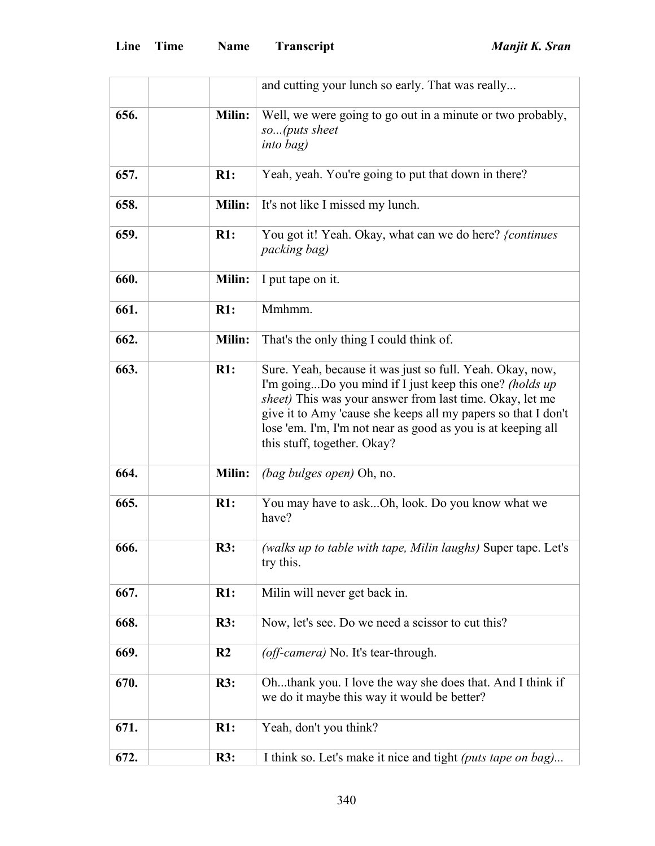|      |                | and cutting your lunch so early. That was really                                                                                                                                                                                                                                                                                                         |
|------|----------------|----------------------------------------------------------------------------------------------------------------------------------------------------------------------------------------------------------------------------------------------------------------------------------------------------------------------------------------------------------|
| 656. | Milin:         | Well, we were going to go out in a minute or two probably,                                                                                                                                                                                                                                                                                               |
|      |                | so(puts sheet                                                                                                                                                                                                                                                                                                                                            |
|      |                | <i>into bag)</i>                                                                                                                                                                                                                                                                                                                                         |
| 657. | R1:            | Yeah, yeah. You're going to put that down in there?                                                                                                                                                                                                                                                                                                      |
| 658. | Milin:         | It's not like I missed my lunch.                                                                                                                                                                                                                                                                                                                         |
| 659. | R1:            | You got it! Yeah. Okay, what can we do here? {continues<br>packing bag)                                                                                                                                                                                                                                                                                  |
| 660. | Milin:         | I put tape on it.                                                                                                                                                                                                                                                                                                                                        |
| 661. | R1:            | Mmhmm.                                                                                                                                                                                                                                                                                                                                                   |
| 662. | Milin:         | That's the only thing I could think of.                                                                                                                                                                                                                                                                                                                  |
| 663. | R1:            | Sure. Yeah, because it was just so full. Yeah. Okay, now,<br>I'm goingDo you mind if I just keep this one? (holds up<br><i>sheet</i> ) This was your answer from last time. Okay, let me<br>give it to Amy 'cause she keeps all my papers so that I don't<br>lose 'em. I'm, I'm not near as good as you is at keeping all<br>this stuff, together. Okay? |
| 664. | Milin:         | <i>(bag bulges open)</i> Oh, no.                                                                                                                                                                                                                                                                                                                         |
| 665. | R1:            | You may have to askOh, look. Do you know what we<br>have?                                                                                                                                                                                                                                                                                                |
| 666. | R3:            | (walks up to table with tape, Milin laughs) Super tape. Let's<br>try this.                                                                                                                                                                                                                                                                               |
| 667. | R1:            | Milin will never get back in.                                                                                                                                                                                                                                                                                                                            |
| 668. | <b>R3:</b>     | Now, let's see. Do we need a scissor to cut this?                                                                                                                                                                                                                                                                                                        |
| 669. | R <sub>2</sub> | (off-camera) No. It's tear-through.                                                                                                                                                                                                                                                                                                                      |
| 670. | R3:            | Ohthank you. I love the way she does that. And I think if<br>we do it maybe this way it would be better?                                                                                                                                                                                                                                                 |
| 671. | R1:            | Yeah, don't you think?                                                                                                                                                                                                                                                                                                                                   |
| 672. | R3:            | I think so. Let's make it nice and tight (puts tape on bag)                                                                                                                                                                                                                                                                                              |